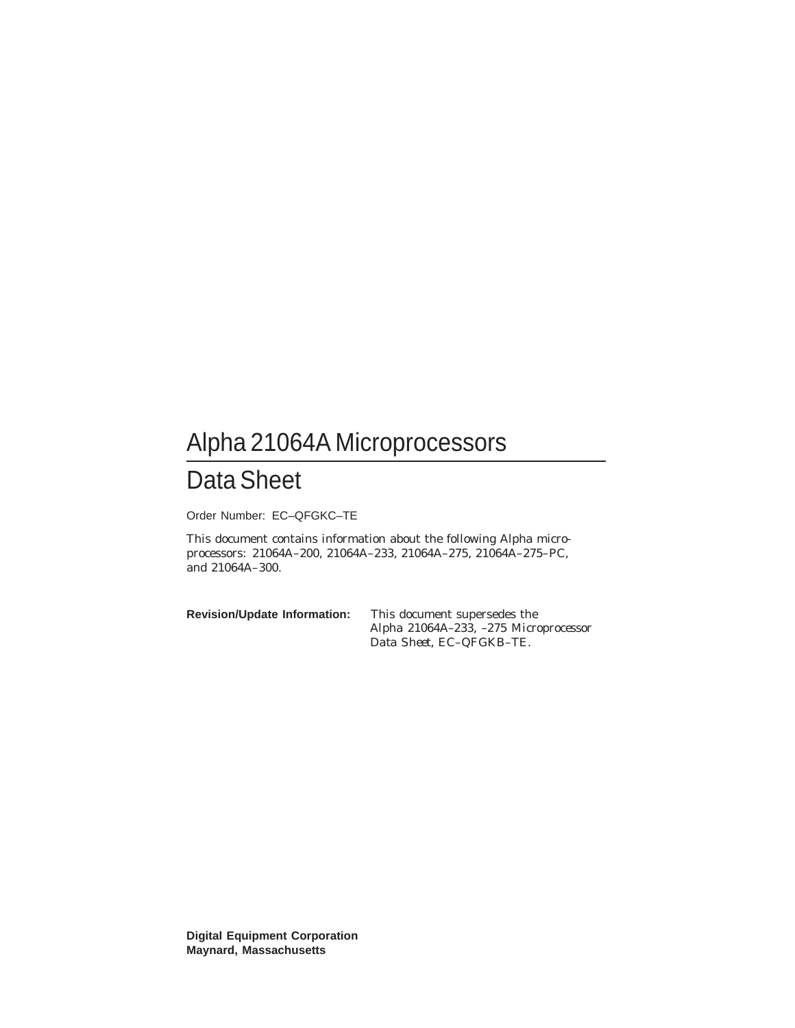## Alpha 21064A Microprocessors

## Data Sheet

Order Number: EC–QFGKC–TE

This document contains information about the following Alpha microprocessors: 21064A–200, 21064A–233, 21064A–275, 21064A–275–PC, and 21064A–300.

**Revision/Update Information:** This document supersedes the *Alpha 21064A–233, –275 Microprocessor Data Sheet*, EC–QFGKB–TE.

**Digital Equipment Corporation Maynard, Massachusetts**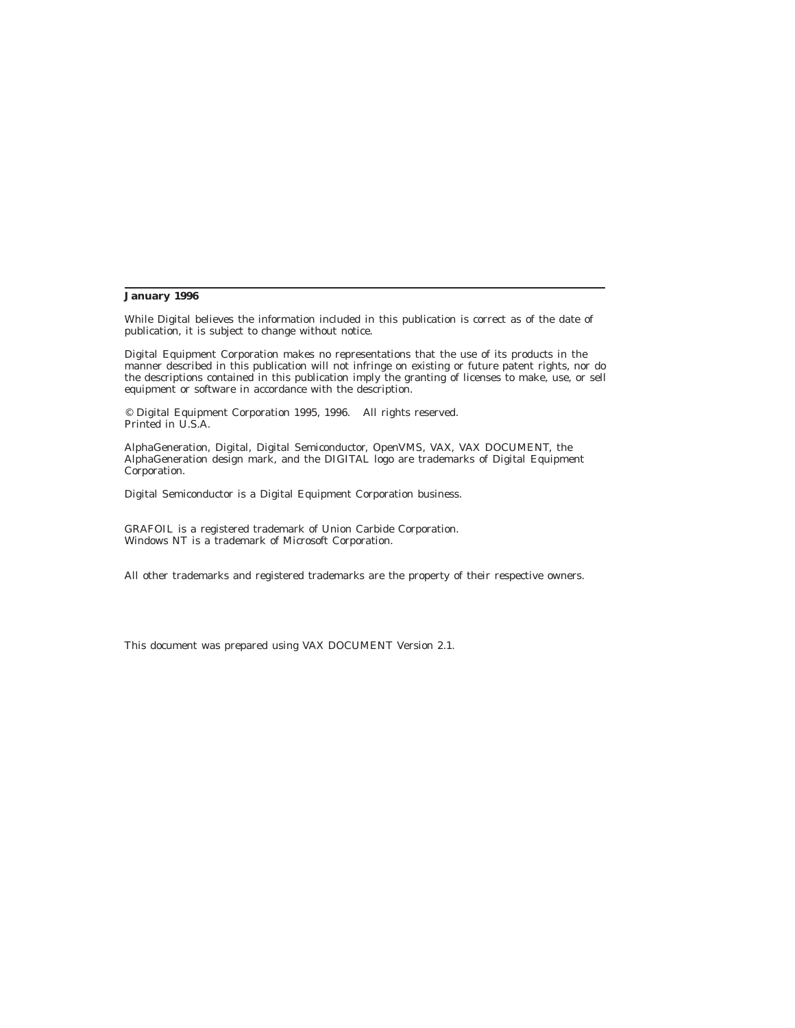#### **January 1996**

While Digital believes the information included in this publication is correct as of the date of publication, it is subject to change without notice.

Digital Equipment Corporation makes no representations that the use of its products in the manner described in this publication will not infringe on existing or future patent rights, nor do the descriptions contained in this publication imply the granting of licenses to make, use, or sell equipment or software in accordance with the description.

© Digital Equipment Corporation 1995, 1996. All rights reserved. Printed in U.S.A.

AlphaGeneration, Digital, Digital Semiconductor, OpenVMS, VAX, VAX DOCUMENT, the AlphaGeneration design mark, and the DIGITAL logo are trademarks of Digital Equipment Corporation.

Digital Semiconductor is a Digital Equipment Corporation business.

GRAFOIL is a registered trademark of Union Carbide Corporation. Windows NT is a trademark of Microsoft Corporation.

All other trademarks and registered trademarks are the property of their respective owners.

This document was prepared using VAX DOCUMENT Version 2.1.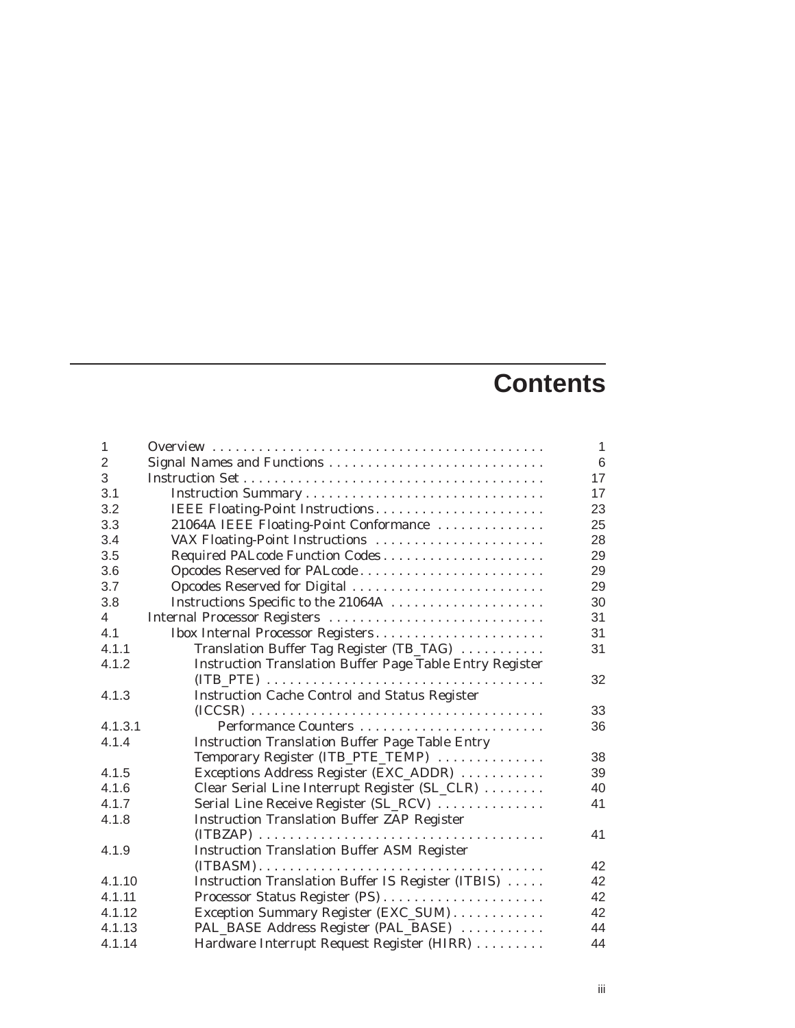# **Contents**

| 1              |                                                                                                | $\mathbf{1}$ |
|----------------|------------------------------------------------------------------------------------------------|--------------|
| $\overline{2}$ | Signal Names and Functions                                                                     | 6            |
| 3              |                                                                                                | 17           |
| 3.1            |                                                                                                | 17           |
| 3.2            | IEEE Floating-Point Instructions                                                               | 23           |
| 3.3            | 21064A IEEE Floating-Point Conformance                                                         | 25           |
| 3.4            | VAX Floating-Point Instructions                                                                | 28           |
| 3.5            | Required PALcode Function Codes                                                                | 29           |
| 3.6            | Opcodes Reserved for PALcode                                                                   | 29           |
| 3.7            | Opcodes Reserved for Digital                                                                   | 29           |
| 3.8            | Instructions Specific to the 21064A                                                            | 30           |
| 4              | Internal Processor Registers                                                                   | 31           |
| 4.1            | Ibox Internal Processor Registers                                                              | 31           |
| 4.1.1          | Translation Buffer Tag Register (TB_TAG)                                                       | 31           |
| 4.1.2          | <b>Instruction Translation Buffer Page Table Entry Register</b>                                |              |
|                |                                                                                                | 32           |
| 4.1.3          | <b>Instruction Cache Control and Status Register</b>                                           |              |
|                |                                                                                                | 33           |
| 4.1.3.1        |                                                                                                | 36           |
| 4.1.4          | <b>Instruction Translation Buffer Page Table Entry</b>                                         |              |
|                | Temporary Register (ITB_PTE_TEMP)                                                              | 38           |
| 4.1.5          | Exceptions Address Register (EXC_ADDR)                                                         | 39           |
| 4.1.6          | Clear Serial Line Interrupt Register (SL_CLR)                                                  | 40           |
| 4.1.7          | Serial Line Receive Register (SL_RCV)                                                          | 41           |
| 4.1.8          | <b>Instruction Translation Buffer ZAP Register</b>                                             |              |
|                |                                                                                                | 41           |
| 4.1.9          | <b>Instruction Translation Buffer ASM Register</b>                                             |              |
|                | $(ITBASM) \ldots \ldots \ldots \ldots \ldots \ldots \ldots \ldots \ldots \ldots \ldots \ldots$ | 42           |
| 4.1.10         | Instruction Translation Buffer IS Register (ITBIS)                                             | 42           |
| 4.1.11         | Processor Status Register (PS)                                                                 | 42           |
| 4.1.12         | Exception Summary Register (EXC_SUM)                                                           | 42           |
| 4.1.13         | PAL_BASE Address Register (PAL_BASE)                                                           | 44           |
| 4.1.14         | Hardware Interrupt Request Register (HIRR)                                                     | 44           |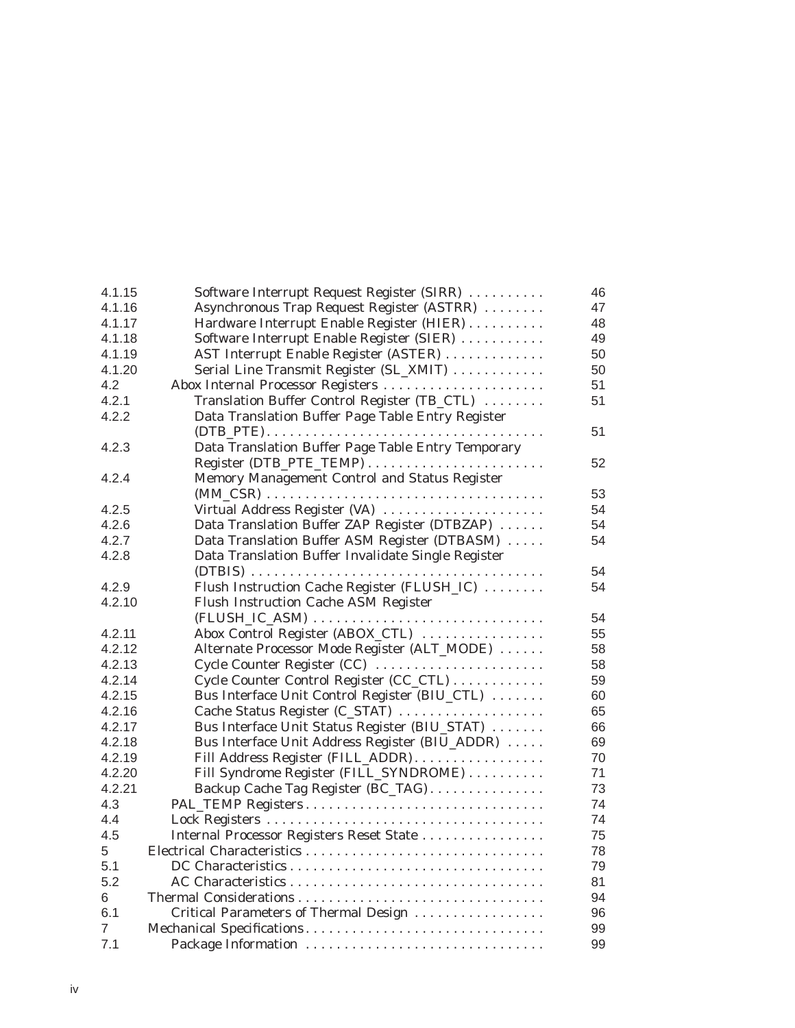| 4.1.15 | Software Interrupt Request Register (SIRR)         | 46 |
|--------|----------------------------------------------------|----|
| 4.1.16 | Asynchronous Trap Request Register (ASTRR)         | 47 |
| 4.1.17 | Hardware Interrupt Enable Register (HIER)          | 48 |
| 4.1.18 | Software Interrupt Enable Register (SIER)          | 49 |
| 4.1.19 | AST Interrupt Enable Register (ASTER)              | 50 |
| 4.1.20 | Serial Line Transmit Register (SL_XMIT)            | 50 |
| 4.2    | Abox Internal Processor Registers                  | 51 |
| 4.2.1  | Translation Buffer Control Register (TB_CTL)       | 51 |
| 4.2.2  | Data Translation Buffer Page Table Entry Register  |    |
|        |                                                    | 51 |
| 4.2.3  | Data Translation Buffer Page Table Entry Temporary |    |
|        |                                                    | 52 |
| 4.2.4  | Memory Management Control and Status Register      |    |
|        |                                                    | 53 |
| 4.2.5  | Virtual Address Register (VA)                      | 54 |
| 4.2.6  | Data Translation Buffer ZAP Register (DTBZAP)      | 54 |
| 4.2.7  | Data Translation Buffer ASM Register (DTBASM)      | 54 |
| 4.2.8  | Data Translation Buffer Invalidate Single Register |    |
|        |                                                    | 54 |
| 4.2.9  | Flush Instruction Cache Register (FLUSH_IC)        | 54 |
| 4.2.10 | Flush Instruction Cache ASM Register               |    |
|        |                                                    | 54 |
| 4.2.11 | Abox Control Register (ABOX_CTL)                   | 55 |
| 4.2.12 | Alternate Processor Mode Register (ALT_MODE)       | 58 |
| 4.2.13 | Cycle Counter Register (CC)                        | 58 |
| 4.2.14 | Cycle Counter Control Register (CC_CTL)            | 59 |
| 4.2.15 | Bus Interface Unit Control Register (BIU_CTL)      | 60 |
| 4.2.16 | Cache Status Register (C_STAT)                     | 65 |
| 4.2.17 | Bus Interface Unit Status Register (BIU_STAT)      | 66 |
| 4.2.18 | Bus Interface Unit Address Register (BIU_ADDR)     | 69 |
| 4.2.19 | Fill Address Register (FILL_ADDR)                  | 70 |
| 4.2.20 | Fill Syndrome Register (FILL_SYNDROME)             | 71 |
| 4.2.21 | Backup Cache Tag Register (BC_TAG)                 | 73 |
| 4.3    | PAL_TEMP Registers                                 | 74 |
| 4.4    |                                                    | 74 |
| 4.5    | Internal Processor Registers Reset State           | 75 |
| 5      |                                                    | 78 |
| 5.1    |                                                    | 79 |
| 5.2    |                                                    | 81 |
| 6      |                                                    | 94 |
| 6.1    | Critical Parameters of Thermal Design              | 96 |
| 7      | Mechanical Specifications                          | 99 |
| 7.1    | Package Information                                | 99 |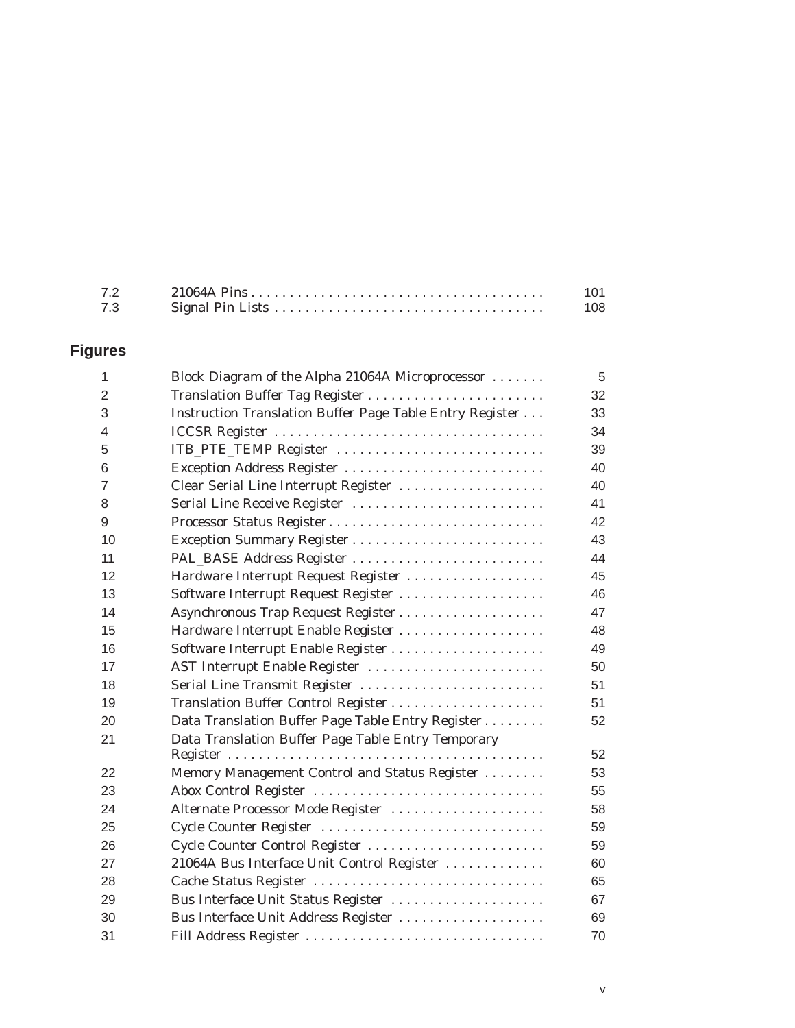| 7.3 | 108 |
|-----|-----|

### **Figures**

| $\mathbf{1}$   | Block Diagram of the Alpha 21064A Microprocessor         | 5  |
|----------------|----------------------------------------------------------|----|
| $\overline{2}$ | Translation Buffer Tag Register                          | 32 |
| 3              | Instruction Translation Buffer Page Table Entry Register | 33 |
| 4              |                                                          | 34 |
| 5              | ITB_PTE_TEMP Register                                    | 39 |
| 6              | Exception Address Register                               | 40 |
| $\overline{7}$ | Clear Serial Line Interrupt Register                     | 40 |
| 8              | Serial Line Receive Register                             | 41 |
| 9              | Processor Status Register                                | 42 |
| 10             |                                                          | 43 |
| 11             |                                                          | 44 |
| 12             | Hardware Interrupt Request Register                      | 45 |
| 13             | Software Interrupt Request Register                      | 46 |
| 14             | Asynchronous Trap Request Register                       | 47 |
| 15             | Hardware Interrupt Enable Register                       | 48 |
| 16             |                                                          | 49 |
| 17             | AST Interrupt Enable Register                            | 50 |
| 18             | Serial Line Transmit Register                            | 51 |
| 19             |                                                          | 51 |
| 20             | Data Translation Buffer Page Table Entry Register        | 52 |
| 21             | Data Translation Buffer Page Table Entry Temporary       |    |
|                |                                                          | 52 |
| 22             | Memory Management Control and Status Register            | 53 |
| 23             | Abox Control Register                                    | 55 |
| 24             | Alternate Processor Mode Register                        | 58 |
| 25             | Cycle Counter Register                                   | 59 |
| 26             | Cycle Counter Control Register                           | 59 |
| 27             | 21064A Bus Interface Unit Control Register               | 60 |
| 28             | Cache Status Register                                    | 65 |
| 29             | Bus Interface Unit Status Register                       | 67 |
| 30             | Bus Interface Unit Address Register                      | 69 |
| 31             | Fill Address Register                                    | 70 |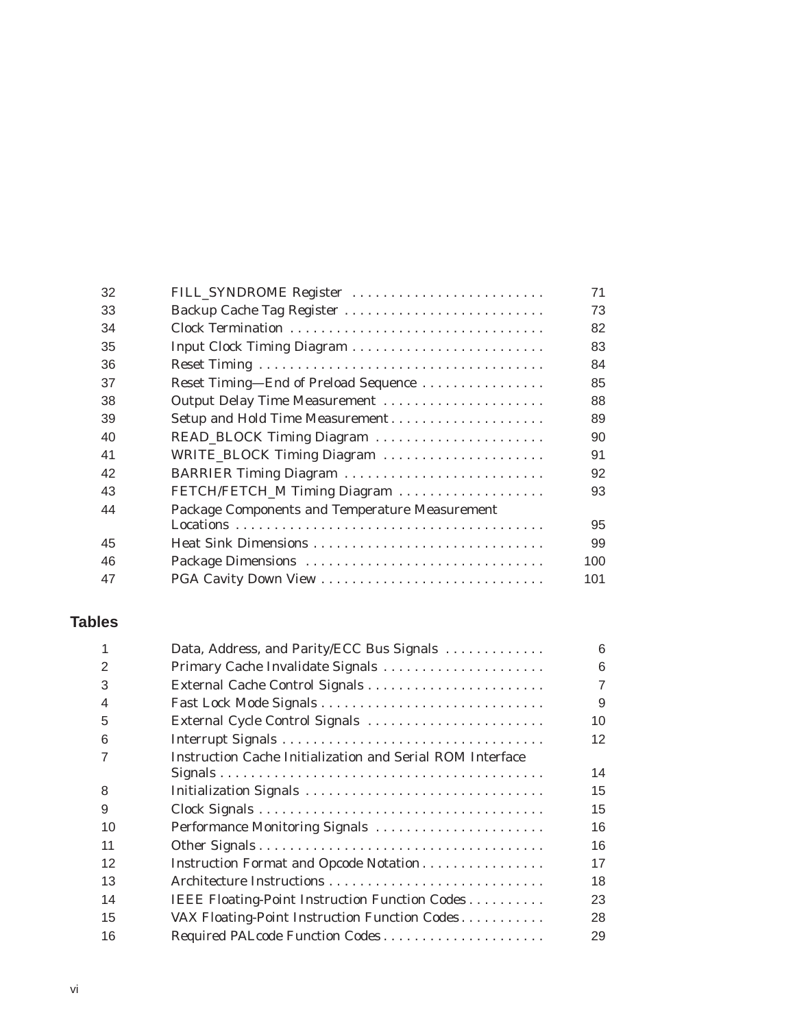| 32            | FILL_SYNDROME Register                                                           | 71     |
|---------------|----------------------------------------------------------------------------------|--------|
| 33            | Backup Cache Tag Register                                                        | 73     |
| 34            | Clock Termination                                                                | 82     |
| 35            |                                                                                  | 83     |
| 36            |                                                                                  | 84     |
| 37            | Reset Timing-End of Preload Sequence                                             | 85     |
| 38            | Output Delay Time Measurement                                                    | 88     |
| 39            | Setup and Hold Time Measurement                                                  | 89     |
| 40            | READ_BLOCK Timing Diagram                                                        | 90     |
| 41            | WRITE_BLOCK Timing Diagram                                                       | 91     |
| 42            | BARRIER Timing Diagram                                                           | 92     |
| 43            | FETCH/FETCH_M Timing Diagram                                                     | 93     |
| 44            | Package Components and Temperature Measurement                                   |        |
|               |                                                                                  | 95     |
| 45            | Heat Sink Dimensions                                                             | 99     |
| 46            | Package Dimensions                                                               | 100    |
| 47            |                                                                                  | 101    |
| <b>Tables</b> |                                                                                  |        |
|               | $D_{\text{min}}$ Address and $D_{\text{min}}/ECA$ $D_{\text{max}}C_{\text{max}}$ | $\sim$ |

|               | Data, Address, and Parity/ECC Bus Signals                        | 6              |
|---------------|------------------------------------------------------------------|----------------|
| $\mathcal{P}$ |                                                                  | 6              |
| 3             |                                                                  | $\overline{7}$ |
| 4             |                                                                  | 9              |
| 5             | External Cycle Control Signals                                   | 10             |
| 6             |                                                                  | 12             |
| 7             | <b>Instruction Cache Initialization and Serial ROM Interface</b> |                |
|               |                                                                  | 14             |
| 8             | Initialization Signals                                           | 15             |
| 9             |                                                                  | 15             |
| 10            | Performance Monitoring Signals                                   | 16             |
| 11            |                                                                  | 16             |
| 12            | Instruction Format and Opcode Notation                           | 17             |
| 13            |                                                                  | 18             |
| 14            | IEEE Floating-Point Instruction Function Codes                   | 23             |
| 15            | VAX Floating-Point Instruction Function Codes                    | 28             |
| 16            | Required PALcode Function Codes                                  | 29             |
|               |                                                                  |                |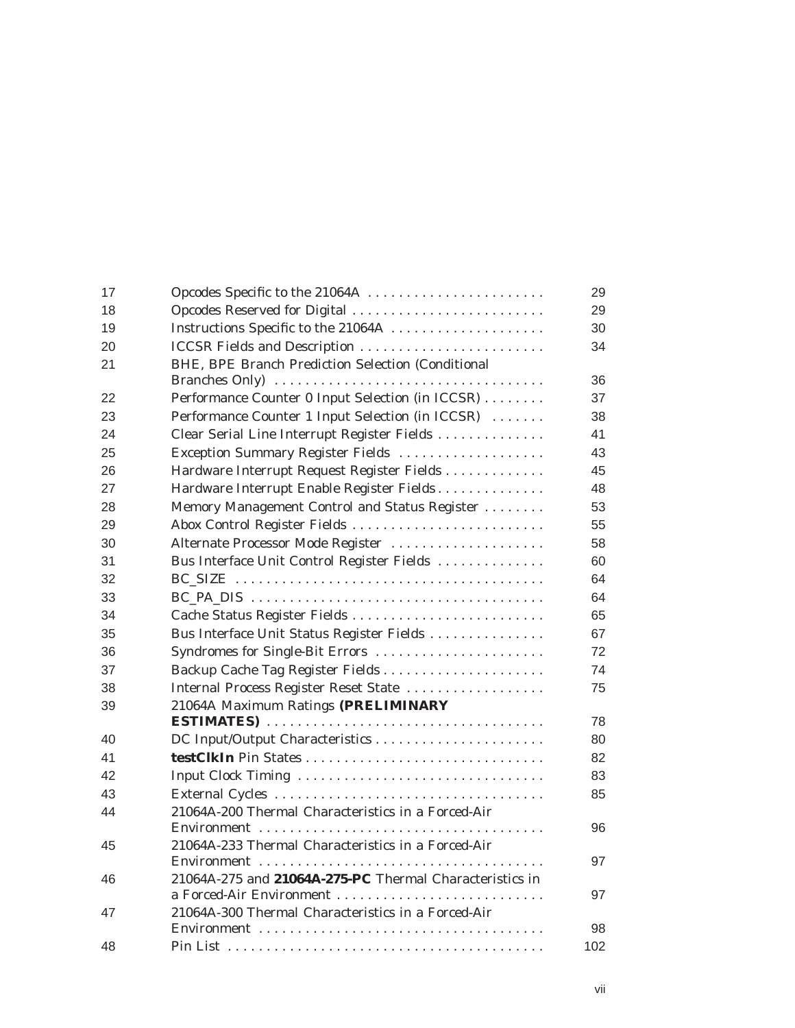| 17 | Opcodes Specific to the 21064A                          | 29  |
|----|---------------------------------------------------------|-----|
| 18 | Opcodes Reserved for Digital                            | 29  |
| 19 | Instructions Specific to the 21064A                     | 30  |
| 20 | <b>ICCSR Fields and Description </b>                    | 34  |
| 21 | BHE, BPE Branch Prediction Selection (Conditional       |     |
|    |                                                         | 36  |
| 22 | Performance Counter 0 Input Selection (in ICCSR)        | 37  |
| 23 | Performance Counter 1 Input Selection (in ICCSR)        | 38  |
| 24 | Clear Serial Line Interrupt Register Fields             | 41  |
| 25 | Exception Summary Register Fields                       | 43  |
| 26 | Hardware Interrupt Request Register Fields              | 45  |
| 27 | Hardware Interrupt Enable Register Fields               | 48  |
| 28 | Memory Management Control and Status Register           | 53  |
| 29 | Abox Control Register Fields                            | 55  |
| 30 | Alternate Processor Mode Register                       | 58  |
| 31 | Bus Interface Unit Control Register Fields              | 60  |
| 32 |                                                         | 64  |
| 33 |                                                         | 64  |
| 34 |                                                         | 65  |
| 35 | Bus Interface Unit Status Register Fields               | 67  |
| 36 | Syndromes for Single-Bit Errors                         | 72  |
| 37 | Backup Cache Tag Register Fields                        | 74  |
| 38 | Internal Process Register Reset State                   | 75  |
| 39 | 21064A Maximum Ratings (PRELIMINARY                     |     |
|    |                                                         | 78  |
| 40 |                                                         | 80  |
| 41 |                                                         | 82  |
| 42 |                                                         | 83  |
| 43 |                                                         | 85  |
| 44 | 21064A-200 Thermal Characteristics in a Forced-Air      |     |
|    |                                                         | 96  |
| 45 | 21064A-233 Thermal Characteristics in a Forced-Air      |     |
|    |                                                         | 97  |
| 46 | 21064A-275 and 21064A-275-PC Thermal Characteristics in |     |
|    | a Forced-Air Environment                                | 97  |
| 47 | 21064A-300 Thermal Characteristics in a Forced-Air      |     |
|    |                                                         | 98  |
| 48 |                                                         | 102 |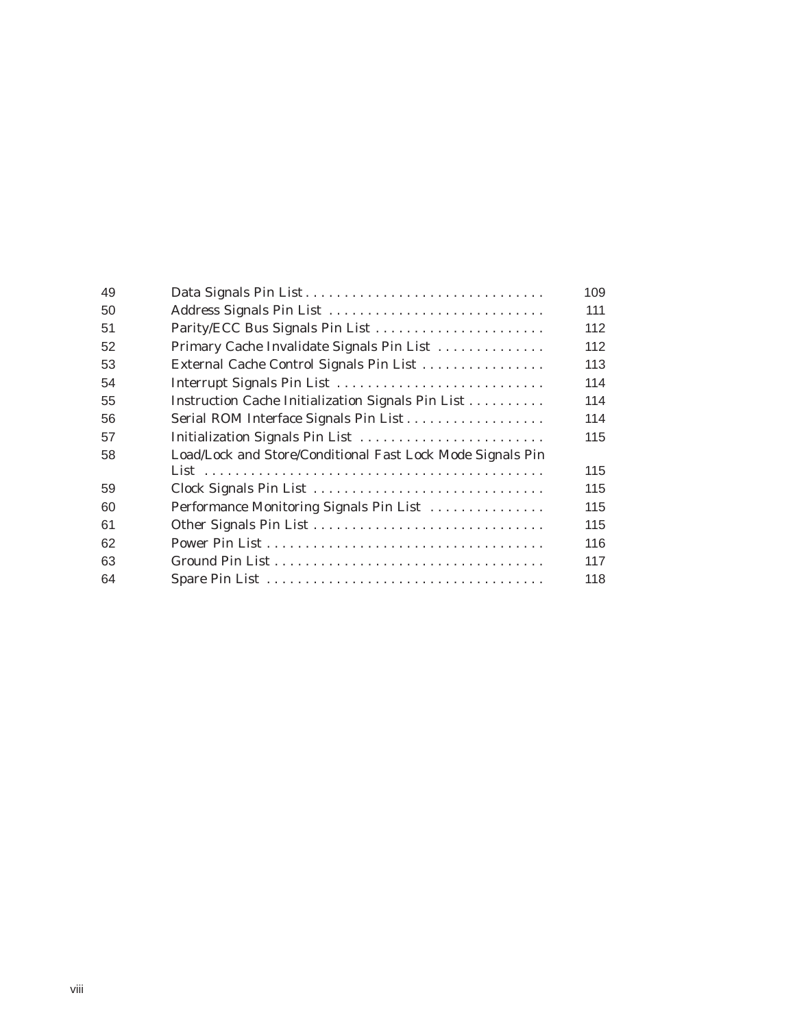| 49 |                                                            | 109 |
|----|------------------------------------------------------------|-----|
| 50 | Address Signals Pin List                                   | 111 |
| 51 | Parity/ECC Bus Signals Pin List                            | 112 |
| 52 | Primary Cache Invalidate Signals Pin List                  | 112 |
| 53 | External Cache Control Signals Pin List                    | 113 |
| 54 | Interrupt Signals Pin List                                 | 114 |
| 55 | Instruction Cache Initialization Signals Pin List          | 114 |
| 56 |                                                            | 114 |
| 57 | Initialization Signals Pin List                            | 115 |
| 58 | Load/Lock and Store/Conditional Fast Lock Mode Signals Pin |     |
|    |                                                            | 115 |
| 59 |                                                            | 115 |
| 60 | Performance Monitoring Signals Pin List                    | 115 |
| 61 |                                                            | 115 |
| 62 |                                                            | 116 |
| 63 |                                                            | 117 |
| 64 |                                                            | 118 |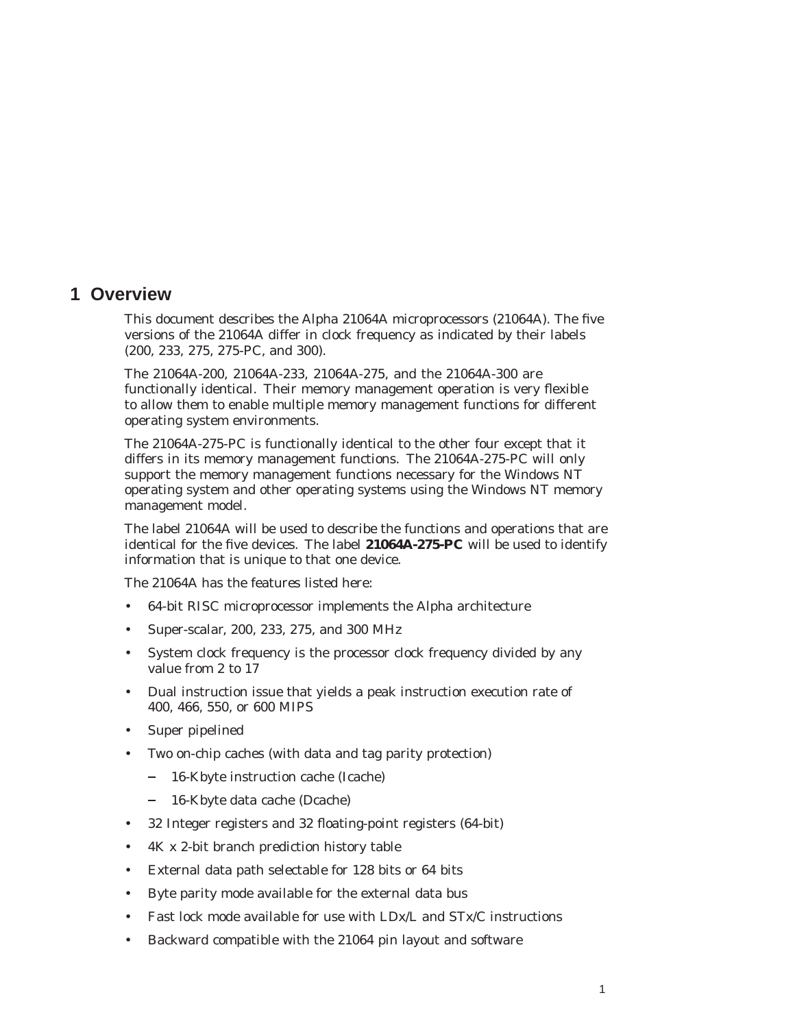### **1 Overview**

This document describes the Alpha 21064A microprocessors (21064A). The five versions of the 21064A differ in clock frequency as indicated by their labels (200, 233, 275, 275-PC, and 300).

The 21064A-200, 21064A-233, 21064A-275, and the 21064A-300 are functionally identical. Their memory management operation is very flexible to allow them to enable multiple memory management functions for different operating system environments.

The 21064A-275-PC is functionally identical to the other four except that it differs in its memory management functions. The 21064A-275-PC will only support the memory management functions necessary for the Windows NT operating system and other operating systems using the Windows NT memory management model.

The label 21064A will be used to describe the functions and operations that are identical for the five devices. The label **21064A-275-PC** will be used to identify information that is unique to that one device.

The 21064A has the features listed here:

- 64-bit RISC microprocessor implements the Alpha architecture
- Super-scalar, 200, 233, 275, and 300 MHz
- System clock frequency is the processor clock frequency divided by any value from 2 to 17
- Dual instruction issue that yields a peak instruction execution rate of 400, 466, 550, or 600 MIPS
- Super pipelined
- Two on-chip caches (with data and tag parity protection)
	- 16-Kbyte instruction cache (Icache)
	- 16-Kbyte data cache (Dcache)
- 32 Integer registers and 32 floating-point registers (64-bit)
- 4K x 2-bit branch prediction history table
- External data path selectable for 128 bits or 64 bits
- Byte parity mode available for the external data bus
- Fast lock mode available for use with LDx/L and STx/C instructions
- Backward compatible with the 21064 pin layout and software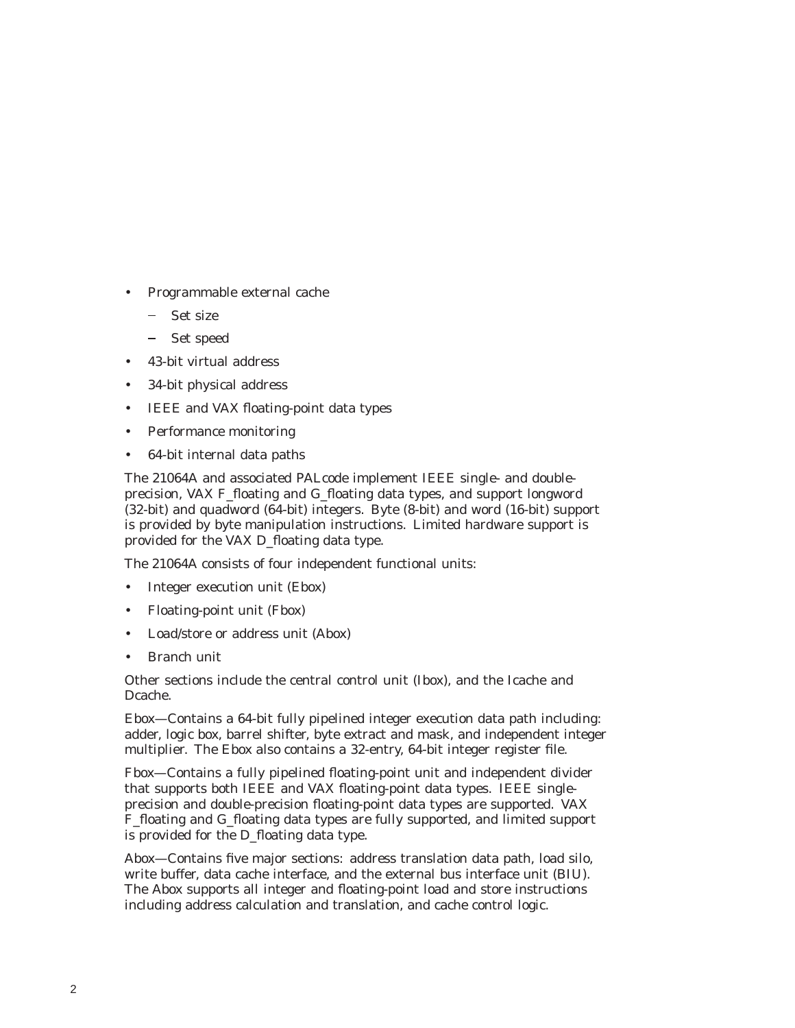- Programmable external cache
	- Set size
	- Set speed  $\sim$   $-$
- 43-bit virtual address
- 34-bit physical address
- IEEE and VAX floating-point data types
- Performance monitoring
- 64-bit internal data paths

The 21064A and associated PALcode implement IEEE single- and doubleprecision, VAX F\_floating and G\_floating data types, and support longword (32-bit) and quadword (64-bit) integers. Byte (8-bit) and word (16-bit) support is provided by byte manipulation instructions. Limited hardware support is provided for the VAX D\_floating data type.

The 21064A consists of four independent functional units:

- Integer execution unit (Ebox)
- Floating-point unit (Fbox)
- Load/store or address unit (Abox)
- Branch unit

Other sections include the central control unit (Ibox), and the Icache and Dcache.

Ebox—Contains a 64-bit fully pipelined integer execution data path including: adder, logic box, barrel shifter, byte extract and mask, and independent integer multiplier. The Ebox also contains a 32-entry, 64-bit integer register file.

Fbox—Contains a fully pipelined floating-point unit and independent divider that supports both IEEE and VAX floating-point data types. IEEE singleprecision and double-precision floating-point data types are supported. VAX F\_floating and G\_floating data types are fully supported, and limited support is provided for the D\_floating data type.

Abox—Contains five major sections: address translation data path, load silo, write buffer, data cache interface, and the external bus interface unit (BIU). The Abox supports all integer and floating-point load and store instructions including address calculation and translation, and cache control logic.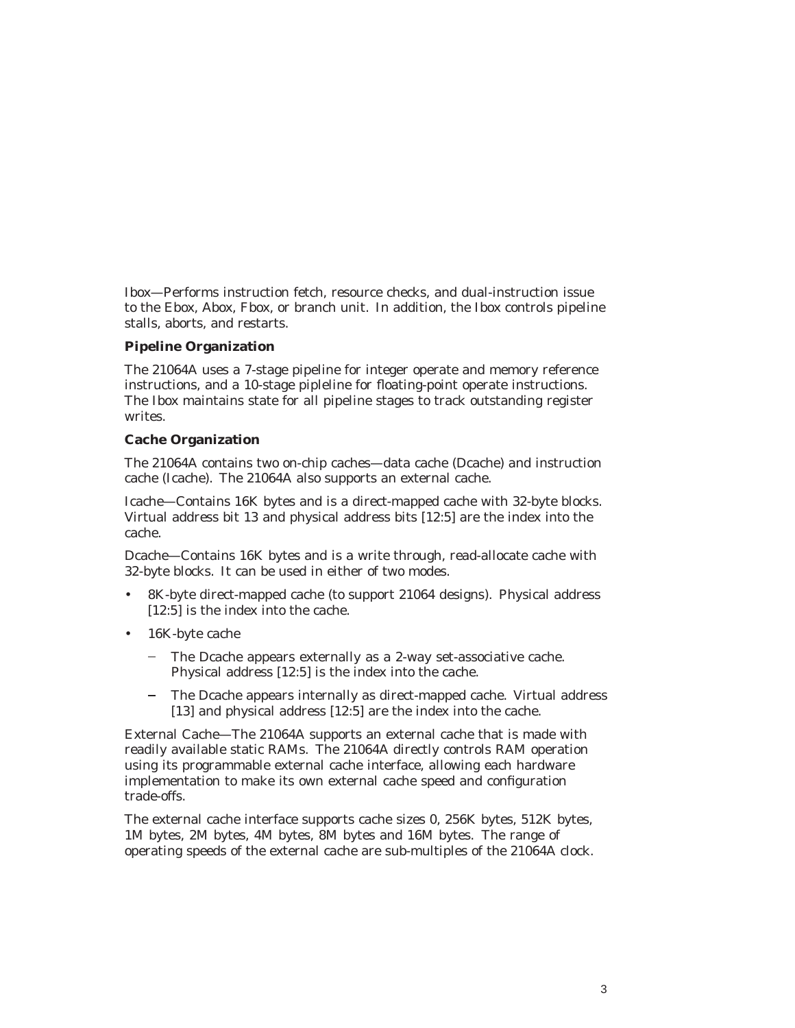Ibox—Performs instruction fetch, resource checks, and dual-instruction issue to the Ebox, Abox, Fbox, or branch unit. In addition, the Ibox controls pipeline stalls, aborts, and restarts.

### **Pipeline Organization**

The 21064A uses a 7-stage pipeline for integer operate and memory reference instructions, and a 10-stage pipleline for floating-point operate instructions. The Ibox maintains state for all pipeline stages to track outstanding register writes.

### **Cache Organization**

The 21064A contains two on-chip caches—data cache (Dcache) and instruction cache (Icache). The 21064A also supports an external cache.

Icache—Contains 16K bytes and is a direct-mapped cache with 32-byte blocks. Virtual address bit 13 and physical address bits [12:5] are the index into the cache.

Dcache—Contains 16K bytes and is a write through, read-allocate cache with 32-byte blocks. It can be used in either of two modes.

- 8K-byte direct-mapped cache (to support 21064 designs). Physical address [12:5] is the index into the cache.
- 16K-byte cache
	- The Dcache appears externally as a 2-way set-associative cache. Physical address [12:5] is the index into the cache.
	- The Dcache appears internally as direct-mapped cache. Virtual address [13] and physical address [12:5] are the index into the cache.

External Cache—The 21064A supports an external cache that is made with readily available static RAMs. The 21064A directly controls RAM operation using its programmable external cache interface, allowing each hardware implementation to make its own external cache speed and configuration trade-offs.

The external cache interface supports cache sizes 0, 256K bytes, 512K bytes, 1M bytes, 2M bytes, 4M bytes, 8M bytes and 16M bytes. The range of operating speeds of the external cache are sub-multiples of the 21064A clock.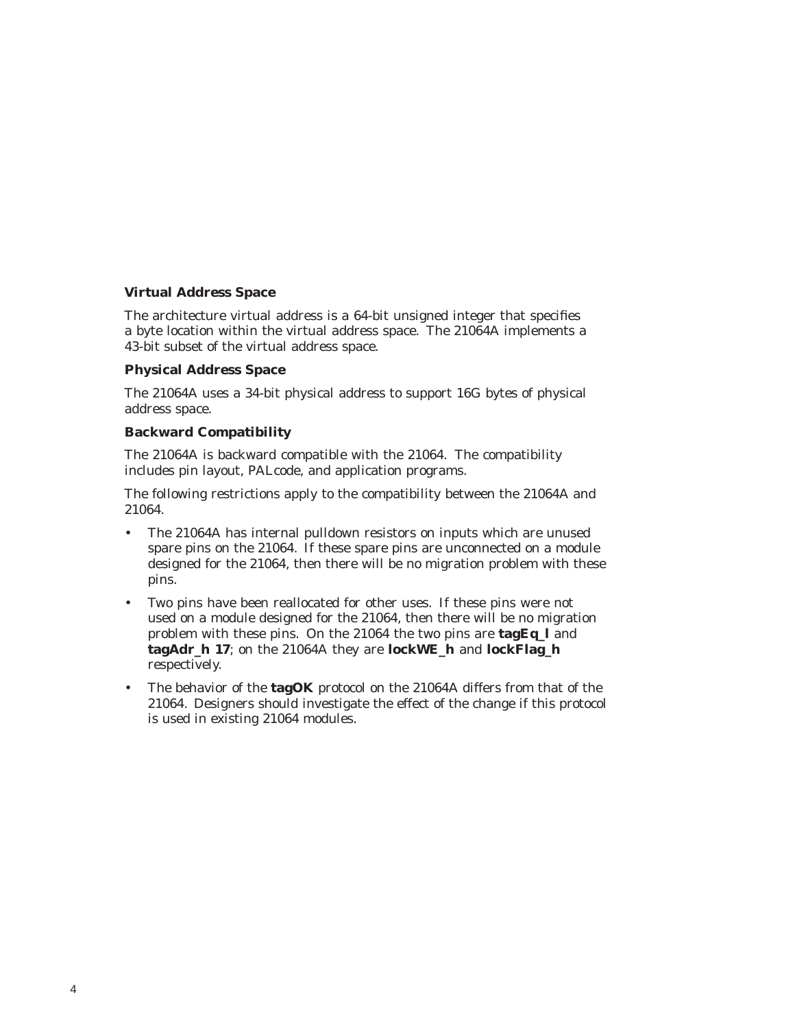### **Virtual Address Space**

The architecture virtual address is a 64-bit unsigned integer that specifies a byte location within the virtual address space. The 21064A implements a 43-bit subset of the virtual address space.

### **Physical Address Space**

The 21064A uses a 34-bit physical address to support 16G bytes of physical address space.

### **Backward Compatibility**

The 21064A is backward compatible with the 21064. The compatibility includes pin layout, PALcode, and application programs.

The following restrictions apply to the compatibility between the 21064A and 21064.

- The 21064A has internal pulldown resistors on inputs which are unused spare pins on the 21064. If these spare pins are unconnected on a module designed for the 21064, then there will be no migration problem with these pins.
- Two pins have been reallocated for other uses. If these pins were not used on a module designed for the 21064, then there will be no migration problem with these pins. On the 21064 the two pins are **tagEq\_l** and **tagAdr\_h 17**; on the 21064A they are **lockWE\_h** and **lockFlag\_h** respectively.
- The behavior of the **tagOK** protocol on the 21064A differs from that of the 21064. Designers should investigate the effect of the change if this protocol is used in existing 21064 modules.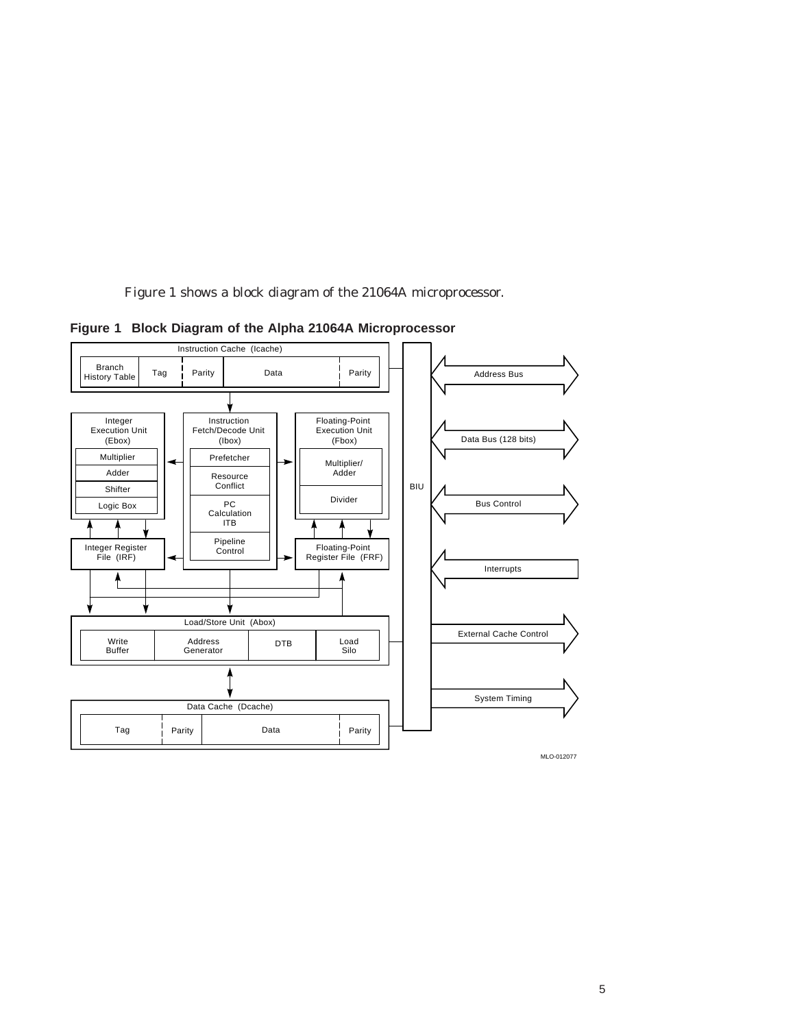Figure 1 shows a block diagram of the 21064A microprocessor.

Tag Parity Data Instruction Cache (Icache) Parity

**Figure 1 Block Diagram of the Alpha 21064A Microprocessor**

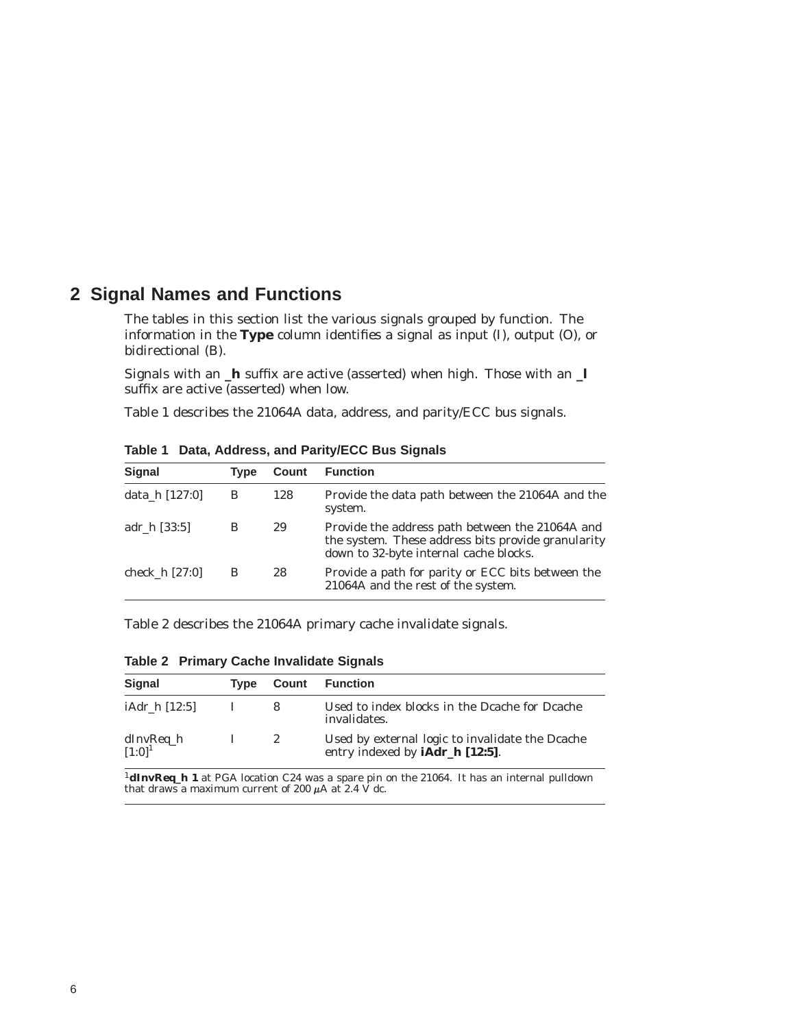### **2 Signal Names and Functions**

The tables in this section list the various signals grouped by function. The information in the **Type** column identifies a signal as input (I), output (O), or bidirectional (B).

Signals with an **\_h** suffix are active (asserted) when high. Those with an **\_l** suffix are active (asserted) when low.

Table 1 describes the 21064A data, address, and parity/ECC bus signals.

| Signal           | <b>Type</b> | Count | <b>Function</b>                                                                                                                                 |
|------------------|-------------|-------|-------------------------------------------------------------------------------------------------------------------------------------------------|
| data_h [127:0]   | B           | 128   | Provide the data path between the 21064A and the<br>system.                                                                                     |
| adr h [33:5]     | В           | 29    | Provide the address path between the 21064A and<br>the system. These address bits provide granularity<br>down to 32-byte internal cache blocks. |
| check $h$ [27:0] | B           | 28    | Provide a path for parity or ECC bits between the<br>21064A and the rest of the system.                                                         |

**Table 1 Data, Address, and Parity/ECC Bus Signals**

Table 2 describes the 21064A primary cache invalidate signals.

| <b>Signal</b>                   | <b>Type</b> |              | <b>Count</b> Function                                                                     |
|---------------------------------|-------------|--------------|-------------------------------------------------------------------------------------------|
| iAdr h [12:5]                   |             |              | Used to index blocks in the Deache for Deache<br>invalidates.                             |
| dInvReq_h<br>[1:0] <sup>1</sup> |             | $\mathbf{2}$ | Used by external logic to invalidate the Dcache<br>entry indexed by <b>iAdr_h</b> [12:5]. |

**Table 2 Primary Cache Invalidate Signals**

<sup>1</sup>**dInvReq\_h 1** at PGA location C24 was a spare pin on the 21064. It has an internal pulldown that draws a maximum current of 200  $\mu$ A at 2.4 V dc.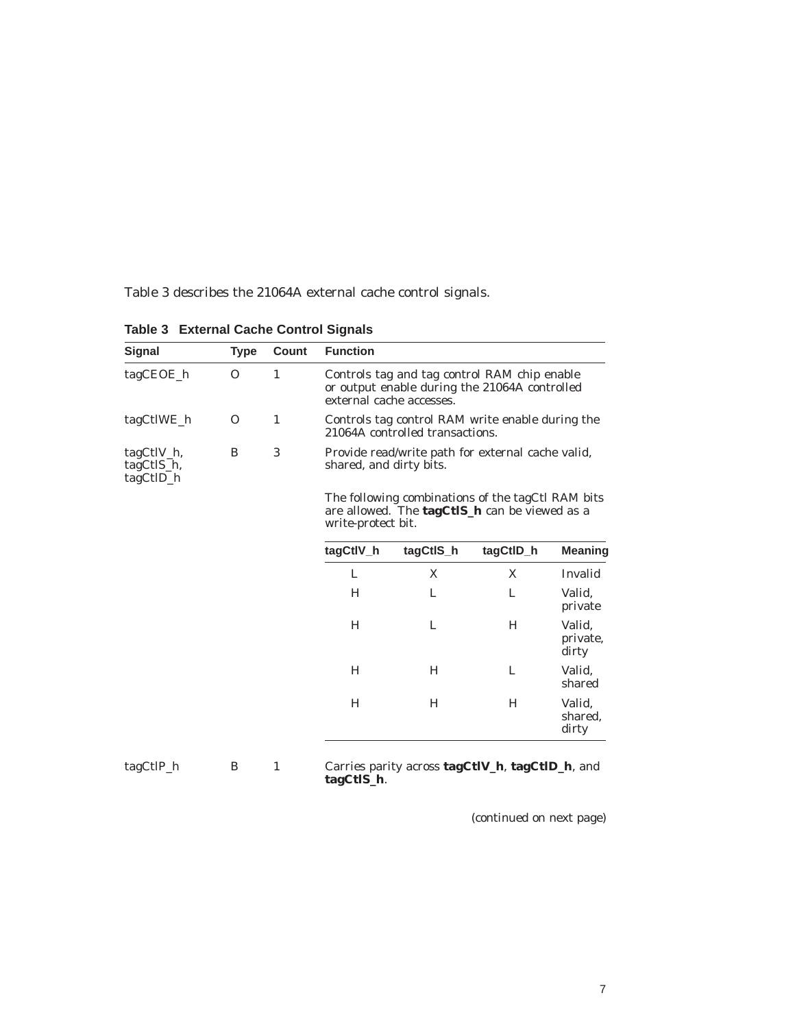Table 3 describes the 21064A external cache control signals.

| <b>Type</b> | Count        | <b>Function</b> |           |                                                                           |                                                                                                                                                                                                                                                                                                                                                 |
|-------------|--------------|-----------------|-----------|---------------------------------------------------------------------------|-------------------------------------------------------------------------------------------------------------------------------------------------------------------------------------------------------------------------------------------------------------------------------------------------------------------------------------------------|
| $\Omega$    | $\mathbf{1}$ |                 |           |                                                                           |                                                                                                                                                                                                                                                                                                                                                 |
| $\Omega$    | $\mathbf{1}$ |                 |           |                                                                           |                                                                                                                                                                                                                                                                                                                                                 |
| B           | 3            |                 |           |                                                                           |                                                                                                                                                                                                                                                                                                                                                 |
|             |              |                 |           |                                                                           |                                                                                                                                                                                                                                                                                                                                                 |
|             |              | tagCtIV_h       | tagCtIS_h | tagCtID_h                                                                 | <b>Meaning</b>                                                                                                                                                                                                                                                                                                                                  |
|             |              | L               | X         | X                                                                         | Invalid                                                                                                                                                                                                                                                                                                                                         |
|             |              | H               | L         | L                                                                         | Valid,<br>private                                                                                                                                                                                                                                                                                                                               |
|             |              | H               | L         | H                                                                         | Valid,<br>private,<br>dirty                                                                                                                                                                                                                                                                                                                     |
|             |              | H               | H         | L                                                                         | Valid,<br>shared                                                                                                                                                                                                                                                                                                                                |
|             |              | H               | H         | H                                                                         | Valid,<br>shared.<br>dirty                                                                                                                                                                                                                                                                                                                      |
|             |              |                 |           | external cache accesses.<br>shared, and dirty bits.<br>write-protect bit. | Controls tag and tag control RAM chip enable<br>or output enable during the 21064A controlled<br>Controls tag control RAM write enable during the<br>21064A controlled transactions.<br>Provide read/write path for external cache valid,<br>The following combinations of the tagCtl RAM bits<br>are allowed. The tagCtIS_h can be viewed as a |

**Table 3 External Cache Control Signals**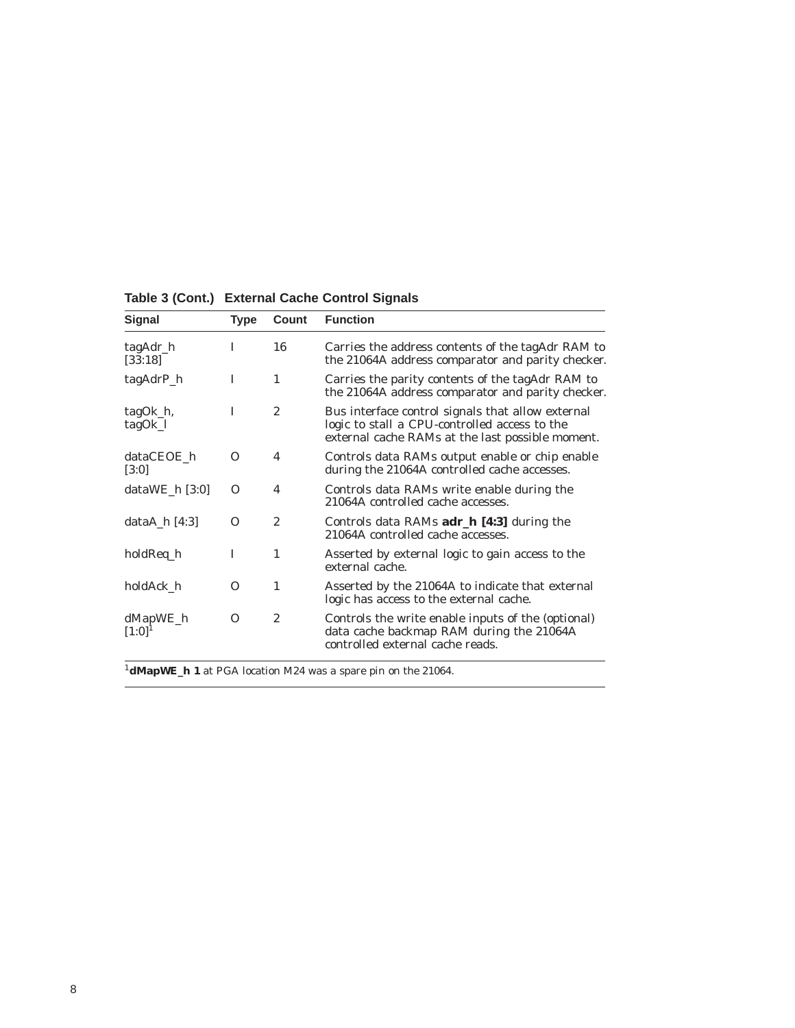| <b>Signal</b>           | Type     | Count          | <b>Function</b>                                                                                                                                        |
|-------------------------|----------|----------------|--------------------------------------------------------------------------------------------------------------------------------------------------------|
| tagAdr_h<br>[33:18]     | T        | 16             | Carries the address contents of the tagAdr RAM to<br>the 21064A address comparator and parity checker.                                                 |
| tagAdrP_h               | I        | $\mathbf{1}$   | Carries the parity contents of the tagAdr RAM to<br>the 21064A address comparator and parity checker.                                                  |
| tagOk_h,<br>tagOk_l     | T        | $\overline{c}$ | Bus interface control signals that allow external<br>logic to stall a CPU-controlled access to the<br>external cache RAMs at the last possible moment. |
| dataCEOE h<br>[3:0]     | $\Omega$ | 4              | Controls data RAMs output enable or chip enable<br>during the 21064A controlled cache accesses.                                                        |
| dataWE $h$ [3:0]        | $\Omega$ | 4              | Controls data RAMs write enable during the<br>21064A controlled cache accesses.                                                                        |
| dataA $\hbox{h}$ [4:3]  | O        | $\overline{c}$ | Controls data RAMs adr_h [4:3] during the<br>21064A controlled cache accesses.                                                                         |
| holdReq_h               | I        | 1              | Asserted by external logic to gain access to the<br>external cache.                                                                                    |
| holdAck h               | O        | $\mathbf{1}$   | Asserted by the 21064A to indicate that external<br>logic has access to the external cache.                                                            |
| dMapWE_h<br>$[1:0]^{1}$ | O        | $\overline{2}$ | Controls the write enable inputs of the (optional)<br>data cache backmap RAM during the 21064A<br>controlled external cache reads.                     |

**Table 3 (Cont.) External Cache Control Signals**

<sup>1</sup>**dMapWE\_h 1** at PGA location M24 was a spare pin on the 21064.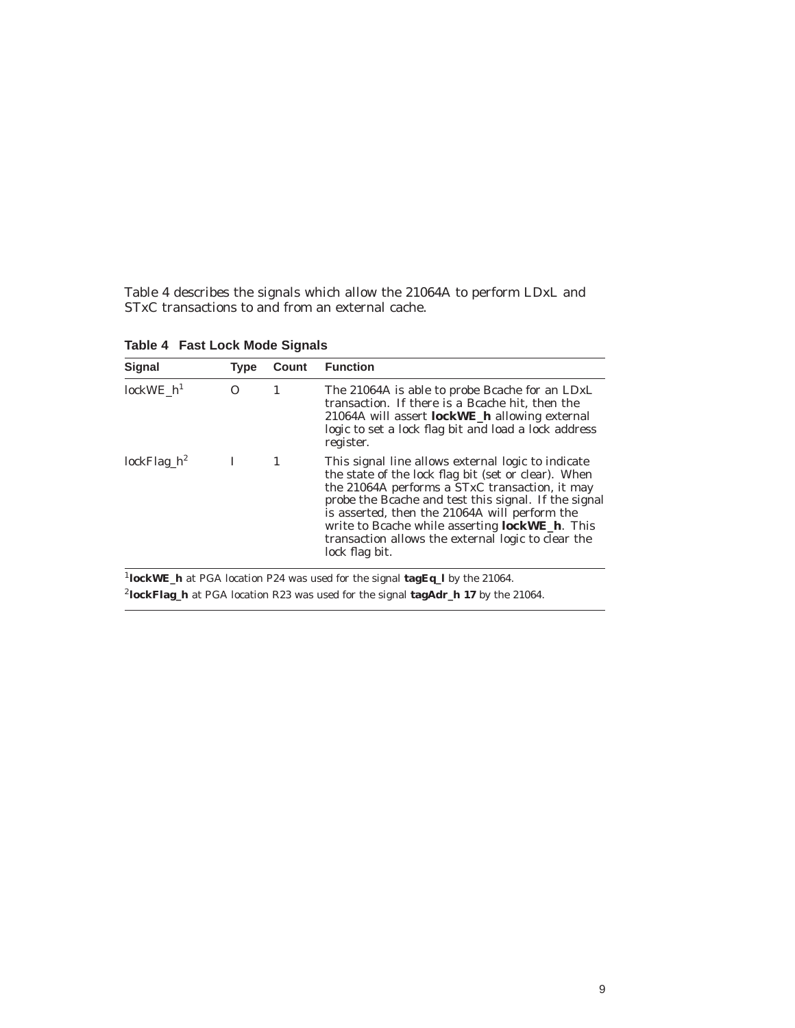Table 4 describes the signals which allow the 21064A to perform LDxL and STxC transactions to and from an external cache.

| <b>Signal</b>     | <b>Type</b> | Count | <b>Function</b>                                                                                                                                                                                                                                                                                                                                                                                        |
|-------------------|-------------|-------|--------------------------------------------------------------------------------------------------------------------------------------------------------------------------------------------------------------------------------------------------------------------------------------------------------------------------------------------------------------------------------------------------------|
| $lockWE_h^1$<br>0 |             | 1     | The 21064A is able to probe Boache for an LDxL<br>transaction. If there is a Bcache hit, then the<br>21064A will assert <b>lockWE_h</b> allowing external<br>logic to set a lock flag bit and load a lock address<br>register.                                                                                                                                                                         |
| $lockFlag_h^2$    | L           |       | This signal line allows external logic to indicate<br>the state of the lock flag bit (set or clear). When<br>the 21064A performs a STxC transaction, it may<br>probe the Bcache and test this signal. If the signal<br>is asserted, then the 21064A will perform the<br>write to Bcache while asserting <b>lockWE_h</b> . This<br>transaction allows the external logic to clear the<br>lock flag bit. |

**Table 4 Fast Lock Mode Signals**

<sup>2</sup>**lockFlag\_h** at PGA location R23 was used for the signal **tagAdr\_h 17** by the 21064.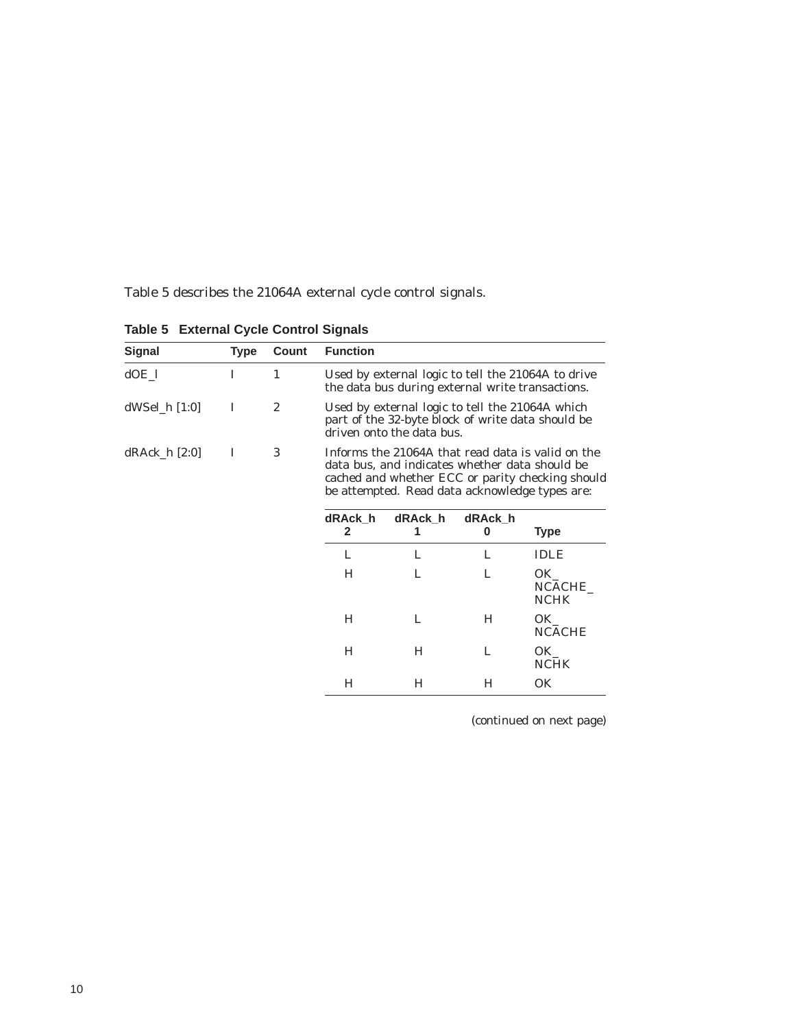Table 5 describes the 21064A external cycle control signals.

| <b>Signal</b>   | <b>Type</b> | Count          | <b>Function</b>                                                                                                                                                                                           |              |              |                                   |
|-----------------|-------------|----------------|-----------------------------------------------------------------------------------------------------------------------------------------------------------------------------------------------------------|--------------|--------------|-----------------------------------|
| $dOE_l$         | L           | 1              | Used by external logic to tell the 21064A to drive<br>the data bus during external write transactions.                                                                                                    |              |              |                                   |
| $dWSel_h [1:0]$ | I           | $\overline{2}$ | Used by external logic to tell the 21064A which<br>part of the 32-byte block of write data should be<br>driven onto the data bus.                                                                         |              |              |                                   |
| $dRAck_h [2:0]$ | I           | 3              | Informs the 21064A that read data is valid on the<br>data bus, and indicates whether data should be<br>cached and whether ECC or parity checking should<br>be attempted. Read data acknowledge types are: |              |              |                                   |
|                 |             |                | dRAck h<br>$\mathbf{2}$                                                                                                                                                                                   | dRAck_h<br>1 | dRAck h<br>0 | Type                              |
|                 |             |                | L                                                                                                                                                                                                         | L            | L            | IDLE                              |
|                 |             |                | H                                                                                                                                                                                                         | L            | L            | $OK_{-}$<br>NCACHE<br><b>NCHK</b> |
|                 |             |                | H                                                                                                                                                                                                         | L            | H            | OK<br><b>NCACHE</b>               |
|                 |             |                | H                                                                                                                                                                                                         | H            | L            | OK_<br><b>NCHK</b>                |
|                 |             |                | H                                                                                                                                                                                                         | H            | H            | 0K                                |

**Table 5 External Cycle Control Signals**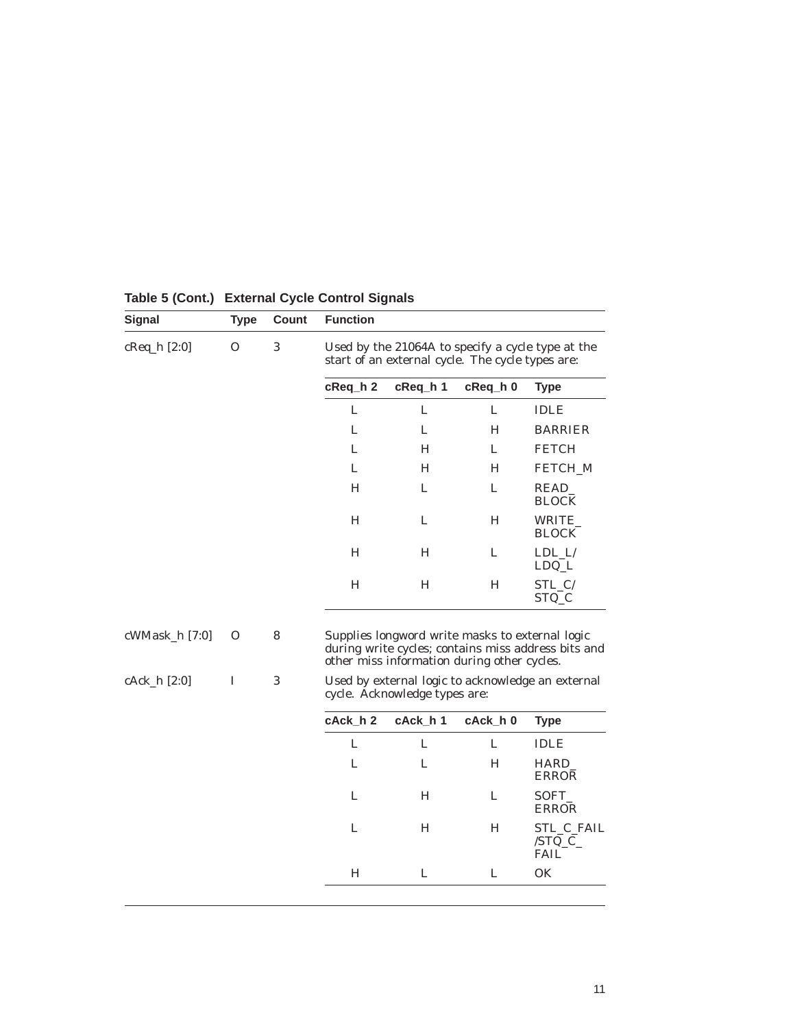| <b>Signal</b>    | <b>Type</b> | Count      | <b>Function</b>                                                                    |          |                                                                                                |                                                     |  |
|------------------|-------------|------------|------------------------------------------------------------------------------------|----------|------------------------------------------------------------------------------------------------|-----------------------------------------------------|--|
| cReq_h [2:0]     | $\Omega$    | 3          |                                                                                    |          | start of an external cycle. The cycle types are:                                               | Used by the 21064A to specify a cycle type at the   |  |
|                  |             |            | cReq_h 2                                                                           | cReq h 1 | $c$ Req $h$ 0                                                                                  | <b>Type</b>                                         |  |
|                  |             |            | L                                                                                  | L        | L                                                                                              | <b>IDLE</b>                                         |  |
|                  |             |            | L                                                                                  | L        | H                                                                                              | <b>BARRIER</b>                                      |  |
|                  |             |            | L                                                                                  | H        | L                                                                                              | <b>FETCH</b>                                        |  |
|                  |             |            | L                                                                                  | H        | H                                                                                              | FETCH_M                                             |  |
|                  |             |            | H                                                                                  | L        | L                                                                                              | READ_<br><b>BLOCK</b>                               |  |
|                  |             |            | H                                                                                  | L        | H                                                                                              | WRITE<br><b>BLOCK</b>                               |  |
|                  |             |            | H                                                                                  | Н        | L                                                                                              | $LDL_L$<br>$LDQ_L$                                  |  |
|                  |             |            | H                                                                                  | Н        | н                                                                                              | STL_C/<br>STQ_C                                     |  |
| $cWMask_h$ [7:0] | O           | 8          |                                                                                    |          | Supplies longword write masks to external logic<br>other miss information during other cycles. | during write cycles; contains miss address bits and |  |
| cAck_h [2:0]     | I           | $\sqrt{3}$ | Used by external logic to acknowledge an external<br>cycle. Acknowledge types are: |          |                                                                                                |                                                     |  |
|                  |             |            | cAck h 2                                                                           | cAck h 1 | cAck h 0                                                                                       | <b>Type</b>                                         |  |
|                  |             |            | L                                                                                  | L        | L                                                                                              | <b>IDLE</b>                                         |  |
|                  |             |            | L                                                                                  | L        | H                                                                                              | HARD_<br><b>ERROR</b>                               |  |
|                  |             |            | L                                                                                  | H        | L                                                                                              | SOFT_<br>ERROR                                      |  |
|                  |             |            | L                                                                                  | H        | H                                                                                              | STL_C_FAIL<br>$/STQ_C$<br><b>FAIL</b>               |  |
|                  |             |            | $H_{\rm}$                                                                          | L        | L                                                                                              | OK                                                  |  |

### **Table 5 (Cont.) External Cycle Control Signals**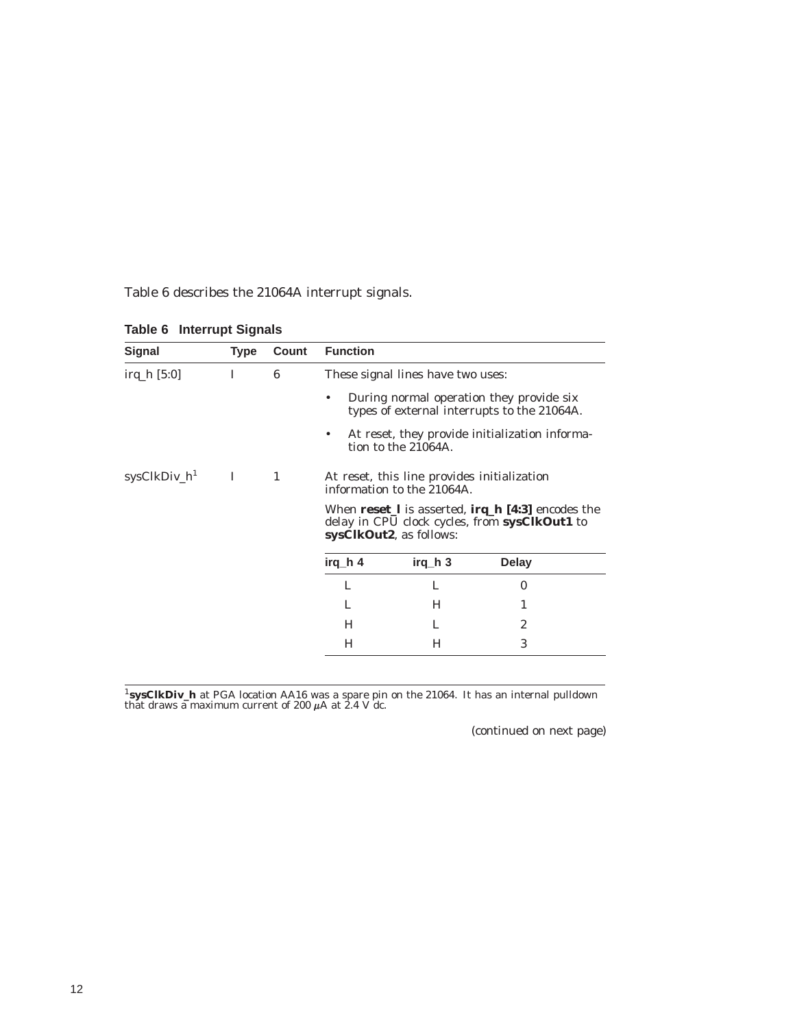Table 6 describes the 21064A interrupt signals.

| <b>Type</b> | Count | <b>Function</b>                                                                                                                                                                                                |          |                                                                                                                                                                  |
|-------------|-------|----------------------------------------------------------------------------------------------------------------------------------------------------------------------------------------------------------------|----------|------------------------------------------------------------------------------------------------------------------------------------------------------------------|
| I           | 6     | These signal lines have two uses:                                                                                                                                                                              |          |                                                                                                                                                                  |
|             |       | ٠                                                                                                                                                                                                              |          |                                                                                                                                                                  |
|             |       |                                                                                                                                                                                                                |          |                                                                                                                                                                  |
| T           | 1     | At reset, this line provides initialization<br>information to the 21064A.<br>When $reset_l$ is asserted, $irq_h [4:3]$ encodes the<br>delay in CPU clock cycles, from sysClkOut1 to<br>sysClkOut2, as follows: |          |                                                                                                                                                                  |
|             |       |                                                                                                                                                                                                                |          |                                                                                                                                                                  |
|             |       | irq_h 4                                                                                                                                                                                                        | $irq_h3$ | <b>Delay</b>                                                                                                                                                     |
|             |       | L                                                                                                                                                                                                              | L        | 0                                                                                                                                                                |
|             |       | L                                                                                                                                                                                                              | H        | 1                                                                                                                                                                |
|             |       | н                                                                                                                                                                                                              | L        | 2                                                                                                                                                                |
|             |       | Н                                                                                                                                                                                                              | H        | 3                                                                                                                                                                |
|             |       |                                                                                                                                                                                                                |          | During normal operation they provide six<br>types of external interrupts to the 21064A.<br>At reset, they provide initialization informa-<br>tion to the 21064A. |

**Table 6 Interrupt Signals**

<sup>1</sup>**sysClkDiv\_h** at PGA location AA16 was a spare pin on the 21064. It has an internal pulldown that draws a maximum current of 200  $\mu$ A at 2.4 V dc.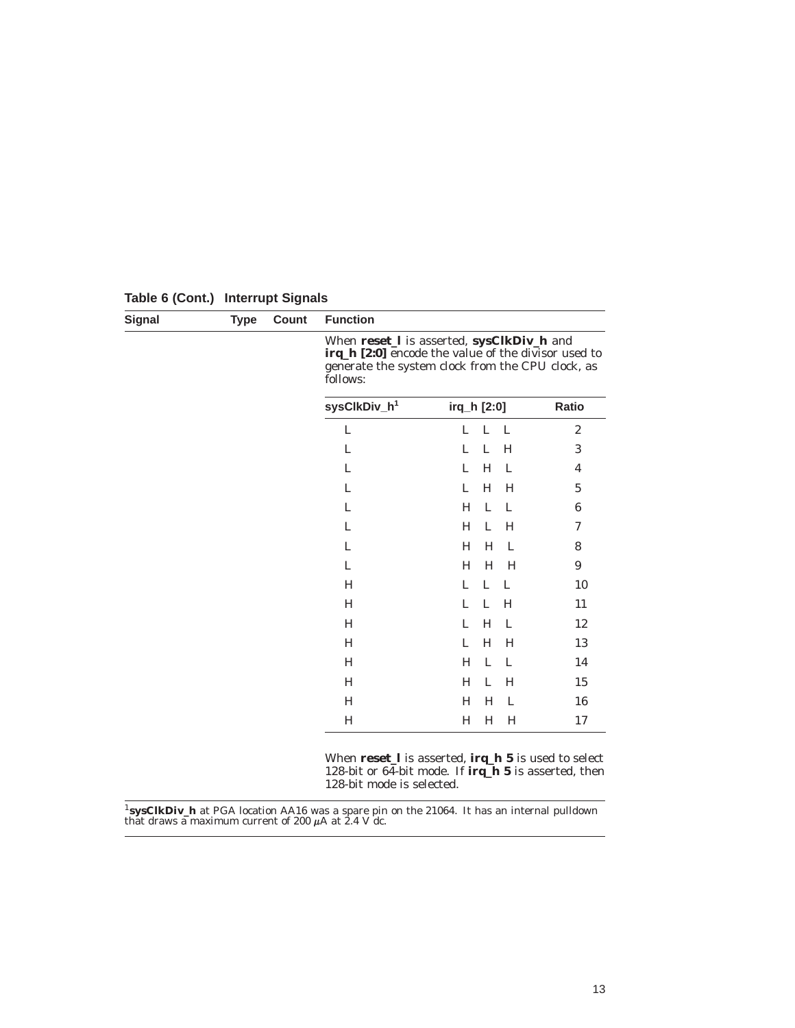| <b>Signal</b> | <b>Type</b> | Count | <b>Function</b>          |                                                                                                                                                      |                         |
|---------------|-------------|-------|--------------------------|------------------------------------------------------------------------------------------------------------------------------------------------------|-------------------------|
|               |             |       | follows:                 | When reset_I is asserted, sysClkDiv_h and<br>irq_h [2:0] encode the value of the divisor used to<br>generate the system clock from the CPU clock, as |                         |
|               |             |       | sysClkDiv_h <sup>1</sup> | irq_h [2:0]                                                                                                                                          | Ratio                   |
|               |             |       | L                        | L<br>L<br>L                                                                                                                                          | $\boldsymbol{2}$        |
|               |             |       | L                        | L<br>L<br>H                                                                                                                                          | 3                       |
|               |             |       | L                        | H<br>L<br>L                                                                                                                                          | $\overline{\mathbf{4}}$ |
|               |             |       | L                        | H<br>L<br>H                                                                                                                                          | $\bf 5$                 |
|               |             |       | L                        | L<br>H<br>$\mathbf{L}$                                                                                                                               | $\bf 6$                 |
|               |             |       | L                        | H<br>L<br>H                                                                                                                                          | 7                       |
|               |             |       | L                        | H<br>$\mathbf{L}$<br>H                                                                                                                               | 8                       |
|               |             |       | L                        | H<br>H<br>H                                                                                                                                          | 9                       |
|               |             |       | H                        | L<br>L<br>L                                                                                                                                          | 10                      |
|               |             |       | H                        | L<br>L<br>H                                                                                                                                          | 11                      |
|               |             |       | H                        | H<br>L<br>L                                                                                                                                          | 12                      |
|               |             |       | H                        | H<br>L<br>H                                                                                                                                          | 13                      |
|               |             |       | H                        | L<br>H<br>- L                                                                                                                                        | 14                      |
|               |             |       | H                        | H<br>H<br>L                                                                                                                                          | 15                      |
|               |             |       | H                        | H<br>L<br>H                                                                                                                                          | 16                      |
|               |             |       | H                        | H<br>H<br>H                                                                                                                                          | 17                      |

**Table 6 (Cont.) Interrupt Signals**

When **reset\_l** is asserted, **irq\_h 5** is used to select 128-bit or 64-bit mode. If **irq\_h 5** is asserted, then 128-bit mode is selected.

<sup>1</sup>**sysClkDiv\_h** at PGA location AA16 was a spare pin on the 21064. It has an internal pulldown that draws a maximum current of 200  $\mu$ A at 2.4 V dc.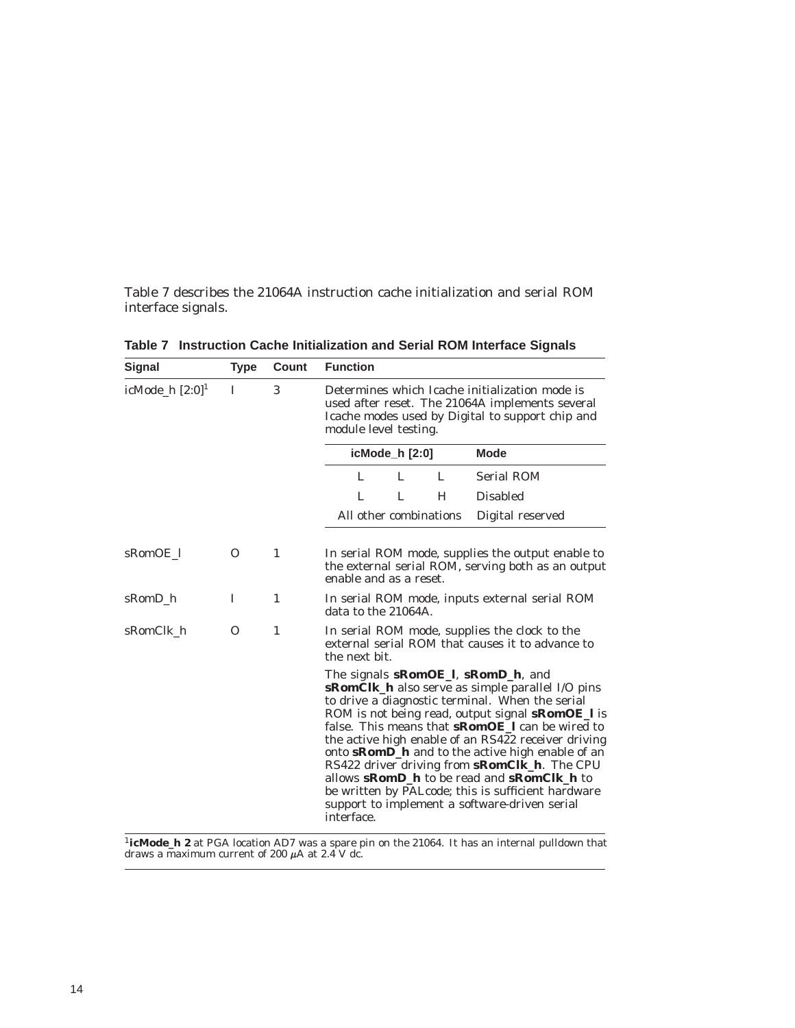Table 7 describes the 21064A instruction cache initialization and serial ROM interface signals.

| Signal                        | Type     | Count | <b>Function</b>                                                                                                                                                                                                                                                                                                                                                                                                                                                                                                                                                                                                                  |  |  |
|-------------------------------|----------|-------|----------------------------------------------------------------------------------------------------------------------------------------------------------------------------------------------------------------------------------------------------------------------------------------------------------------------------------------------------------------------------------------------------------------------------------------------------------------------------------------------------------------------------------------------------------------------------------------------------------------------------------|--|--|
| icMode_h $[2:0]$ <sup>1</sup> | I        | 3     | Determines which Icache initialization mode is<br>used after reset. The 21064A implements several<br>Icache modes used by Digital to support chip and<br>module level testing.                                                                                                                                                                                                                                                                                                                                                                                                                                                   |  |  |
|                               |          |       | icMode_h [2:0]<br><b>Mode</b>                                                                                                                                                                                                                                                                                                                                                                                                                                                                                                                                                                                                    |  |  |
|                               |          |       | <b>Serial ROM</b><br>L<br>Τ.<br>Ι.                                                                                                                                                                                                                                                                                                                                                                                                                                                                                                                                                                                               |  |  |
|                               |          |       | L<br><b>Disabled</b><br>L.<br>H                                                                                                                                                                                                                                                                                                                                                                                                                                                                                                                                                                                                  |  |  |
|                               |          |       | All other combinations<br>Digital reserved                                                                                                                                                                                                                                                                                                                                                                                                                                                                                                                                                                                       |  |  |
| sRomOE 1                      | $\Omega$ | 1     | In serial ROM mode, supplies the output enable to<br>the external serial ROM, serving both as an output<br>enable and as a reset.                                                                                                                                                                                                                                                                                                                                                                                                                                                                                                |  |  |
| sRomD h                       | I        | 1     | In serial ROM mode, inputs external serial ROM<br>data to the 21064A.                                                                                                                                                                                                                                                                                                                                                                                                                                                                                                                                                            |  |  |
| sRomClk_h                     | 0        | 1     | In serial ROM mode, supplies the clock to the<br>external serial ROM that causes it to advance to<br>the next bit.                                                                                                                                                                                                                                                                                                                                                                                                                                                                                                               |  |  |
|                               |          |       | The signals sRomOE_l, sRomD_h, and<br><b>sRomClk_h</b> also serve as simple parallel I/O pins<br>to drive a diagnostic terminal. When the serial<br>ROM is not being read, output signal <b>sRomOE_I</b> is<br>false. This means that <b>sRomOE</b> I can be wired to<br>the active high enable of an RS422 receiver driving<br>onto <b>sRomD_h</b> and to the active high enable of an<br>RS422 driver driving from <b>sRomClk_h</b> . The CPU<br>allows <b>sRomD_h</b> to be read and <b>sRomClk_h</b> to<br>be written by PALcode; this is sufficient hardware<br>support to implement a software-driven serial<br>interface. |  |  |

**Table 7 Instruction Cache Initialization and Serial ROM Interface Signals**

<sup>1</sup>**icMode\_h 2** at PGA location AD7 was a spare pin on the 21064. It has an internal pulldown that draws a maximum current of 200  $\mu$ A at 2.4 V dc.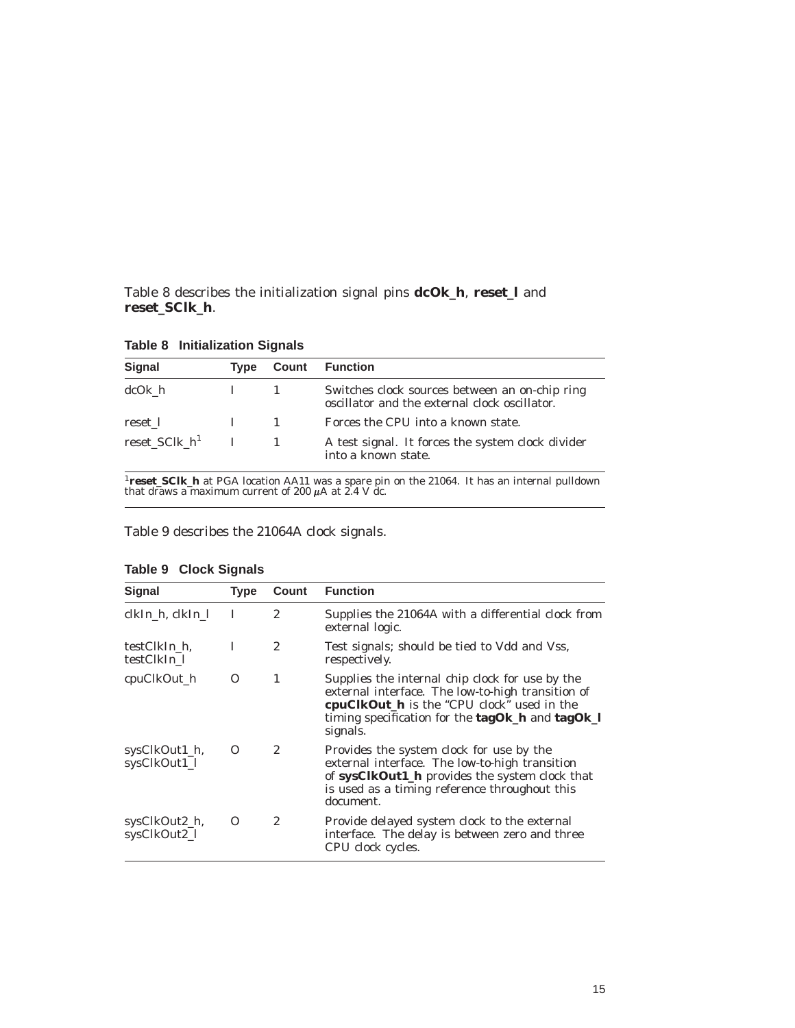Table 8 describes the initialization signal pins **dcOk\_h**, **reset\_l** and **reset\_SClk\_h**.

| <b>Signal</b>    | <b>Type</b> | Count | <b>Function</b>                                                                                 |
|------------------|-------------|-------|-------------------------------------------------------------------------------------------------|
| dcOk h           |             |       | Switches clock sources between an on-chip ring<br>oscillator and the external clock oscillator. |
| reset 1          |             |       | Forces the CPU into a known state.                                                              |
| reset_SClk_ $h1$ |             |       | A test signal. It forces the system clock divider<br>into a known state.                        |

**Table 8 Initialization Signals**

<sup>1</sup>**reset\_SClk\_h** at PGA location AA11 was a spare pin on the 21064. It has an internal pulldown that draws a maximum current of 200  $\mu$ A at 2.4 V dc.

Table 9 describes the 21064A clock signals.

| <b>Signal</b>                 | <b>Type</b> | Count          | <b>Function</b>                                                                                                                                                                                                        |
|-------------------------------|-------------|----------------|------------------------------------------------------------------------------------------------------------------------------------------------------------------------------------------------------------------------|
| clkIn_h, clkIn_l              | л.          | $\overline{2}$ | Supplies the 21064A with a differential clock from<br>external logic.                                                                                                                                                  |
| testClkIn h.<br>testClkIn 1   | L           | $\overline{c}$ | Test signals; should be tied to Vdd and Vss,<br>respectively.                                                                                                                                                          |
| cpuClkOut_h                   | Ω           | 1              | Supplies the internal chip clock for use by the<br>external interface. The low-to-high transition of<br>cpuClkOut_h is the "CPU clock" used in the<br>timing specification for the $tagOk_h$ and $tagOk_l$<br>signals. |
| sysClkOut1_h,<br>sysClkOut1_l | O           | $\mathbf{2}$   | Provides the system clock for use by the<br>external interface. The low-to-high transition<br>of sysClkOut1_h provides the system clock that<br>is used as a timing reference throughout this<br>document.             |
| sysClkOut2_h,<br>sysClkOut2_l | $\Omega$    | $\overline{2}$ | Provide delayed system clock to the external<br>interface. The delay is between zero and three<br>CPU clock cycles.                                                                                                    |

**Table 9 Clock Signals**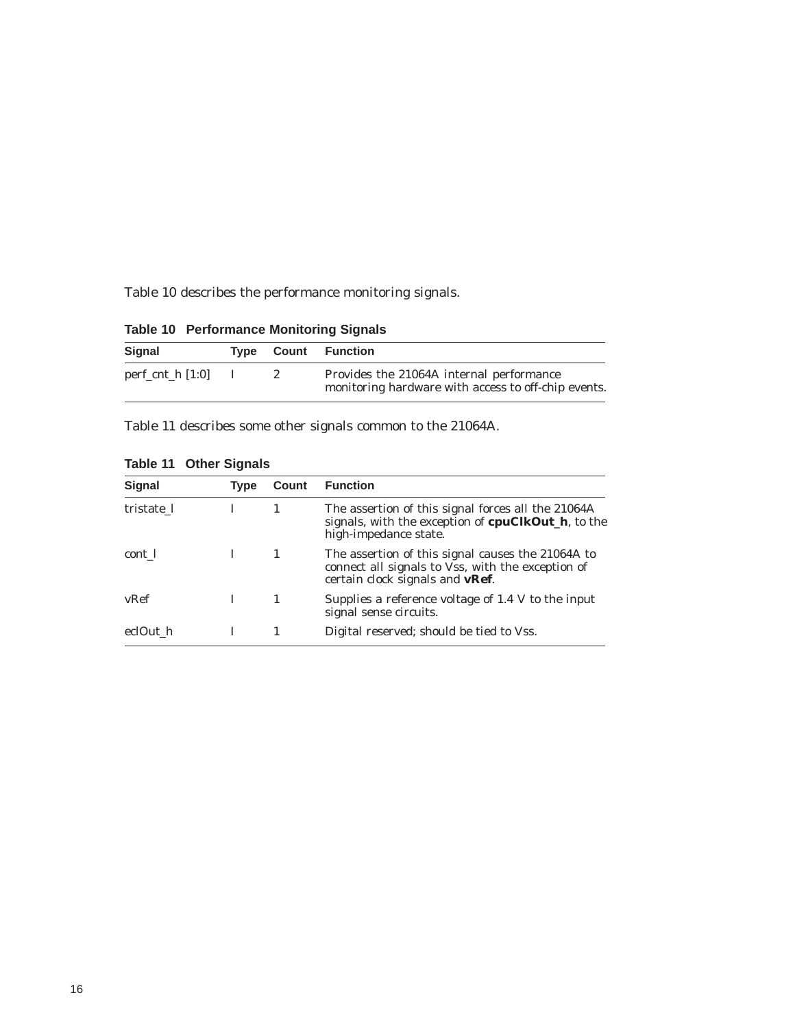Table 10 describes the performance monitoring signals.

| <b>Signal</b>      |              |                       | <b>Type Count Function</b>                                                                      |
|--------------------|--------------|-----------------------|-------------------------------------------------------------------------------------------------|
| perf_cnt_h $[1:0]$ | $\mathbf{I}$ | $\mathbf{2}^{\prime}$ | Provides the 21064A internal performance<br>monitoring hardware with access to off-chip events. |

**Table 10 Performance Monitoring Signals**

Table 11 describes some other signals common to the 21064A.

| <b>Signal</b> | <b>Type</b> | Count | <b>Function</b>                                                                                                                                   |  |  |
|---------------|-------------|-------|---------------------------------------------------------------------------------------------------------------------------------------------------|--|--|
| tristate 1    |             |       | The assertion of this signal forces all the 21064A<br>signals, with the exception of <b>cpuClkOut_h</b> , to the<br>high-impedance state.         |  |  |
| cont 1        |             |       | The assertion of this signal causes the 21064A to<br>connect all signals to Vss, with the exception of<br>certain clock signals and <b>vRef</b> . |  |  |
| vRef          |             |       | Supplies a reference voltage of 1.4 V to the input<br>signal sense circuits.                                                                      |  |  |
| eclOut h      |             |       | Digital reserved; should be tied to Vss.                                                                                                          |  |  |

**Table 11 Other Signals**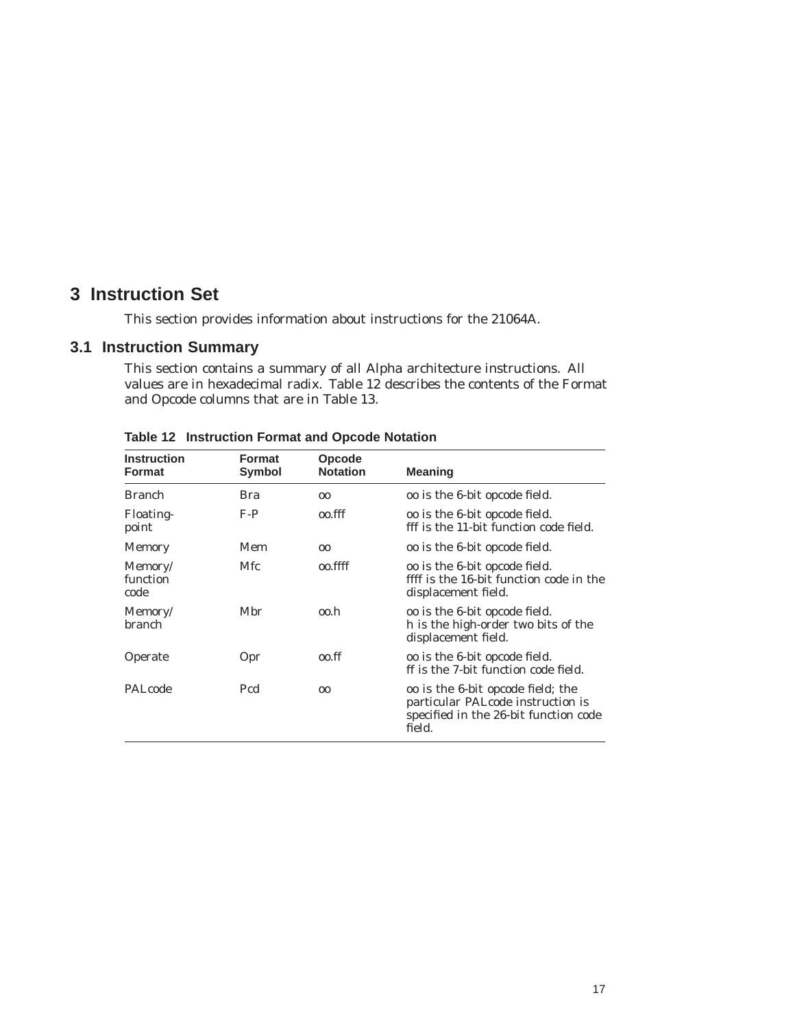### **3 Instruction Set**

This section provides information about instructions for the 21064A.

### **3.1 Instruction Summary**

This section contains a summary of all Alpha architecture instructions. All values are in hexadecimal radix. Table 12 describes the contents of the Format and Opcode columns that are in Table 13.

| <b>Instruction</b><br><b>Format</b> | <b>Format</b><br>Symbol | <b>Opcode</b><br><b>Notation</b> | <b>Meaning</b>                                                                                                            |
|-------------------------------------|-------------------------|----------------------------------|---------------------------------------------------------------------------------------------------------------------------|
| <b>Branch</b>                       | Bra                     | 00                               | oo is the 6-bit opcode field.                                                                                             |
| <b>Floating-</b><br>point           | $F-P$                   | 00.fff                           | oo is the 6-bit opcode field.<br>fff is the 11-bit function code field.                                                   |
| <b>Memory</b>                       | Mem                     | 0 <sub>0</sub>                   | oo is the 6-bit opcode field.                                                                                             |
| Memory/<br>function<br>code         | Mfc                     | 00.ffff                          | oo is the 6-bit opcode field.<br>ffff is the 16-bit function code in the<br>displacement field.                           |
| Memory/<br>branch                   | Mbr                     | oo.h                             | oo is the 6-bit opcode field.<br>h is the high-order two bits of the<br>displacement field.                               |
| Operate                             | Opr                     | 00.ff                            | oo is the 6-bit opcode field.<br>ff is the 7-bit function code field.                                                     |
| PALcode                             | Pcd                     | 00                               | oo is the 6-bit opcode field; the<br>particular PALcode instruction is<br>specified in the 26-bit function code<br>field. |

**Table 12 Instruction Format and Opcode Notation**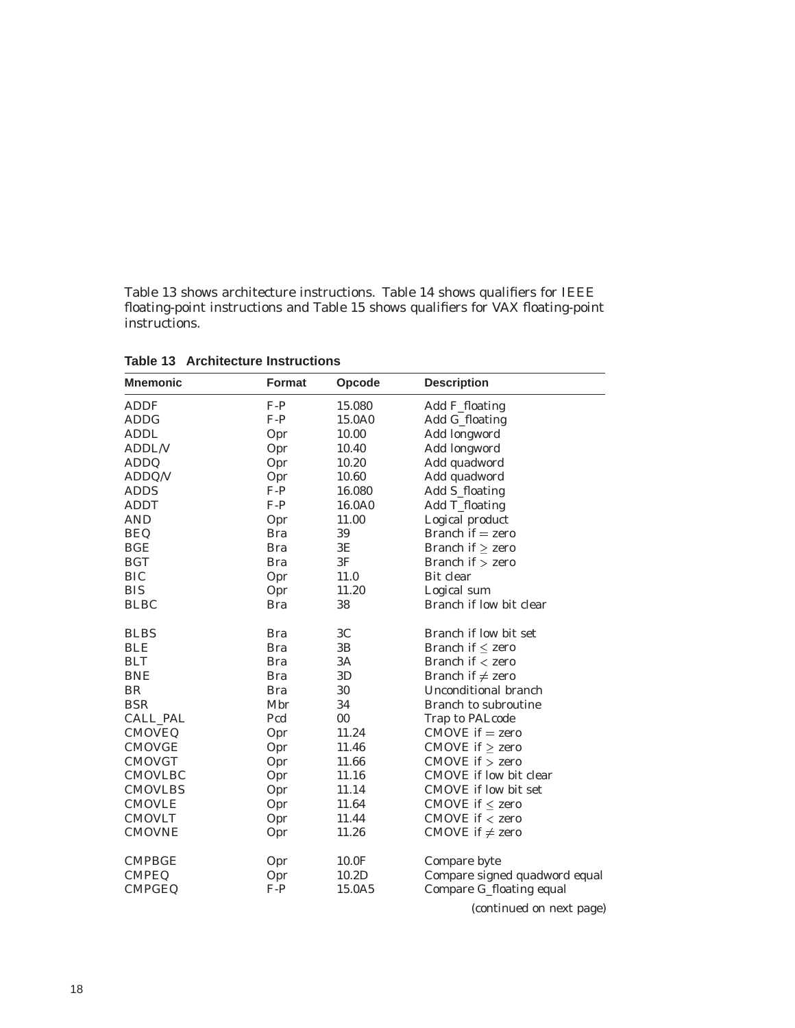Table 13 shows architecture instructions. Table 14 shows qualifiers for IEEE floating-point instructions and Table 15 shows qualifiers for VAX floating-point instructions.

| <b>Mnemonic</b> | Format     | Opcode         | <b>Description</b>            |
|-----------------|------------|----------------|-------------------------------|
| <b>ADDF</b>     | $F-P$      | 15.080         | Add F_floating                |
| <b>ADDG</b>     | $F-P$      | 15.0A0         | Add G_floating                |
| <b>ADDL</b>     | Opr        | 10.00          | Add longword                  |
| <b>ADDL/V</b>   | Opr        | 10.40          | Add longword                  |
| <b>ADDQ</b>     | Opr        | 10.20          | Add quadword                  |
| ADDQ/V          | Opr        | 10.60          | Add quadword                  |
| <b>ADDS</b>     | $F-P$      | 16.080         | Add S_floating                |
| <b>ADDT</b>     | $F-P$      | 16.0A0         | Add T_floating                |
| <b>AND</b>      | Opr        | 11.00          | Logical product               |
| <b>BEQ</b>      | <b>Bra</b> | 39             | Branch if $=$ zero            |
| <b>BGE</b>      | <b>Bra</b> | 3E             | Branch if $\ge$ zero          |
| <b>BGT</b>      | <b>Bra</b> | 3F             | Branch if $>$ zero            |
| <b>BIC</b>      | Opr        | 11.0           | Bit clear                     |
| <b>BIS</b>      | Opr        | 11.20          | Logical sum                   |
| <b>BLBC</b>     | <b>Bra</b> | 38             | Branch if low bit clear       |
| <b>BLBS</b>     | <b>Bra</b> | 3 <sub>C</sub> | Branch if low bit set         |
| <b>BLE</b>      | <b>Bra</b> | 3B             | Branch if $\leq$ zero         |
| <b>BLT</b>      | <b>Bra</b> | 3A             | Branch if $\lt$ zero          |
| <b>BNE</b>      | <b>Bra</b> | 3D             | Branch if $\neq$ zero         |
| <b>BR</b>       | <b>Bra</b> | 30             | Unconditional branch          |
| <b>BSR</b>      | Mbr        | 34             | Branch to subroutine          |
| <b>CALL_PAL</b> | Pcd        | $00\,$         | Trap to PALcode               |
| <b>CMOVEQ</b>   | Opr        | 11.24          | $CMOVE$ if $=$ zero           |
| <b>CMOVGE</b>   | Opr        | 11.46          | CMOVE if $\ge$ zero           |
| <b>CMOVGT</b>   | Opr        | 11.66          | $CMOVE$ if $>$ zero           |
| <b>CMOVLBC</b>  | Opr        | 11.16          | <b>CMOVE</b> if low bit clear |
| <b>CMOVLBS</b>  | Opr        | 11.14          | CMOVE if low bit set          |
| <b>CMOVLE</b>   | Opr        | 11.64          | CMOVE if $\leq$ zero          |
| <b>CMOVLT</b>   | Opr        | 11.44          | $CMOVE$ if $\lt$ zero         |
| <b>CMOVNE</b>   | Opr        | 11.26          | CMOVE if $\neq$ zero          |
| <b>CMPBGE</b>   | Opr        | 10.0F          | Compare byte                  |
| <b>CMPEQ</b>    | Opr        | 10.2D          | Compare signed quadword equal |
| <b>CMPGEQ</b>   | $F-P$      | 15.0A5         | Compare G_floating equal      |

**Table 13 Architecture Instructions**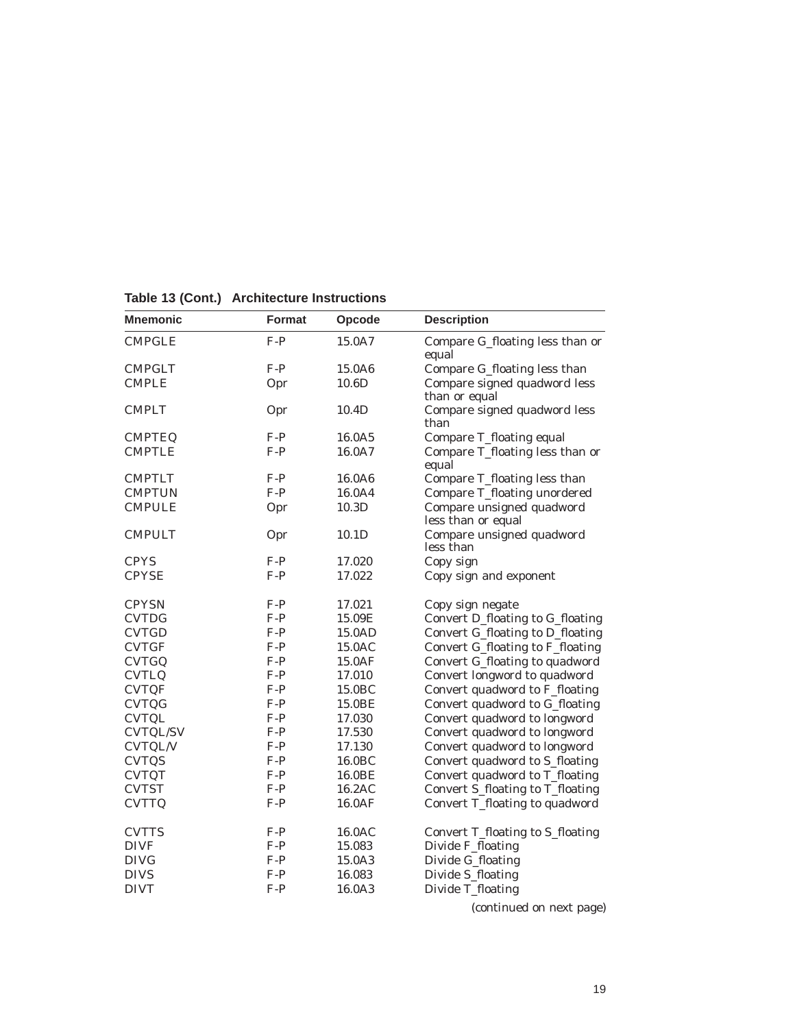| <b>Mnemonic</b> | <b>Format</b><br>Opcode |                    | <b>Description</b>                              |  |  |  |
|-----------------|-------------------------|--------------------|-------------------------------------------------|--|--|--|
| <b>CMPGLE</b>   | $F-P$                   | 15.0A7             | Compare G_floating less than or<br>equal        |  |  |  |
| <b>CMPGLT</b>   | $F-P$                   | 15.0A6             | Compare G_floating less than                    |  |  |  |
| <b>CMPLE</b>    | Opr                     | 10.6D              | Compare signed quadword less<br>than or equal   |  |  |  |
| <b>CMPLT</b>    | Opr                     | 10.4D              | Compare signed quadword less<br>than            |  |  |  |
| <b>CMPTEQ</b>   | $F-P$                   | 16.0A5             | Compare T_floating equal                        |  |  |  |
| <b>CMPTLE</b>   | $F-P$                   | 16.0A7             | Compare T_floating less than or<br>equal        |  |  |  |
| <b>CMPTLT</b>   | $F-P$                   | 16.0A6             | Compare T_floating less than                    |  |  |  |
| <b>CMPTUN</b>   | $F-P$                   | 16.0A4             | Compare T_floating unordered                    |  |  |  |
| <b>CMPULE</b>   | Opr                     | 10.3D              | Compare unsigned quadword<br>less than or equal |  |  |  |
| <b>CMPULT</b>   | Opr                     | 10.1D              | Compare unsigned quadword<br>less than          |  |  |  |
| <b>CPYS</b>     | $F-P$                   | 17.020             | Copy sign                                       |  |  |  |
| <b>CPYSE</b>    | $F-P$                   | 17.022             | Copy sign and exponent                          |  |  |  |
| <b>CPYSN</b>    | $F-P$                   | 17.021             | Copy sign negate                                |  |  |  |
| <b>CVTDG</b>    | $F-P$                   | 15.09E             | Convert D_floating to G_floating                |  |  |  |
| <b>CVTGD</b>    | $F-P$                   | 15.0AD             | Convert G_floating to D_floating                |  |  |  |
| <b>CVTGF</b>    | $F-P$                   | 15.0AC             | Convert G_floating to F_floating                |  |  |  |
| <b>CVTGQ</b>    | $F-P$                   | 15.0AF             | Convert G_floating to quadword                  |  |  |  |
| <b>CVTLQ</b>    | $F-P$                   | 17.010             | Convert longword to quadword                    |  |  |  |
| <b>CVTQF</b>    | $F-P$                   | 15.0BC             | Convert quadword to F_floating                  |  |  |  |
| <b>CVTQG</b>    | $F-P$                   | 15.0BE             | Convert quadword to G_floating                  |  |  |  |
| <b>CVTQL</b>    | $F-P$                   | 17.030             | Convert quadword to longword                    |  |  |  |
| <b>CVTQL/SV</b> | $F-P$                   | 17.530             | Convert quadword to longword                    |  |  |  |
| <b>CVTQL/V</b>  | $F-P$                   | 17.130             | Convert quadword to longword                    |  |  |  |
| <b>CVTQS</b>    | $F-P$                   | 16.0 <sub>BC</sub> | Convert quadword to S_floating                  |  |  |  |
| <b>CVTQT</b>    | $F-P$                   | 16.0BE             | Convert quadword to T_floating                  |  |  |  |
| <b>CVTST</b>    | $F-P$                   | 16.2AC             | Convert S_floating to T_floating                |  |  |  |
| <b>CVTTQ</b>    | $F-P$                   | 16.0AF             | Convert T_floating to quadword                  |  |  |  |
| <b>CVTTS</b>    | $F-P$                   | 16.0AC             | Convert T_floating to S_floating                |  |  |  |
| <b>DIVF</b>     | $F-P$                   | 15.083             | Divide F_floating                               |  |  |  |
| <b>DIVG</b>     | $F-P$                   | 15.0A3             | Divide G_floating                               |  |  |  |
| <b>DIVS</b>     | $F-P$                   | 16.083             | Divide S_floating                               |  |  |  |
| <b>DIVT</b>     | $F-P$                   | 16.0A3             | Divide T_floating                               |  |  |  |

**Table 13 (Cont.) Architecture Instructions**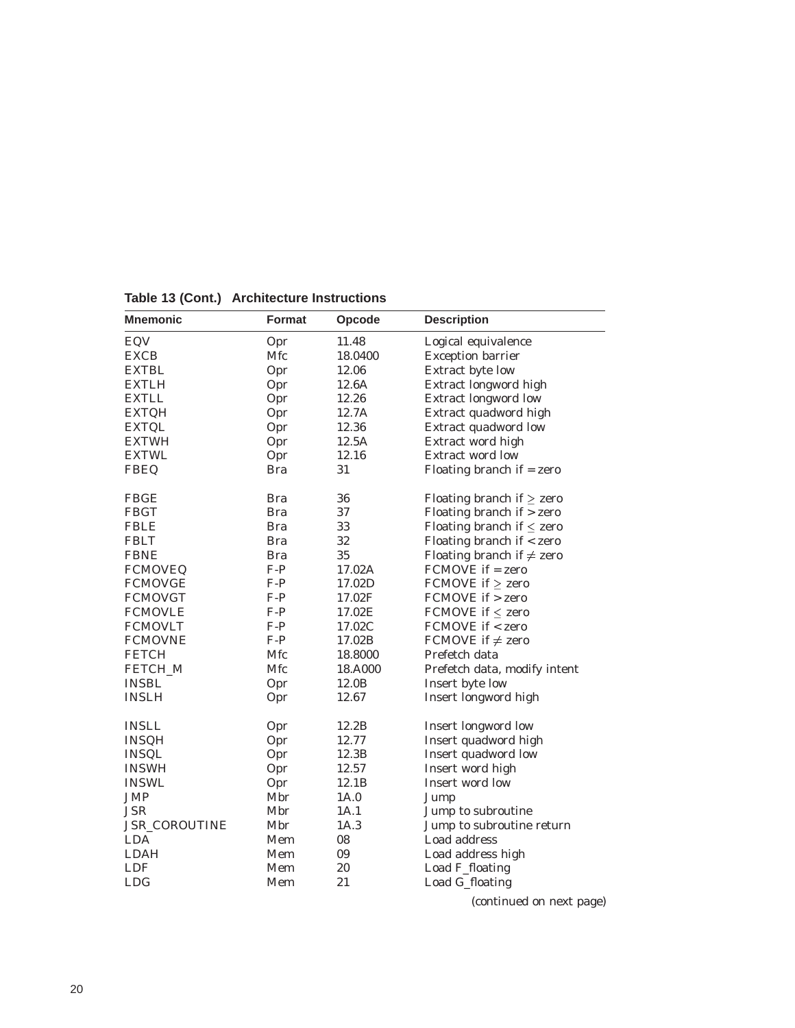| <b>Mnemonic</b> | <b>Format</b> | Opcode            | <b>Description</b>             |  |  |  |
|-----------------|---------------|-------------------|--------------------------------|--|--|--|
| EQV             | Opr           | 11.48             | Logical equivalence            |  |  |  |
| <b>EXCB</b>     | Mfc           | 18.0400           | <b>Exception barrier</b>       |  |  |  |
| <b>EXTBL</b>    | Opr           | 12.06             | Extract byte low               |  |  |  |
| <b>EXTLH</b>    | Opr           | 12.6A             | Extract longword high          |  |  |  |
| <b>EXTLL</b>    | Opr           | 12.26             | <b>Extract longword low</b>    |  |  |  |
| <b>EXTQH</b>    | Opr           | 12.7A             | Extract quadword high          |  |  |  |
| <b>EXTQL</b>    | Opr           | 12.36             | Extract quadword low           |  |  |  |
| <b>EXTWH</b>    | Opr           | 12.5A             | Extract word high              |  |  |  |
| <b>EXTWL</b>    | Opr           | 12.16             | Extract word low               |  |  |  |
| <b>FBEQ</b>     | <b>Bra</b>    | 31                | Floating branch if $=$ zero    |  |  |  |
| <b>FBGE</b>     | <b>Bra</b>    | 36                | Floating branch if $\ge$ zero  |  |  |  |
| <b>FBGT</b>     | <b>Bra</b>    | 37                | Floating branch if $>$ zero    |  |  |  |
| <b>FBLE</b>     | <b>Bra</b>    | 33                | Floating branch if $\leq$ zero |  |  |  |
| <b>FBLT</b>     | <b>Bra</b>    | 32                | Floating branch if < zero      |  |  |  |
| <b>FBNE</b>     | <b>Bra</b>    | 35                | Floating branch if $\neq$ zero |  |  |  |
| <b>FCMOVEQ</b>  | $F-P$         | 17.02A            | $FCMOVE$ if = zero             |  |  |  |
| <b>FCMOVGE</b>  | $F-P$         | 17.02D            | FCMOVE if $\ge$ zero           |  |  |  |
| <b>FCMOVGT</b>  | $F-P$         | 17.02F            | FCMOVE if > zero               |  |  |  |
| <b>FCMOVLE</b>  | $F-P$         | 17.02E            | FCMOVE if $\leq$ zero          |  |  |  |
| <b>FCMOVLT</b>  | $F-P$         | 17.02C            | <b>FCMOVE if &lt; zero</b>     |  |  |  |
| <b>FCMOVNE</b>  | $F-P$         | 17.02B            | FCMOVE if $\neq$ zero          |  |  |  |
| <b>FETCH</b>    | Mfc           | 18.8000           | Prefetch data                  |  |  |  |
| FETCH_M         | Mfc           | 18.A000           | Prefetch data, modify intent   |  |  |  |
| <b>INSBL</b>    | Opr           | 12.0 <sub>B</sub> | Insert byte low                |  |  |  |
| <b>INSLH</b>    | Opr           | 12.67             | Insert longword high           |  |  |  |
| <b>INSLL</b>    | Opr           | 12.2B             | <b>Insert longword low</b>     |  |  |  |
| <b>INSQH</b>    | Opr           | 12.77             | Insert quadword high           |  |  |  |
| <b>INSQL</b>    | Opr           | 12.3B             | Insert quadword low            |  |  |  |
| <b>INSWH</b>    | Opr           | 12.57             | Insert word high               |  |  |  |
| <b>INSWL</b>    | Opr           | 12.1 <sub>B</sub> | Insert word low                |  |  |  |
| <b>JMP</b>      | Mbr           | 1A.0              | Jump                           |  |  |  |
| <b>JSR</b>      | Mbr           | 1A.1              | Jump to subroutine             |  |  |  |
| JSR_COROUTINE   | Mbr           | 1A.3              | Jump to subroutine return      |  |  |  |
| <b>LDA</b>      | Mem           | 08                | Load address                   |  |  |  |
| <b>LDAH</b>     | Mem           | 09                | Load address high              |  |  |  |
| <b>LDF</b>      | Mem           | 20                | Load F_floating                |  |  |  |
| <b>LDG</b>      | Mem           | 21                | Load G_floating                |  |  |  |

**Table 13 (Cont.) Architecture Instructions**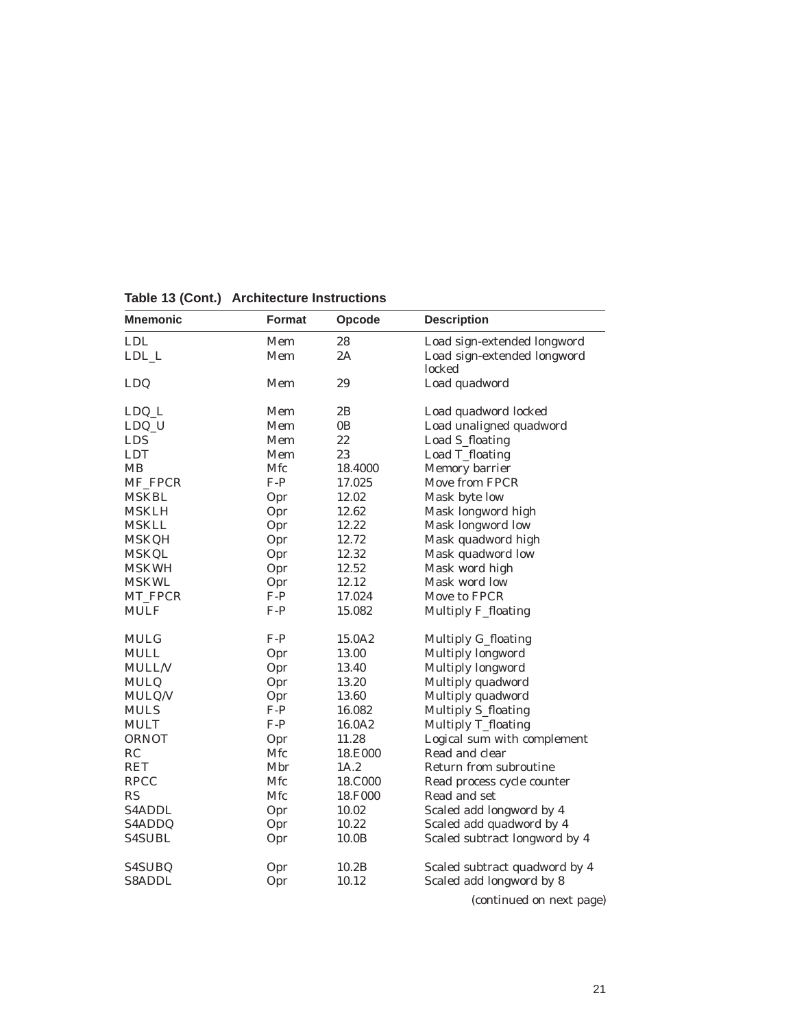| <b>Mnemonic</b> | Format | Opcode         | <b>Description</b>                    |  |  |  |
|-----------------|--------|----------------|---------------------------------------|--|--|--|
| <b>LDL</b>      | Mem    | 28             | Load sign-extended longword           |  |  |  |
| ${\rm LDL\_L}$  | Mem    | 2A             | Load sign-extended longword<br>locked |  |  |  |
| LDQ             | Mem    | 29             | Load quadword                         |  |  |  |
| LDQ_L           | Mem    | 2B             | Load quadword locked                  |  |  |  |
| LDQ_U           | Mem    | 0 <sub>B</sub> | Load unaligned quadword               |  |  |  |
| <b>LDS</b>      | Mem    | 22             | Load S_floating                       |  |  |  |
| <b>LDT</b>      | Mem    | 23             | Load T_floating                       |  |  |  |
| MВ              | Mfc    | 18.4000        | Memory barrier                        |  |  |  |
| MF_FPCR         | $F-P$  | 17.025         | Move from FPCR                        |  |  |  |
| <b>MSKBL</b>    | Opr    | 12.02          | Mask byte low                         |  |  |  |
| MSKLH           | Opr    | 12.62          | Mask longword high                    |  |  |  |
| <b>MSKLL</b>    | Opr    | 12.22          | Mask longword low                     |  |  |  |
| <b>MSKQH</b>    | Opr    | 12.72          | Mask quadword high                    |  |  |  |
| <b>MSKQL</b>    | Opr    | 12.32          | Mask quadword low                     |  |  |  |
| <b>MSKWH</b>    | Opr    | 12.52          | Mask word high                        |  |  |  |
| <b>MSKWL</b>    | Opr    | 12.12          | Mask word low                         |  |  |  |
| MT_FPCR         | $F-P$  | 17.024         | Move to FPCR                          |  |  |  |
| <b>MULF</b>     | $F-P$  | 15.082         | <b>Multiply F_floating</b>            |  |  |  |
| <b>MULG</b>     | $F-P$  | 15.0A2         | Multiply G_floating                   |  |  |  |
| <b>MULL</b>     | Opr    | 13.00          | Multiply longword                     |  |  |  |
| <b>MULL/V</b>   | Opr    | 13.40          | Multiply longword                     |  |  |  |
| <b>MULQ</b>     | Opr    | 13.20          | Multiply quadword                     |  |  |  |
| MULQ/V          | Opr    | 13.60          | Multiply quadword                     |  |  |  |
| <b>MULS</b>     | $F-P$  | 16.082         | Multiply S_floating                   |  |  |  |
| <b>MULT</b>     | $F-P$  | 16.0A2         | Multiply T_floating                   |  |  |  |
| <b>ORNOT</b>    | Opr    | 11.28          | Logical sum with complement           |  |  |  |
| RC              | Mfc    | 18.E000        | Read and clear                        |  |  |  |
| RET             | Mbr    | 1A.2           | Return from subroutine                |  |  |  |
| <b>RPCC</b>     | Mfc    | 18.C000        | Read process cycle counter            |  |  |  |
| RS              | Mfc    | 18.F000        | Read and set                          |  |  |  |
| <b>S4ADDL</b>   | Opr    | 10.02          | Scaled add longword by 4              |  |  |  |
| S4ADDQ          | Opr    | 10.22          | Scaled add quadword by 4              |  |  |  |
| <b>S4SUBL</b>   | Opr    | 10.0B          | Scaled subtract longword by 4         |  |  |  |
| S4SUBQ          | Opr    | 10.2B          | Scaled subtract quadword by 4         |  |  |  |
| <b>S8ADDL</b>   | Opr    | 10.12          | Scaled add longword by 8              |  |  |  |

**Table 13 (Cont.) Architecture Instructions**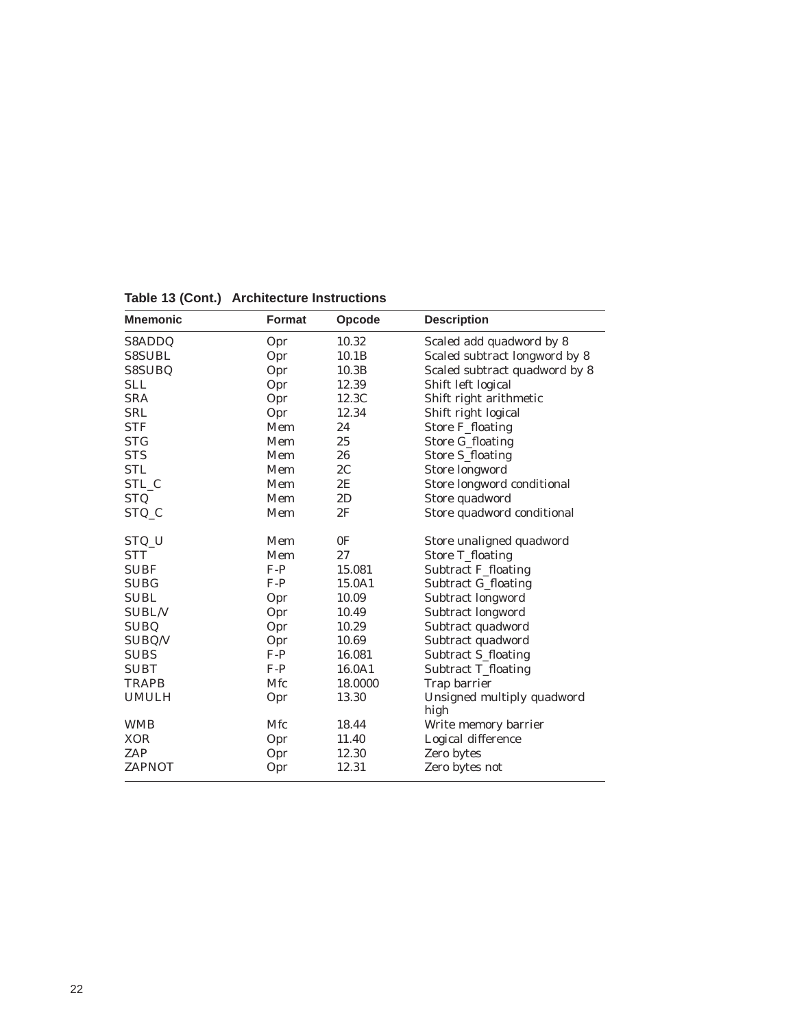| <b>Mnemonic</b><br>Opcode<br><b>Format</b> |       | <b>Description</b>  |                                    |  |  |
|--------------------------------------------|-------|---------------------|------------------------------------|--|--|
| S8ADDQ                                     | Opr   | 10.32               | Scaled add quadword by 8           |  |  |
| <b>S8SUBL</b>                              | Opr   | 10.1B               | Scaled subtract longword by 8      |  |  |
| S8SUBQ                                     | Opr   | 10.3B               | Scaled subtract quadword by 8      |  |  |
| <b>SLL</b>                                 | Opr   | 12.39               | Shift left logical                 |  |  |
| <b>SRA</b>                                 | Opr   | 12.3C               | Shift right arithmetic             |  |  |
| <b>SRL</b>                                 | Opr   | 12.34               | Shift right logical                |  |  |
| <b>STF</b>                                 | Mem   | 24                  | <b>Store F_floating</b>            |  |  |
| <b>STG</b>                                 | Mem   | 25                  | Store G_floating                   |  |  |
| <b>STS</b>                                 | Mem   | 26                  | <b>Store S_floating</b>            |  |  |
| <b>STL</b>                                 | Mem   | 2C                  | Store longword                     |  |  |
| STL_C                                      | Mem   | 2E                  | Store longword conditional         |  |  |
| <b>STQ</b>                                 | Mem   | 2D                  | Store quadword                     |  |  |
| STQ_C                                      | Mem   | 2F                  | Store quadword conditional         |  |  |
| STQ_U                                      | Mem   | 0 <sub>F</sub>      | Store unaligned quadword           |  |  |
| <b>STT</b>                                 | Mem   | 27                  | <b>Store T_floating</b>            |  |  |
| <b>SUBF</b>                                | $F-P$ | 15.081              | <b>Subtract F_floating</b>         |  |  |
| <b>SUBG</b>                                | $F-P$ | 15.0A1              | <b>Subtract G_floating</b>         |  |  |
| <b>SUBL</b>                                | Opr   | 10.09               | Subtract longword                  |  |  |
| <b>SUBL/V</b>                              | Opr   | 10.49               | Subtract longword                  |  |  |
| <b>SUBQ</b>                                | Opr   | 10.29               | Subtract quadword                  |  |  |
| SUBQ/V                                     | Opr   | 10.69               | Subtract quadword                  |  |  |
| <b>SUBS</b>                                | $F-P$ | 16.081              | Subtract S_floating                |  |  |
| <b>SUBT</b>                                | $F-P$ | 16.0A1              | Subtract T_floating                |  |  |
| <b>TRAPB</b>                               | Mfc   | 18.0000             | Trap barrier                       |  |  |
| <b>UMULH</b>                               | Opr   | 13.30               | Unsigned multiply quadword<br>high |  |  |
| <b>WMB</b>                                 | Mfc   | 18.44               | Write memory barrier               |  |  |
| <b>XOR</b>                                 | Opr   | 11.40               | Logical difference                 |  |  |
| ZAP                                        | Opr   | 12.30<br>Zero bytes |                                    |  |  |
| <b>ZAPNOT</b>                              | Opr   | 12.31               | Zero bytes not                     |  |  |
|                                            |       |                     |                                    |  |  |

**Table 13 (Cont.) Architecture Instructions**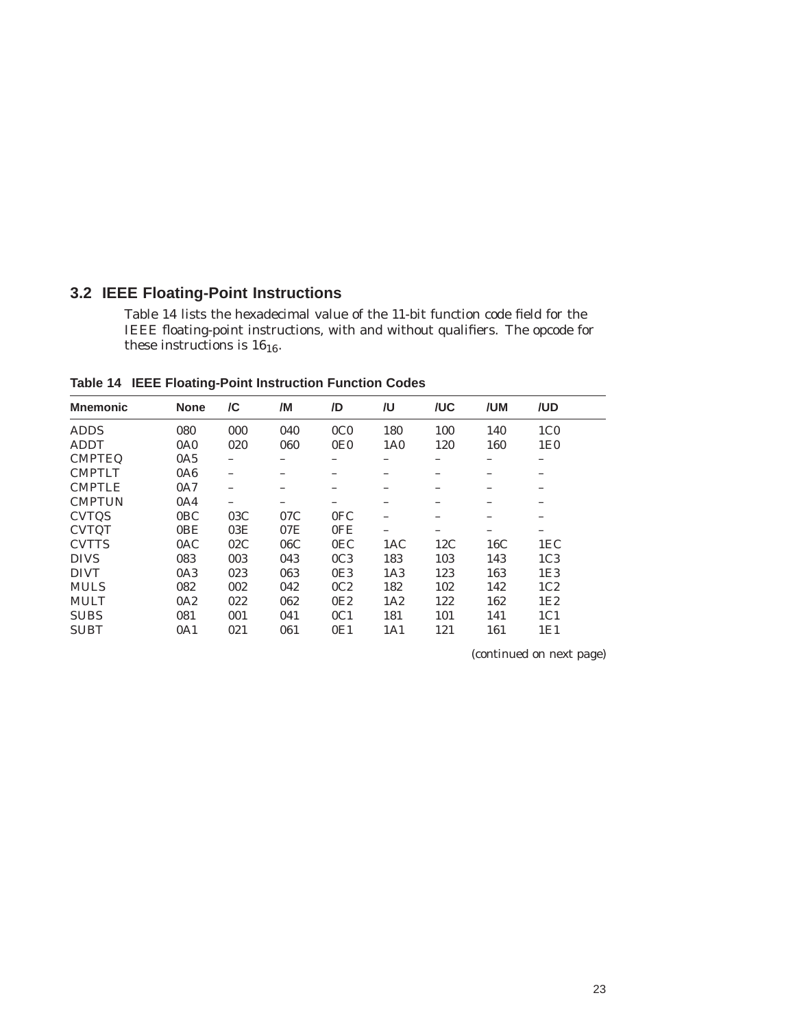### **3.2 IEEE Floating-Point Instructions**

Table 14 lists the hexadecimal value of the 11-bit function code field for the IEEE floating-point instructions, with and without qualifiers. The opcode for these instructions is  $16_{16}$ .

**Mnemonic None /C /M /D /U /UC /UM /UD** ADDS 080 000 040 0C0 180 100 140 1C0 ADDT 0A0 020 060 0E0 1A0 120 160 1E0 CMPTEQ 0A5 – – – – – – – CMPTLT 0A6 – – – – – – – CMPTLE 0A7 – – – – – – – CMPTUN 0A4 – – – – – – –<br>CVTQS 0BC 03C 07C 0FC – – – – CVTQS 0BC 03C 07C 0FC – – – – CVTQT 0BE 03E 07E 0FE – – – – CVTTS 0AC 02C 06C 0EC 1AC 12C 16C 1EC DIVS 083 003 043 0C3 183 103 143 1C3 DIVT 0A3 023 063 0E3 1A3 123 163 1E3 MULS 082 002 042 0C2 182 102 142 1C2 MULT 0A2 022 062 0E2 1A2 122 162 1E2 SUBS 081 001 041 0C1 181 101 141 1C1 SUBT 0A1 021 061 0E1 1A1 121 161 1E1

**Table 14 IEEE Floating-Point Instruction Function Codes**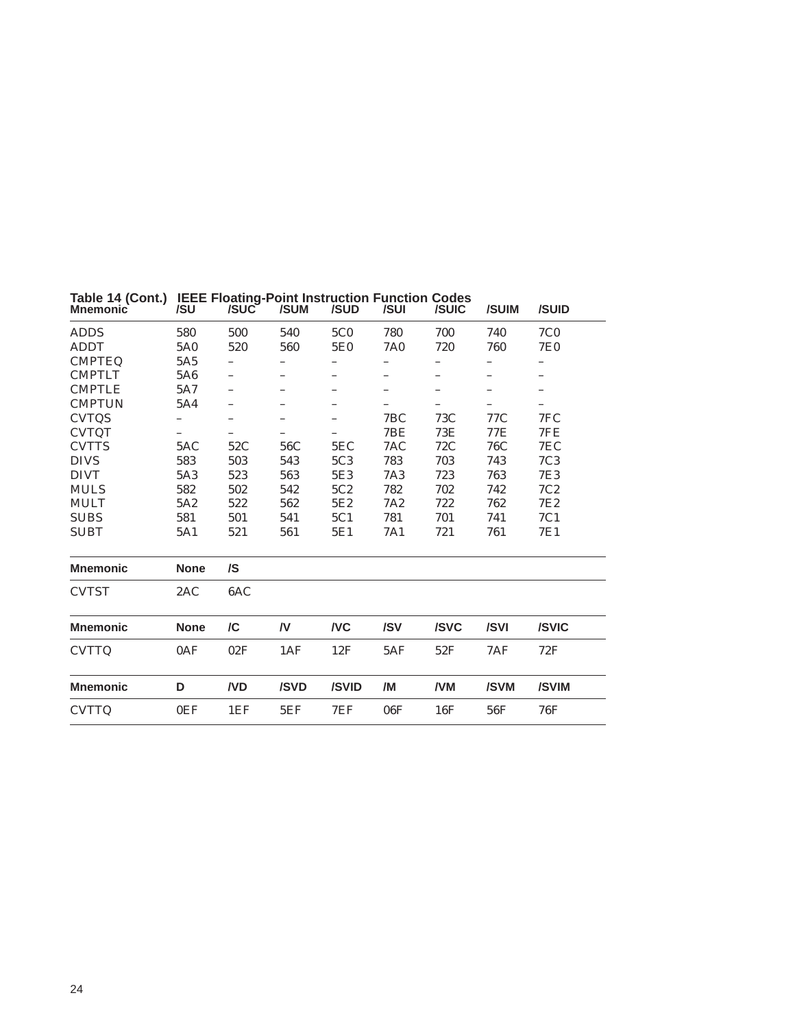| <b>Mnemonic</b> | /SU             | /SUC | /SUM | /SUD       | /SUI            | /SUIC | /SUIM | /SUID           |  |
|-----------------|-----------------|------|------|------------|-----------------|-------|-------|-----------------|--|
| <b>ADDS</b>     | 580             | 500  | 540  | <b>5C0</b> | 780             | 700   | 740   | <b>7C0</b>      |  |
| <b>ADDT</b>     | 5A0             | 520  | 560  | 5E0        | <b>7A0</b>      | 720   | 760   | <b>7E0</b>      |  |
| <b>CMPTEQ</b>   | 5A <sub>5</sub> |      |      |            |                 |       |       |                 |  |
| <b>CMPTLT</b>   | 5A6             |      |      |            |                 |       |       |                 |  |
| <b>CMPTLE</b>   | 5A7             |      |      |            |                 |       |       |                 |  |
| <b>CMPTUN</b>   | 5A4             |      |      |            |                 | -     |       |                 |  |
| <b>CVTQS</b>    | -               | -    | -    | -          | 7BC             | 73C   | 77C   | 7FC             |  |
| <b>CVTQT</b>    |                 |      |      |            | 7BE             | 73E   | 77E   | 7FE             |  |
| <b>CVTTS</b>    | 5AC             | 52C  | 56C  | 5EC        | 7AC             | 72C   | 76C   | 7EC             |  |
| <b>DIVS</b>     | 583             | 503  | 543  | 5C3        | 783             | 703   | 743   | 7C <sub>3</sub> |  |
| <b>DIVT</b>     | 5A3             | 523  | 563  | 5E3        | <b>7A3</b>      | 723   | 763   | 7E3             |  |
| <b>MULS</b>     | 582             | 502  | 542  | 5C2        | 782             | 702   | 742   | 7C2             |  |
| <b>MULT</b>     | 5A2             | 522  | 562  | 5E2        | 7A <sub>2</sub> | 722   | 762   | 7E <sub>2</sub> |  |
| <b>SUBS</b>     | 581             | 501  | 541  | 5C1        | 781             | 701   | 741   | 7C1             |  |
| <b>SUBT</b>     | 5A1             | 521  | 561  | 5E1        | 7A1             | 721   | 761   | 7E1             |  |
| <b>Mnemonic</b> | <b>None</b>     | /S   |      |            |                 |       |       |                 |  |
| <b>CVTST</b>    | 2AC             | 6AC  |      |            |                 |       |       |                 |  |
| <b>Mnemonic</b> | <b>None</b>     | /C   | /V   | <b>NC</b>  | /SV             | /SVC  | /SVI  | /SVIC           |  |
| <b>CVTTQ</b>    | 0AF             | 02F  | 1AF  | 12F        | 5AF             | 52F   | 7AF   | 72F             |  |
| <b>Mnemonic</b> | D               | /VD  | /SVD | /SVID      | /M              | /VM   | /SVM  | /SVIM           |  |
| <b>CVTTQ</b>    | 0EF             | 1EF  | 5EF  | 7EF        | 06F             | 16F   | 56F   | 76F             |  |
|                 |                 |      |      |            |                 |       |       |                 |  |

### **Table 14 (Cont.) IEEE Floating-Point Instruction Function Codes**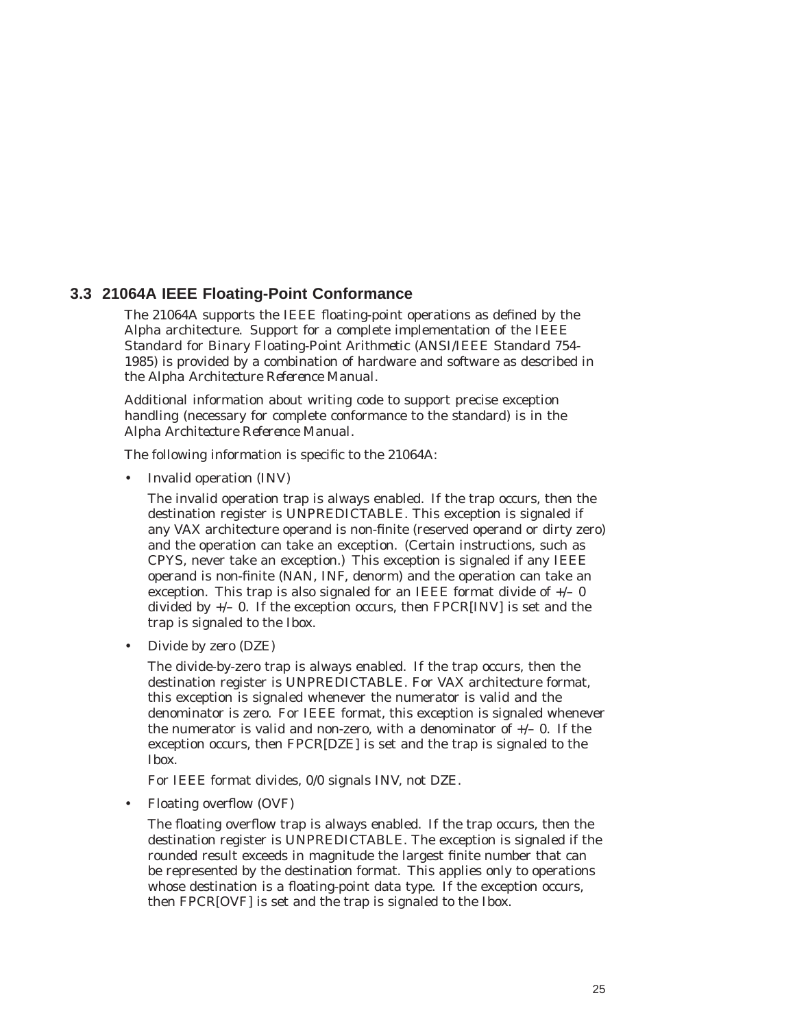### **3.3 21064A IEEE Floating-Point Conformance**

The 21064A supports the IEEE floating-point operations as defined by the Alpha architecture. Support for a complete implementation of the IEEE *Standard for Binary Floating-Point Arithmetic* (ANSI/IEEE Standard 754- 1985) is provided by a combination of hardware and software as described in the *Alpha Architecture Reference Manual*.

Additional information about writing code to support precise exception handling (necessary for complete conformance to the standard) is in the *Alpha Architecture Reference Manual*.

The following information is specific to the 21064A:

• Invalid operation (INV)

The invalid operation trap is always enabled. If the trap occurs, then the destination register is UNPREDICTABLE. This exception is signaled if any VAX architecture operand is non-finite (reserved operand or dirty zero) and the operation can take an exception. (Certain instructions, such as CPYS, never take an exception.) This exception is signaled if any IEEE operand is non-finite (NAN, INF, denorm) and the operation can take an exception. This trap is also signaled for an IEEE format divide of  $+/- 0$ divided by  $+/-$  0. If the exception occurs, then FPCR[INV] is set and the trap is signaled to the Ibox.

• Divide by zero (DZE)

The divide-by-zero trap is always enabled. If the trap occurs, then the destination register is UNPREDICTABLE. For VAX architecture format, this exception is signaled whenever the numerator is valid and the denominator is zero. For IEEE format, this exception is signaled whenever the numerator is valid and non-zero, with a denominator of  $+/-$  0. If the exception occurs, then FPCR[DZE] is set and the trap is signaled to the Ibox.

For IEEE format divides, 0/0 signals INV, not DZE.

• Floating overflow (OVF)

The floating overflow trap is always enabled. If the trap occurs, then the destination register is UNPREDICTABLE. The exception is signaled if the rounded result exceeds in magnitude the largest finite number that can be represented by the destination format. This applies only to operations whose destination is a floating-point data type. If the exception occurs, then FPCR[OVF] is set and the trap is signaled to the Ibox.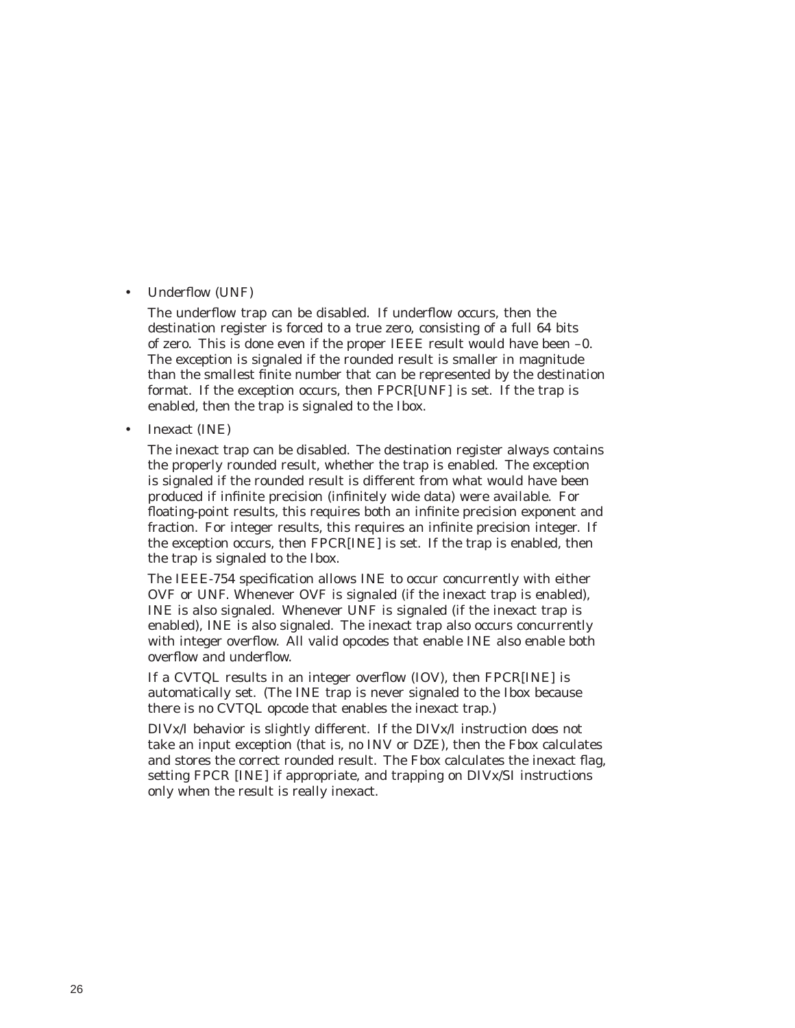#### • Underflow (UNF)

The underflow trap can be disabled. If underflow occurs, then the destination register is forced to a true zero, consisting of a full 64 bits of zero. This is done even if the proper IEEE result would have been –0. The exception is signaled if the rounded result is smaller in magnitude than the smallest finite number that can be represented by the destination format. If the exception occurs, then FPCR[UNF] is set. If the trap is enabled, then the trap is signaled to the Ibox.

• Inexact (INE)

The inexact trap can be disabled. The destination register always contains the properly rounded result, whether the trap is enabled. The exception is signaled if the rounded result is different from what would have been produced if infinite precision (infinitely wide data) were available. For floating-point results, this requires both an infinite precision exponent and fraction. For integer results, this requires an infinite precision integer. If the exception occurs, then FPCR[INE] is set. If the trap is enabled, then the trap is signaled to the Ibox.

The IEEE-754 specification allows INE to occur concurrently with either OVF or UNF. Whenever OVF is signaled (if the inexact trap is enabled), INE is also signaled. Whenever UNF is signaled (if the inexact trap is enabled), INE is also signaled. The inexact trap also occurs concurrently with integer overflow. All valid opcodes that enable INE also enable both overflow and underflow.

If a CVTQL results in an integer overflow (IOV), then FPCR[INE] is automatically set. (The INE trap is never signaled to the Ibox because there is no CVTQL opcode that enables the inexact trap.)

DIVx/I behavior is slightly different. If the DIVx/I instruction does not take an input exception (that is, no INV or DZE), then the Fbox calculates and stores the correct rounded result. The Fbox calculates the inexact flag, setting FPCR [INE] if appropriate, and trapping on DIVx/SI instructions only when the result is really inexact.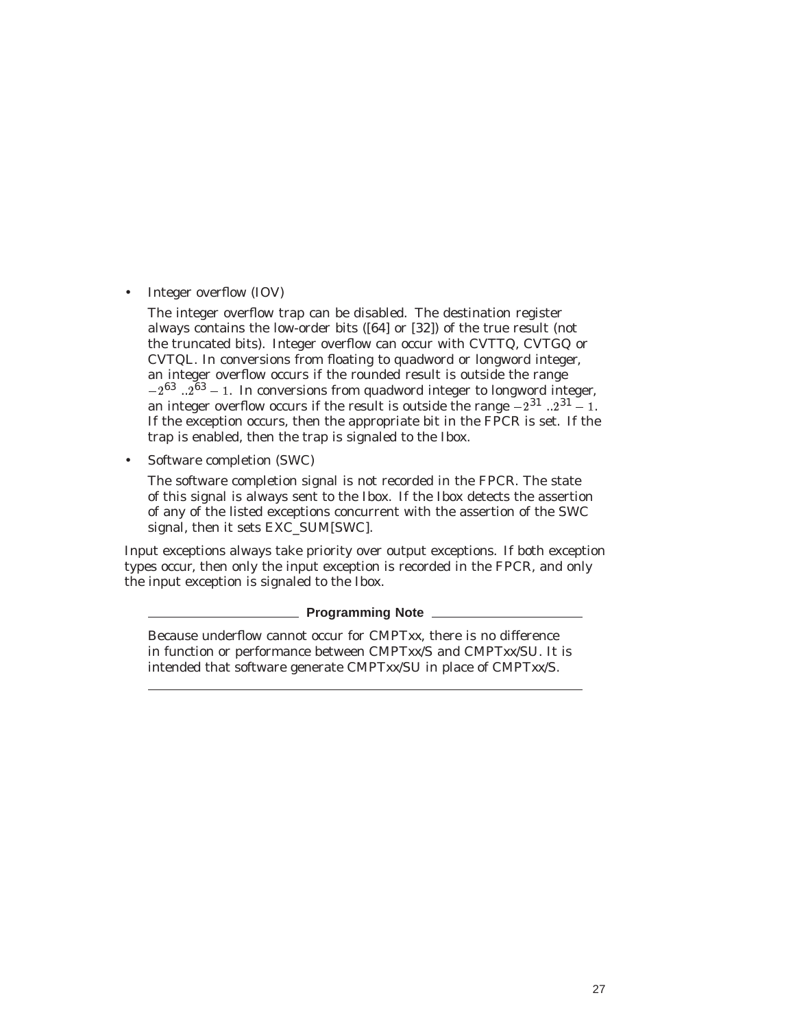• Integer overflow (IOV)

The integer overflow trap can be disabled. The destination register always contains the low-order bits ([64] or [32]) of the true result (not the truncated bits). Integer overflow can occur with CVTTQ, CVTGQ or CVTQL. In conversions from floating to quadword or longword integer, an integer overflow occurs if the rounded result is outside the range  $-2^{63}$   $\ldots$   $2^{63}$  – 1. In conversions from quadword integer to longword integer, an integer overflow occurs if the result is outside the range  $-2^{31}$  ...  $2^{31}$  – 1. If the exception occurs, then the appropriate bit in the FPCR is set. If the trap is enabled, then the trap is signaled to the Ibox.

• Software completion (SWC)

The software completion signal is not recorded in the FPCR. The state of this signal is always sent to the Ibox. If the Ibox detects the assertion of any of the listed exceptions concurrent with the assertion of the SWC signal, then it sets EXC\_SUM[SWC].

Input exceptions always take priority over output exceptions. If both exception types occur, then only the input exception is recorded in the FPCR, and only the input exception is signaled to the Ibox.

#### **Programming Note**

Because underflow cannot occur for CMPT*xx*, there is no difference in function or performance between CMPT*xx*/S and CMPT*xx*/SU. It is intended that software generate CMPT*xx*/SU in place of CMPT*xx*/S.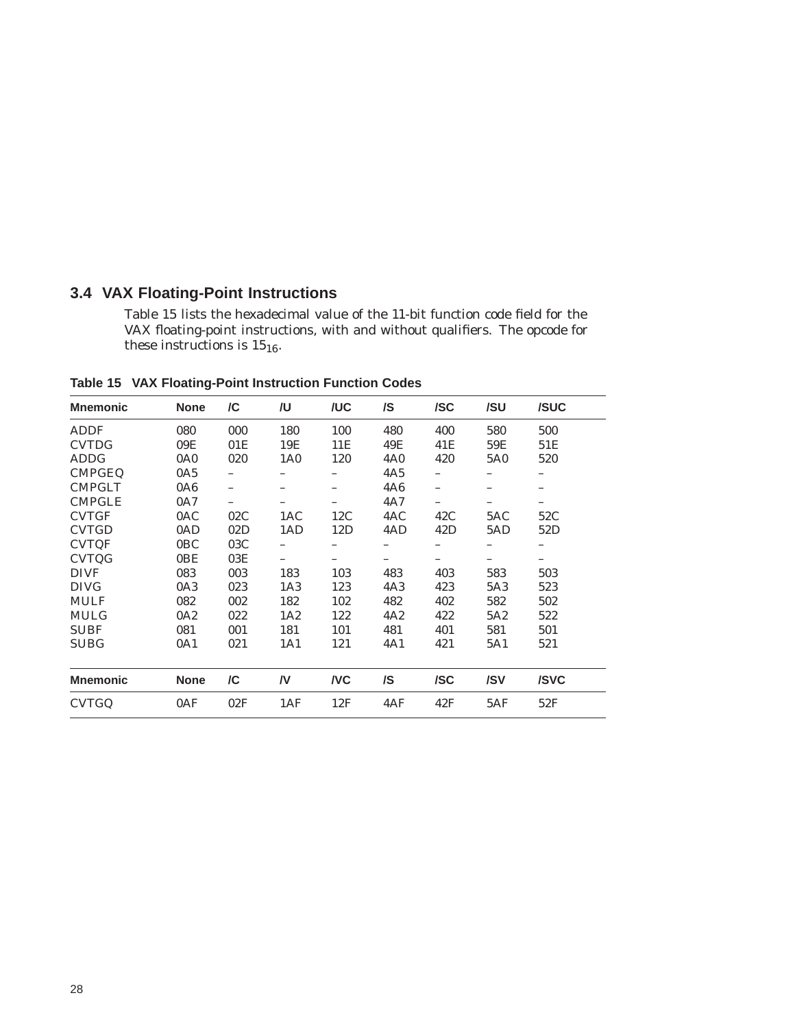### **3.4 VAX Floating-Point Instructions**

Table 15 lists the hexadecimal value of the 11-bit function code field for the VAX floating-point instructions, with and without qualifiers. The opcode for these instructions is  $15_{16}$ .

| <b>Mnemonic</b> | <b>None</b>     | /C  | /U              | /UC       | /S         | /SC | /SU | /SUC |
|-----------------|-----------------|-----|-----------------|-----------|------------|-----|-----|------|
| <b>ADDF</b>     | 080             | 000 | 180             | 100       | 480        | 400 | 580 | 500  |
| <b>CVTDG</b>    | 09E             | 01E | 19E             | 11E       | 49E        | 41E | 59E | 51E  |
| <b>ADDG</b>     | 0A <sub>0</sub> | 020 | 1A <sub>0</sub> | 120       | <b>4A0</b> | 420 | 5A0 | 520  |
| <b>CMPGEQ</b>   | 0A5             |     |                 |           | 4A5        |     |     |      |
| <b>CMPGLT</b>   | 0A6             |     |                 |           | <b>4A6</b> | —   |     |      |
| <b>CMPGLE</b>   | 0A7             |     |                 |           | 4A7        |     |     |      |
| <b>CVTGF</b>    | 0AC             | 02C | 1AC             | 12C       | 4AC        | 42C | 5AC | 52C  |
| <b>CVTGD</b>    | 0AD             | 02D | 1AD             | 12D       | 4AD        | 42D | 5AD | 52D  |
| <b>CVTQF</b>    | 0BC             | 03C |                 |           | -          |     |     | —    |
| <b>CVTQG</b>    | 0BE             | 03E |                 | -         | -          |     |     |      |
| <b>DIVF</b>     | 083             | 003 | 183             | 103       | 483        | 403 | 583 | 503  |
| <b>DIVG</b>     | 0A3             | 023 | 1A <sub>3</sub> | 123       | 4A3        | 423 | 5A3 | 523  |
| <b>MULF</b>     | 082             | 002 | 182             | 102       | 482        | 402 | 582 | 502  |
| <b>MULG</b>     | 0A2             | 022 | 1A2             | 122       | 4A2        | 422 | 5A2 | 522  |
| <b>SUBF</b>     | 081             | 001 | 181             | 101       | 481        | 401 | 581 | 501  |
| <b>SUBG</b>     | 0A1             | 021 | 1A1             | 121       | 4A1        | 421 | 5A1 | 521  |
|                 |                 |     |                 |           |            |     |     |      |
| <b>Mnemonic</b> | <b>None</b>     | /C  | /V              | <b>NC</b> | /S         | /SC | /SV | /SVC |
| <b>CVTGQ</b>    | 0AF             | 02F | 1AF             | 12F       | 4AF        | 42F | 5AF | 52F  |

**Table 15 VAX Floating-Point Instruction Function Codes**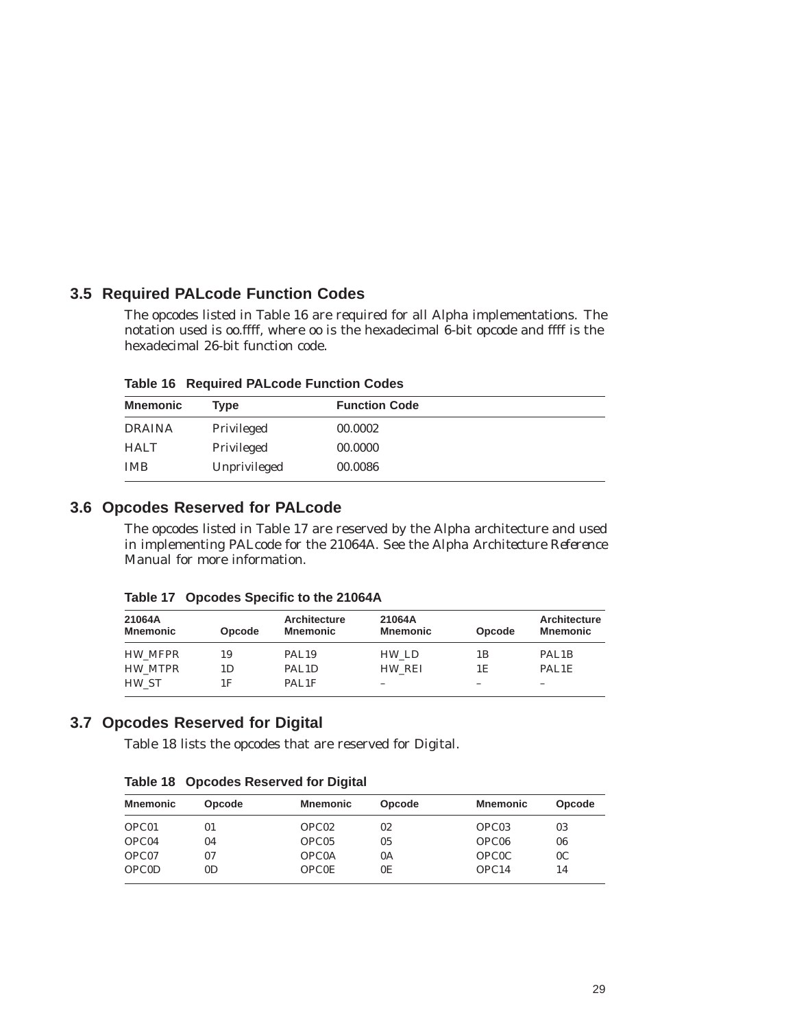# **3.5 Required PALcode Function Codes**

The opcodes listed in Table 16 are required for all Alpha implementations. The notation used is oo.ffff, where oo is the hexadecimal 6-bit opcode and ffff is the hexadecimal 26-bit function code.

|  | <b>Table 16 Required PALcode Function Codes</b> |  |
|--|-------------------------------------------------|--|
|--|-------------------------------------------------|--|

| <b>Mnemonic</b> | Tvpe         | <b>Function Code</b> |  |
|-----------------|--------------|----------------------|--|
| <b>DRAINA</b>   | Privileged   | 00.0002              |  |
| <b>HALT</b>     | Privileged   | 00.0000              |  |
| <b>IMB</b>      | Unprivileged | 00.0086              |  |

# **3.6 Opcodes Reserved for PALcode**

The opcodes listed in Table 17 are reserved by the Alpha architecture and used in implementing PALcode for the 21064A. See the *Alpha Architecture Reference Manual* for more information.

| 21064A<br><b>Mnemonic</b> | Opcode | <b>Architecture</b><br><b>Mnemonic</b> | 21064A<br><b>Mnemonic</b> | Opcode | Architecture<br><b>Mnemonic</b> |
|---------------------------|--------|----------------------------------------|---------------------------|--------|---------------------------------|
| <b>HW MFPR</b>            | 19     | PAL <sub>19</sub>                      | HW LD                     | 1Β     | PAL <sub>1</sub> B              |
| HW MTPR                   | 1D     | PAL <sub>1</sub> D                     | HW REI                    | 1Е     | PAL1E                           |
| HW ST                     | 1F     | PAL1F                                  | –                         |        |                                 |

**Table 17 Opcodes Specific to the 21064A**

# **3.7 Opcodes Reserved for Digital**

Table 18 lists the opcodes that are reserved for Digital.

**Table 18 Opcodes Reserved for Digital**

| Mnemonic     | Opcode         | <b>Mnemonic</b>   | Opcode | <b>Mnemonic</b>   | Opcode         |
|--------------|----------------|-------------------|--------|-------------------|----------------|
| OPC01        | 01             | OPC <sub>02</sub> | 02     | OPC <sub>03</sub> | 03             |
| OPC04        | 04             | OPC <sub>05</sub> | 05     | OPC <sub>06</sub> | 06             |
| OPC07        | 07             | OPC0A             | 0A     | <b>OPCOC</b>      | 0 <sup>C</sup> |
| <b>OPCOD</b> | 0 <sub>D</sub> | <b>OPCOE</b>      | 0E     | OPC <sub>14</sub> | 14             |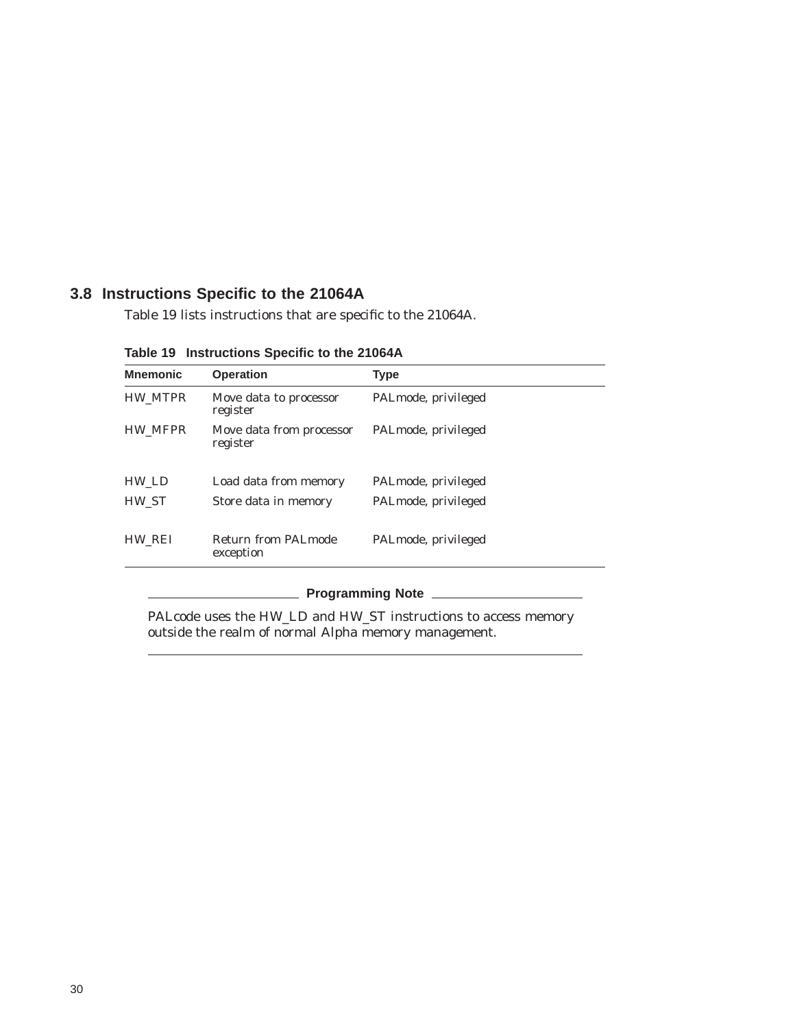# **3.8 Instructions Specific to the 21064A**

Table 19 lists instructions that are specific to the 21064A.

| <b>Mnemonic</b> | <b>Operation</b>                     | <b>Type</b>         |
|-----------------|--------------------------------------|---------------------|
| HW_MTPR         | Move data to processor<br>register   | PALmode, privileged |
| HW_MFPR         | Move data from processor<br>register | PALmode, privileged |
| HW LD           | Load data from memory                | PALmode, privileged |
| HW ST           | Store data in memory                 | PALmode, privileged |
| HW_REI          | Return from PALmode<br>exception     | PALmode, privileged |

**Table 19 Instructions Specific to the 21064A**

# **Programming Note**

PALcode uses the HW\_LD and HW\_ST instructions to access memory outside the realm of normal Alpha memory management.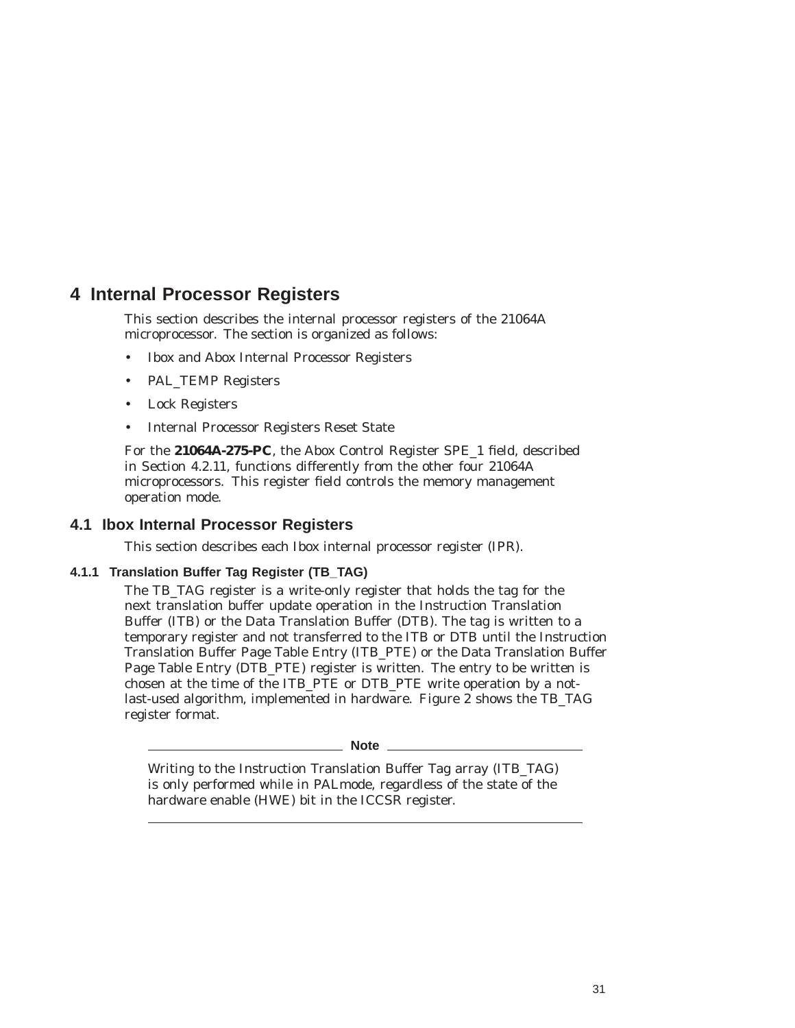# **4 Internal Processor Registers**

This section describes the internal processor registers of the 21064A microprocessor. The section is organized as follows:

- Ibox and Abox Internal Processor Registers
- PAL\_TEMP Registers
- Lock Registers
- Internal Processor Registers Reset State

For the **21064A-275-PC**, the Abox Control Register SPE\_1 field, described in Section 4.2.11, functions differently from the other four 21064A microprocessors. This register field controls the memory management operation mode.

# **4.1 Ibox Internal Processor Registers**

This section describes each Ibox internal processor register (IPR).

#### **4.1.1 Translation Buffer Tag Register (TB\_TAG)**

The TB\_TAG register is a write-only register that holds the tag for the next translation buffer update operation in the Instruction Translation Buffer (ITB) or the Data Translation Buffer (DTB). The tag is written to a temporary register and not transferred to the ITB or DTB until the Instruction Translation Buffer Page Table Entry (ITB\_PTE) or the Data Translation Buffer Page Table Entry (DTB\_PTE) register is written. The entry to be written is chosen at the time of the ITB\_PTE or DTB\_PTE write operation by a notlast-used algorithm, implemented in hardware. Figure 2 shows the TB\_TAG register format.

**Note**

Writing to the Instruction Translation Buffer Tag array (ITB\_TAG) is only performed while in PALmode, regardless of the state of the hardware enable (HWE) bit in the ICCSR register.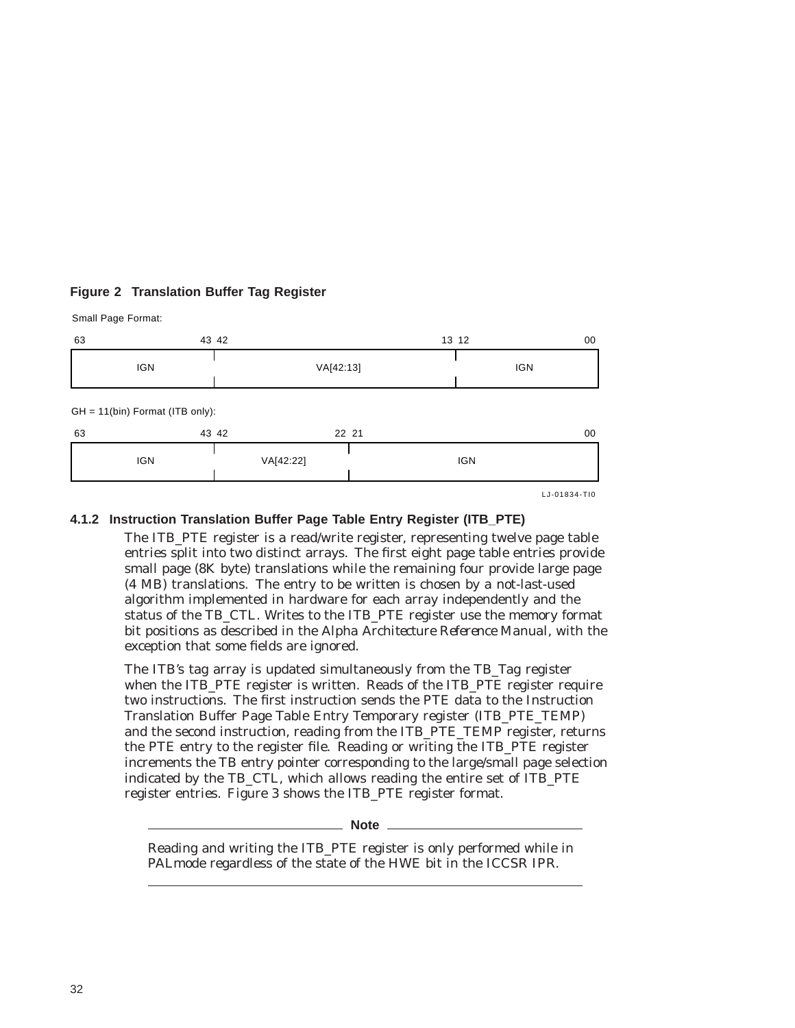# **Figure 2 Translation Buffer Tag Register**

Small Page Format:

| 63 |                                   | 43 42     |       | 13 12<br>00  |
|----|-----------------------------------|-----------|-------|--------------|
|    | <b>IGN</b>                        | VA[42:13] |       | <b>IGN</b>   |
|    | $GH = 11(bin)$ Format (ITB only): |           |       |              |
| 63 |                                   | 43 42     | 22 21 | 00           |
|    | <b>IGN</b>                        | VA[42:22] |       | <b>IGN</b>   |
|    |                                   |           |       | LJ-01834-TI0 |

## **4.1.2 Instruction Translation Buffer Page Table Entry Register (ITB\_PTE)**

The ITB\_PTE register is a read/write register, representing twelve page table entries split into two distinct arrays. The first eight page table entries provide small page (8K byte) translations while the remaining four provide large page (4 MB) translations. The entry to be written is chosen by a not-last-used algorithm implemented in hardware for each array independently and the status of the TB\_CTL. Writes to the ITB\_PTE register use the memory format bit positions as described in the *Alpha Architecture Reference Manual*, with the exception that some fields are ignored.

The ITB's tag array is updated simultaneously from the TB\_Tag register when the ITB\_PTE register is written. Reads of the ITB\_PTE register require two instructions. The first instruction sends the PTE data to the Instruction Translation Buffer Page Table Entry Temporary register (ITB\_PTE\_TEMP) and the second instruction, reading from the ITB\_PTE\_TEMP register, returns the PTE entry to the register file. Reading or writing the ITB\_PTE register increments the TB entry pointer corresponding to the large/small page selection indicated by the TB\_CTL, which allows reading the entire set of ITB\_PTE register entries. Figure 3 shows the ITB\_PTE register format.

**Note**

Reading and writing the ITB\_PTE register is only performed while in PALmode regardless of the state of the HWE bit in the ICCSR IPR.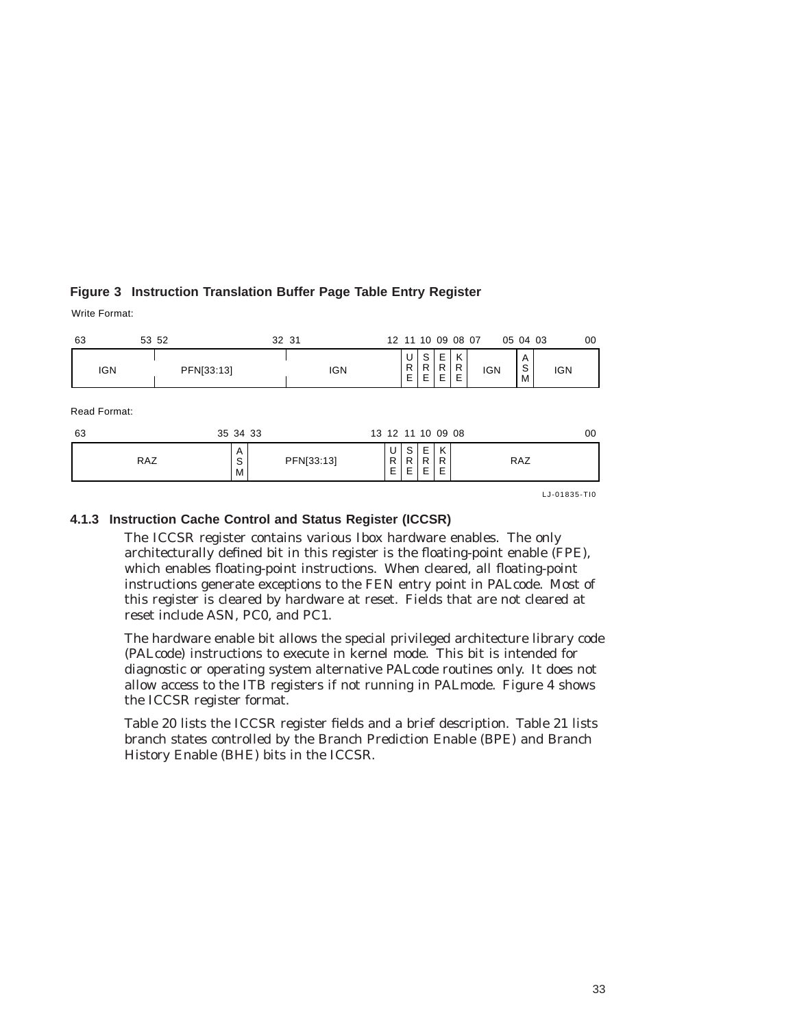# **Figure 3 Instruction Translation Buffer Page Table Entry Register**

Write Format:

| 63 | 53 52        |            |             | 32 31 |            |                   | 12 11 10 09 08 07 |              |             |             |            | 05 04 03    |              | 00 |
|----|--------------|------------|-------------|-------|------------|-------------------|-------------------|--------------|-------------|-------------|------------|-------------|--------------|----|
|    | <b>IGN</b>   | PFN[33:13] |             |       | <b>IGN</b> |                   | U<br>R<br>E.      | S<br>R<br>E  | Ε<br>R<br>Ε | Κ<br>R<br>Ε | <b>IGN</b> | Α<br>S<br>M | <b>IGN</b>   |    |
| 63 | Read Format: |            | 35 34 33    |       |            | 13 12 11 10 09 08 |                   |              |             |             |            |             |              | 00 |
|    | <b>RAZ</b>   |            | A<br>S<br>М |       | PFN[33:13] | U<br>R<br>E       | s l<br>R<br>ΕI    | Е<br>R<br>E. | K<br>R<br>Ε |             |            | <b>RAZ</b>  |              |    |
|    |              |            |             |       |            |                   |                   |              |             |             |            |             | LJ-01835-TI0 |    |

#### **4.1.3 Instruction Cache Control and Status Register (ICCSR)**

The ICCSR register contains various Ibox hardware enables. The only architecturally defined bit in this register is the floating-point enable (FPE), which enables floating-point instructions. When cleared, all floating-point instructions generate exceptions to the FEN entry point in PALcode. Most of this register is cleared by hardware at reset. Fields that are not cleared at reset include ASN, PC0, and PC1.

The hardware enable bit allows the special privileged architecture library code (PALcode) instructions to execute in kernel mode. This bit is intended for diagnostic or operating system alternative PALcode routines only. It does not allow access to the ITB registers if not running in PALmode. Figure 4 shows the ICCSR register format.

Table 20 lists the ICCSR register fields and a brief description. Table 21 lists branch states controlled by the Branch Prediction Enable (BPE) and Branch History Enable (BHE) bits in the ICCSR.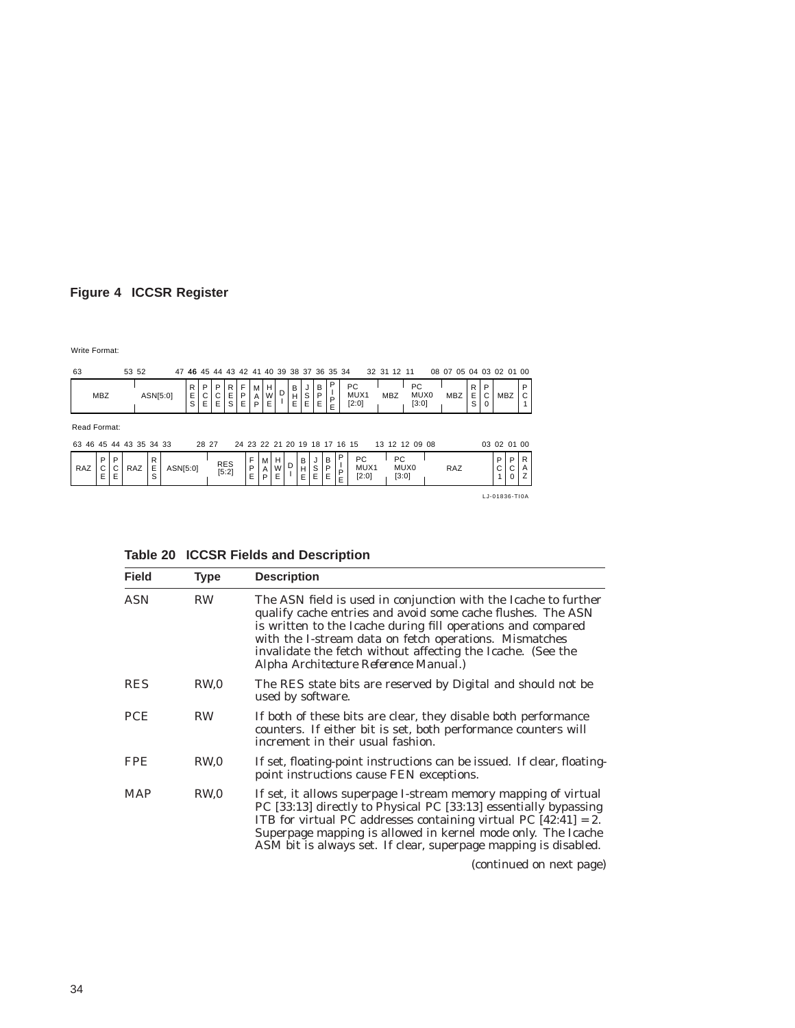# **Figure 4 ICCSR Register**

Write Format:

| 63                                      |             |             | 53 52 |             | 47       |               |             | 46 45 44 43 42 41 40 39 38 37 36 35 34 |                     |             |             |             |             |             |                  |                               |                       |             |                            |  | 32 31 12 11 |                            | 08 07 05 04 03 02 01 00 |              |             |               |             |        |
|-----------------------------------------|-------------|-------------|-------|-------------|----------|---------------|-------------|----------------------------------------|---------------------|-------------|-------------|-------------|-------------|-------------|------------------|-------------------------------|-----------------------|-------------|----------------------------|--|-------------|----------------------------|-------------------------|--------------|-------------|---------------|-------------|--------|
|                                         | <b>MBZ</b>  |             |       |             | ASN[5:0] | R I<br>E<br>S | P<br>C<br>E | P<br>C<br>E                            | R<br>Ε<br>S         | F<br>P<br>E | M<br>Α<br>P | н<br>W<br>E | D           | в<br>н<br>E | J<br>$rac{S}{E}$ | B<br>P<br>E                   | P<br>л.<br>$_{E}^{P}$ |             | PC<br>MUX1<br>[2:0]        |  | MBZ         | <b>PC</b><br>MUX0<br>[3:0] | <b>MBZ</b>              | R<br>E.<br>S | P<br>C<br>0 | <b>MBZ</b>    |             | Р      |
| Read Format:<br>63 46 45 44 43 35 34 33 |             |             |       |             |          |               | 28 27       |                                        |                     |             |             |             |             |             |                  | 24 23 22 21 20 19 18 17 16 15 |                       |             |                            |  |             | 13 12 12 09 08             |                         |              |             | 03 02 01 00   |             |        |
| RAZ                                     | P<br>C<br>E | P<br>С<br>E | RAZ   | R<br>Е<br>S | ASN[5:0] |               |             |                                        | <b>RES</b><br>[5:2] |             | F<br>P<br>E | M<br>A<br>P | H<br>W<br>E | D           | B<br>Н<br>Е      | S<br>E                        | B<br>P<br>E           | P<br>P<br>Е | <b>PC</b><br>MUX1<br>[2:0] |  | PC<br>[3:0] | MUX0                       | RAZ                     |              |             | P<br>С        | P<br>С<br>0 | R<br>Α |
|                                         |             |             |       |             |          |               |             |                                        |                     |             |             |             |             |             |                  |                               |                       |             |                            |  |             |                            |                         |              |             | LJ-01836-TI0A |             |        |

| LJ-01836-TIO |  |  |
|--------------|--|--|

| Table 20 ICCSR Fields and Description |  |
|---------------------------------------|--|
|---------------------------------------|--|

| <b>Field</b> | <b>Type</b>     | <b>Description</b>                                                                                                                                                                                                                                                                                                                                                                                                                                             |
|--------------|-----------------|----------------------------------------------------------------------------------------------------------------------------------------------------------------------------------------------------------------------------------------------------------------------------------------------------------------------------------------------------------------------------------------------------------------------------------------------------------------|
| <b>ASN</b>   | <b>RW</b>       | The ASN field is used in conjunction with the Icache to further<br>qualify cache entries and avoid some cache flushes. The ASN<br>is written to the Icache during fill operations and compared<br>with the I-stream data on fetch operations. Mismatches<br>invalidate the fetch without affecting the Icache. (See the<br>Alpha Architecture Reference Manual.)                                                                                               |
| <b>RES</b>   | RW,0            | The RES state bits are reserved by Digital and should not be<br>used by software.                                                                                                                                                                                                                                                                                                                                                                              |
| PCE          | <b>RW</b>       | If both of these bits are clear, they disable both performance<br>counters. If either bit is set, both performance counters will<br>increment in their usual fashion.                                                                                                                                                                                                                                                                                          |
| <b>FPE</b>   | RW <sub>0</sub> | If set, floating-point instructions can be issued. If clear, floating-<br>point instructions cause FEN exceptions.                                                                                                                                                                                                                                                                                                                                             |
| <b>MAP</b>   | RW <sub>0</sub> | If set, it allows superpage I-stream memory mapping of virtual<br>PC [33:13] directly to Physical PC [33:13] essentially bypassing<br>ITB for virtual PC addresses containing virtual PC $[42:41] = 2$ .<br>Superpage mapping is allowed in kernel mode only. The Icache<br>ASM bit is always set. If clear, superpage mapping is disabled.<br>the contract of the contract of the contract of the contract of the contract of the contract of the contract of |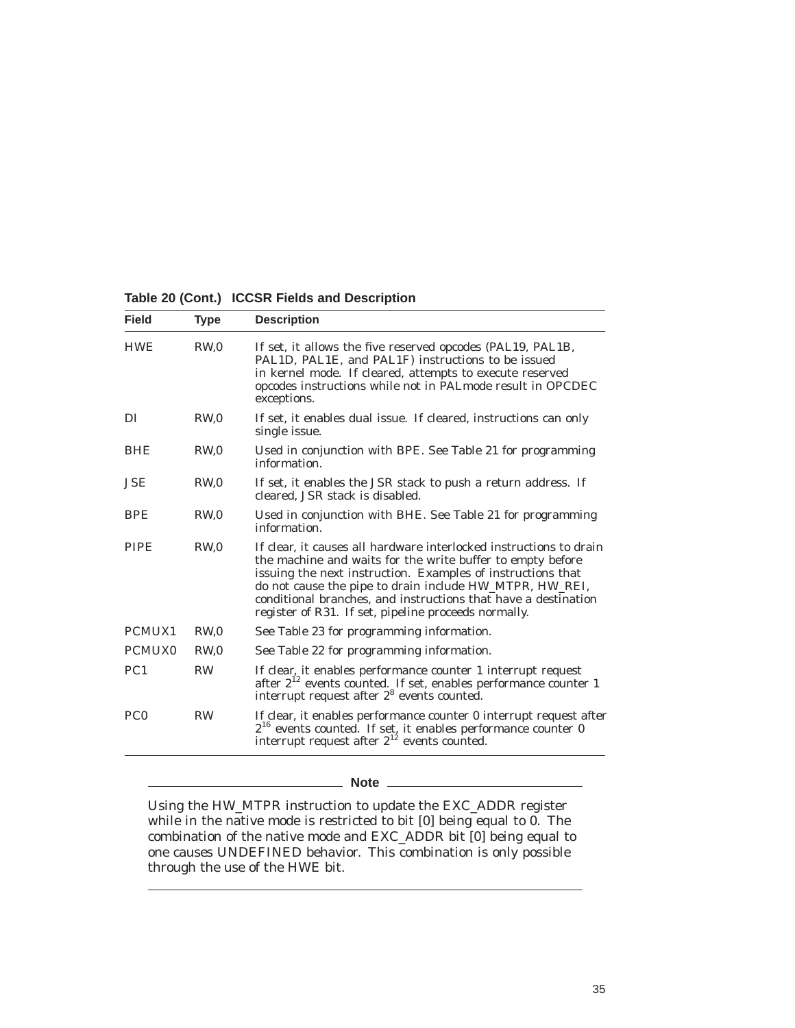**Table 20 (Cont.) ICCSR Fields and Description**

| <b>Field</b>       | <b>Type</b>     | <b>Description</b>                                                                                                                                                                                                                                                                                                                                                                   |
|--------------------|-----------------|--------------------------------------------------------------------------------------------------------------------------------------------------------------------------------------------------------------------------------------------------------------------------------------------------------------------------------------------------------------------------------------|
| <b>HWE</b>         | RW <sub>0</sub> | If set, it allows the five reserved opcodes (PAL19, PAL1B,<br>PAL1D, PAL1E, and PAL1F) instructions to be issued<br>in kernel mode. If cleared, attempts to execute reserved<br>opcodes instructions while not in PAL mode result in OPCDEC<br>exceptions.                                                                                                                           |
| DI                 | RW <sub>0</sub> | If set, it enables dual issue. If cleared, instructions can only<br>single issue.                                                                                                                                                                                                                                                                                                    |
| <b>BHE</b>         | RW <sub>0</sub> | Used in conjunction with BPE. See Table 21 for programming<br>information.                                                                                                                                                                                                                                                                                                           |
| <b>JSE</b>         | RW <sub>0</sub> | If set, it enables the JSR stack to push a return address. If<br>cleared. JSR stack is disabled.                                                                                                                                                                                                                                                                                     |
| <b>BPE</b>         | RW <sub>0</sub> | Used in conjunction with BHE. See Table 21 for programming<br>information.                                                                                                                                                                                                                                                                                                           |
| <b>PIPE</b>        | RW.0            | If clear, it causes all hardware interlocked instructions to drain<br>the machine and waits for the write buffer to empty before<br>issuing the next instruction. Examples of instructions that<br>do not cause the pipe to drain include HW_MTPR, HW_REI,<br>conditional branches, and instructions that have a destination<br>register of R31. If set, pipeline proceeds normally. |
| PCMUX1             | RW <sub>0</sub> | See Table 23 for programming information.                                                                                                                                                                                                                                                                                                                                            |
| PCMUX <sub>0</sub> | RW <sub>0</sub> | See Table 22 for programming information.                                                                                                                                                                                                                                                                                                                                            |
| PC <sub>1</sub>    | <b>RW</b>       | If clear, it enables performance counter 1 interrupt request<br>after 2 <sup>12</sup> events counted. If set, enables performance counter 1<br>interrupt request after $28$ events counted.                                                                                                                                                                                          |
| PC <sub>0</sub>    | <b>RW</b>       | If clear, it enables performance counter 0 interrupt request after<br>$2^{16}$ events counted. If set, it enables performance counter 0<br>interrupt request after $2^{12}$ events counted.                                                                                                                                                                                          |

#### \_ Note \_\_

Using the HW\_MTPR instruction to update the EXC\_ADDR register while in the native mode is restricted to bit [0] being equal to 0. The combination of the native mode and EXC\_ADDR bit [0] being equal to one causes UNDEFINED behavior. This combination is only possible through the use of the HWE bit.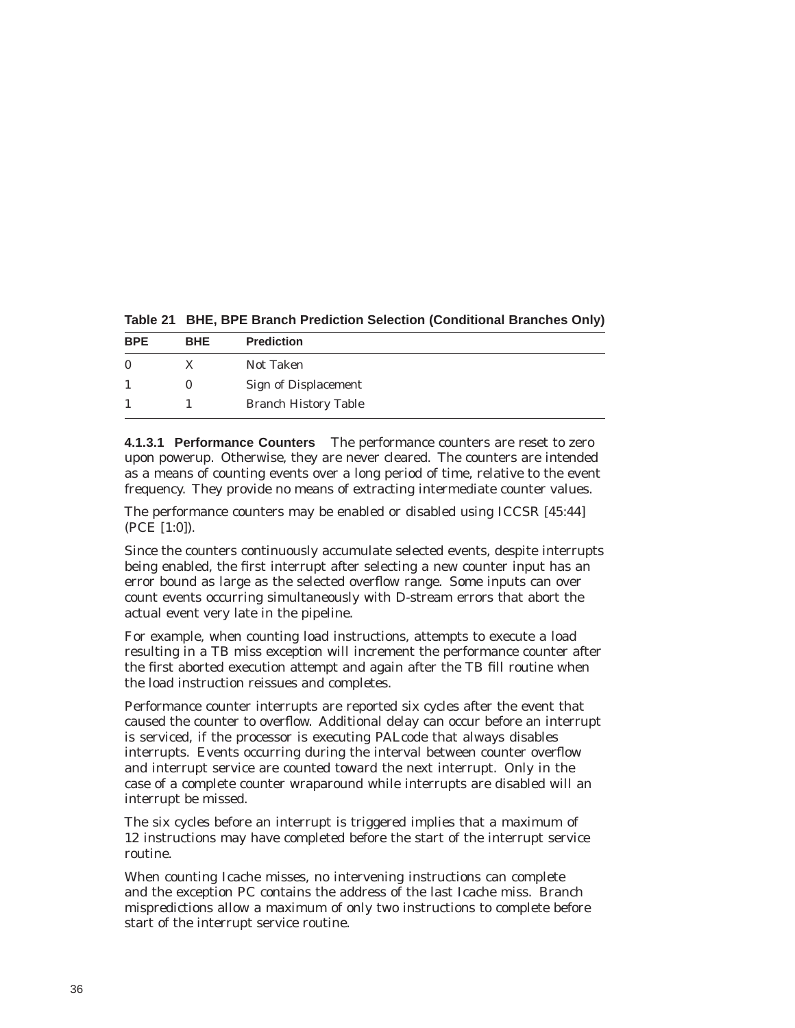| <b>BPE</b> | <b>BHE</b> | <b>Prediction</b>           |
|------------|------------|-----------------------------|
| $\Omega$   | X          | Not Taken                   |
|            |            | <b>Sign of Displacement</b> |
|            |            | <b>Branch History Table</b> |

**Table 21 BHE, BPE Branch Prediction Selection (Conditional Branches Only)**

**4.1.3.1 Performance Counters** The performance counters are reset to zero upon powerup. Otherwise, they are never cleared. The counters are intended as a means of counting events over a long period of time, relative to the event frequency. They provide no means of extracting intermediate counter values.

The performance counters may be enabled or disabled using ICCSR [45:44] (PCE [1:0]).

Since the counters continuously accumulate selected events, despite interrupts being enabled, the first interrupt after selecting a new counter input has an error bound as large as the selected overflow range. Some inputs can over count events occurring simultaneously with D-stream errors that abort the actual event very late in the pipeline.

For example, when counting load instructions, attempts to execute a load resulting in a TB miss exception will increment the performance counter after the first aborted execution attempt and again after the TB fill routine when the load instruction reissues and completes.

Performance counter interrupts are reported six cycles after the event that caused the counter to overflow. Additional delay can occur before an interrupt is serviced, if the processor is executing PALcode that always disables interrupts. Events occurring during the interval between counter overflow and interrupt service are counted toward the next interrupt. Only in the case of a complete counter wraparound while interrupts are disabled will an interrupt be missed.

The six cycles before an interrupt is triggered implies that a maximum of 12 instructions may have completed before the start of the interrupt service routine.

When counting Icache misses, no intervening instructions can complete and the exception PC contains the address of the last Icache miss. Branch mispredictions allow a maximum of only two instructions to complete before start of the interrupt service routine.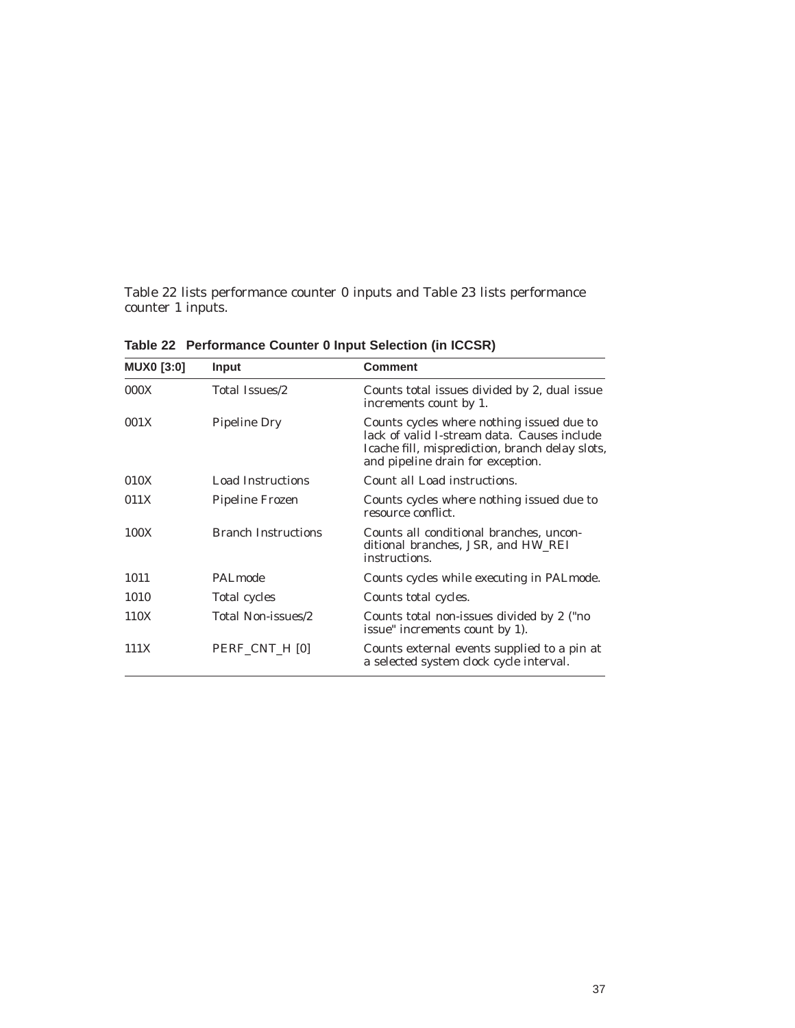Table 22 lists performance counter 0 inputs and Table 23 lists performance counter 1 inputs.

| <b>MUX0 [3:0]</b> | <b>Input</b>               | <b>Comment</b>                                                                                                                                                                   |
|-------------------|----------------------------|----------------------------------------------------------------------------------------------------------------------------------------------------------------------------------|
| 000X              | Total Issues/2             | Counts total issues divided by 2, dual issue<br>increments count by 1.                                                                                                           |
| 001X              | <b>Pipeline Dry</b>        | Counts cycles where nothing issued due to<br>lack of valid I-stream data. Causes include<br>Icache fill, misprediction, branch delay slots,<br>and pipeline drain for exception. |
| 010X              | Load Instructions          | Count all Load instructions.                                                                                                                                                     |
| 011X              | Pipeline Frozen            | Counts cycles where nothing issued due to<br>resource conflict.                                                                                                                  |
| 100X              | <b>Branch Instructions</b> | Counts all conditional branches, uncon-<br>ditional branches, JSR, and HW_REI<br>instructions.                                                                                   |
| 1011              | PALmode                    | Counts cycles while executing in PAL mode.                                                                                                                                       |
| 1010              | Total cycles               | Counts total cycles.                                                                                                                                                             |
| 110X              | Total Non-issues/2         | Counts total non-issues divided by 2 ("no<br>issue" increments count by 1).                                                                                                      |
| 111X              | PERF CNT H [0]             | Counts external events supplied to a pin at<br>a selected system clock cycle interval.                                                                                           |

**Table 22 Performance Counter 0 Input Selection (in ICCSR)**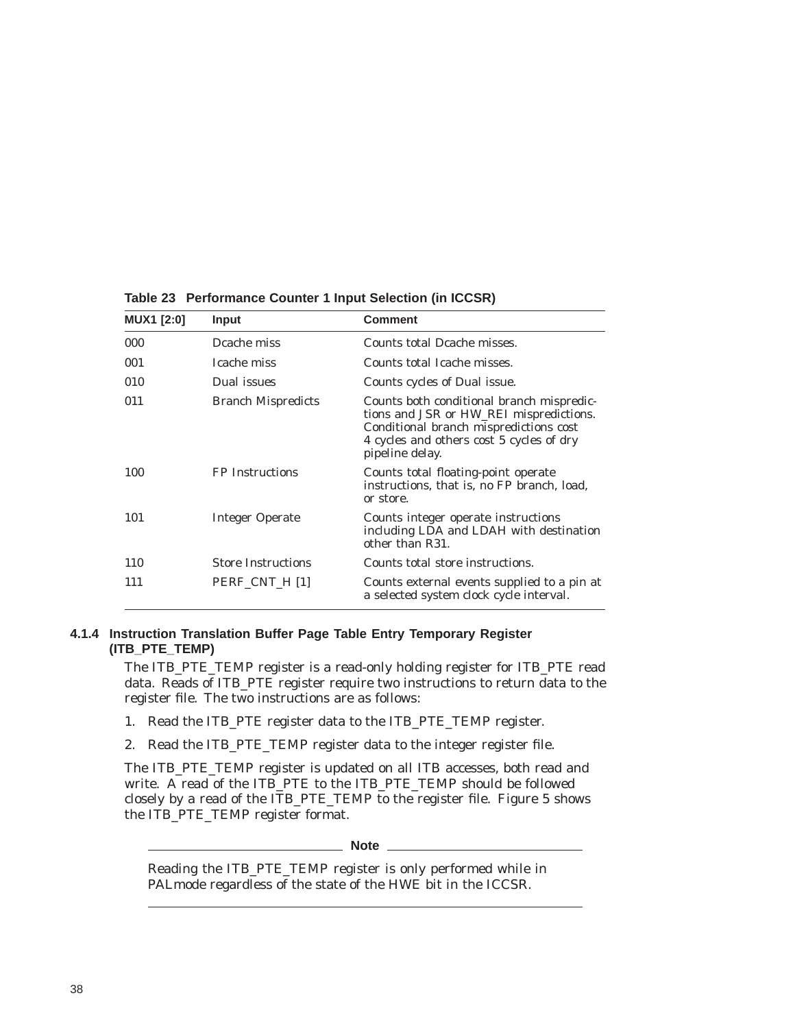| <b>MUX1 [2:0]</b> | <b>Input</b>              | <b>Comment</b>                                                                                                                                                                                |
|-------------------|---------------------------|-----------------------------------------------------------------------------------------------------------------------------------------------------------------------------------------------|
| 000               | Dcache miss               | Counts total Deache misses.                                                                                                                                                                   |
| 001               | Icache miss               | Counts total Icache misses.                                                                                                                                                                   |
| 010               | Dual issues               | Counts cycles of Dual issue.                                                                                                                                                                  |
| 011               | <b>Branch Mispredicts</b> | Counts both conditional branch mispredic-<br>tions and JSR or HW_REI mispredictions.<br>Conditional branch mispredictions cost<br>4 cycles and others cost 5 cycles of dry<br>pipeline delay. |
| 100               | <b>FP</b> Instructions    | Counts total floating-point operate<br>instructions, that is, no FP branch, load,<br>or store.                                                                                                |
| 101               | <b>Integer Operate</b>    | Counts integer operate instructions<br>including LDA and LDAH with destination<br>other than R31.                                                                                             |
| 110               | <b>Store Instructions</b> | Counts total store instructions.                                                                                                                                                              |
| 111               | PERF CNT H [1]            | Counts external events supplied to a pin at<br>a selected system clock cycle interval.                                                                                                        |

**Table 23 Performance Counter 1 Input Selection (in ICCSR)**

#### **4.1.4 Instruction Translation Buffer Page Table Entry Temporary Register (ITB\_PTE\_TEMP)**

The ITB\_PTE\_TEMP register is a read-only holding register for ITB\_PTE read data. Reads of ITB\_PTE register require two instructions to return data to the register file. The two instructions are as follows:

- 1. Read the ITB\_PTE register data to the ITB\_PTE\_TEMP register.
- 2. Read the ITB\_PTE\_TEMP register data to the integer register file.

The ITB\_PTE\_TEMP register is updated on all ITB accesses, both read and write. A read of the ITB\_PTE to the ITB\_PTE\_TEMP should be followed closely by a read of the ITB\_PTE\_TEMP to the register file. Figure 5 shows the ITB\_PTE\_TEMP register format.

**Note**

Reading the ITB\_PTE\_TEMP register is only performed while in PALmode regardless of the state of the HWE bit in the ICCSR.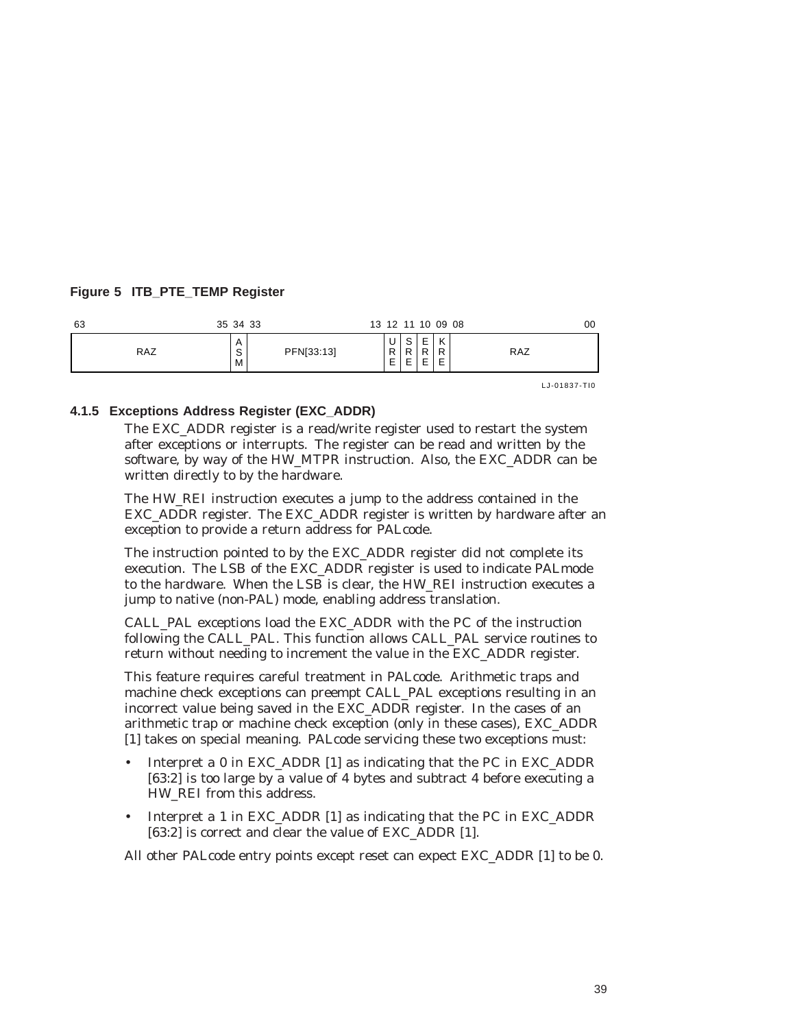# **Figure 5 ITB\_PTE\_TEMP Register**

| 63         | 35 34 33              |            |             |                       |                | 13 12 11 10 09 08 | 00         |
|------------|-----------------------|------------|-------------|-----------------------|----------------|-------------------|------------|
| <b>RAZ</b> | A<br>$\sim$<br>o<br>M | PFN[33:13] | u<br>D<br>– | S<br>ם<br>-<br>⊢<br>_ | $\overline{ }$ | K<br>R<br>E       | <b>RAZ</b> |

LJ-01837-TI0

#### **4.1.5 Exceptions Address Register (EXC\_ADDR)**

The EXC\_ADDR register is a read/write register used to restart the system after exceptions or interrupts. The register can be read and written by the software, by way of the HW\_MTPR instruction. Also, the EXC\_ADDR can be written directly to by the hardware.

The HW\_REI instruction executes a jump to the address contained in the EXC\_ADDR register. The EXC\_ADDR register is written by hardware after an exception to provide a return address for PALcode.

The instruction pointed to by the EXC\_ADDR register did not complete its execution. The LSB of the EXC\_ADDR register is used to indicate PALmode to the hardware. When the LSB is clear, the HW\_REI instruction executes a jump to native (non-PAL) mode, enabling address translation.

CALL\_PAL exceptions load the EXC\_ADDR with the PC of the instruction following the CALL\_PAL. This function allows CALL\_PAL service routines to return without needing to increment the value in the EXC\_ADDR register.

This feature requires careful treatment in PALcode. Arithmetic traps and machine check exceptions can preempt CALL\_PAL exceptions resulting in an incorrect value being saved in the EXC\_ADDR register. In the cases of an arithmetic trap or machine check exception (only in these cases), EXC\_ADDR [1] takes on special meaning. PALcode servicing these two exceptions must:

- Interpret a 0 in EXC\_ADDR [1] as indicating that the PC in EXC\_ADDR [63:2] is too large by a value of 4 bytes and subtract 4 before executing a HW\_REI from this address.
- Interpret a 1 in EXC\_ADDR [1] as indicating that the PC in EXC\_ADDR [63:2] is correct and clear the value of EXC\_ADDR [1].

All other PALcode entry points except reset can expect EXC\_ADDR [1] to be 0.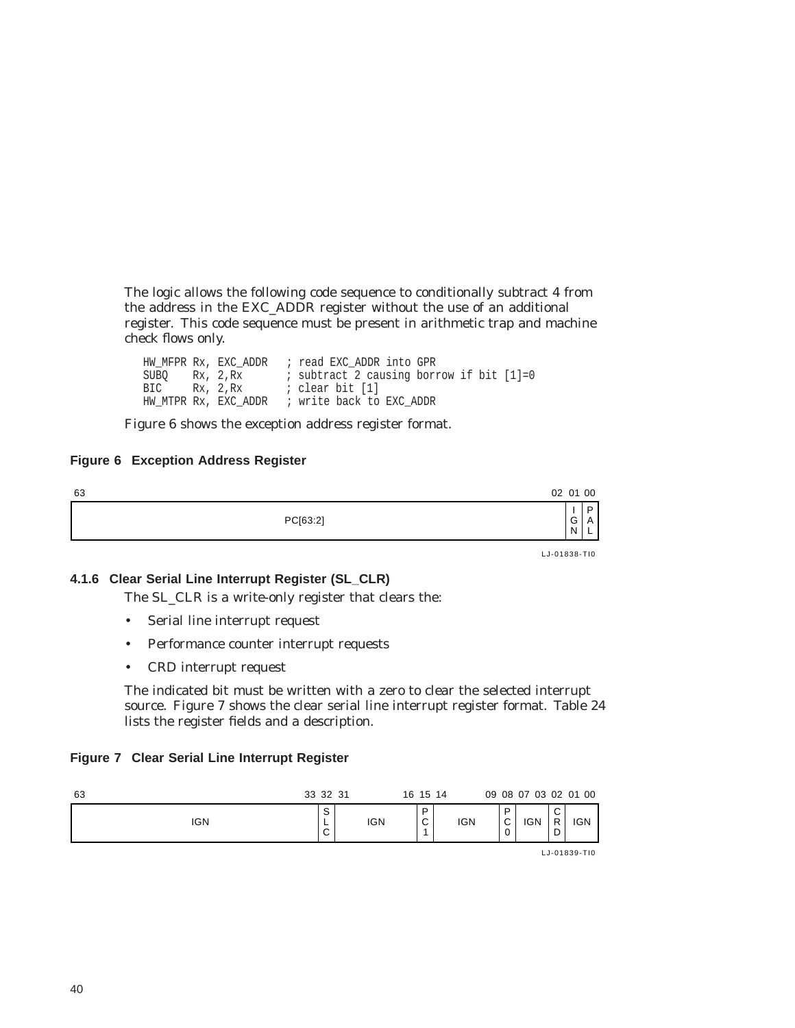The logic allows the following code sequence to conditionally subtract 4 from the address in the EXC\_ADDR register without the use of an additional register. This code sequence must be present in arithmetic trap and machine check flows only.

HW\_MFPR Rx, EXC\_ADDR ; read EXC\_ADDR into GPR SUBQ Rx, 2,Rx ; subtract 2 causing borrow if bit [1]=0 BIC Rx, 2,Rx ; clear bit [1] HW\_MTPR Rx, EXC\_ADDR ; write back to EXC\_ADDR

Figure 6 shows the exception address register format.

## **Figure 6 Exception Address Register**

| 63       | 02 01 00 |   |             |
|----------|----------|---|-------------|
| PC[63:2] |          | G | D<br>Α<br>– |
|          |          |   |             |

# **4.1.6 Clear Serial Line Interrupt Register (SL\_CLR)**

The SL\_CLR is a write-only register that clears the:

- Serial line interrupt request
- Performance counter interrupt requests
- CRD interrupt request

The indicated bit must be written with a zero to clear the selected interrupt source. Figure 7 shows the clear serial line interrupt register format. Table 24 lists the register fields and a description.

#### **Figure 7 Clear Serial Line Interrupt Register**

| 63         | 33 32 31              |            | 16 15 14         |            |                       | 09 08 07 03 02 01 00 |                            |            |
|------------|-----------------------|------------|------------------|------------|-----------------------|----------------------|----------------------------|------------|
| <b>IGN</b> | S<br>┕<br>$\sim$<br>◡ | <b>IGN</b> | D<br>$\sim$<br>◡ | <b>IGN</b> | D<br>$\sim$<br>ັ<br>0 | <b>IGN</b>           | $\sim$<br>◡<br>D<br>-<br>◡ | <b>IGN</b> |
|            |                       |            |                  |            |                       |                      |                            |            |

LJ-01839-TI0

LJ-01838-TI0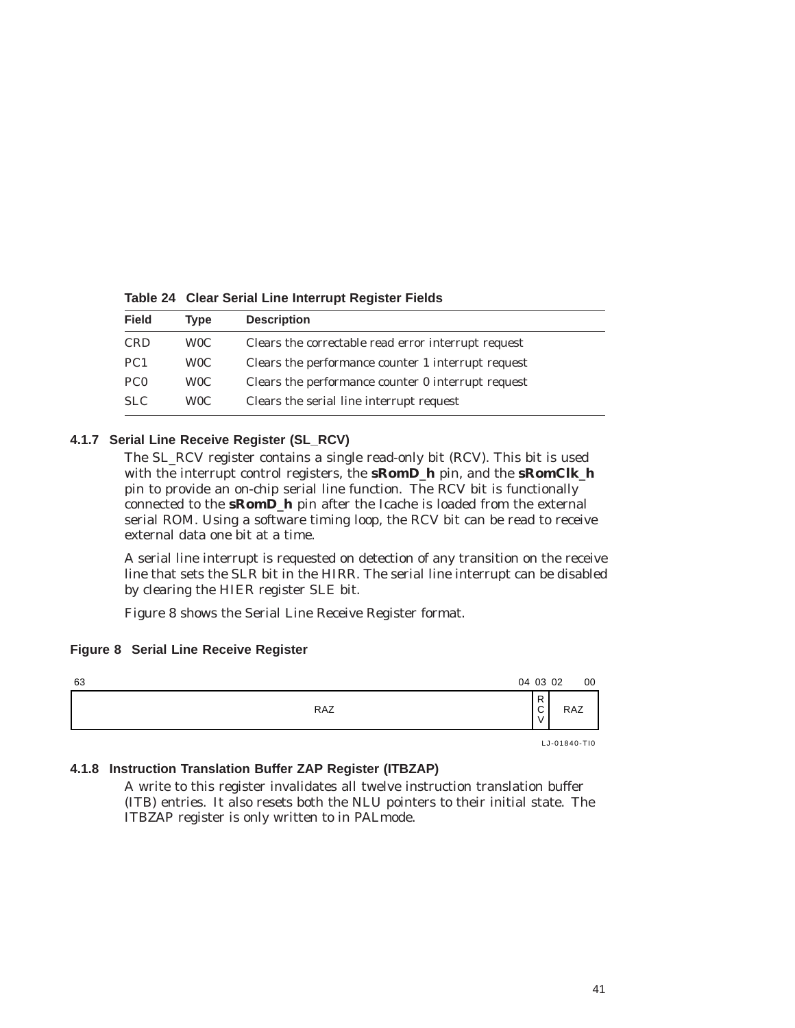| <b>Field</b>    | Type             | <b>Description</b>                                  |
|-----------------|------------------|-----------------------------------------------------|
| <b>CRD</b>      | W <sub>0</sub> C | Clears the correctable read error interrupt request |
| PC <sub>1</sub> | W <sub>0</sub> C | Clears the performance counter 1 interrupt request  |
| PC <sub>0</sub> | W <sub>0</sub> C | Clears the performance counter 0 interrupt request  |
| <b>SLC</b>      | W <sub>0</sub> C | Clears the serial line interrupt request            |

**Table 24 Clear Serial Line Interrupt Register Fields**

# **4.1.7 Serial Line Receive Register (SL\_RCV)**

The SL\_RCV register contains a single read-only bit (RCV). This bit is used with the interrupt control registers, the **sRomD\_h** pin, and the **sRomClk\_h** pin to provide an on-chip serial line function. The RCV bit is functionally connected to the **sRomD\_h** pin after the Icache is loaded from the external serial ROM. Using a software timing loop, the RCV bit can be read to receive external data one bit at a time.

A serial line interrupt is requested on detection of any transition on the receive line that sets the SLR bit in the HIRR. The serial line interrupt can be disabled by clearing the HIER register SLE bit.

Figure 8 shows the Serial Line Receive Register format.

# **Figure 8 Serial Line Receive Register**

| 63 |            | 04 03 02                         | 00           |
|----|------------|----------------------------------|--------------|
|    | <b>RAZ</b> | $\mathsf{R}$<br>$\sim$<br>◡<br>v | <b>RAZ</b>   |
|    |            |                                  | LJ-01840-TI0 |

#### **4.1.8 Instruction Translation Buffer ZAP Register (ITBZAP)**

A write to this register invalidates all twelve instruction translation buffer (ITB) entries. It also resets both the NLU pointers to their initial state. The ITBZAP register is only written to in PALmode.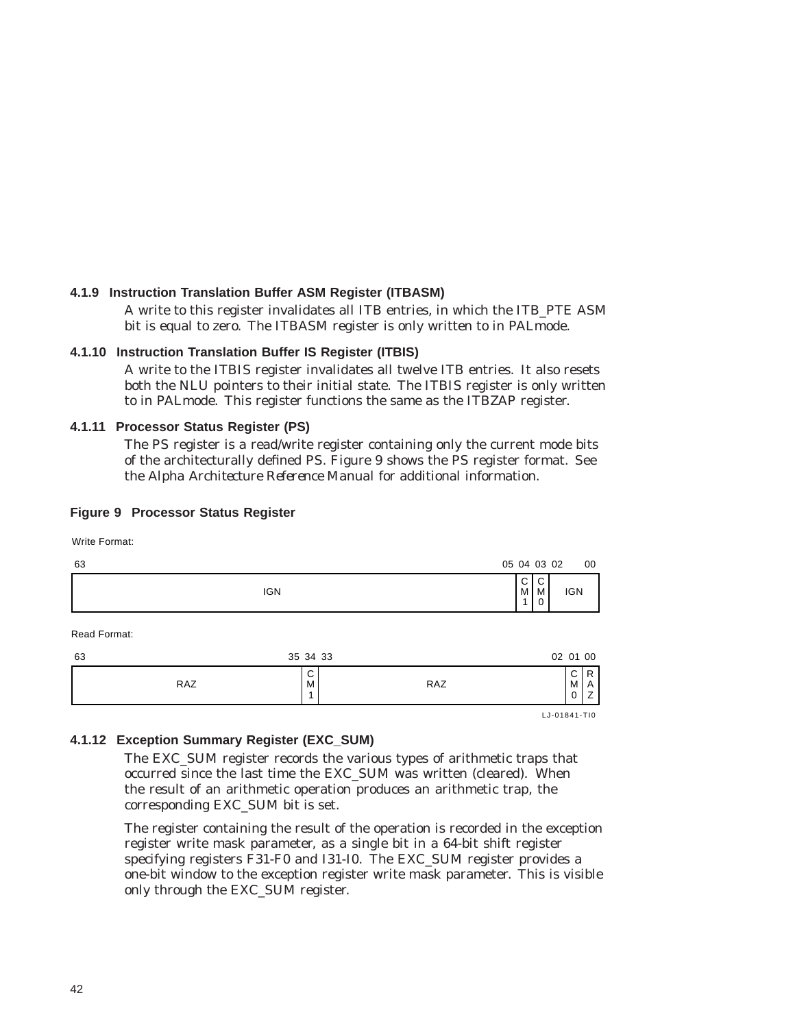# **4.1.9 Instruction Translation Buffer ASM Register (ITBASM)**

A write to this register invalidates all ITB entries, in which the ITB\_PTE ASM bit is equal to zero. The ITBASM register is only written to in PALmode.

# **4.1.10 Instruction Translation Buffer IS Register (ITBIS)**

A write to the ITBIS register invalidates all twelve ITB entries. It also resets both the NLU pointers to their initial state. The ITBIS register is only written to in PALmode. This register functions the same as the ITBZAP register.

#### **4.1.11 Processor Status Register (PS)**

The PS register is a read/write register containing only the current mode bits of the architecturally defined PS. Figure 9 shows the PS register format. See the *Alpha Architecture Reference Manual* for additional information.

#### **Figure 9 Processor Status Register**

Write Format:

| 63 | 05 04 03 02 |                  |                  | 00 |
|----|-------------|------------------|------------------|----|
|    | <b>IGN</b>  | $\sim$<br>ັ<br>M | $\sim$<br>╰<br>M |    |
|    |             |                  |                  |    |

Read Format:

| D<br>◡<br>◡<br>RAZ<br>RAZ<br>$M_{\odot}$<br>M | 63 | 35 34 33 | 02 01 00 |
|-----------------------------------------------|----|----------|----------|
|                                               |    |          | _        |

LJ-01841-TI0

#### **4.1.12 Exception Summary Register (EXC\_SUM)**

The EXC\_SUM register records the various types of arithmetic traps that occurred since the last time the EXC\_SUM was written (cleared). When the result of an arithmetic operation produces an arithmetic trap, the corresponding EXC\_SUM bit is set.

The register containing the result of the operation is recorded in the exception register write mask parameter, as a single bit in a 64-bit shift register specifying registers F31-F0 and I31-I0. The EXC\_SUM register provides a one-bit window to the exception register write mask parameter. This is visible only through the EXC\_SUM register.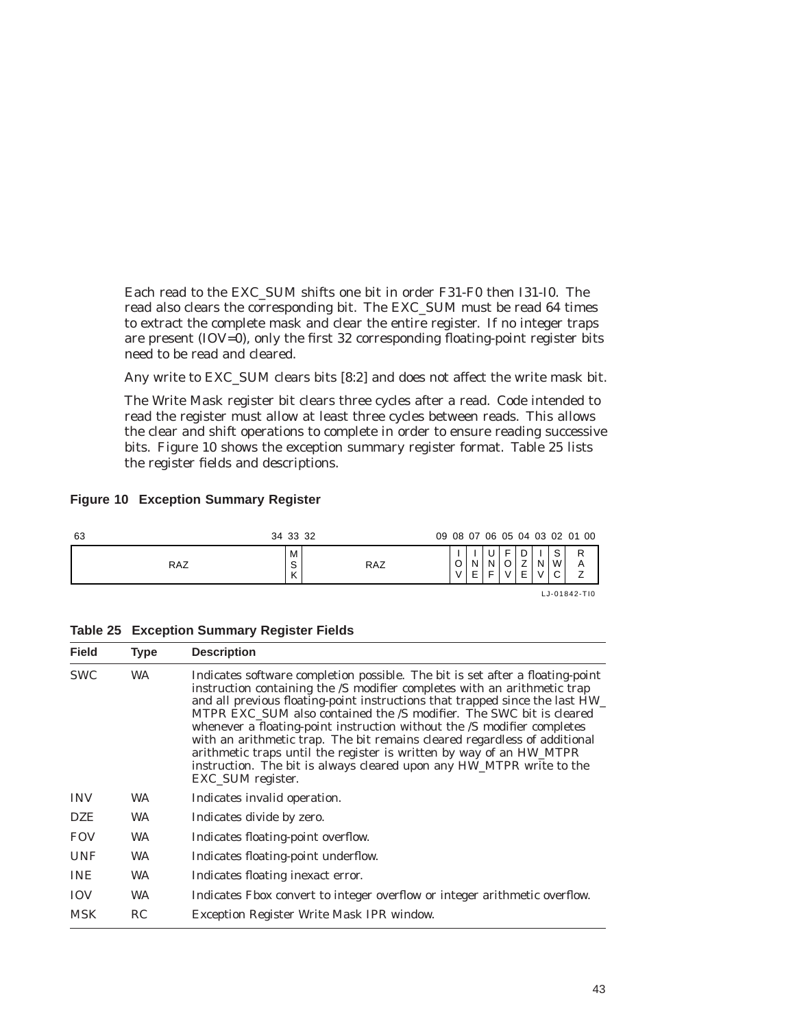Each read to the EXC\_SUM shifts one bit in order F31-F0 then I31-I0. The read also clears the corresponding bit. The EXC\_SUM must be read 64 times to extract the complete mask and clear the entire register. If no integer traps are present (IOV=0), only the first 32 corresponding floating-point register bits need to be read and cleared.

Any write to EXC\_SUM clears bits [8:2] and does not affect the write mask bit.

The Write Mask register bit clears three cycles after a read. Code intended to read the register must allow at least three cycles between reads. This allows the clear and shift operations to complete in order to ensure reading successive bits. Figure 10 shows the exception summary register format. Table 25 lists the register fields and descriptions.

## **Figure 10 Exception Summary Register**

| 63         | 34 33 32         |            |        |  |   |   |                       | 09 08 07 06 05 04 03 02 01 00 |
|------------|------------------|------------|--------|--|---|---|-----------------------|-------------------------------|
| <b>RAZ</b> | М<br>$\sim$<br>ٮ | <b>RAZ</b> | Е<br>v |  | ◡ | N | $\sim$<br>W<br>$\sim$ | R                             |
|            |                  |            |        |  |   |   |                       | LJ-01842-TI0                  |

| <b>Table 25 Exception Summary Register Fields</b> |  |
|---------------------------------------------------|--|
|---------------------------------------------------|--|

| <b>Field</b> | Type      | <b>Description</b>                                                                                                                                                                                                                                                                                                                                                                                                                                                                                                                                                                                                                           |
|--------------|-----------|----------------------------------------------------------------------------------------------------------------------------------------------------------------------------------------------------------------------------------------------------------------------------------------------------------------------------------------------------------------------------------------------------------------------------------------------------------------------------------------------------------------------------------------------------------------------------------------------------------------------------------------------|
| <b>SWC</b>   | <b>WA</b> | Indicates software completion possible. The bit is set after a floating-point<br>instruction containing the /S modifier completes with an arithmetic trap<br>and all previous floating-point instructions that trapped since the last HW_<br>MTPR EXC SUM also contained the /S modifier. The SWC bit is cleared<br>whenever a floating-point instruction without the /S modifier completes<br>with an arithmetic trap. The bit remains cleared regardless of additional<br>arithmetic traps until the register is written by way of an HW_MTPR<br>instruction. The bit is always cleared upon any HW_MTPR write to the<br>EXC_SUM register. |
| <b>INV</b>   | <b>WA</b> | Indicates invalid operation.                                                                                                                                                                                                                                                                                                                                                                                                                                                                                                                                                                                                                 |
| <b>DZE</b>   | <b>WA</b> | Indicates divide by zero.                                                                                                                                                                                                                                                                                                                                                                                                                                                                                                                                                                                                                    |
| <b>FOV</b>   | WA.       | Indicates floating-point overflow.                                                                                                                                                                                                                                                                                                                                                                                                                                                                                                                                                                                                           |
| <b>UNF</b>   | <b>WA</b> | Indicates floating-point underflow.                                                                                                                                                                                                                                                                                                                                                                                                                                                                                                                                                                                                          |
| <b>INE</b>   | <b>WA</b> | Indicates floating inexact error.                                                                                                                                                                                                                                                                                                                                                                                                                                                                                                                                                                                                            |
| <b>IOV</b>   | <b>WA</b> | Indicates Fbox convert to integer overflow or integer arithmetic overflow.                                                                                                                                                                                                                                                                                                                                                                                                                                                                                                                                                                   |
| <b>MSK</b>   | RC        | Exception Register Write Mask IPR window.                                                                                                                                                                                                                                                                                                                                                                                                                                                                                                                                                                                                    |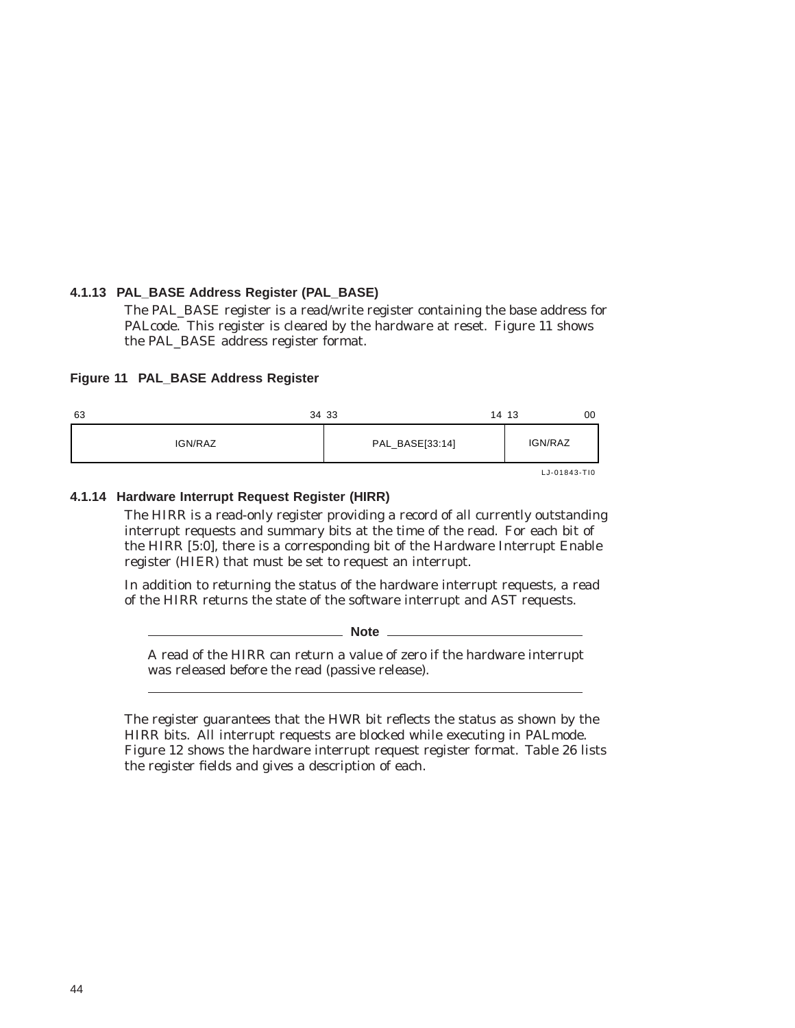## **4.1.13 PAL\_BASE Address Register (PAL\_BASE)**

The PAL\_BASE register is a read/write register containing the base address for PALcode. This register is cleared by the hardware at reset. Figure 11 shows the PAL\_BASE address register format.

#### **Figure 11 PAL\_BASE Address Register**

| 63      | 34 33           | 00<br>14 13          |
|---------|-----------------|----------------------|
| IGN/RAZ | PAL_BASE[33:14] | IGN/RAZ              |
|         |                 | $1.1 - 0.1843 - T10$ |

LJ-01843-TI0

# **4.1.14 Hardware Interrupt Request Register (HIRR)**

The HIRR is a read-only register providing a record of all currently outstanding interrupt requests and summary bits at the time of the read. For each bit of the HIRR [5:0], there is a corresponding bit of the Hardware Interrupt Enable register (HIER) that must be set to request an interrupt.

In addition to returning the status of the hardware interrupt requests, a read of the HIRR returns the state of the software interrupt and AST requests.

**Note** 2008

A read of the HIRR can return a value of zero if the hardware interrupt was released before the read (passive release).

The register guarantees that the HWR bit reflects the status as shown by the HIRR bits. All interrupt requests are blocked while executing in PALmode. Figure 12 shows the hardware interrupt request register format. Table 26 lists the register fields and gives a description of each.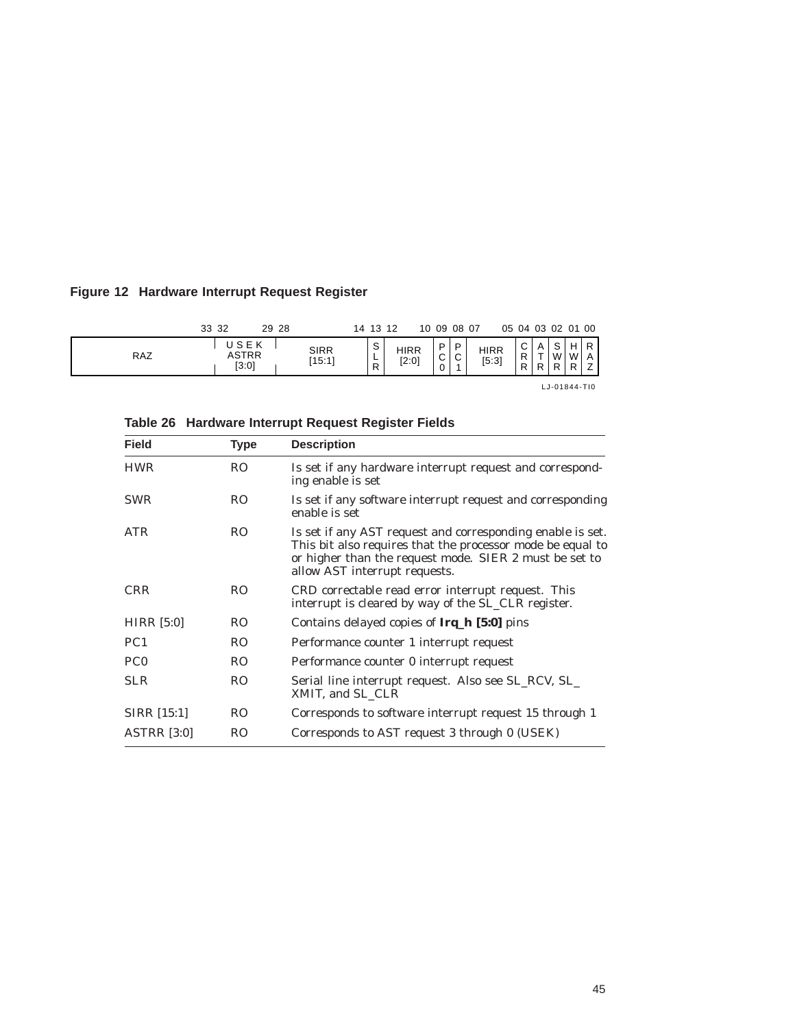# **Figure 12 Hardware Interrupt Request Register**

|     | 33 32                  | 29 28 |                       | 14 13 12                    |                      |                       | 10 09 08 07                |                      | 05 04 03 02 01 00     |        |                        |   |      |
|-----|------------------------|-------|-----------------------|-----------------------------|----------------------|-----------------------|----------------------------|----------------------|-----------------------|--------|------------------------|---|------|
| RAZ | USEK<br>ASTRR<br>[3:0] |       | <b>SIRR</b><br>[15:1] | $\mathbf{C}$<br>ت<br>-<br>∽ | <b>HIRR</b><br>[2:0] | D<br>C<br>$\mathbf 0$ | . P<br>C<br>$\overline{A}$ | <b>HIRR</b><br>[5:3] | $\sim$<br>◡<br>R<br>R | Α<br>R | $\mathbf{C}$<br>W<br>D | W | ים ו |

LJ-01844-TI0

| <b>Field</b>       | <b>Type</b>    | <b>Description</b>                                                                                                                                                                                                  |
|--------------------|----------------|---------------------------------------------------------------------------------------------------------------------------------------------------------------------------------------------------------------------|
| <b>HWR</b>         | <b>RO</b>      | Is set if any hardware interrupt request and correspond-<br>ing enable is set                                                                                                                                       |
| <b>SWR</b>         | R <sub>O</sub> | Is set if any software interrupt request and corresponding<br>enable is set                                                                                                                                         |
| <b>ATR</b>         | <sub>RO</sub>  | Is set if any AST request and corresponding enable is set.<br>This bit also requires that the processor mode be equal to<br>or higher than the request mode. SIER 2 must be set to<br>allow AST interrupt requests. |
| <b>CRR</b>         | R <sub>O</sub> | CRD correctable read error interrupt request. This<br>interrupt is cleared by way of the SL_CLR register.                                                                                                           |
| <b>HIRR</b> [5:0]  | <b>RO</b>      | Contains delayed copies of <b>Irq_h [5:0]</b> pins                                                                                                                                                                  |
| PC <sub>1</sub>    | <b>RO</b>      | Performance counter 1 interrupt request                                                                                                                                                                             |
| PC <sub>0</sub>    | R <sub>O</sub> | Performance counter 0 interrupt request                                                                                                                                                                             |
| <b>SLR</b>         | <b>RO</b>      | Serial line interrupt request. Also see SL_RCV, SL_<br>XMIT, and SL CLR                                                                                                                                             |
| SIRR [15:1]        | <b>RO</b>      | Corresponds to software interrupt request 15 through 1                                                                                                                                                              |
| <b>ASTRR [3:0]</b> | RO             | Corresponds to AST request 3 through 0 (USEK)                                                                                                                                                                       |

**Table 26 Hardware Interrupt Request Register Fields**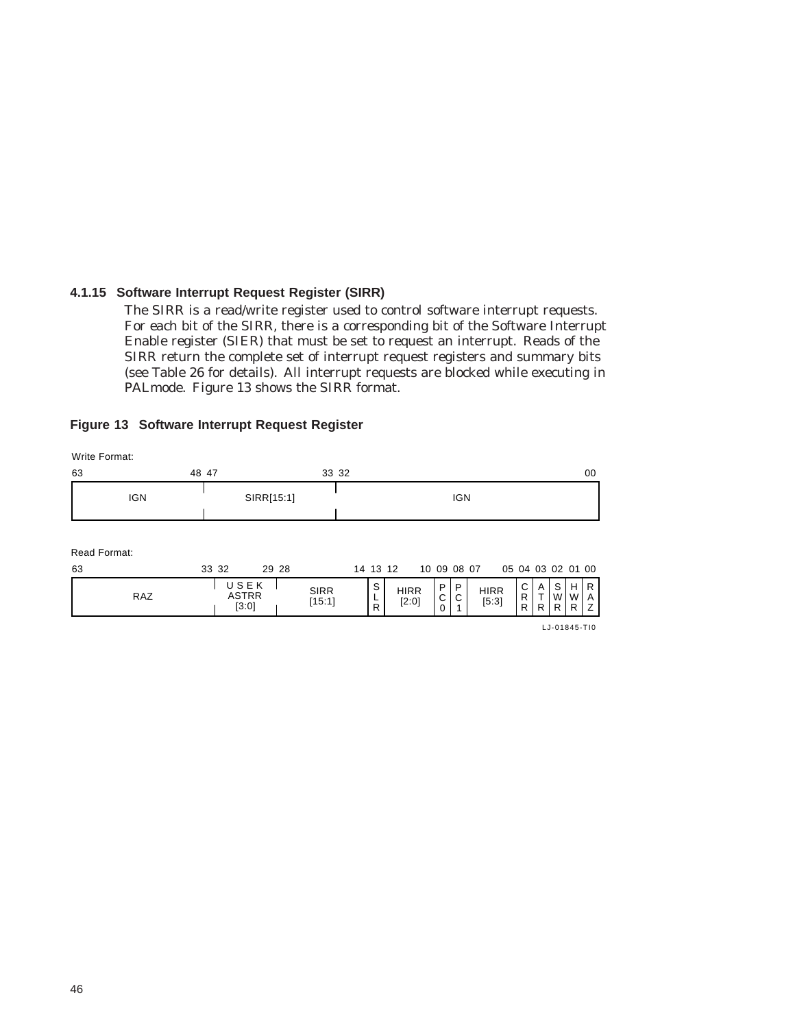# **4.1.15 Software Interrupt Request Register (SIRR)**

The SIRR is a read/write register used to control software interrupt requests. For each bit of the SIRR, there is a corresponding bit of the Software Interrupt Enable register (SIER) that must be set to request an interrupt. Reads of the SIRR return the complete set of interrupt request registers and summary bits (see Table 26 for details). All interrupt requests are blocked while executing in PALmode. Figure 13 shows the SIRR format.

#### **Figure 13 Software Interrupt Request Register**

| Write Format:      |       |       |                               |       |                       |  |          |  |                        |             |             |             |                   |             |          |                       |                         |     |
|--------------------|-------|-------|-------------------------------|-------|-----------------------|--|----------|--|------------------------|-------------|-------------|-------------|-------------------|-------------|----------|-----------------------|-------------------------|-----|
| 63                 | 48 47 |       |                               |       | 33 32                 |  |          |  |                        |             |             |             |                   |             |          |                       |                         | 00  |
| <b>IGN</b>         |       |       | SIRR[15:1]                    |       | <b>IGN</b>            |  |          |  |                        |             |             |             |                   |             |          |                       |                         |     |
| Read Format:<br>63 |       | 33 32 |                               | 29 28 |                       |  | 14 13 12 |  |                        |             | 10 09 08 07 |             | 05 04 03 02 01 00 |             |          |                       |                         |     |
| RAZ                |       |       | USEK<br><b>ASTRR</b><br>[3:0] |       | <b>SIRR</b><br>[15:1] |  | S<br>R   |  | <b>HIRR</b><br>$[2:0]$ | P<br>C<br>0 | P<br>С      | <b>HIRR</b> | [5:3]             | С<br>R<br>R | T<br>R I | $A \mid S$<br>W<br>R. | W A<br>R <sub>1</sub> Z | H R |
|                    |       |       |                               |       |                       |  |          |  |                        |             |             |             |                   |             |          | LJ-01845-TI0          |                         |     |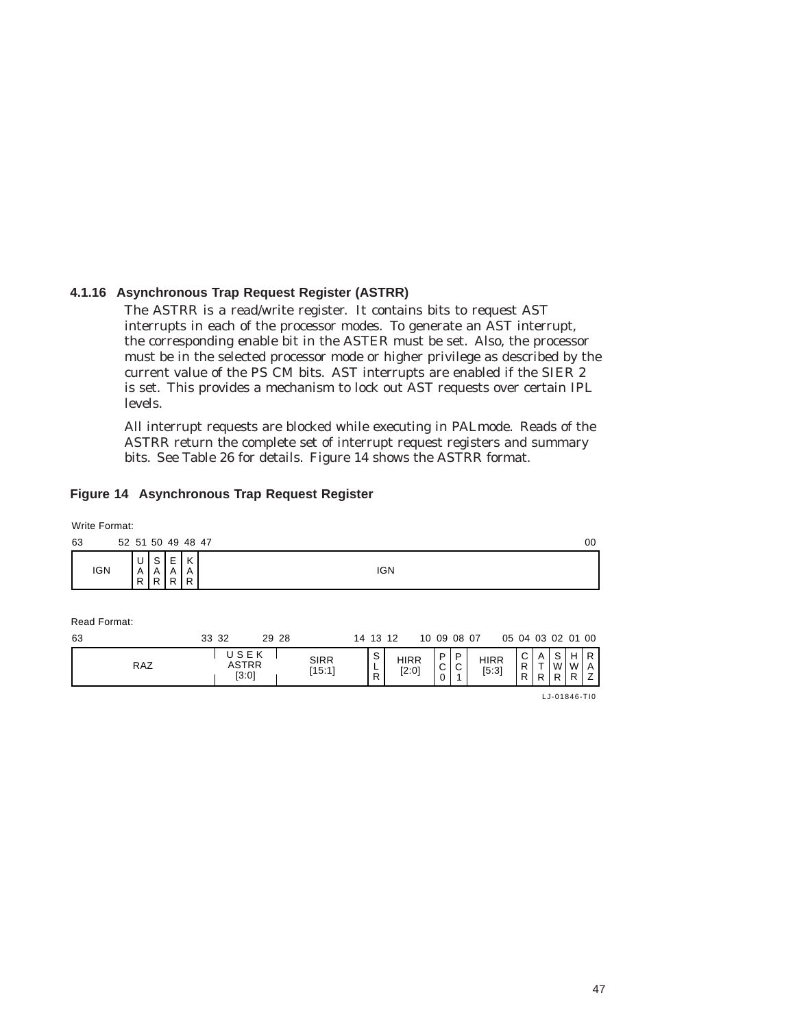## **4.1.16 Asynchronous Trap Request Register (ASTRR)**

The ASTRR is a read/write register. It contains bits to request AST interrupts in each of the processor modes. To generate an AST interrupt, the corresponding enable bit in the ASTER must be set. Also, the processor must be in the selected processor mode or higher privilege as described by the current value of the PS CM bits. AST interrupts are enabled if the SIER 2 is set. This provides a mechanism to lock out AST requests over certain IPL levels.

All interrupt requests are blocked while executing in PALmode. Reads of the ASTRR return the complete set of interrupt request registers and summary bits. See Table 26 for details. Figure 14 shows the ASTRR format.

## **Figure 14 Asynchronous Trap Request Register**

ASTRR [3:0]

Write Format:

| 63 |              | 52 51 50 49 48 47 |                         |                |             |       |       |        |    |            |  |           |                                |     |      | 00 |
|----|--------------|-------------------|-------------------------|----------------|-------------|-------|-------|--------|----|------------|--|-----------|--------------------------------|-----|------|----|
|    | <b>IGN</b>   | U<br>A<br>R.      | S.<br>A<br>$R^{\prime}$ | ΕI<br>A<br>R I | K<br>A<br>R |       |       |        |    | <b>IGN</b> |  |           |                                |     |      |    |
|    | Read Format: |                   |                         |                |             |       |       |        |    |            |  |           |                                |     |      |    |
| 63 |              |                   |                         |                |             | 33 32 | 29 28 |        |    | 14 13 12   |  |           | 10 09 08 07  05 04 03 02 01 00 |     |      |    |
|    |              |                   |                         |                |             | USEK  |       | $\sim$ | S. | 11000      |  | $P$   $P$ | 11000                          | C I | ASHR |    |

SIRR [15:1]

RAZ ASTRR  $\begin{bmatrix} 5:3 \end{bmatrix}$   $\begin{bmatrix} 15:1 \end{bmatrix}$   $\begin{bmatrix} 1 \end{bmatrix}$   $\begin{bmatrix} 2:0 \end{bmatrix}$   $\begin{bmatrix} 0 \end{bmatrix}$   $\begin{bmatrix} 0 \end{bmatrix}$   $\begin{bmatrix} 1 \end{bmatrix}$   $\begin{bmatrix} 5:3 \end{bmatrix}$ 

LJ-01846-TI0

A T R S W R H W R R A Z

C R R

P C P C 1  $\overline{0}$ 

HIRR<br>[5:3]

HIRR [2:0]

S L R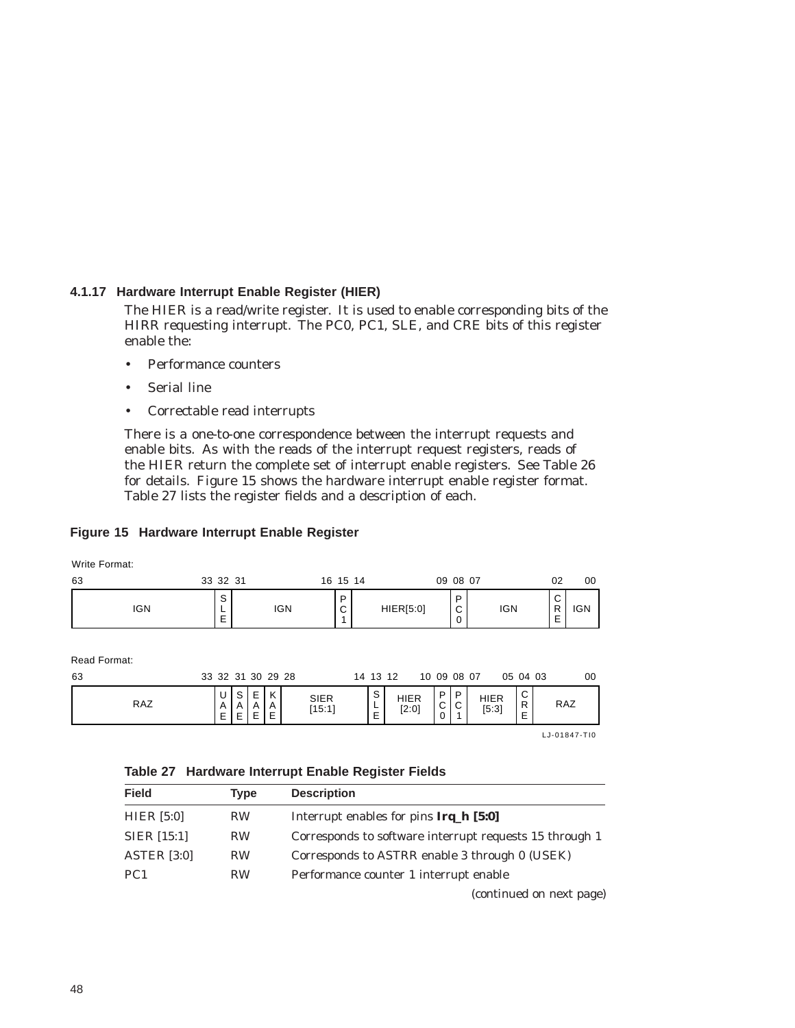# **4.1.17 Hardware Interrupt Enable Register (HIER)**

The HIER is a read/write register. It is used to enable corresponding bits of the HIRR requesting interrupt. The PC0, PC1, SLE, and CRE bits of this register enable the:

- Performance counters
- Serial line
- Correctable read interrupts

There is a one-to-one correspondence between the interrupt requests and enable bits. As with the reads of the interrupt request registers, reads of the HIER return the complete set of interrupt enable registers. See Table 26 for details. Figure 15 shows the hardware interrupt enable register format. Table 27 lists the register fields and a description of each.

# **Figure 15 Hardware Interrupt Enable Register**

Write Format:

| 63         | 33 32 31    |            | 16 15 14         |           | 09 08 07         |            | 02                         | 00         |
|------------|-------------|------------|------------------|-----------|------------------|------------|----------------------------|------------|
| <b>IGN</b> | ٮ<br>-<br>- | <b>IGN</b> | P<br>$\sim$<br>ັ | HIER[5:0] | D<br>$\sim$<br>◡ | <b>IGN</b> | ⌒<br>◡<br>R<br>-<br>-<br>- | <b>IGN</b> |

Read Format:

| 63         |                                    |                                  |                       | 33 32 31 30 29 28            |                       | 14 13 12                               |                      |                  | 10 09 08 07      |               | 05 04 03                                     | 00  |
|------------|------------------------------------|----------------------------------|-----------------------|------------------------------|-----------------------|----------------------------------------|----------------------|------------------|------------------|---------------|----------------------------------------------|-----|
| <b>RAZ</b> | ັ<br>Λ<br>$\overline{ }$<br>⊢<br>− | $\mathbf{C}$<br>u<br>A<br>-<br>- | F<br>-<br>A<br>ᄃ<br>- | $\mathbf{v}$<br>r.<br>A<br>Ε | <b>SIER</b><br>[15:1] | $\sim$<br>ت<br><b>.</b><br>-<br>⊢<br>- | <b>HIER</b><br>[2:0] | P<br>$\sim$<br>◡ | P<br>$\sim$<br>◡ | HIER<br>[5:3] | $\sim$<br>◡<br>R<br>$\overline{ }$<br>⊢<br>- | RAZ |

LJ-01847-TI0

**Table 27 Hardware Interrupt Enable Register Fields**

| <b>Field</b>       | <b>Type</b> | <b>Description</b>                                      |
|--------------------|-------------|---------------------------------------------------------|
| HIER $[5:0]$       | <b>RW</b>   | Interrupt enables for pins Irq <sub>_h</sub> [5:0]      |
| <b>SIER</b> [15:1] | <b>RW</b>   | Corresponds to software interrupt requests 15 through 1 |
| <b>ASTER</b> [3:0] | <b>RW</b>   | Corresponds to ASTRR enable 3 through 0 (USEK)          |
| PC <sub>1</sub>    | <b>RW</b>   | Performance counter 1 interrupt enable                  |
|                    |             | (continued on next page)                                |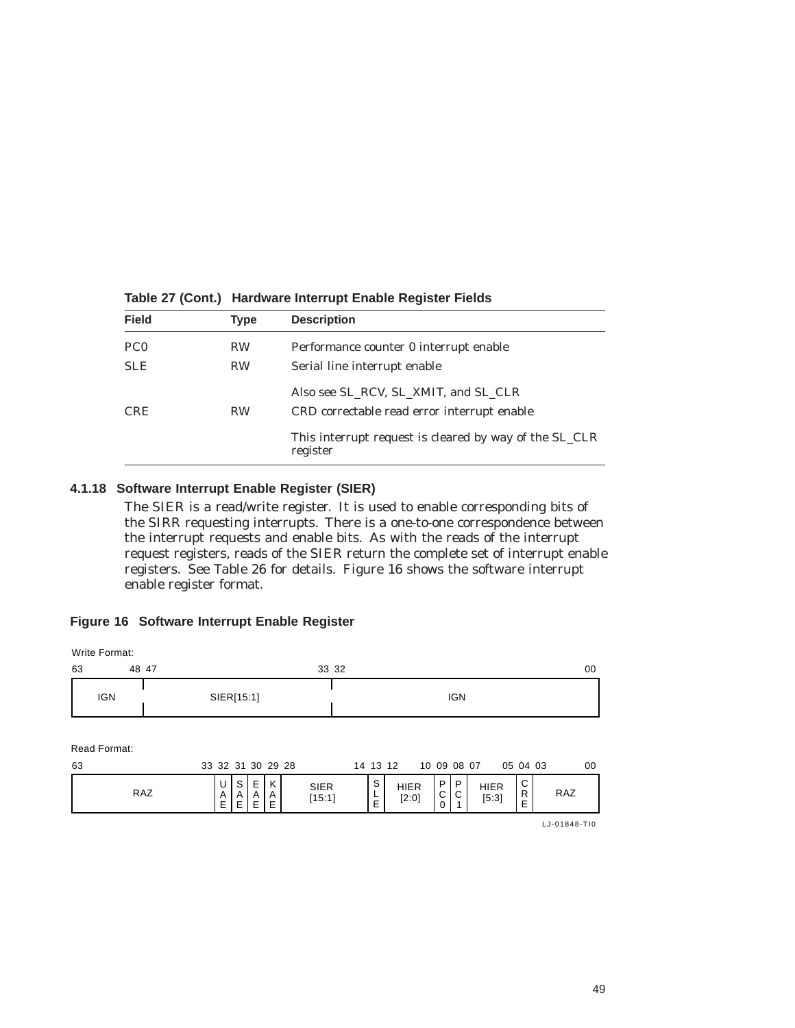| <b>Field</b>    | Type      | <b>Description</b>                                                                  |
|-----------------|-----------|-------------------------------------------------------------------------------------|
| PC <sub>0</sub> | <b>RW</b> | Performance counter 0 interrupt enable                                              |
| <b>SLE</b>      | <b>RW</b> | Serial line interrupt enable                                                        |
| <b>CRE</b>      | <b>RW</b> | Also see SL RCV, SL XMIT, and SL CLR<br>CRD correctable read error interrupt enable |
|                 |           | This interrupt request is cleared by way of the SL_CLR<br>register                  |

#### **Table 27 (Cont.) Hardware Interrupt Enable Register Fields**

#### **4.1.18 Software Interrupt Enable Register (SIER)**

The SIER is a read/write register. It is used to enable corresponding bits of the SIRR requesting interrupts. There is a one-to-one correspondence between the interrupt requests and enable bits. As with the reads of the interrupt request registers, reads of the SIER return the complete set of interrupt enable registers. See Table 26 for details. Figure 16 shows the software interrupt enable register format.

#### **Figure 16 Software Interrupt Enable Register**

| Write Format:      |                   |                         |                |
|--------------------|-------------------|-------------------------|----------------|
| 63<br>48 47        |                   | 33 32                   | 00             |
| <b>IGN</b>         | SIER[15:1]        | <b>IGN</b>              |                |
| Read Format:<br>63 | 33 32 31 30 29 28 | 10 09 08 07<br>14 13 12 | 00<br>05 04 03 |

P C 1 P C 0 SIER [15:1] HIER [2:0] HIER HIER  $\begin{bmatrix} 6:3 \end{bmatrix}$  RAZ S L E C R E U A E S A E E A E K A E RAZ

LJ-01848-TI0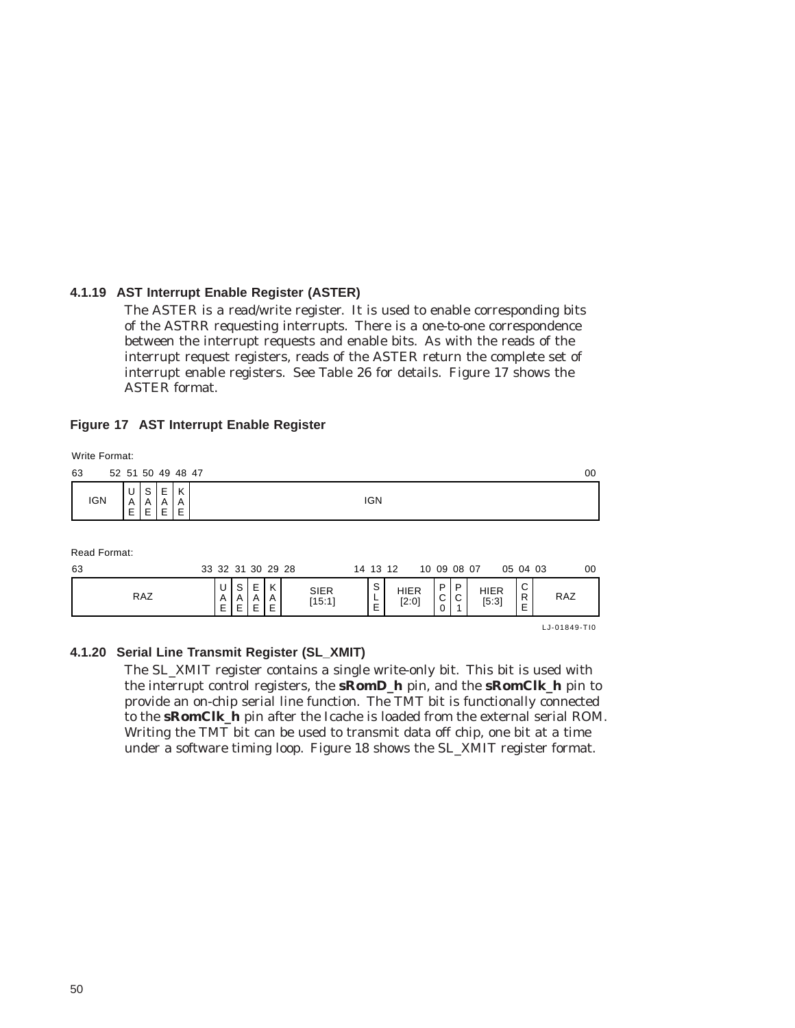## **4.1.19 AST Interrupt Enable Register (ASTER)**

The ASTER is a read/write register. It is used to enable corresponding bits of the ASTRR requesting interrupts. There is a one-to-one correspondence between the interrupt requests and enable bits. As with the reads of the interrupt request registers, reads of the ASTER return the complete set of interrupt enable registers. See Table 26 for details. Figure 17 shows the ASTER format.

#### **Figure 17 AST Interrupt Enable Register**

|    | Write Format: |             |                   |             |             |              |             |              |             |                   |                       |            |                        |             |        |                      |                        |              |    |
|----|---------------|-------------|-------------------|-------------|-------------|--------------|-------------|--------------|-------------|-------------------|-----------------------|------------|------------------------|-------------|--------|----------------------|------------------------|--------------|----|
| 63 |               |             | 52 51 50 49 48 47 |             |             |              |             |              |             |                   |                       |            |                        |             |        |                      |                        |              | 00 |
|    | <b>IGN</b>    | U<br>A<br>E | S<br>A<br>E       | Е<br>A<br>E | K<br>A<br>Ε |              |             |              |             |                   |                       | <b>IGN</b> |                        |             |        |                      |                        |              |    |
| 63 | Read Format:  |             |                   |             |             |              |             |              |             | 33 32 31 30 29 28 |                       |            | 14 13 12               | 10 09 08 07 |        |                      | 05 04 03               |              | 00 |
|    |               |             | <b>RAZ</b>        |             |             | U<br>A<br>E. | S<br>Α<br>Е | E.<br>Α<br>E | K<br>A<br>Е |                   | <b>SIER</b><br>[15:1] | S<br>E     | <b>HIER</b><br>$[2:0]$ | P<br>C<br>0 | P<br>С | <b>HIER</b><br>[5:3] | C<br>$\mathsf{R}$<br>E | RAZ          |    |
|    |               |             |                   |             |             |              |             |              |             |                   |                       |            |                        |             |        |                      |                        | LJ-01849-TI0 |    |

#### **4.1.20 Serial Line Transmit Register (SL\_XMIT)**

The SL\_XMIT register contains a single write-only bit. This bit is used with the interrupt control registers, the **sRomD\_h** pin, and the **sRomClk\_h** pin to provide an on-chip serial line function. The TMT bit is functionally connected to the **sRomClk\_h** pin after the Icache is loaded from the external serial ROM. Writing the TMT bit can be used to transmit data off chip, one bit at a time under a software timing loop. Figure 18 shows the SL\_XMIT register format.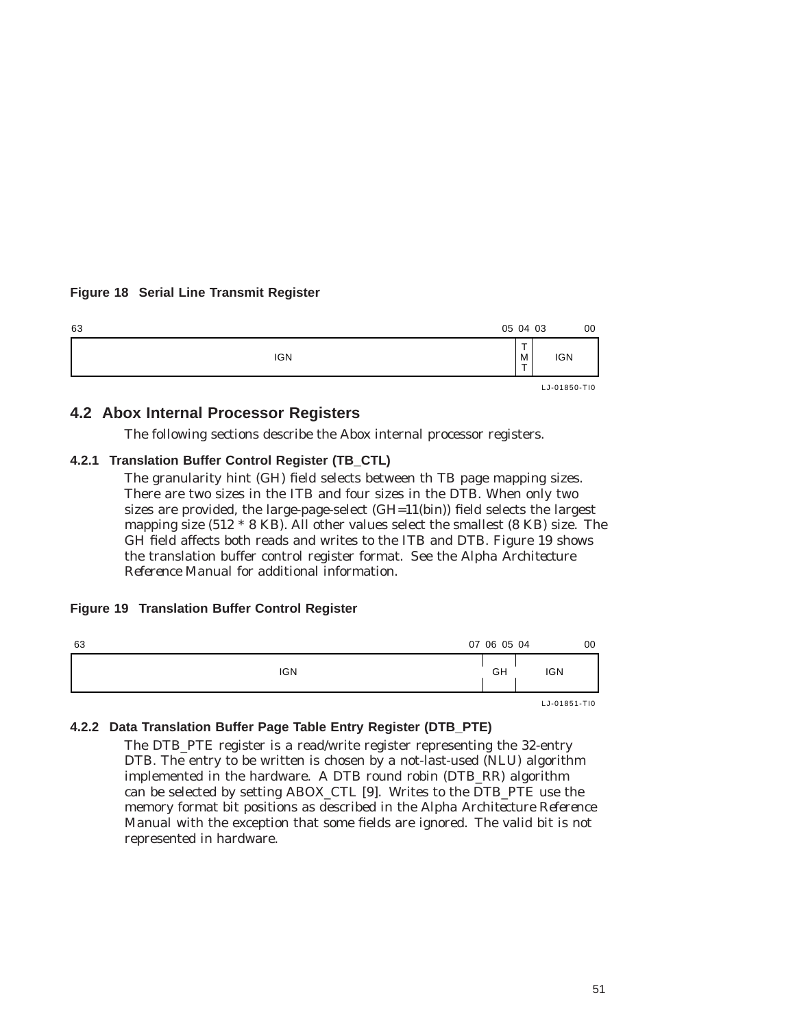# **Figure 18 Serial Line Transmit Register**



# **4.2 Abox Internal Processor Registers**

The following sections describe the Abox internal processor registers.

#### **4.2.1 Translation Buffer Control Register (TB\_CTL)**

The granularity hint (GH) field selects between th TB page mapping sizes. There are two sizes in the ITB and four sizes in the DTB. When only two sizes are provided, the large-page-select (GH=11(bin)) field selects the largest mapping size (512 \* 8 KB). All other values select the smallest (8 KB) size. The GH field affects both reads and writes to the ITB and DTB. Figure 19 shows the translation buffer control register format. See the *Alpha Architecture Reference Manual* for additional information.

#### **Figure 19 Translation Buffer Control Register**

| 63 |            | 07 06 05 04 |                    | 00 |
|----|------------|-------------|--------------------|----|
|    | <b>IGN</b> | GH          | <b>IGN</b>         |    |
|    |            |             | $LJ - 01851 - T10$ |    |

## **4.2.2 Data Translation Buffer Page Table Entry Register (DTB\_PTE)**

The DTB\_PTE register is a read/write register representing the 32-entry DTB. The entry to be written is chosen by a not-last-used (NLU) algorithm implemented in the hardware. A DTB round robin (DTB\_RR) algorithm can be selected by setting ABOX\_CTL [9]. Writes to the DTB\_PTE use the memory format bit positions as described in the *Alpha Architecture Reference Manual* with the exception that some fields are ignored. The valid bit is not represented in hardware.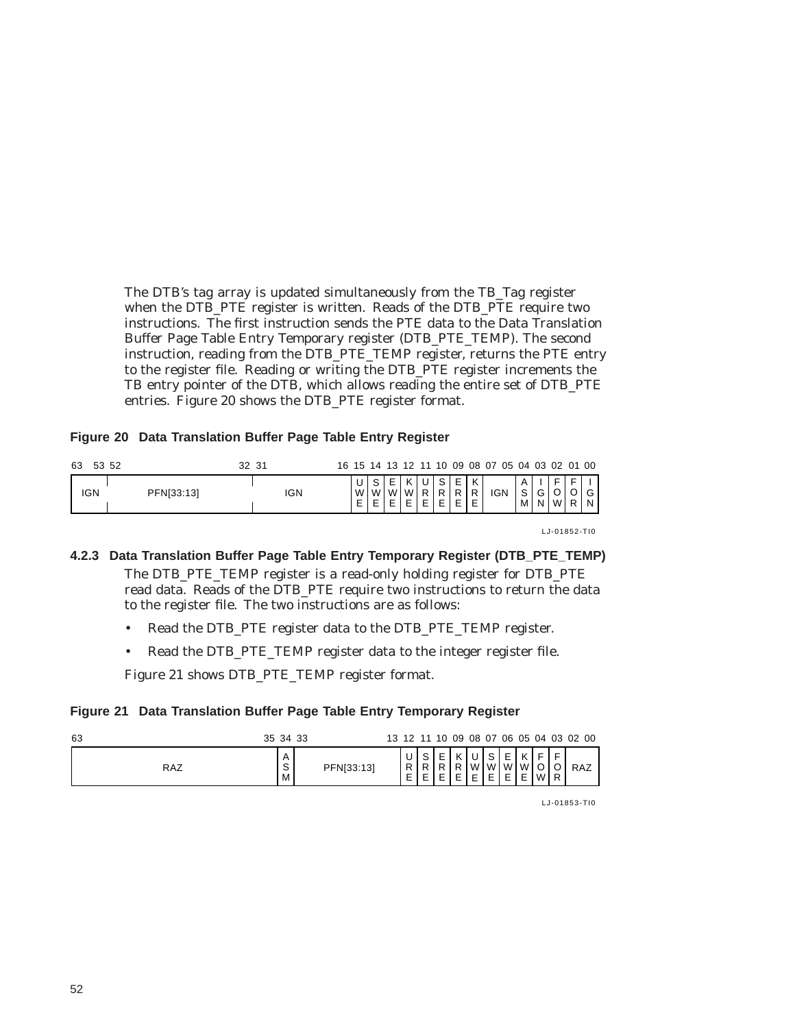The DTB's tag array is updated simultaneously from the TB\_Tag register when the DTB\_PTE register is written. Reads of the DTB\_PTE require two instructions. The first instruction sends the PTE data to the Data Translation Buffer Page Table Entry Temporary register (DTB\_PTE\_TEMP). The second instruction, reading from the DTB\_PTE\_TEMP register, returns the PTE entry to the register file. Reading or writing the DTB\_PTE register increments the TB entry pointer of the DTB, which allows reading the entire set of DTB\_PTE entries. Figure 20 shows the DTB\_PTE register format.

## **Figure 20 Data Translation Buffer Page Table Entry Register**

| 63<br>53 52 |            | 32 31 | 16 15 14 13 12 11 10 |                        |   |    |        |                               |             | 09 08 07 05 04 03 02 01 00 |        |        |                |             |
|-------------|------------|-------|----------------------|------------------------|---|----|--------|-------------------------------|-------------|----------------------------|--------|--------|----------------|-------------|
| IGN         | PFN[33:13] | IGN   |                      | ົ<br>W.<br>W<br>ᄂ<br>- | M | W. | $\sim$ | D<br>$\overline{\phantom{0}}$ | K<br>R<br>E | <b>IGN</b>                 | S<br>м | G<br>N | M <sub>l</sub> | $\sim$<br>N |

LJ-01852-TI0

# **4.2.3 Data Translation Buffer Page Table Entry Temporary Register (DTB\_PTE\_TEMP)** The DTB PTE TEMP register is a read-only holding register for DTB PTE read data. Reads of the DTB\_PTE require two instructions to return the data to the register file. The two instructions are as follows:

- Read the DTB\_PTE register data to the DTB\_PTE\_TEMP register.
- Read the DTB\_PTE\_TEMP register data to the integer register file.

Figure 21 shows DTB\_PTE\_TEMP register format.

# **Figure 21 Data Translation Buffer Page Table Entry Temporary Register**

| 63  | 35 34 33                 |            |   |                       |                     |   |        |        |                                  |               |     |                     | 13 12 11 10 09 08 07 06 05 04 03 02 00 |
|-----|--------------------------|------------|---|-----------------------|---------------------|---|--------|--------|----------------------------------|---------------|-----|---------------------|----------------------------------------|
| RAZ | $\overline{A}$<br>S<br>M | PFN[33:13] | P | $\sim$<br>ت<br>Þ<br>E | $\overline{ }$<br>- | P | W<br>F | W<br>- | $\overline{ }$<br>$\overline{ }$ | K<br>W W<br>E | w l | $\overline{ }$<br>R | RAZ                                    |

LJ-01853-TI0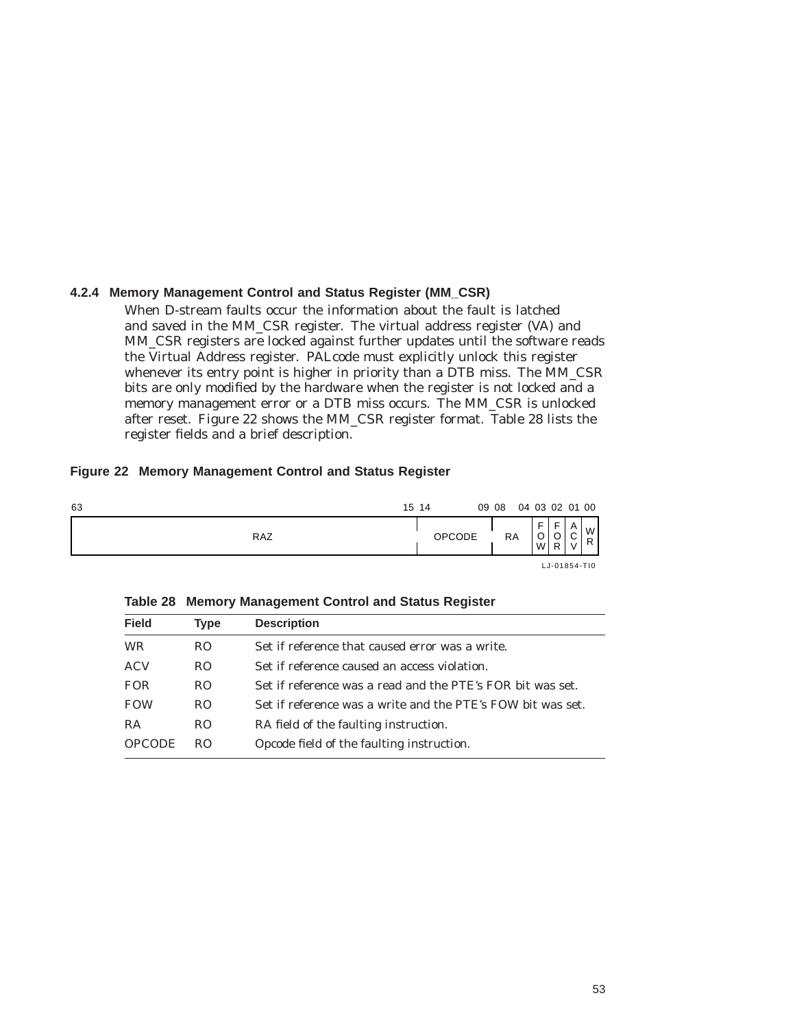# **4.2.4 Memory Management Control and Status Register (MM\_CSR)**

When D-stream faults occur the information about the fault is latched and saved in the MM\_CSR register. The virtual address register (VA) and MM\_CSR registers are locked against further updates until the software reads the Virtual Address register. PALcode must explicitly unlock this register whenever its entry point is higher in priority than a DTB miss. The MM\_CSR bits are only modified by the hardware when the register is not locked and a memory management error or a DTB miss occurs. The MM\_CSR is unlocked after reset. Figure 22 shows the MM\_CSR register format. Table 28 lists the register fields and a brief description.

## **Figure 22 Memory Management Control and Status Register**

| 63 |     | 15 14         | 09 08 |           | 04 03 02 01 00        |                           |             |        |
|----|-----|---------------|-------|-----------|-----------------------|---------------------------|-------------|--------|
|    | RAZ | <b>OPCODE</b> |       | <b>RA</b> | F<br>$\sim$<br>ັ<br>W | $\overline{ }$<br>ັ<br>R. | A<br>$\sim$ | W<br>R |
|    |     |               |       |           |                       |                           |             |        |

LJ-01854-TI0

**Table 28 Memory Management Control and Status Register**

| <b>Field</b>  | Type | <b>Description</b>                                          |
|---------------|------|-------------------------------------------------------------|
| WR            | RO.  | Set if reference that caused error was a write.             |
| ACV           | RO.  | Set if reference caused an access violation.                |
| <b>FOR</b>    | RO.  | Set if reference was a read and the PTE's FOR bit was set.  |
| <b>FOW</b>    | RO.  | Set if reference was a write and the PTE's FOW bit was set. |
| RA            | RO.  | RA field of the faulting instruction.                       |
| <b>OPCODE</b> | RO.  | Opcode field of the faulting instruction.                   |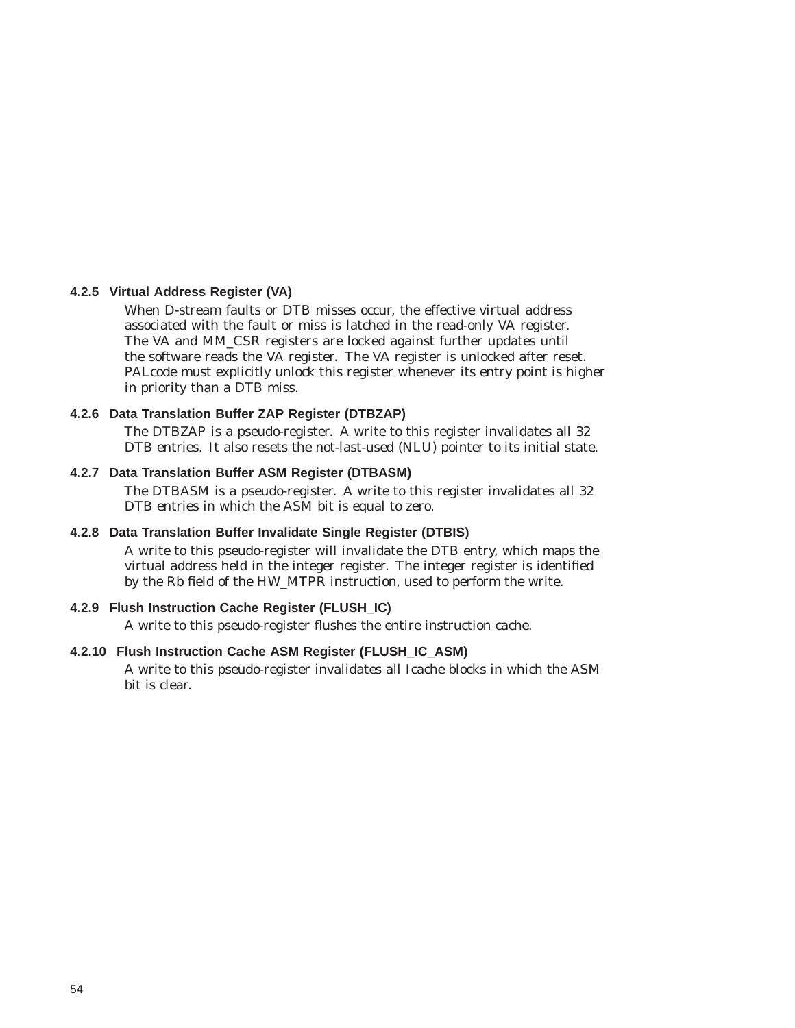#### **4.2.5 Virtual Address Register (VA)**

When D-stream faults or DTB misses occur, the effective virtual address associated with the fault or miss is latched in the read-only VA register. The VA and MM\_CSR registers are locked against further updates until the software reads the VA register. The VA register is unlocked after reset. PALcode must explicitly unlock this register whenever its entry point is higher in priority than a DTB miss.

## **4.2.6 Data Translation Buffer ZAP Register (DTBZAP)**

The DTBZAP is a pseudo-register. A write to this register invalidates all 32 DTB entries. It also resets the not-last-used (NLU) pointer to its initial state.

#### **4.2.7 Data Translation Buffer ASM Register (DTBASM)**

The DTBASM is a pseudo-register. A write to this register invalidates all 32 DTB entries in which the ASM bit is equal to zero.

## **4.2.8 Data Translation Buffer Invalidate Single Register (DTBIS)**

A write to this pseudo-register will invalidate the DTB entry, which maps the virtual address held in the integer register. The integer register is identified by the Rb field of the HW\_MTPR instruction, used to perform the write.

# **4.2.9 Flush Instruction Cache Register (FLUSH\_IC)**

A write to this pseudo-register flushes the entire instruction cache.

# **4.2.10 Flush Instruction Cache ASM Register (FLUSH\_IC\_ASM)**

A write to this pseudo-register invalidates all Icache blocks in which the ASM bit is clear.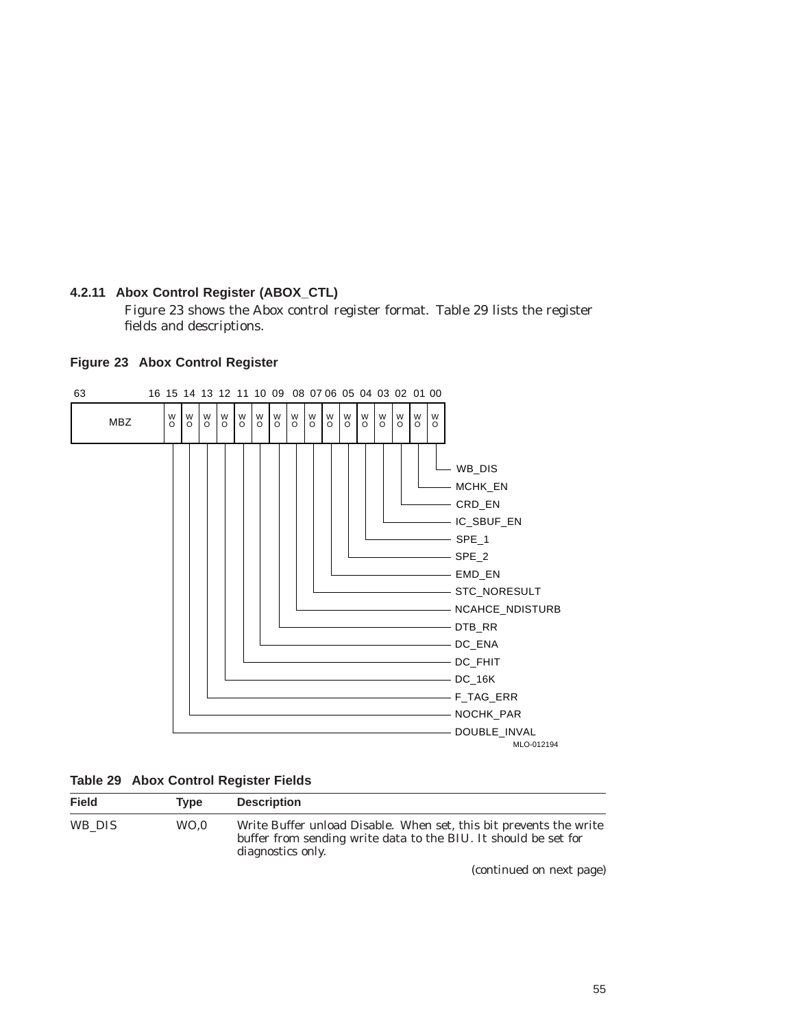# **4.2.11 Abox Control Register (ABOX\_CTL)**

Figure 23 shows the Abox control register format. Table 29 lists the register fields and descriptions.

## **Figure 23 Abox Control Register**



|  |  |  | <b>Table 29 Abox Control Register Fields</b> |  |
|--|--|--|----------------------------------------------|--|
|--|--|--|----------------------------------------------|--|

| <b>Field</b> | Tvpe | <b>Description</b>                                                                                                                                         |
|--------------|------|------------------------------------------------------------------------------------------------------------------------------------------------------------|
| WB DIS       | WO.0 | Write Buffer unload Disable. When set, this bit prevents the write<br>buffer from sending write data to the BIU. It should be set for<br>diagnostics only. |
|              |      | (continued on next page)                                                                                                                                   |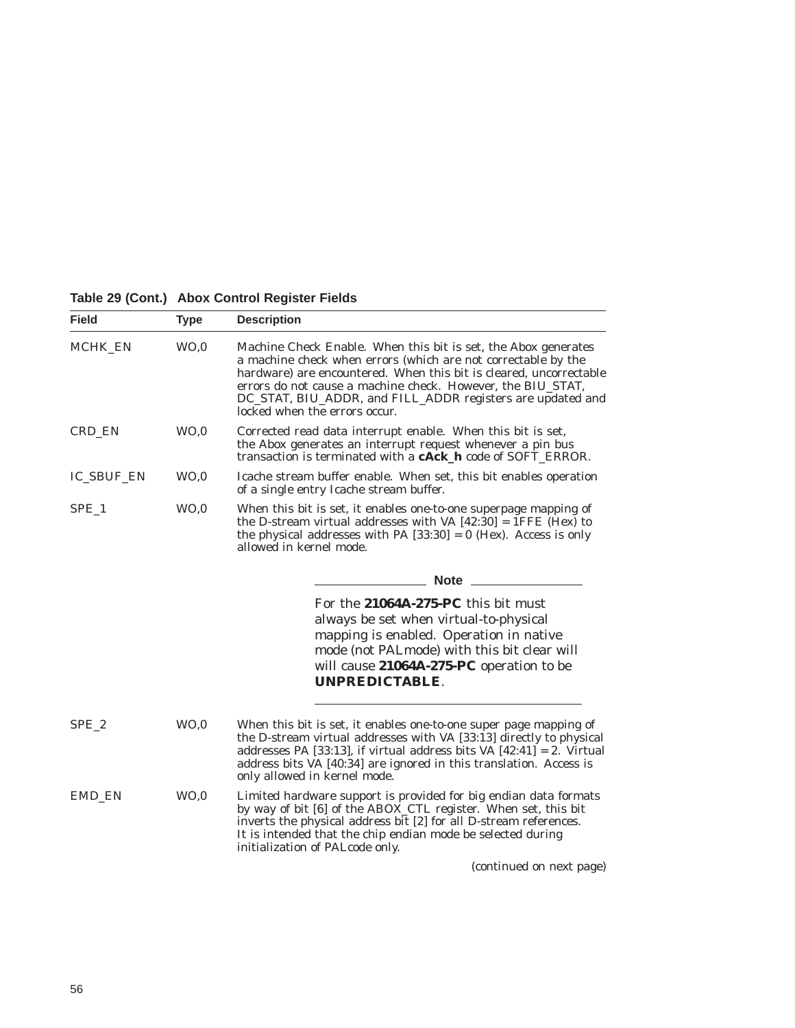# **Table 29 (Cont.) Abox Control Register Fields**

| <b>Field</b>      | <b>Type</b>     | <b>Description</b>                                                                                                                                                                                                                                                                                                                                                  |
|-------------------|-----------------|---------------------------------------------------------------------------------------------------------------------------------------------------------------------------------------------------------------------------------------------------------------------------------------------------------------------------------------------------------------------|
| MCHK_EN           | WO <sub>0</sub> | Machine Check Enable. When this bit is set, the Abox generates<br>a machine check when errors (which are not correctable by the<br>hardware) are encountered. When this bit is cleared, uncorrectable<br>errors do not cause a machine check. However, the BIU_STAT,<br>DC_STAT, BIU_ADDR, and FILL_ADDR registers are updated and<br>locked when the errors occur. |
| CRD_EN            | WO <sub>0</sub> | Corrected read data interrupt enable. When this bit is set,<br>the Abox generates an interrupt request whenever a pin bus<br>transaction is terminated with a <b>cAck_h</b> code of SOFT_ERROR.                                                                                                                                                                     |
| <b>IC_SBUF_EN</b> | WO.0            | Icache stream buffer enable. When set, this bit enables operation<br>of a single entry Icache stream buffer.                                                                                                                                                                                                                                                        |
| SPE_1             | WO <sub>0</sub> | When this bit is set, it enables one-to-one superpage mapping of<br>the D-stream virtual addresses with VA $[42:30] = I \overline{FFE}$ $\overline{[Hex]}$ to<br>the physical addresses with PA $[33:30] = 0$ (Hex). Access is only<br>allowed in kernel mode.                                                                                                      |
|                   |                 | <b>Note</b>                                                                                                                                                                                                                                                                                                                                                         |
|                   |                 | For the 21064A-275-PC this bit must<br>always be set when virtual-to-physical<br>mapping is enabled. Operation in native<br>mode (not PALmode) with this bit clear will<br>will cause 21064A-275-PC operation to be<br><b>UNPREDICTABLE.</b>                                                                                                                        |
| SPE <sub>2</sub>  | WO <sub>0</sub> | When this bit is set, it enables one-to-one super page mapping of<br>the D-stream virtual addresses with VA [33:13] directly to physical<br>addresses PA [33:13], if virtual address bits VA $[42:41] = 2$ . Virtual<br>address bits VA [40:34] are ignored in this translation. Access is<br>only allowed in kernel mode.                                          |
| EMD EN            | WO <sub>0</sub> | Limited hardware support is provided for big endian data formats<br>by way of bit [6] of the ABOX_CTL register. When set, this bit<br>inverts the physical address bit [2] for all D-stream references.<br>It is intended that the chip endian mode be selected during<br>initialization of PALcode only.                                                           |
|                   |                 | (continued on next page)                                                                                                                                                                                                                                                                                                                                            |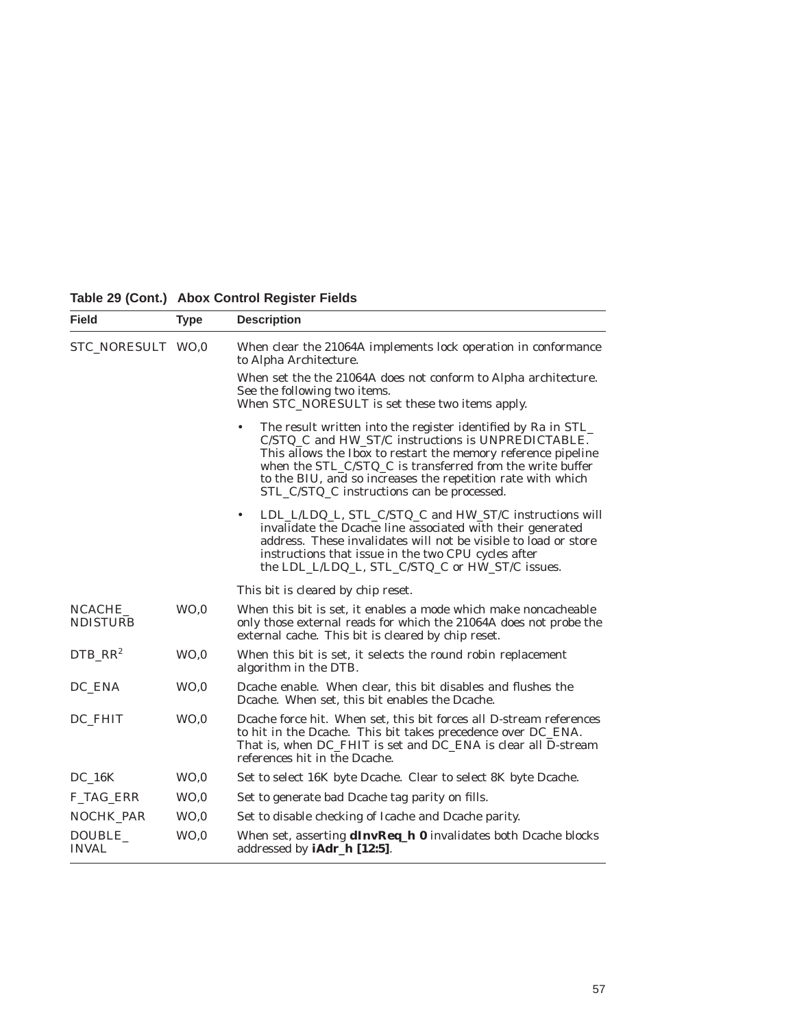| <b>Field</b>              | <b>Type</b>     | <b>Description</b>                                                                                                                                                                                                                                                                                                                                                  |
|---------------------------|-----------------|---------------------------------------------------------------------------------------------------------------------------------------------------------------------------------------------------------------------------------------------------------------------------------------------------------------------------------------------------------------------|
| STC_NORESULT WO,0         |                 | When clear the 21064A implements lock operation in conformance<br>to Alpha Architecture.                                                                                                                                                                                                                                                                            |
|                           |                 | When set the the 21064A does not conform to Alpha architecture.<br>See the following two items.<br>When STC_NORESULT is set these two items apply.                                                                                                                                                                                                                  |
|                           |                 | The result written into the register identified by Ra in STL_<br>٠<br>C/STQ_C and HW_ST/C instructions is UNPREDICTABLE.<br>This allows the Ibox to restart the memory reference pipeline<br>when the STL_C/STQ_C is transferred from the write buffer<br>to the BIU, and so increases the repetition rate with which<br>STL_C/STQ_C instructions can be processed. |
|                           |                 | LDL_L/LDQ_L, STL_C/STQ_C and HW_ST/C instructions will<br>$\bullet$<br>invalidate the Dcache line associated with their generated<br>address. These invalidates will not be visible to load or store<br>instructions that issue in the two CPU cycles after<br>the LDL_L/LDQ_L, STL_C/STQ_C or HW_ST/C issues.                                                      |
|                           |                 | This bit is cleared by chip reset.                                                                                                                                                                                                                                                                                                                                  |
| NCACHE<br><b>NDISTURB</b> | WO <sub>0</sub> | When this bit is set, it enables a mode which make noncacheable<br>only those external reads for which the 21064A does not probe the<br>external cache. This bit is cleared by chip reset.                                                                                                                                                                          |
| $DTB_R$ $RR^2$            | WO <sub>0</sub> | When this bit is set, it selects the round robin replacement<br>algorithm in the DTB.                                                                                                                                                                                                                                                                               |
| DC_ENA                    | WO <sub>0</sub> | Deache enable. When clear, this bit disables and flushes the<br>Deache. When set, this bit enables the Deache.                                                                                                                                                                                                                                                      |
| DC FHIT                   | WO, 0           | Deache force hit. When set, this bit forces all D-stream references<br>to hit in the Dcache. This bit takes precedence over DC_ENA.<br>That is, when DC_FHIT is set and DC_ENA is clear all D-stream<br>references hit in the Dcache.                                                                                                                               |
| <b>DC 16K</b>             | WO <sub>0</sub> | Set to select 16K byte Dcache. Clear to select 8K byte Dcache.                                                                                                                                                                                                                                                                                                      |
| F_TAG_ERR                 | WO <sub>0</sub> | Set to generate bad Dcache tag parity on fills.                                                                                                                                                                                                                                                                                                                     |
| NOCHK_PAR                 | WO, 0           | Set to disable checking of Icache and Dcache parity.                                                                                                                                                                                                                                                                                                                |
| DOUBLE_<br><b>INVAL</b>   | WO, 0           | When set, asserting <b>dInvReq_h 0</b> invalidates both Dcache blocks<br>addressed by <b>iAdr_h</b> [12:5].                                                                                                                                                                                                                                                         |

# **Table 29 (Cont.) Abox Control Register Fields**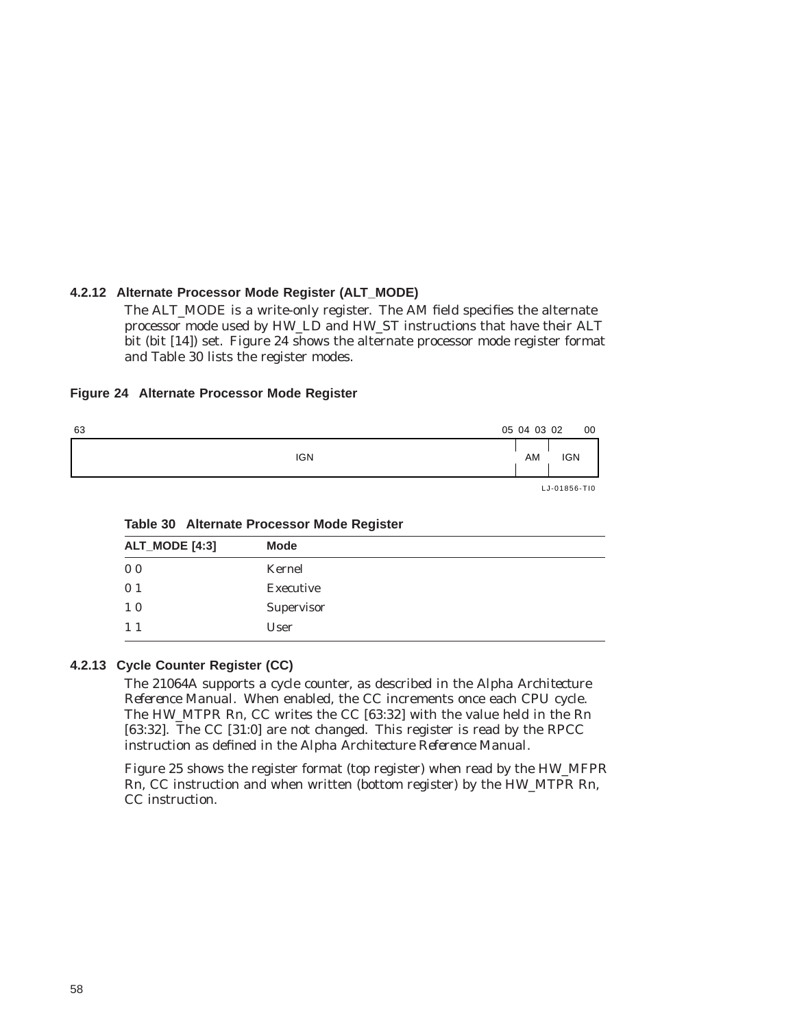## **4.2.12 Alternate Processor Mode Register (ALT\_MODE)**

The ALT\_MODE is a write-only register. The AM field specifies the alternate processor mode used by HW\_LD and HW\_ST instructions that have their ALT bit (bit [14]) set. Figure 24 shows the alternate processor mode register format and Table 30 lists the register modes.

#### **Figure 24 Alternate Processor Mode Register**

| 63 |            | 05 04 03 02 |                                                                                                                                                                                     | 00 |
|----|------------|-------------|-------------------------------------------------------------------------------------------------------------------------------------------------------------------------------------|----|
|    | <b>IGN</b> | AM          | <b>IGN</b>                                                                                                                                                                          |    |
|    |            |             | $\overline{1}$ $\overline{1}$ $\overline{0}$ $\overline{1}$ $\overline{0}$ $\overline{0}$ $\overline{0}$ $\overline{0}$ $\overline{0}$ $\overline{1}$ $\overline{1}$ $\overline{0}$ |    |

LJ-01856-TI0

| ALT_MODE [4:3] | <b>Mode</b> |  |
|----------------|-------------|--|
| 0 <sub>0</sub> | Kernel      |  |
| 0 <sub>1</sub> | Executive   |  |
| 10             | Supervisor  |  |
| $1\;1$         | User        |  |
|                |             |  |

#### **Table 30 Alternate Processor Mode Register**

#### **4.2.13 Cycle Counter Register (CC)**

The 21064A supports a cycle counter, as described in the *Alpha Architecture Reference Manual*. When enabled, the CC increments once each CPU cycle. The HW\_MTPR Rn, CC writes the CC [63:32] with the value held in the Rn [63:32]. The CC [31:0] are not changed. This register is read by the RPCC instruction as defined in the *Alpha Architecture Reference Manual*.

Figure 25 shows the register format (top register) when read by the HW\_MFPR Rn, CC instruction and when written (bottom register) by the HW\_MTPR Rn, CC instruction.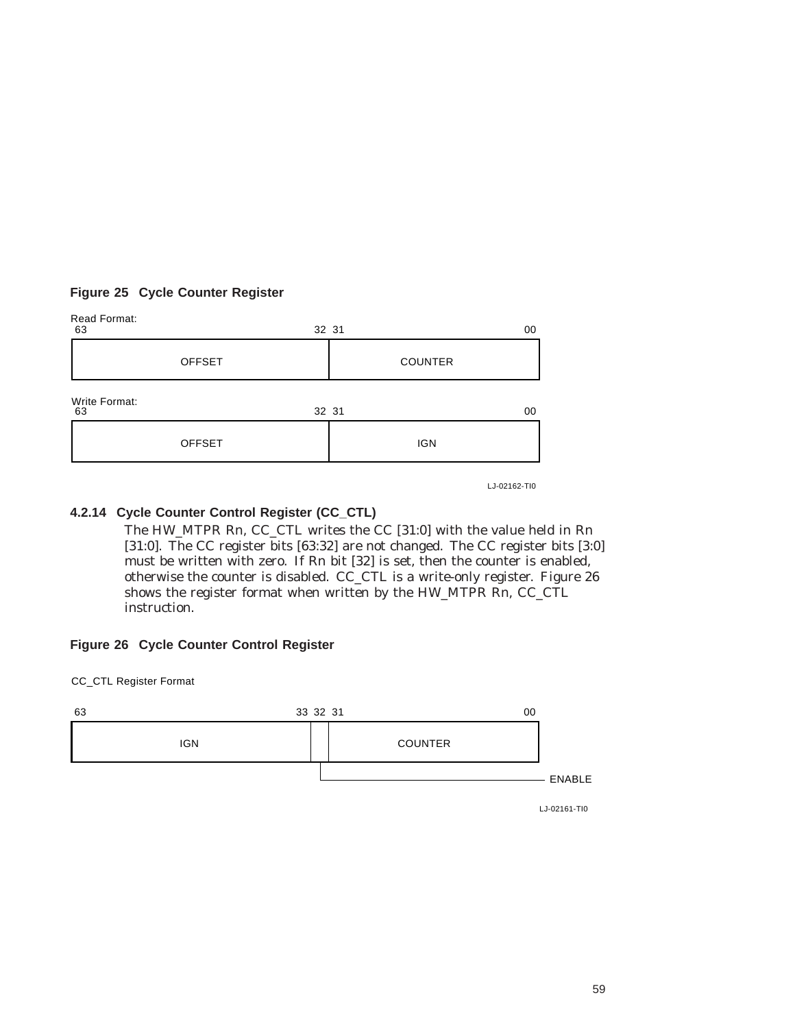# **Figure 25 Cycle Counter Register**

| Read Format:<br>63  |               | 32 31 |                | 00 |
|---------------------|---------------|-------|----------------|----|
|                     | <b>OFFSET</b> |       | <b>COUNTER</b> |    |
| Write Format:<br>63 |               | 32 31 |                | 00 |
|                     | <b>OFFSET</b> |       | <b>IGN</b>     |    |
|                     |               |       |                |    |

LJ-02162-TI0

# **4.2.14 Cycle Counter Control Register (CC\_CTL)**

The HW\_MTPR Rn, CC\_CTL\_writes the CC\_[31:0] with the value held in Rn [31:0]. The CC register bits [63:32] are not changed. The CC register bits [3:0] must be written with zero. If Rn bit [32] is set, then the counter is enabled, otherwise the counter is disabled. CC\_CTL is a write-only register. Figure 26 shows the register format when written by the HW\_MTPR Rn, CC\_CTL instruction.

# **Figure 26 Cycle Counter Control Register**

CC\_CTL Register Format



LJ-02161-TI0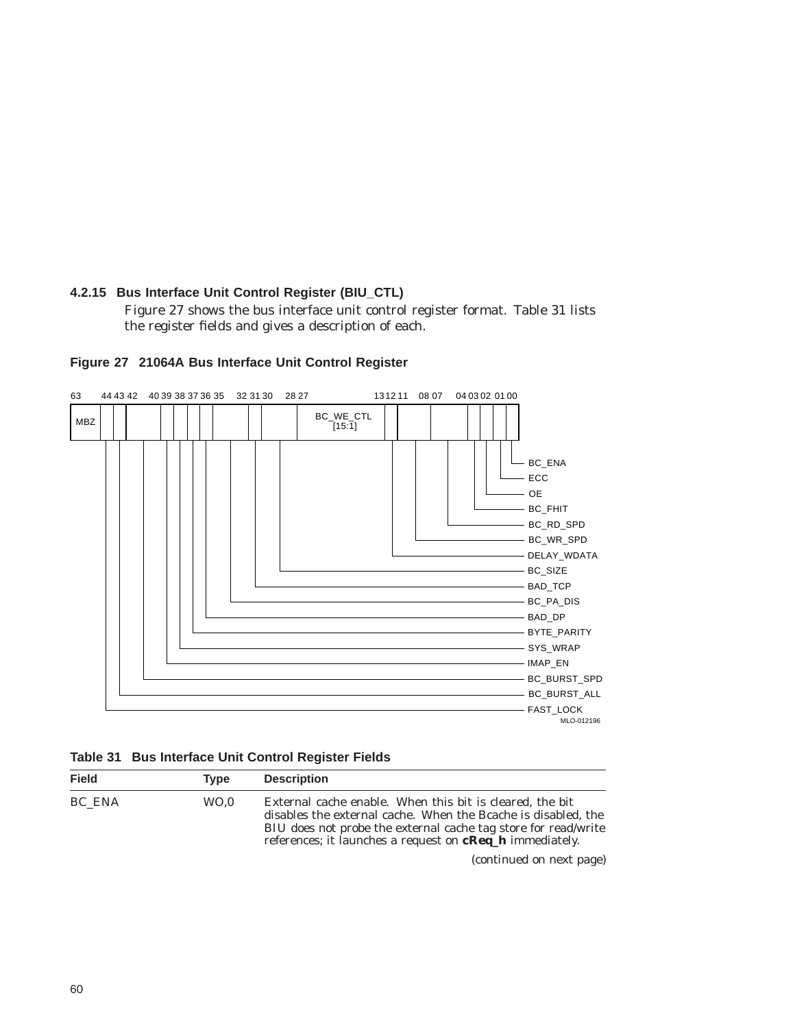# **4.2.15 Bus Interface Unit Control Register (BIU\_CTL)**

Figure 27 shows the bus interface unit control register format. Table 31 lists the register fields and gives a description of each.



## **Figure 27 21064A Bus Interface Unit Control Register**

|  | Table 31 Bus Interface Unit Control Register Fields |  |  |  |  |
|--|-----------------------------------------------------|--|--|--|--|
|--|-----------------------------------------------------|--|--|--|--|

| <b>Field</b> | Tvpe | <b>Description</b>                                                                                                                                                                                                                                             |
|--------------|------|----------------------------------------------------------------------------------------------------------------------------------------------------------------------------------------------------------------------------------------------------------------|
| BC ENA       | WO.0 | External cache enable. When this bit is cleared, the bit<br>disables the external cache. When the Bcache is disabled, the<br>BIU does not probe the external cache tag store for read/write<br>references; it launches a request on <b>cReq_h</b> immediately. |
|              |      | (continued on nort nogo)                                                                                                                                                                                                                                       |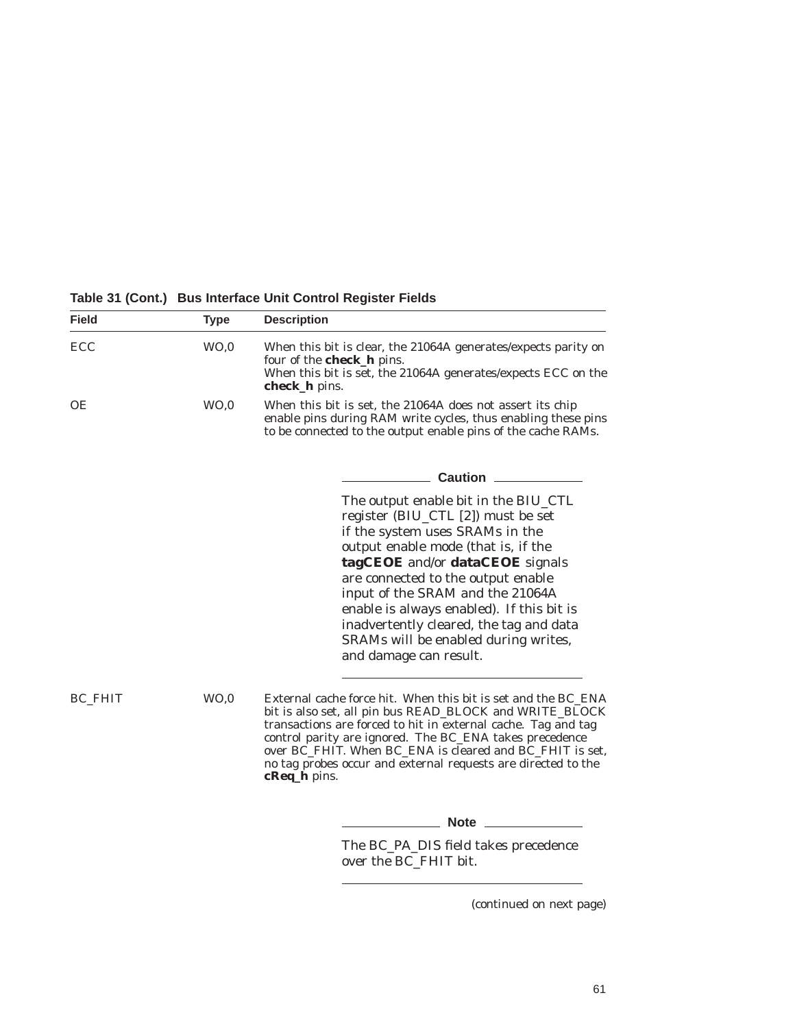**Field Type Description** ECC WO,0 When this bit is clear, the 21064A generates/expects parity on four of the **check\_h** pins. When this bit is set, the 21064A generates/expects ECC on the **check\_h** pins. OE WO,0 When this bit is set, the 21064A does not assert its chip enable pins during RAM write cycles, thus enabling these pins to be connected to the output enable pins of the cache RAMs. **Caution** The output enable bit in the BIU\_CTL register (BIU\_CTL [2]) must be set if the system uses SRAMs in the output enable mode (that is, if the **tagCEOE** and/or **dataCEOE** signals are connected to the output enable input of the SRAM and the 21064A enable is always enabled). If this bit is inadvertently cleared, the tag and data SRAMs will be enabled during writes, and damage can result. BC\_FHIT WO,0 External cache force hit. When this bit is set and the BC\_ENA bit is also set, all pin bus READ\_BLOCK and WRITE\_BLOCK transactions are forced to hit in external cache. Tag and tag control parity are ignored. The BC\_ENA takes precedence over BC\_FHIT. When BC\_ENA is cleared and BC\_FHIT is set, no tag probes occur and external requests are directed to the **cReq\_h** pins. **Note** The BC\_PA\_DIS field takes precedence

over the BC\_FHIT bit.

**Table 31 (Cont.) Bus Interface Unit Control Register Fields**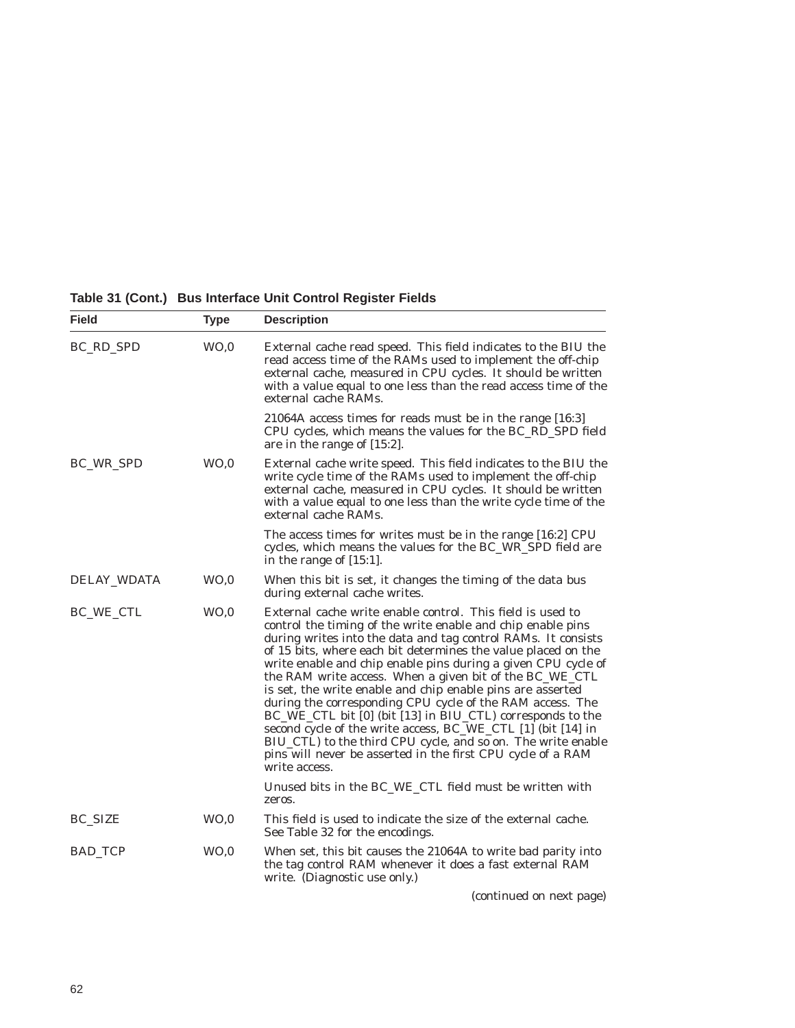|  |  |  | Table 31 (Cont.) Bus Interface Unit Control Register Fields |
|--|--|--|-------------------------------------------------------------|
|--|--|--|-------------------------------------------------------------|

| <b>Field</b>   | <b>Type</b>     | <b>Description</b>                                                                                                                                                                                                                                                                                                                                                                                                                                                                                                                                                                                                                                                                                                                                                                               |  |
|----------------|-----------------|--------------------------------------------------------------------------------------------------------------------------------------------------------------------------------------------------------------------------------------------------------------------------------------------------------------------------------------------------------------------------------------------------------------------------------------------------------------------------------------------------------------------------------------------------------------------------------------------------------------------------------------------------------------------------------------------------------------------------------------------------------------------------------------------------|--|
| BC_RD_SPD      | WO, 0           | External cache read speed. This field indicates to the BIU the<br>read access time of the RAMs used to implement the off-chip<br>external cache, measured in CPU cycles. It should be written<br>with a value equal to one less than the read access time of the<br>external cache RAMs.                                                                                                                                                                                                                                                                                                                                                                                                                                                                                                         |  |
|                |                 | 21064A access times for reads must be in the range [16:3]<br>CPU cycles, which means the values for the BC_RD_SPD field<br>are in the range of [15:2].                                                                                                                                                                                                                                                                                                                                                                                                                                                                                                                                                                                                                                           |  |
| BC_WR_SPD      | WO, 0           | External cache write speed. This field indicates to the BIU the<br>write cycle time of the RAMs used to implement the off-chip<br>external cache, measured in CPU cycles. It should be written<br>with a value equal to one less than the write cycle time of the<br>external cache RAMs.                                                                                                                                                                                                                                                                                                                                                                                                                                                                                                        |  |
|                |                 | The access times for writes must be in the range [16:2] CPU<br>cycles, which means the values for the BC_WR_SPD field are<br>in the range of $[15:1]$ .                                                                                                                                                                                                                                                                                                                                                                                                                                                                                                                                                                                                                                          |  |
| DELAY_WDATA    | WO, 0           | When this bit is set, it changes the timing of the data bus<br>during external cache writes.                                                                                                                                                                                                                                                                                                                                                                                                                                                                                                                                                                                                                                                                                                     |  |
| BC_WE_CTL      | WO <sub>0</sub> | External cache write enable control. This field is used to<br>control the timing of the write enable and chip enable pins<br>during writes into the data and tag control RAMs. It consists<br>of 15 bits, where each bit determines the value placed on the<br>write enable and chip enable pins during a given CPU cycle of<br>the RAM write access. When a given bit of the BC_WE_CTL<br>is set, the write enable and chip enable pins are asserted<br>during the corresponding CPU cycle of the RAM access. The<br>BC_WE_CTL bit [0] (bit [13] in BIU_CTL) corresponds to the<br>second cycle of the write access, BC_WE_CTL [1] (bit [14] in<br>BIU_CTL) to the third CPU cycle, and so on. The write enable<br>pins will never be asserted in the first CPU cycle of a RAM<br>write access. |  |
|                |                 | Unused bits in the BC_WE_CTL field must be written with<br>zeros.                                                                                                                                                                                                                                                                                                                                                                                                                                                                                                                                                                                                                                                                                                                                |  |
| <b>BC_SIZE</b> | WO, 0           | This field is used to indicate the size of the external cache.<br>See Table 32 for the encodings.                                                                                                                                                                                                                                                                                                                                                                                                                                                                                                                                                                                                                                                                                                |  |
| BAD_TCP        | WO, 0           | When set, this bit causes the 21064A to write bad parity into<br>the tag control RAM whenever it does a fast external RAM<br>write. (Diagnostic use only.)                                                                                                                                                                                                                                                                                                                                                                                                                                                                                                                                                                                                                                       |  |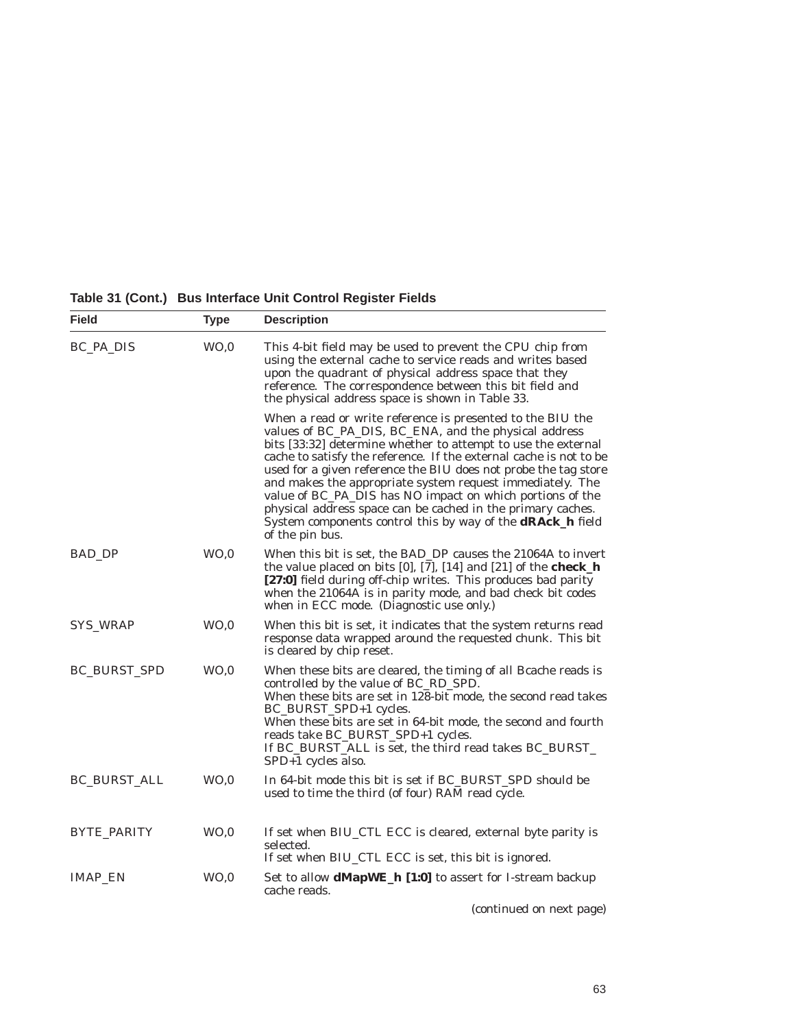| Table 31 (Cont.) Bus Interface Unit Control Register Fields |  |
|-------------------------------------------------------------|--|
|                                                             |  |

| <b>Field</b>        | <b>Type</b>     | <b>Description</b>                                                                                                                                                                                                                                                                                                                                                                                                                                                                                                                                                                                             |  |  |
|---------------------|-----------------|----------------------------------------------------------------------------------------------------------------------------------------------------------------------------------------------------------------------------------------------------------------------------------------------------------------------------------------------------------------------------------------------------------------------------------------------------------------------------------------------------------------------------------------------------------------------------------------------------------------|--|--|
| BC_PA_DIS           | WO <sub>0</sub> | This 4-bit field may be used to prevent the CPU chip from<br>using the external cache to service reads and writes based<br>upon the quadrant of physical address space that they<br>reference. The correspondence between this bit field and<br>the physical address space is shown in Table 33.                                                                                                                                                                                                                                                                                                               |  |  |
|                     |                 | When a read or write reference is presented to the BIU the<br>values of BC_PA_DIS, BC_ENA, and the physical address<br>bits [33:32] determine whether to attempt to use the external<br>cache to satisfy the reference. If the external cache is not to be<br>used for a given reference the BIU does not probe the tag store<br>and makes the appropriate system request immediately. The<br>value of BC_PA_DIS has NO impact on which portions of the<br>physical address space can be cached in the primary caches.<br>System components control this by way of the <b>dRAck_h</b> field<br>of the pin bus. |  |  |
| <b>BAD DP</b>       | WO <sub>0</sub> | When this bit is set, the BAD_DP causes the 21064A to invert<br>the value placed on bits $[0]$ , $[7]$ , $[14]$ and $[21]$ of the <b>check</b> <sub>h</sub><br>[27:0] field during off-chip writes. This produces bad parity<br>when the 21064A is in parity mode, and bad check bit codes<br>when in ECC mode. (Diagnostic use only.)                                                                                                                                                                                                                                                                         |  |  |
| SYS_WRAP            | WO, 0           | When this bit is set, it indicates that the system returns read<br>response data wrapped around the requested chunk. This bit<br>is cleared by chip reset.                                                                                                                                                                                                                                                                                                                                                                                                                                                     |  |  |
| <b>BC_BURST_SPD</b> | WO, 0           | When these bits are cleared, the timing of all Bcache reads is<br>controlled by the value of BC_RD_SPD.<br>When these bits are set in 128-bit mode, the second read takes<br>BC_BURST_SPD+1 cycles.<br>When these bits are set in 64-bit mode, the second and fourth<br>reads take BC_BURST_SPD+1 cycles.<br>If BC_BURST_ALL is set, the third read takes BC_BURST_<br>SPD+1 cycles also.                                                                                                                                                                                                                      |  |  |
| <b>BC_BURST_ALL</b> | WO, 0           | In 64-bit mode this bit is set if BC_BURST_SPD should be<br>used to time the third (of four) RAM read cycle.                                                                                                                                                                                                                                                                                                                                                                                                                                                                                                   |  |  |
| BYTE_PARITY         | WO, 0           | If set when BIU_CTL ECC is cleared, external byte parity is<br>selected.<br>If set when BIU_CTL ECC is set, this bit is ignored.                                                                                                                                                                                                                                                                                                                                                                                                                                                                               |  |  |
| <b>IMAP_EN</b>      | WO <sub>0</sub> | Set to allow <b>dMapWE_h [1:0]</b> to assert for I-stream backup<br>cache reads.                                                                                                                                                                                                                                                                                                                                                                                                                                                                                                                               |  |  |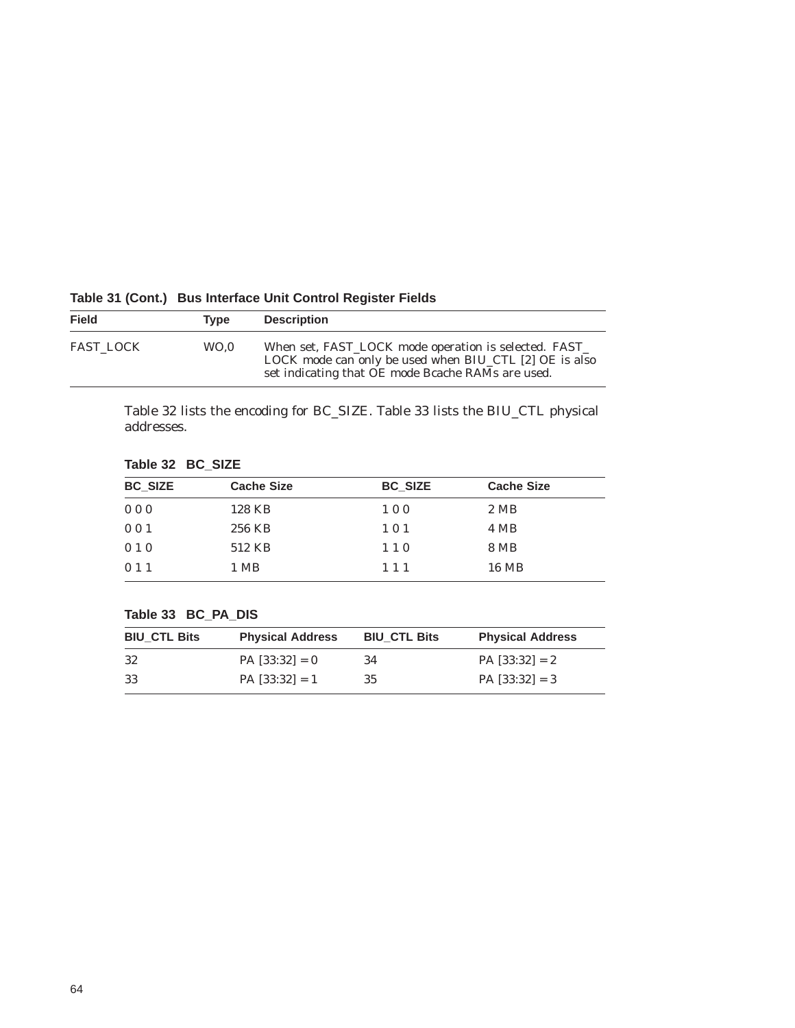| <b>Field</b>     | Tvpe | <b>Description</b>                                                                                                                                                   |
|------------------|------|----------------------------------------------------------------------------------------------------------------------------------------------------------------------|
| <b>FAST LOCK</b> | WO.0 | When set, FAST_LOCK mode operation is selected. FAST_<br>LOCK mode can only be used when BIU_CTL [2] OE is also<br>set indicating that OE mode Bcache RAMs are used. |

# **Table 31 (Cont.) Bus Interface Unit Control Register Fields**

Table 32 lists the encoding for BC\_SIZE. Table 33 lists the BIU\_CTL physical addresses.

# **Table 32 BC\_SIZE**

| <b>BC_SIZE</b> | <b>Cache Size</b> | <b>BC SIZE</b> | <b>Cache Size</b> |  |
|----------------|-------------------|----------------|-------------------|--|
| 000            | 128 KB            | 100            | 2 MB              |  |
| 001            | 256 KB            | 101            | 4 MB              |  |
| 010            | 512 KB            | 110            | 8 MB              |  |
| 011            | 1 MB              | 111            | 16 MB             |  |

# **Table 33 BC\_PA\_DIS**

| <b>BIU CTL Bits</b> | <b>Physical Address</b> | <b>BIU CTL Bits</b> | <b>Physical Address</b> |
|---------------------|-------------------------|---------------------|-------------------------|
| -32                 | $PA$ [33:32] = 0        | 34                  | $PA$ [33:32] = 2        |
| -33                 | $PA$ [33:32] = 1        | 35                  | $PA$ [33:32] = 3        |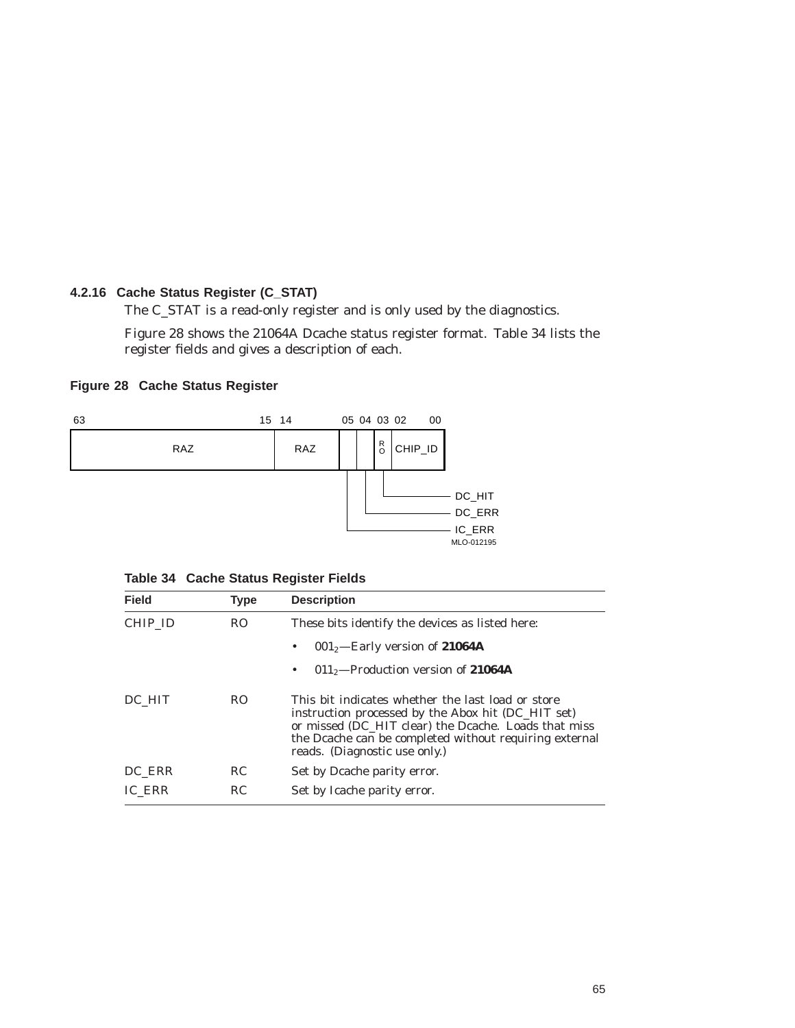## **4.2.16 Cache Status Register (C\_STAT)**

The C\_STAT is a read-only register and is only used by the diagnostics.

Figure 28 shows the 21064A Dcache status register format. Table 34 lists the register fields and gives a description of each.

## **Figure 28 Cache Status Register**



|  |  |  | Table 34 Cache Status Register Fields |  |
|--|--|--|---------------------------------------|--|
|--|--|--|---------------------------------------|--|

| <b>Field</b> | <b>Type</b> | <b>Description</b>                                                                                                                                                                                                                                         |
|--------------|-------------|------------------------------------------------------------------------------------------------------------------------------------------------------------------------------------------------------------------------------------------------------------|
| CHIP ID      | RO.         | These bits identify the devices as listed here:                                                                                                                                                                                                            |
|              |             | $0012$ -Early version of 21064A<br>٠                                                                                                                                                                                                                       |
|              |             | $0112$ -Production version of 21064A<br>٠                                                                                                                                                                                                                  |
| DC HIT       | RO.         | This bit indicates whether the last load or store<br>instruction processed by the Abox hit (DC_HIT set)<br>or missed (DC HIT clear) the Deache. Loads that miss<br>the Dcache can be completed without requiring external<br>reads. (Diagnostic use only.) |
| DC ERR       | RC.         | Set by Dcache parity error.                                                                                                                                                                                                                                |
| IC ERR       | RC          | Set by Icache parity error.                                                                                                                                                                                                                                |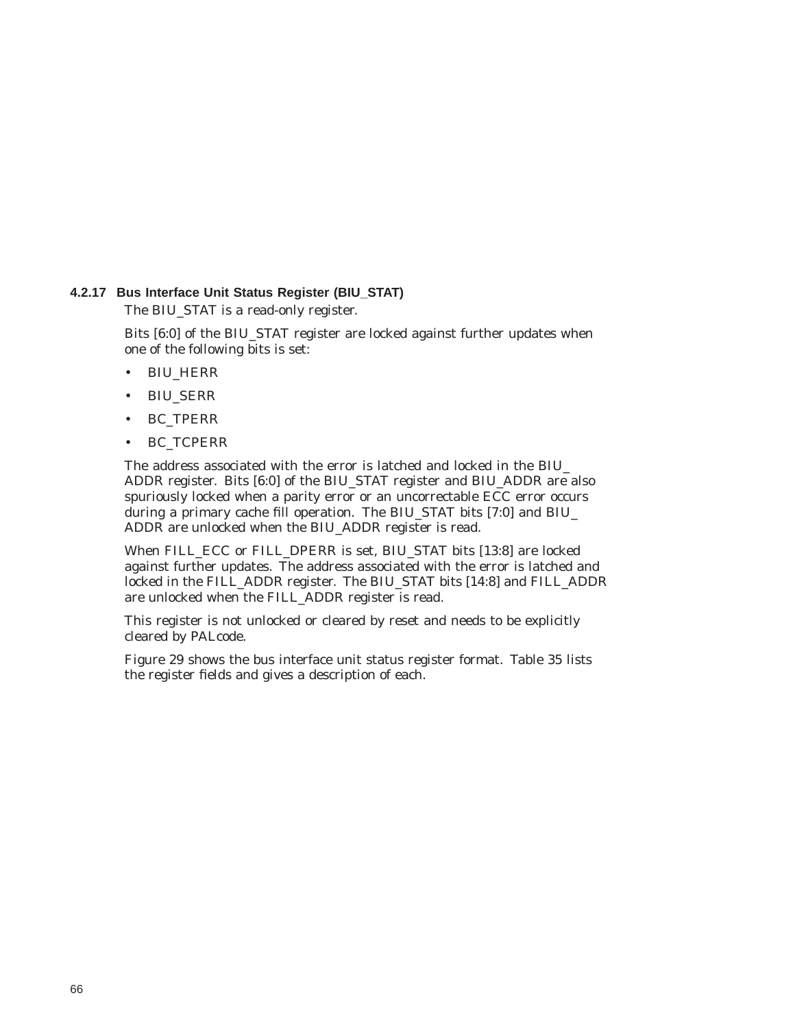### **4.2.17 Bus Interface Unit Status Register (BIU\_STAT)**

The BIU\_STAT is a read-only register.

Bits [6:0] of the BIU\_STAT register are locked against further updates when one of the following bits is set:

- BIU\_HERR
- BIU\_SERR
- BC\_TPERR
- BC\_TCPERR

The address associated with the error is latched and locked in the BIU\_ ADDR register. Bits [6:0] of the BIU\_STAT register and BIU\_ADDR are also spuriously locked when a parity error or an uncorrectable ECC error occurs during a primary cache fill operation. The BIU\_STAT bits [7:0] and BIU\_ ADDR are unlocked when the BIU\_ADDR register is read.

When FILL\_ECC or FILL\_DPERR is set, BIU\_STAT bits [13:8] are locked against further updates. The address associated with the error is latched and locked in the FILL\_ADDR register. The BIU\_STAT bits [14:8] and FILL\_ADDR are unlocked when the FILL\_ADDR register is read.

This register is not unlocked or cleared by reset and needs to be explicitly cleared by PALcode.

Figure 29 shows the bus interface unit status register format. Table 35 lists the register fields and gives a description of each.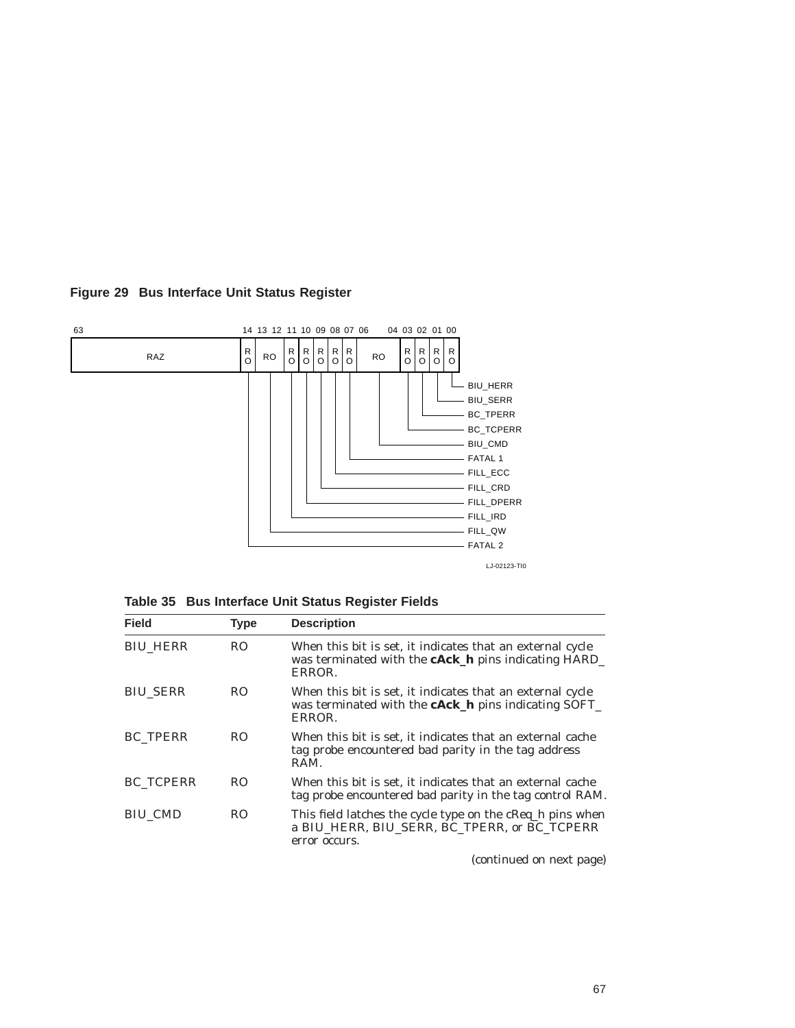

## **Figure 29 Bus Interface Unit Status Register**

| Table 35 Bus Interface Unit Status Register Fields |  |  |
|----------------------------------------------------|--|--|
|                                                    |  |  |

| <b>Field</b>     | <b>Type</b>    | <b>Description</b>                                                                                                                 |  |  |
|------------------|----------------|------------------------------------------------------------------------------------------------------------------------------------|--|--|
| <b>BIU HERR</b>  | R <sub>O</sub> | When this bit is set, it indicates that an external cycle<br>was terminated with the <b>cAck_h</b> pins indicating HARD_<br>ERROR. |  |  |
| <b>BIU SERR</b>  | RO.            | When this bit is set, it indicates that an external cycle<br>was terminated with the <b>cAck_h</b> pins indicating SOFT_<br>ERROR. |  |  |
| <b>BC TPERR</b>  | RO.            | When this bit is set, it indicates that an external cache<br>tag probe encountered bad parity in the tag address<br>RAM.           |  |  |
| <b>BC TCPERR</b> | RO.            | When this bit is set, it indicates that an external cache<br>tag probe encountered bad parity in the tag control RAM.              |  |  |
| <b>BIU CMD</b>   | RO.            | This field latches the cycle type on the cReq_h pins when<br>a BIU HERR. BIU SERR. BC TPERR. or BC TCPERR<br>error occurs.         |  |  |

(continued on next page)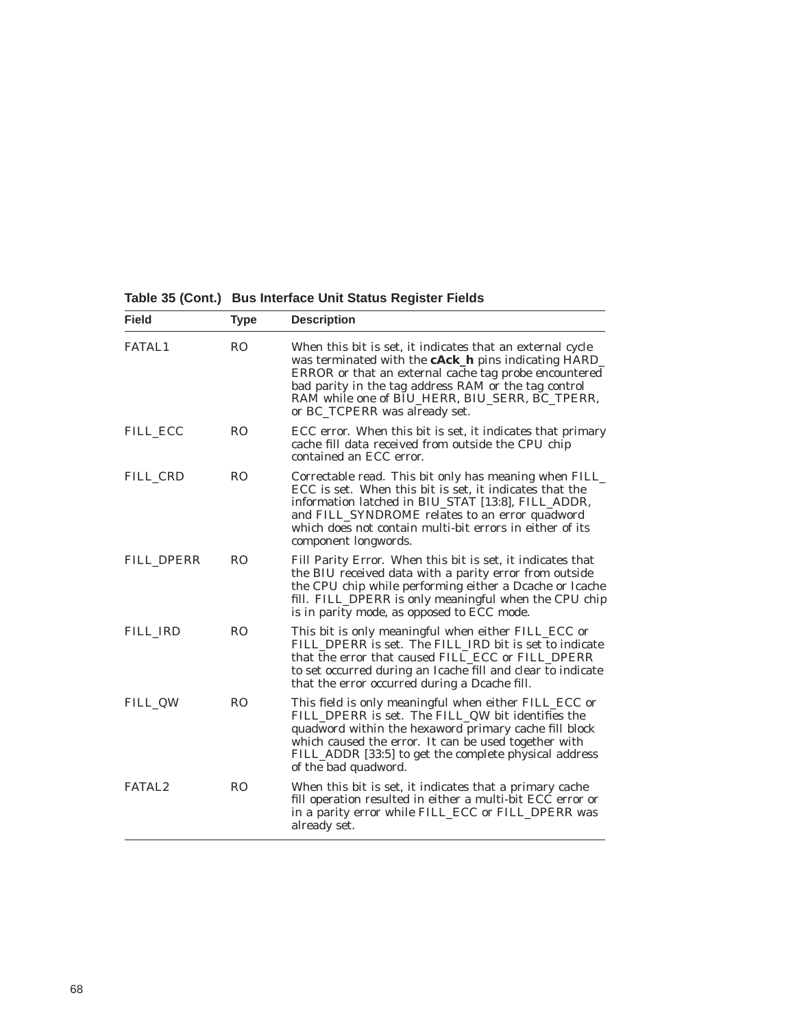**Table 35 (Cont.) Bus Interface Unit Status Register Fields**

| <b>Field</b>       | <b>Type</b>    | <b>Description</b>                                                                                                                                                                                                                                                                                                           |  |  |  |
|--------------------|----------------|------------------------------------------------------------------------------------------------------------------------------------------------------------------------------------------------------------------------------------------------------------------------------------------------------------------------------|--|--|--|
| <b>FATAL1</b>      | R <sub>O</sub> | When this bit is set, it indicates that an external cycle<br>was terminated with the <b>cAck_h</b> pins indicating HARD_<br>ERROR or that an external cache tag probe encountered<br>bad parity in the tag address RAM or the tag control<br>RAM while one of BIU_HERR, BIU_SERR, BC_TPERR,<br>or BC_TCPERR was already set. |  |  |  |
| <b>FILL ECC</b>    | R <sub>O</sub> | ECC error. When this bit is set, it indicates that primary<br>cache fill data received from outside the CPU chip<br>contained an ECC error.                                                                                                                                                                                  |  |  |  |
| FILL CRD           | R <sub>O</sub> | Correctable read. This bit only has meaning when FILL_<br>ECC is set. When this bit is set, it indicates that the<br>information latched in BIU_STAT [13:8], FILL_ADDR,<br>and FILL_SYNDROME relates to an error quadword<br>which does not contain multi-bit errors in either of its<br>component longwords.                |  |  |  |
| FILL DPERR         | <b>RO</b>      | Fill Parity Error. When this bit is set, it indicates that<br>the BIU received data with a parity error from outside<br>the CPU chip while performing either a Dcache or Icache<br>fill. FILL_DPERR is only meaningful when the CPU chip<br>is in parity mode, as opposed to ECC mode.                                       |  |  |  |
| FILL IRD           | <b>RO</b>      | This bit is only meaningful when either FILL_ECC or<br>FILL DPERR is set. The FILL IRD bit is set to indicate<br>that the error that caused FILL_ECC or FILL_DPERR<br>to set occurred during an Icache fill and clear to indicate<br>that the error occurred during a Dcache fill.                                           |  |  |  |
| <b>FILL QW</b>     | <b>RO</b>      | This field is only meaningful when either FILL_ECC or<br>FILL_DPERR is set. The FILL_QW bit identifies the<br>quadword within the hexaword primary cache fill block<br>which caused the error. It can be used together with<br>FILL_ADDR [33:5] to get the complete physical address<br>of the bad quadword.                 |  |  |  |
| FATAL <sub>2</sub> | R <sub>O</sub> | When this bit is set, it indicates that a primary cache<br>fill operation resulted in either a multi-bit ECC error or<br>in a parity error while FILL_ECC or FILL_DPERR was<br>already set.                                                                                                                                  |  |  |  |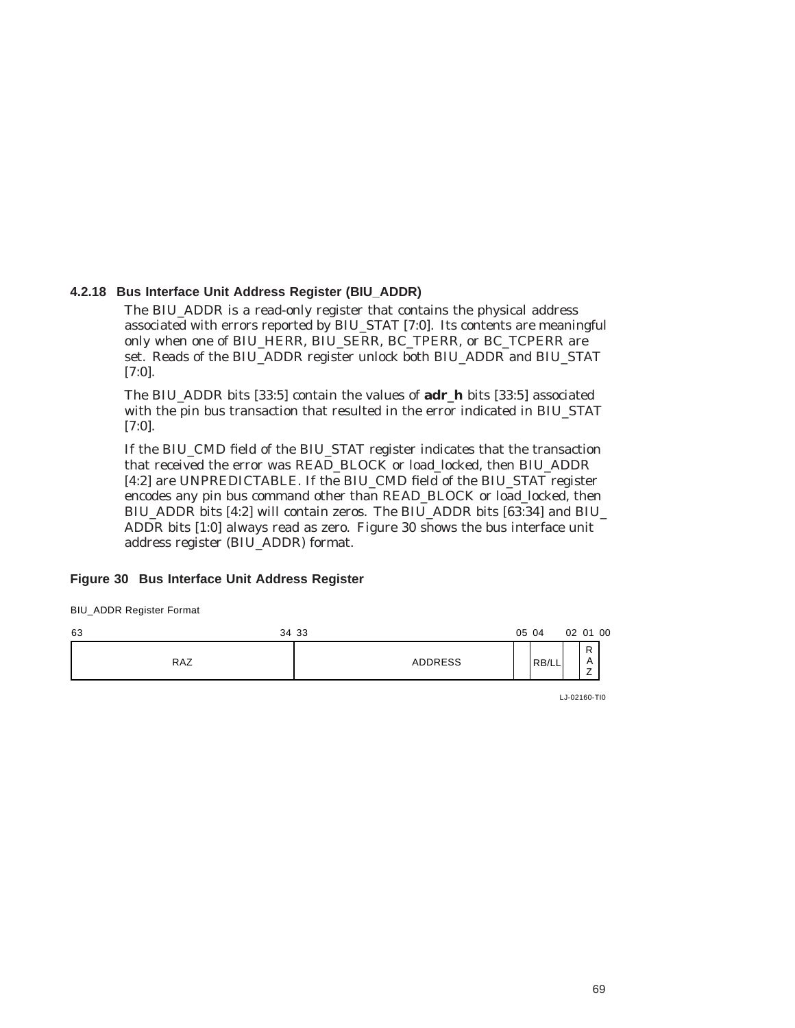#### **4.2.18 Bus Interface Unit Address Register (BIU\_ADDR)**

The BIU\_ADDR is a read-only register that contains the physical address associated with errors reported by BIU\_STAT [7:0]. Its contents are meaningful only when one of BIU\_HERR, BIU\_SERR, BC\_TPERR, or BC\_TCPERR are set. Reads of the BIU\_ADDR register unlock both BIU\_ADDR and BIU\_STAT [7:0].

The BIU\_ADDR bits [33:5] contain the values of **adr\_h** bits [33:5] associated with the pin bus transaction that resulted in the error indicated in BIU\_STAT [7:0].

If the BIU\_CMD field of the BIU\_STAT register indicates that the transaction that received the error was READ\_BLOCK or load\_locked, then BIU\_ADDR [4:2] are UNPREDICTABLE. If the BIU\_CMD field of the BIU\_STAT register encodes any pin bus command other than READ\_BLOCK or load\_locked, then BIU\_ADDR bits [4:2] will contain zeros. The BIU\_ADDR bits [63:34] and BIU\_ ADDR bits [1:0] always read as zero. Figure 30 shows the bus interface unit address register (BIU\_ADDR) format.

#### **Figure 30 Bus Interface Unit Address Register**

BIU\_ADDR Register Format



LJ-02160-TI0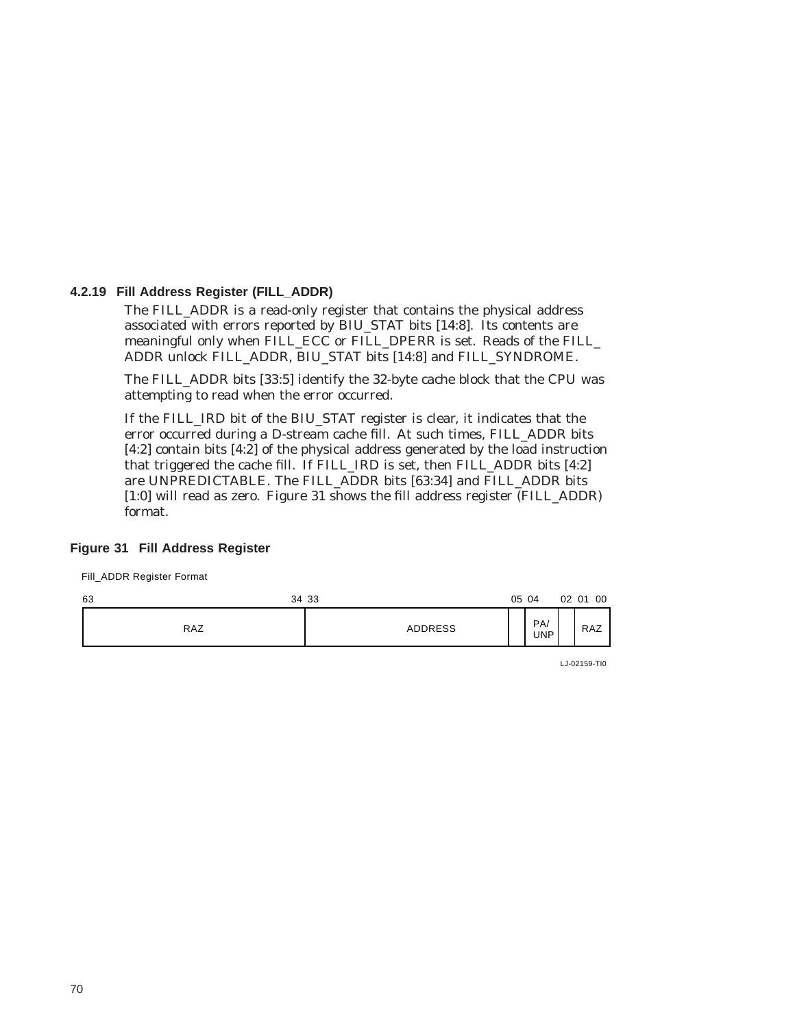#### **4.2.19 Fill Address Register (FILL\_ADDR)**

The FILL\_ADDR is a read-only register that contains the physical address associated with errors reported by BIU\_STAT bits [14:8]. Its contents are meaningful only when FILL\_ECC or FILL\_DPERR is set. Reads of the FILL\_ ADDR unlock FILL\_ADDR, BIU\_STAT bits [14:8] and FILL\_SYNDROME.

The FILL\_ADDR bits [33:5] identify the 32-byte cache block that the CPU was attempting to read when the error occurred.

If the FILL\_IRD bit of the BIU\_STAT register is clear, it indicates that the error occurred during a D-stream cache fill. At such times, FILL\_ADDR bits [4:2] contain bits [4:2] of the physical address generated by the load instruction that triggered the cache fill. If FILL\_IRD is set, then FILL\_ADDR bits [4:2] are UNPREDICTABLE. The FILL\_ADDR bits [63:34] and FILL\_ADDR bits [1:0] will read as zero. Figure 31 shows the fill address register (FILL\_ADDR) format.

#### **Figure 31 Fill Address Register**

Fill\_ADDR Register Format



LJ-02159-TI0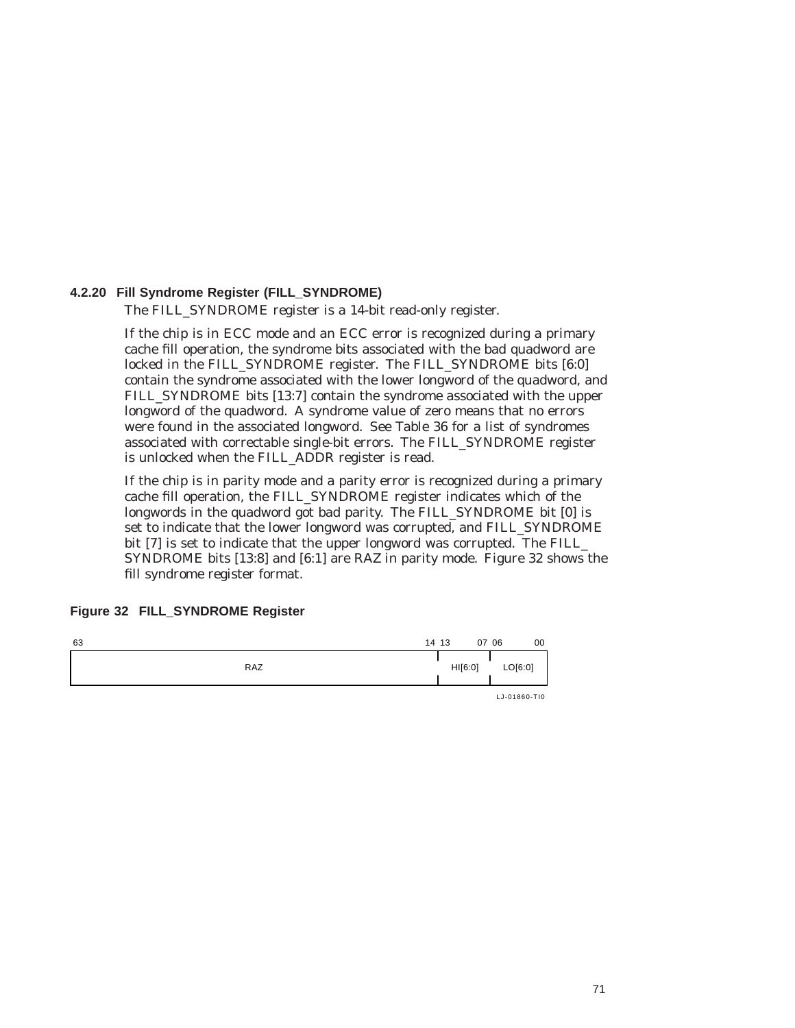### **4.2.20 Fill Syndrome Register (FILL\_SYNDROME)**

The FILL\_SYNDROME register is a 14-bit read-only register.

If the chip is in ECC mode and an ECC error is recognized during a primary cache fill operation, the syndrome bits associated with the bad quadword are locked in the FILL\_SYNDROME register. The FILL\_SYNDROME bits [6:0] contain the syndrome associated with the lower longword of the quadword, and FILL\_SYNDROME bits [13:7] contain the syndrome associated with the upper longword of the quadword. A syndrome value of zero means that no errors were found in the associated longword. See Table 36 for a list of syndromes associated with correctable single-bit errors. The FILL\_SYNDROME register is unlocked when the FILL\_ADDR register is read.

If the chip is in parity mode and a parity error is recognized during a primary cache fill operation, the FILL\_SYNDROME register indicates which of the longwords in the quadword got bad parity. The FILL\_SYNDROME bit [0] is set to indicate that the lower longword was corrupted, and FILL\_SYNDROME bit [7] is set to indicate that the upper longword was corrupted. The FILL\_ SYNDROME bits [13:8] and [6:1] are RAZ in parity mode. Figure 32 shows the fill syndrome register format.

#### **Figure 32 FILL\_SYNDROME Register**

| 63 |            | 14 13 |         | 07 06 | 00           |
|----|------------|-------|---------|-------|--------------|
|    | <b>RAZ</b> |       | HI[6:0] |       | LO[6:0]      |
|    |            |       |         |       | LJ-01860-TI0 |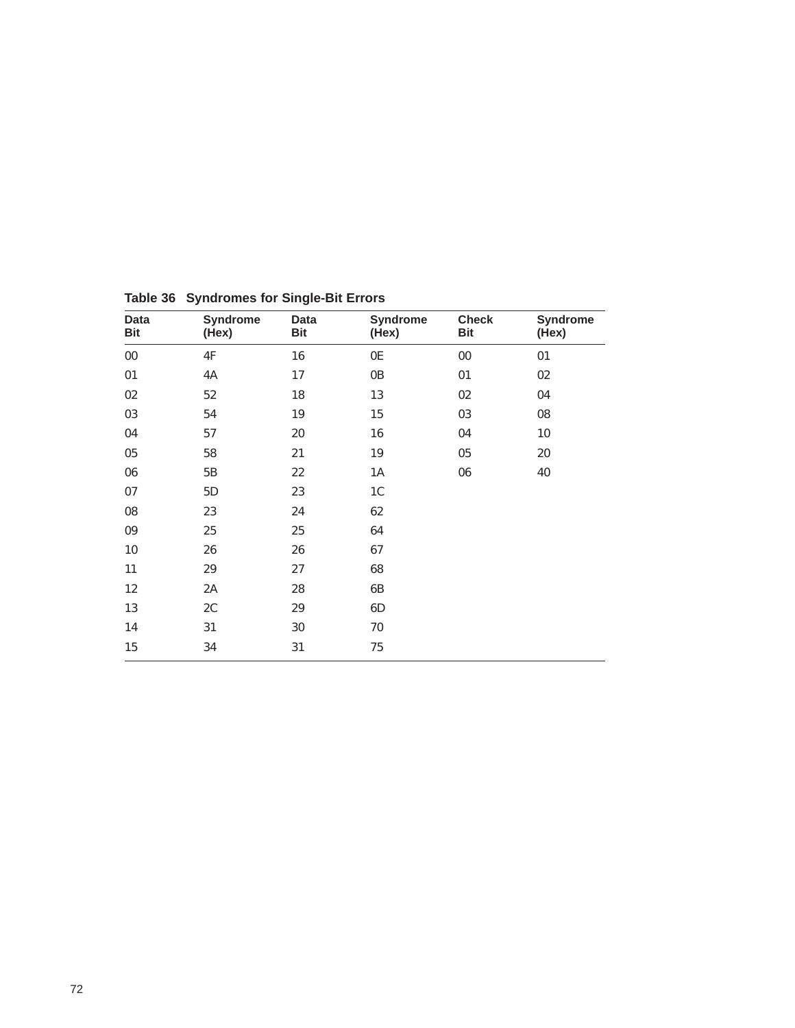| Data<br><b>Bit</b> | <b>Syndrome</b><br>(Hex) | Data<br>Bit | <b>Syndrome</b><br>(Hex) | <b>Check</b><br><b>Bit</b> | <b>Syndrome</b><br>(Hex) |
|--------------------|--------------------------|-------------|--------------------------|----------------------------|--------------------------|
| ${\bf 00}$         | 4F                       | 16          | 0E                       | $00\,$                     | 01                       |
| 01                 | 4A                       | 17          | 0B                       | 01                         | 02                       |
| $02\,$             | $52\,$                   | 18          | 13                       | 02                         | 04                       |
| 03                 | 54                       | 19          | 15                       | 03                         | 08                       |
| 04                 | 57                       | 20          | 16                       | 04                         | 10                       |
| 05                 | 58                       | 21          | $19\,$                   | 05                         | 20                       |
| 06                 | 5B                       | 22          | 1A                       | 06                         | 40                       |
| 07                 | 5D                       | 23          | 1 <sub>C</sub>           |                            |                          |
| ${\bf 08}$         | 23                       | 24          | 62                       |                            |                          |
| 09                 | 25                       | 25          | 64                       |                            |                          |
| $10\,$             | 26                       | 26          | 67                       |                            |                          |
| 11                 | 29                       | 27          | 68                       |                            |                          |
| 12                 | 2A                       | 28          | 6B                       |                            |                          |
| 13                 | 2C                       | $\rm 29$    | 6D                       |                            |                          |
| 14                 | 31                       | 30          | 70                       |                            |                          |
| 15                 | 34                       | 31          | 75                       |                            |                          |

**Table 36 Syndromes for Single-Bit Errors**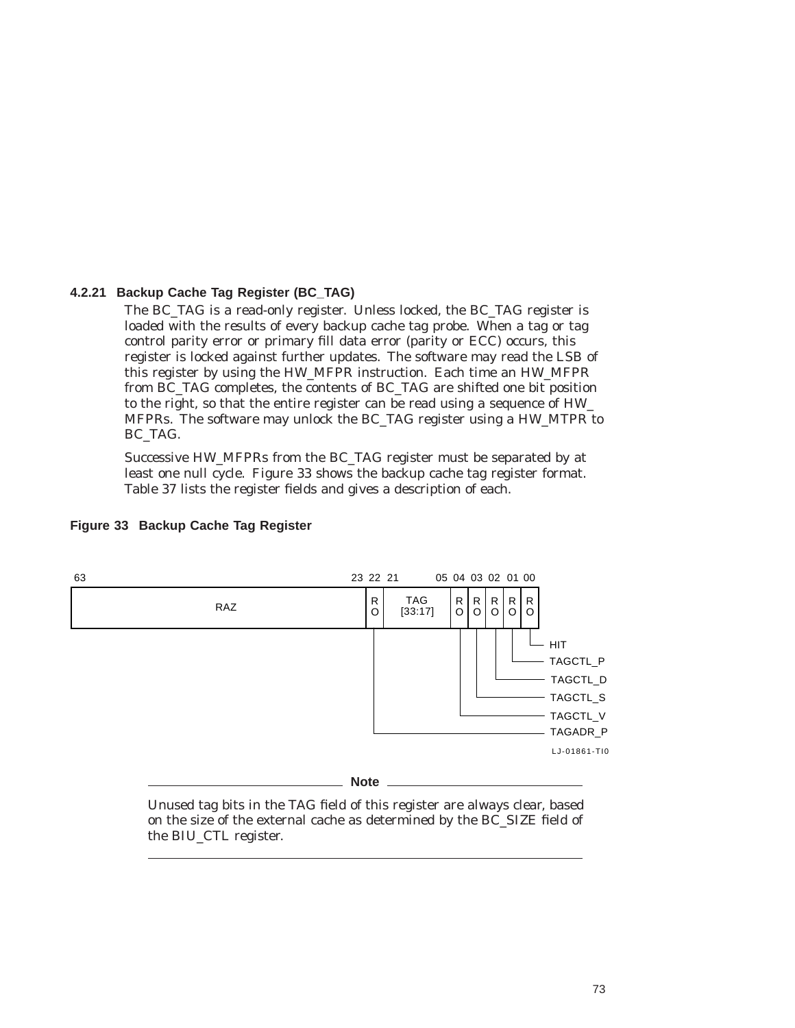#### **4.2.21 Backup Cache Tag Register (BC\_TAG)**

The BC\_TAG is a read-only register. Unless locked, the BC\_TAG register is loaded with the results of every backup cache tag probe. When a tag or tag control parity error or primary fill data error (parity or ECC) occurs, this register is locked against further updates. The software may read the LSB of this register by using the HW\_MFPR instruction. Each time an HW\_MFPR from BC\_TAG completes, the contents of BC\_TAG are shifted one bit position to the right, so that the entire register can be read using a sequence of HW\_ MFPRs. The software may unlock the BC\_TAG register using a HW\_MTPR to BC\_TAG.

Successive HW\_MFPRs from the BC\_TAG register must be separated by at least one null cycle. Figure 33 shows the backup cache tag register format. Table 37 lists the register fields and gives a description of each.



#### **Figure 33 Backup Cache Tag Register**

Unused tag bits in the TAG field of this register are always clear, based on the size of the external cache as determined by the BC\_SIZE field of the BIU\_CTL register.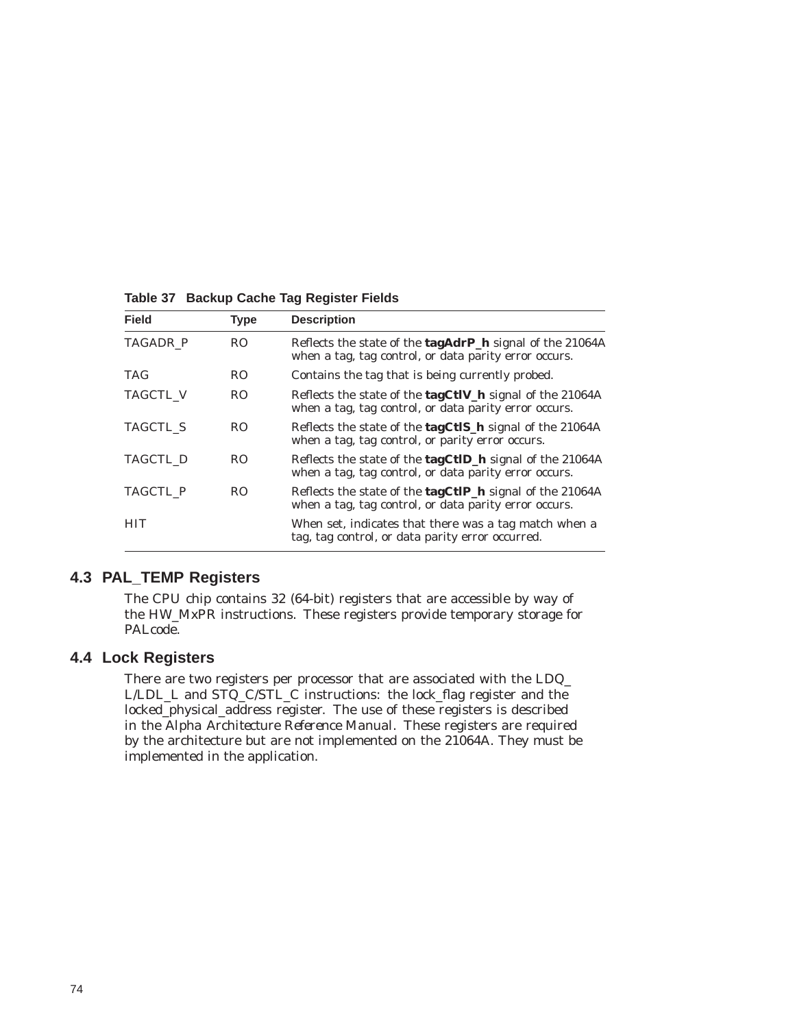| <b>Field</b>    | <b>Type</b>    | <b>Description</b>                                                                                                       |
|-----------------|----------------|--------------------------------------------------------------------------------------------------------------------------|
| <b>TAGADR P</b> | R <sub>O</sub> | Reflects the state of the <b>tagAdrP_h</b> signal of the 21064A<br>when a tag, tag control, or data parity error occurs. |
| <b>TAG</b>      | RO.            | Contains the tag that is being currently probed.                                                                         |
| <b>TAGCTL V</b> | RO.            | Reflects the state of the tagCtlV_h signal of the 21064A<br>when a tag, tag control, or data parity error occurs.        |
| <b>TAGCTL S</b> | RO.            | Reflects the state of the <b>tagCtIS_h</b> signal of the 21064A<br>when a tag, tag control, or parity error occurs.      |
| TAGCTL D        | RO.            | Reflects the state of the tagCtID_h signal of the 21064A<br>when a tag, tag control, or data parity error occurs.        |
| TAGCTL P        | RO.            | Reflects the state of the tagCtIP_h signal of the 21064A<br>when a tag, tag control, or data parity error occurs.        |
| HIT             |                | When set, indicates that there was a tag match when a<br>tag, tag control, or data parity error occurred.                |

**Table 37 Backup Cache Tag Register Fields**

### **4.3 PAL\_TEMP Registers**

The CPU chip contains 32 (64-bit) registers that are accessible by way of the HW\_MxPR instructions. These registers provide temporary storage for PALcode.

## **4.4 Lock Registers**

There are two registers per processor that are associated with the LDQ\_ L/LDL\_L and STQ\_C/STL\_C instructions: the lock\_flag register and the locked\_physical\_address register. The use of these registers is described in the *Alpha Architecture Reference Manual*. These registers are required by the architecture but are *not* implemented on the 21064A. They must be implemented in the application.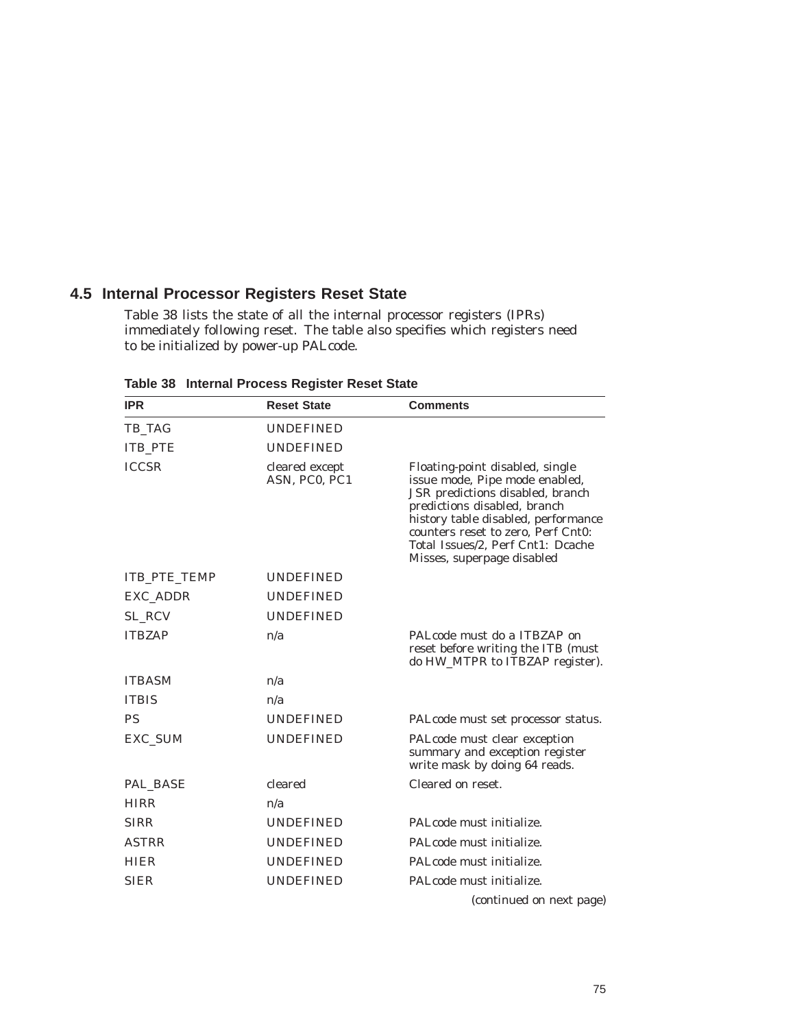## **4.5 Internal Processor Registers Reset State**

Table 38 lists the state of all the internal processor registers (IPRs) immediately following reset. The table also specifies which registers need to be initialized by power-up PALcode.

**Table 38 Internal Process Register Reset State**

| <b>IPR</b>          | <b>Reset State</b>              | <b>Comments</b>                                                                                                                                                                                                                                                                       |
|---------------------|---------------------------------|---------------------------------------------------------------------------------------------------------------------------------------------------------------------------------------------------------------------------------------------------------------------------------------|
| TB_TAG              | <b>UNDEFINED</b>                |                                                                                                                                                                                                                                                                                       |
| <b>ITB PTE</b>      | <b>UNDEFINED</b>                |                                                                                                                                                                                                                                                                                       |
| <b>ICCSR</b>        | cleared except<br>ASN, PC0, PC1 | Floating-point disabled, single<br>issue mode, Pipe mode enabled,<br>JSR predictions disabled, branch<br>predictions disabled, branch<br>history table disabled, performance<br>counters reset to zero, Perf Cnt0:<br>Total Issues/2, Perf Cnt1: Dcache<br>Misses, superpage disabled |
| <b>ITB PTE TEMP</b> | <b>UNDEFINED</b>                |                                                                                                                                                                                                                                                                                       |
| EXC_ADDR            | <b>UNDEFINED</b>                |                                                                                                                                                                                                                                                                                       |
| SL RCV              | <b>UNDEFINED</b>                |                                                                                                                                                                                                                                                                                       |
| <b>ITBZAP</b>       | n/a                             | PALcode must do a ITBZAP on<br>reset before writing the ITB (must<br>do HW_MTPR to ITBZAP register).                                                                                                                                                                                  |
| <b>ITBASM</b>       | n/a                             |                                                                                                                                                                                                                                                                                       |
| <b>ITBIS</b>        | n/a                             |                                                                                                                                                                                                                                                                                       |
| <b>PS</b>           | <b>UNDEFINED</b>                | PALcode must set processor status.                                                                                                                                                                                                                                                    |
| <b>EXC SUM</b>      | <b>UNDEFINED</b>                | PALcode must clear exception<br>summary and exception register<br>write mask by doing 64 reads.                                                                                                                                                                                       |
| PAL BASE            | cleared                         | Cleared on reset.                                                                                                                                                                                                                                                                     |
| <b>HIRR</b>         | n/a                             |                                                                                                                                                                                                                                                                                       |
| <b>SIRR</b>         | <b>UNDEFINED</b>                | PALcode must initialize.                                                                                                                                                                                                                                                              |
| <b>ASTRR</b>        | <b>UNDEFINED</b>                | PAL code must initialize.                                                                                                                                                                                                                                                             |
| <b>HIER</b>         | <b>UNDEFINED</b>                | PALcode must initialize.                                                                                                                                                                                                                                                              |
| <b>SIER</b>         | <b>UNDEFINED</b>                | PALcode must initialize.                                                                                                                                                                                                                                                              |
|                     |                                 | (continued on next page)                                                                                                                                                                                                                                                              |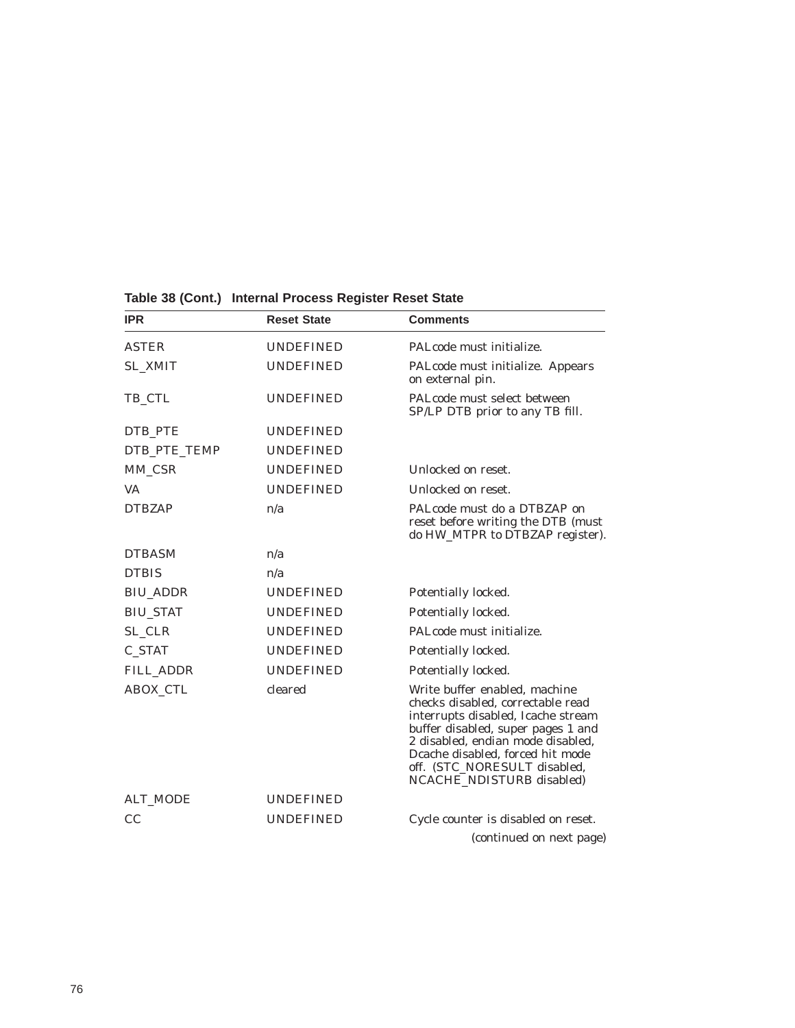| <b>IPR</b>       | <b>Reset State</b> | <b>Comments</b>                                                                                                                                                                                                                                                                      |
|------------------|--------------------|--------------------------------------------------------------------------------------------------------------------------------------------------------------------------------------------------------------------------------------------------------------------------------------|
| <b>ASTER</b>     | <b>UNDEFINED</b>   | PAL code must initialize.                                                                                                                                                                                                                                                            |
| <b>SL XMIT</b>   | <b>UNDEFINED</b>   | PALcode must initialize. Appears<br>on external pin.                                                                                                                                                                                                                                 |
| TB_CTL           | <b>UNDEFINED</b>   | PALcode must select between<br>SP/LP DTB prior to any TB fill.                                                                                                                                                                                                                       |
| DTB PTE          | <b>UNDEFINED</b>   |                                                                                                                                                                                                                                                                                      |
| DTB_PTE_TEMP     | <b>UNDEFINED</b>   |                                                                                                                                                                                                                                                                                      |
| MM_CSR           | <b>UNDEFINED</b>   | Unlocked on reset.                                                                                                                                                                                                                                                                   |
| <b>VA</b>        | <b>UNDEFINED</b>   | Unlocked on reset.                                                                                                                                                                                                                                                                   |
| <b>DTBZAP</b>    | n/a                | PALcode must do a DTBZAP on<br>reset before writing the DTB (must<br>do HW_MTPR to DTBZAP register).                                                                                                                                                                                 |
| <b>DTBASM</b>    | n/a                |                                                                                                                                                                                                                                                                                      |
| <b>DTBIS</b>     | n/a                |                                                                                                                                                                                                                                                                                      |
| <b>BIU_ADDR</b>  | <b>UNDEFINED</b>   | Potentially locked.                                                                                                                                                                                                                                                                  |
| <b>BIU_STAT</b>  | <b>UNDEFINED</b>   | Potentially locked.                                                                                                                                                                                                                                                                  |
| SL_CLR           | <b>UNDEFINED</b>   | PALcode must initialize.                                                                                                                                                                                                                                                             |
| C_STAT           | <b>UNDEFINED</b>   | Potentially locked.                                                                                                                                                                                                                                                                  |
| <b>FILL_ADDR</b> | <b>UNDEFINED</b>   | Potentially locked.                                                                                                                                                                                                                                                                  |
| <b>ABOX_CTL</b>  | cleared            | Write buffer enabled, machine<br>checks disabled, correctable read<br>interrupts disabled, Icache stream<br>buffer disabled, super pages 1 and<br>2 disabled, endian mode disabled,<br>Dcache disabled, forced hit mode<br>off. (STC_NORESULT disabled,<br>NCACHE_NDISTURB disabled) |
| <b>ALT MODE</b>  | <b>UNDEFINED</b>   |                                                                                                                                                                                                                                                                                      |
| CC               | <b>UNDEFINED</b>   | Cycle counter is disabled on reset.                                                                                                                                                                                                                                                  |
|                  |                    | (continued on next page)                                                                                                                                                                                                                                                             |

#### **Table 38 (Cont.) Internal Process Register Reset State**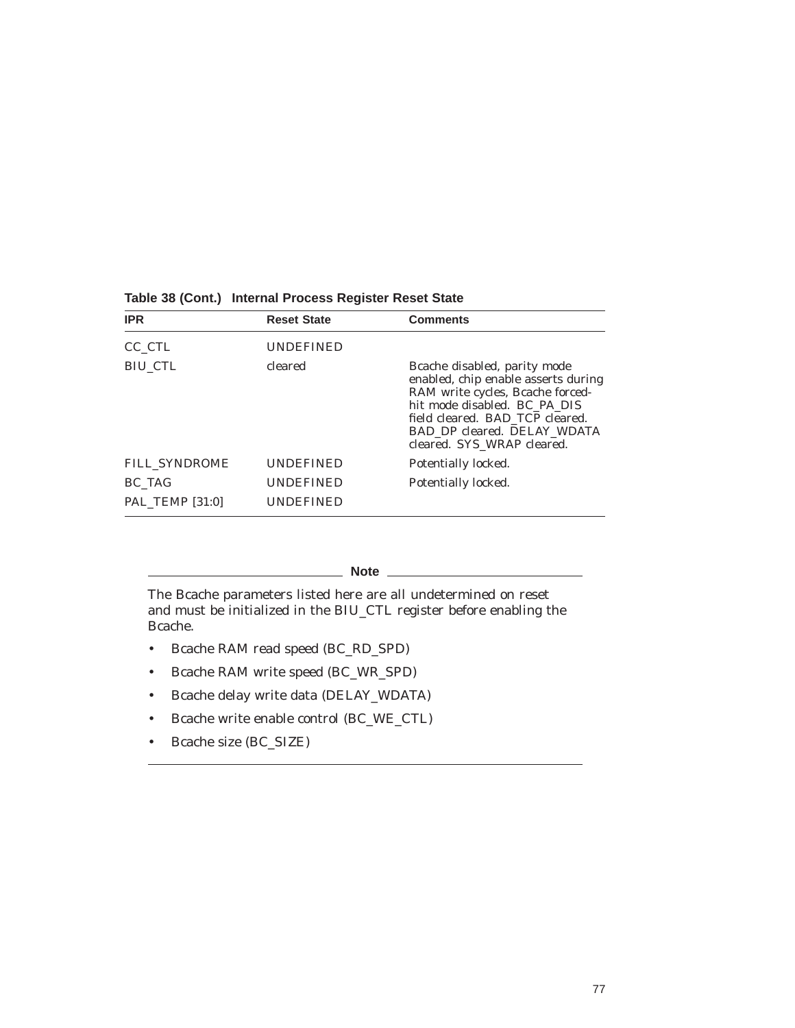| <b>IPR</b>             | <b>Reset State</b> | <b>Comments</b>                                                                                                                                                                                                                         |
|------------------------|--------------------|-----------------------------------------------------------------------------------------------------------------------------------------------------------------------------------------------------------------------------------------|
| CC CTL                 | <b>UNDEFINED</b>   |                                                                                                                                                                                                                                         |
| <b>BIU CTL</b>         | cleared            | Bcache disabled, parity mode<br>enabled, chip enable asserts during<br>RAM write cycles, Bcache forced-<br>hit mode disabled. BC_PA_DIS<br>field cleared. BAD_TCP cleared.<br>BAD DP cleared. DELAY WDATA<br>cleared. SYS WRAP cleared. |
| <b>FILL SYNDROME</b>   | <b>UNDEFINED</b>   | Potentially locked.                                                                                                                                                                                                                     |
| BC TAG                 | <b>UNDEFINED</b>   | Potentially locked.                                                                                                                                                                                                                     |
| <b>PAL TEMP [31:0]</b> | <b>UNDEFINED</b>   |                                                                                                                                                                                                                                         |

#### **Table 38 (Cont.) Internal Process Register Reset State**

**Note** \_\_

The Bcache parameters listed here are all undetermined on reset and must be initialized in the BIU\_CTL register before enabling the Bcache.

- Bcache RAM read speed (BC\_RD\_SPD)
- Bcache RAM write speed (BC\_WR\_SPD)
- Bcache delay write data (DELAY\_WDATA)
- Bcache write enable control (BC\_WE\_CTL)
- Bcache size (BC\_SIZE)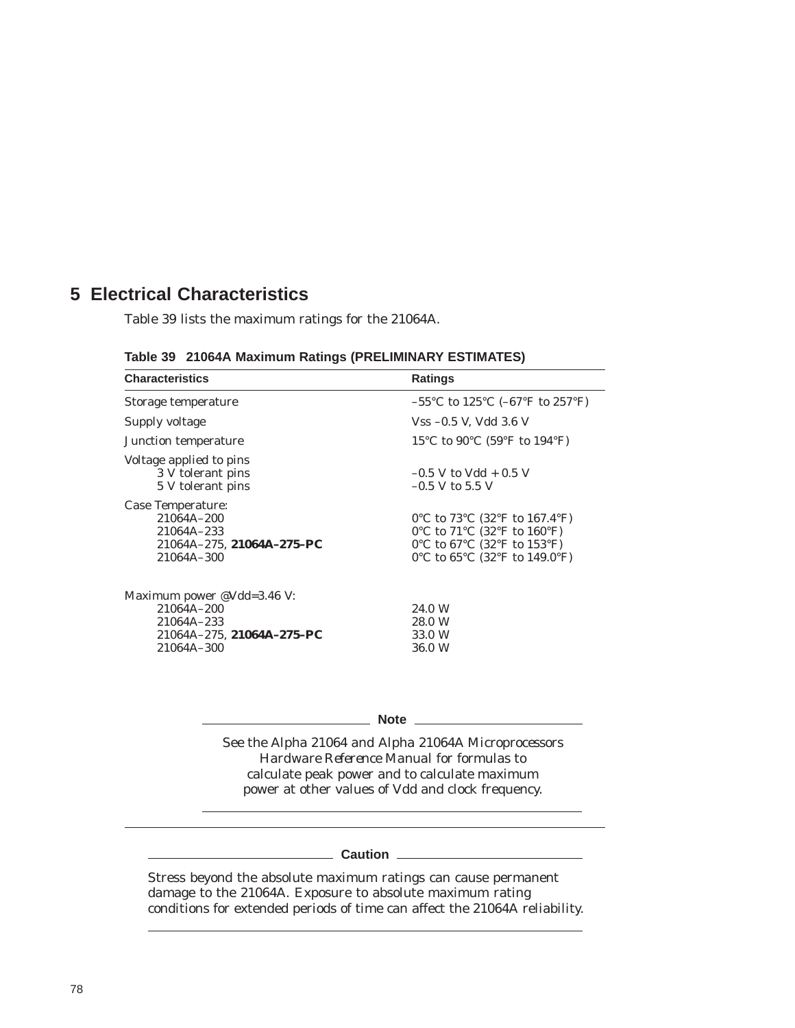# **5 Electrical Characteristics**

Table 39 lists the maximum ratings for the 21064A.

|  |  |  |  | Table 39 21064A Maximum Ratings (PRELIMINARY ESTIMATES) |  |
|--|--|--|--|---------------------------------------------------------|--|
|--|--|--|--|---------------------------------------------------------|--|

| <b>Characteristics</b>                                                                            | <b>Ratings</b>                                                                                                                                   |
|---------------------------------------------------------------------------------------------------|--------------------------------------------------------------------------------------------------------------------------------------------------|
| Storage temperature                                                                               | $-55^{\circ}$ C to 125 <sup>°</sup> C (-67 <sup>°</sup> F to 257 <sup>°</sup> F)                                                                 |
| Supply voltage                                                                                    | $Vss -0.5$ V, Vdd 3.6 V                                                                                                                          |
| Junction temperature                                                                              | 15 °C to 90 °C (59 °F to 194 °F)                                                                                                                 |
| Voltage applied to pins<br>3 V tolerant pins<br>5 V tolerant pins                                 | $-0.5$ V to Vdd + 0.5 V<br>$-0.5$ V to 5.5 V                                                                                                     |
| Case Temperature:<br>21064A-200<br>21064A-233<br>21064A-275, 21064A-275-PC<br>21064A-300          | 0°C to 73°C (32°F to 167.4°F)<br>0°C to $71^{\circ}$ C (32°F to $160^{\circ}$ F)<br>0°C to 67°C (32°F to 153°F)<br>0°C to 65°C (32°F to 149.0°F) |
| Maximum power @Vdd=3.46 V:<br>21064A-200<br>21064A-233<br>21064A-275, 21064A-275-PC<br>21064A-300 | 24.0 W<br>28.0 W<br>33.0 W<br>36.0 W                                                                                                             |

**Note** 2008

See the *Alpha 21064 and Alpha 21064A Microprocessors Hardware Reference Manual* for formulas to calculate peak power and to calculate maximum power at other values of Vdd and clock frequency.

## **Caution** <u>\_\_\_\_\_\_\_\_\_\_\_\_\_\_\_</u>\_\_\_\_\_

Stress beyond the absolute maximum ratings can cause permanent damage to the 21064A. Exposure to absolute maximum rating conditions for extended periods of time can affect the 21064A reliability.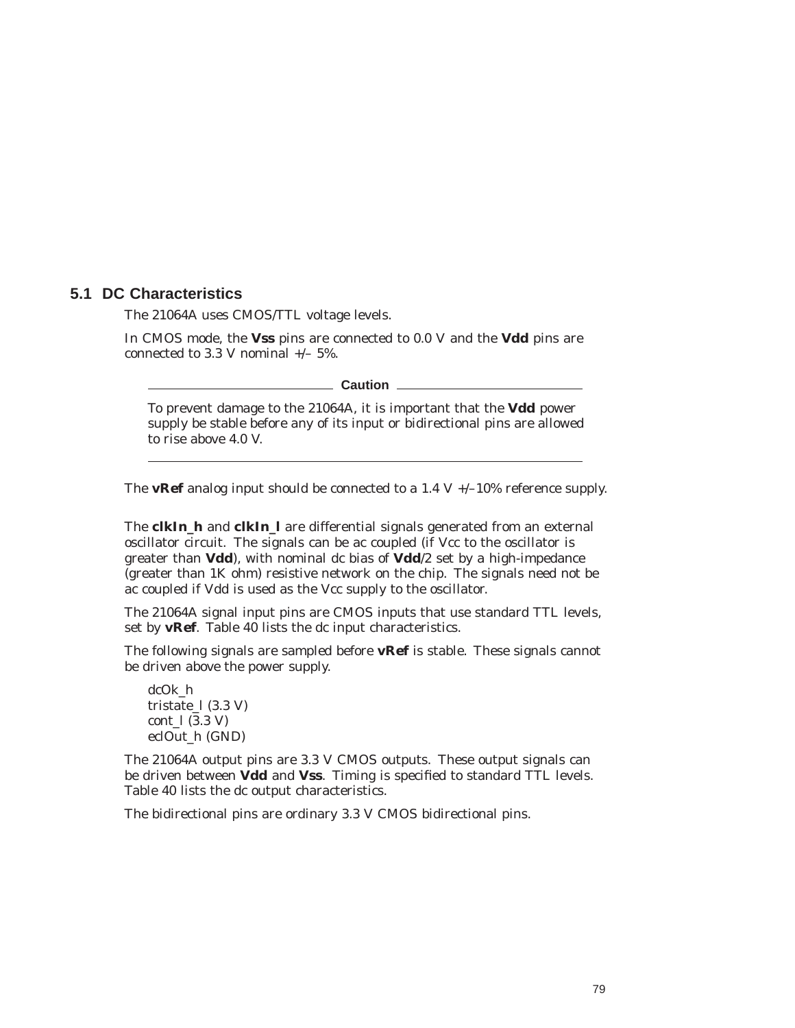## **5.1 DC Characteristics**

The 21064A uses CMOS/TTL voltage levels.

In CMOS mode, the **Vss** pins are connected to 0.0 V and the **Vdd** pins are connected to 3.3 V nominal  $+/- 5\%$ .

**Caution** <u>Little</u>

To prevent damage to the 21064A, it is important that the **Vdd** power supply be stable before any of its input or bidirectional pins are allowed to rise above 4.0 V.

The **vRef** analog input should be connected to a 1.4 V  $+/-10\%$  reference supply.

The **clkIn\_h** and **clkIn\_l** are differential signals generated from an external oscillator circuit. The signals can be ac coupled (if Vcc to the oscillator is greater than **Vdd**), with nominal dc bias of **Vdd**/2 set by a high-impedance (greater than 1K ohm) resistive network on the chip. The signals need not be ac coupled if Vdd is used as the Vcc supply to the oscillator.

The 21064A signal input pins are CMOS inputs that use standard TTL levels, set by **vRef**. Table 40 lists the dc input characteristics.

The following signals are sampled before **vRef** is stable. These signals cannot be driven above the power supply.

dcOk\_h tristate  $1(3.3 V)$ cont\_l (3.3 V) eclOut\_h (GND)

The 21064A output pins are 3.3 V CMOS outputs. These output signals can be driven between **Vdd** and **Vss**. Timing is specified to standard TTL levels. Table 40 lists the dc output characteristics.

The bidirectional pins are ordinary 3.3 V CMOS bidirectional pins.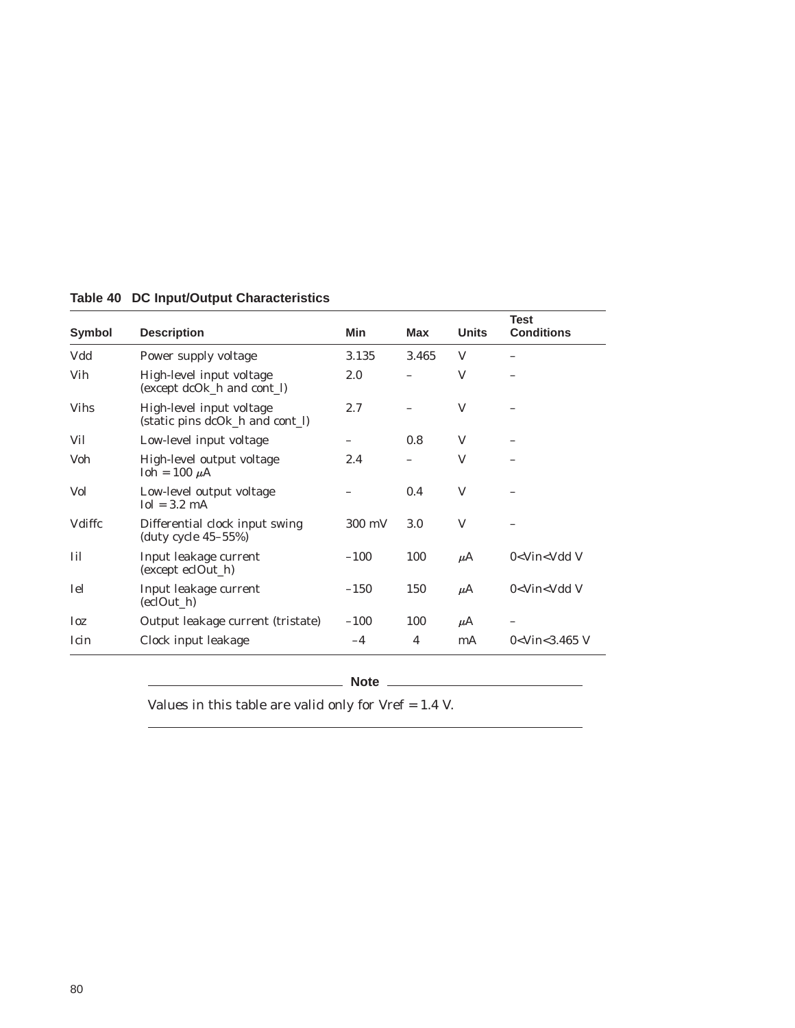| Symbol      | <b>Description</b>                                          | Min    | Max   | <b>Units</b> | <b>Test</b><br><b>Conditions</b>    |
|-------------|-------------------------------------------------------------|--------|-------|--------------|-------------------------------------|
| Vdd         | Power supply voltage                                        | 3.135  | 3.465 | V            |                                     |
| Vih         | High-level input voltage<br>(except dcOk_h and cont_l)      | 2.0    |       | V            |                                     |
| <b>Vihs</b> | High-level input voltage<br>(static pins dcOk_h and cont_l) | 2.7    |       | V            |                                     |
| Vil         | Low-level input voltage                                     |        | 0.8   | V            |                                     |
| Voh         | High-level output voltage<br>$I$ oh = 100 $\mu$ A           | 2.4    |       | V            |                                     |
| Vol         | Low-level output voltage<br>$Iol = 3.2$ mA                  |        | 0.4   | V            |                                     |
| Vdiffc      | Differential clock input swing<br>(duty cycle $45-55%$ )    | 300 mV | 3.0   | V            |                                     |
| Iil         | Input leakage current<br>(except eclOut_h)                  | $-100$ | 100   | $\mu$ A      | $0$ <vin <vdd="" td="" v<=""></vin> |
| Iel         | Input leakage current<br>(eclOut_h)                         | $-150$ | 150   | $\mu$ A      | $0$ <vin <vdd="" td="" v<=""></vin> |
| Ioz         | Output leakage current (tristate)                           | $-100$ | 100   | $\mu$ A      |                                     |
| Icin        | Clock input leakage                                         | $-4$   | 4     | mA           | $0<$ Vin $<$ 3.465 V                |

## **Table 40 DC Input/Output Characteristics**

**Note**

Values in this table are valid only for Vref = 1.4 V.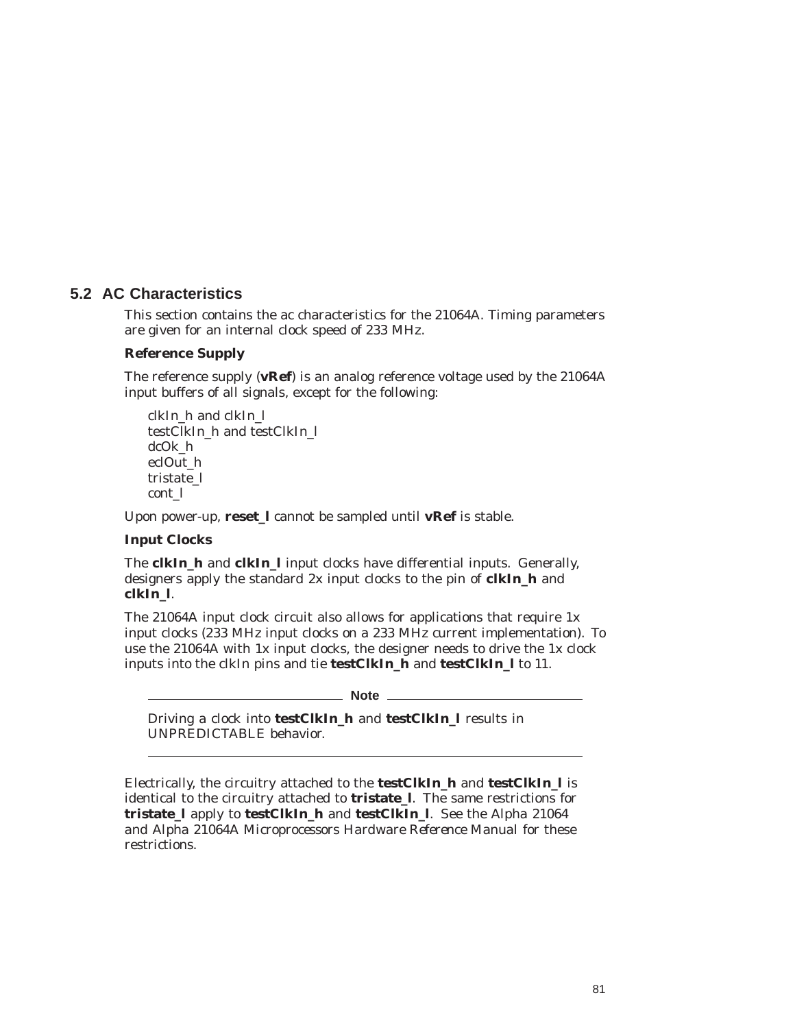## **5.2 AC Characteristics**

This section contains the ac characteristics for the 21064A. Timing parameters are given for an internal clock speed of 233 MHz.

#### **Reference Supply**

The reference supply (**vRef**) is an analog reference voltage used by the 21064A input buffers of all signals, except for the following:

clkIn\_h and clkIn\_l testClkIn\_h and testClkIn\_l dcOk\_h eclOut\_h tristate\_l cont\_l

Upon power-up, **reset\_l** cannot be sampled until **vRef** is stable.

## **Input Clocks**

The **clkIn\_h** and **clkIn\_l** input clocks have differential inputs. Generally, designers apply the standard 2x input clocks to the pin of **clkIn\_h** and **clkIn\_l**.

The 21064A input clock circuit also allows for applications that require 1x input clocks (233 MHz input clocks on a 233 MHz current implementation). To use the 21064A with 1x input clocks, the designer needs to drive the 1x clock inputs into the clkIn pins and tie **testClkIn\_h** and **testClkIn\_l** to 11.

**Note** 

Driving a clock into **testClkIn\_h** and **testClkIn\_l** results in UNPREDICTABLE behavior.

Electrically, the circuitry attached to the **testClkIn\_h** and **testClkIn\_l** is identical to the circuitry attached to **tristate\_l**. The same restrictions for **tristate\_l** apply to **testClkIn\_h** and **testClkIn\_l**. See the *Alpha 21064 and Alpha 21064A Microprocessors Hardware Reference Manual* for these restrictions.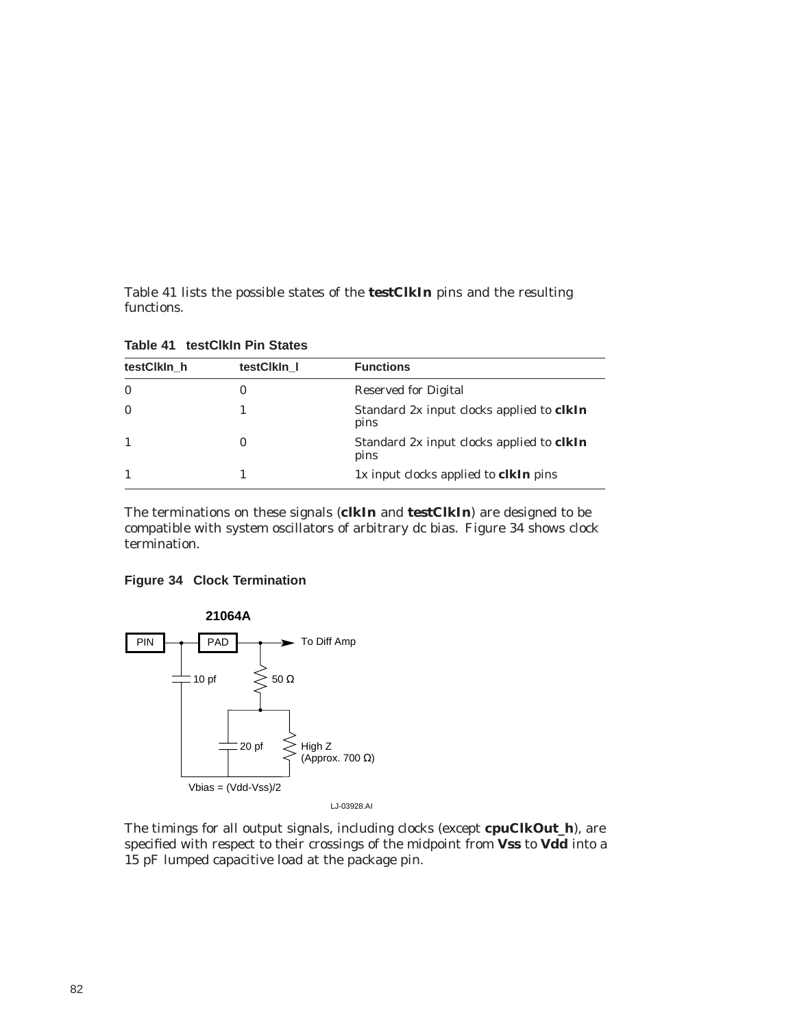Table 41 lists the possible states of the **testClkIn** pins and the resulting functions.

| testClkIn h  | testClkIn 1 | <b>Functions</b>                                         |  |  |  |
|--------------|-------------|----------------------------------------------------------|--|--|--|
| $\mathbf{0}$ | 0           | Reserved for Digital                                     |  |  |  |
|              |             | Standard 2x input clocks applied to <b>clkIn</b><br>pins |  |  |  |
|              | 0           | Standard 2x input clocks applied to <b>clkIn</b><br>pins |  |  |  |
|              |             | 1x input clocks applied to <b>clkIn</b> pins             |  |  |  |

**Table 41 testClkIn Pin States**

The terminations on these signals (**clkIn** and **testClkIn**) are designed to be compatible with system oscillators of arbitrary dc bias. Figure 34 shows clock termination.

#### **Figure 34 Clock Termination**



The timings for all output signals, including clocks (except **cpuClkOut\_h**), are specified with respect to their crossings of the midpoint from **Vss** to **Vdd** into a 15 pF lumped capacitive load at the package pin.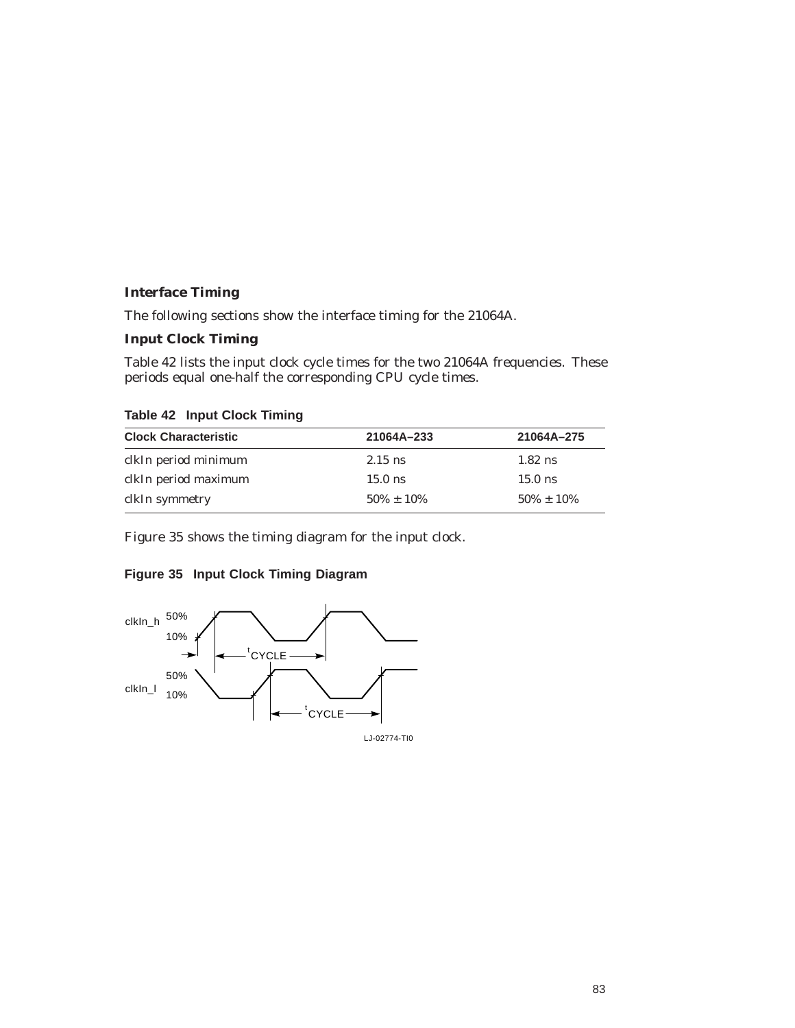## **Interface Timing**

The following sections show the interface timing for the 21064A.

#### **Input Clock Timing**

Table 42 lists the input clock cycle times for the two 21064A frequencies. These periods equal one-half the corresponding CPU cycle times.

| $1.44419$ $1.41941$ $1.51941$ $1.1111111$ |                 |                 |
|-------------------------------------------|-----------------|-----------------|
| <b>Clock Characteristic</b>               | 21064A-233      | 21064A-275      |
| clkIn period minimum                      | $2.15$ ns       | $1.82$ ns       |
| clkIn period maximum                      | $15.0$ ns       | $15.0$ ns       |
| clkIn symmetry                            | $50\% \pm 10\%$ | $50\% \pm 10\%$ |

**Table 42 Input Clock Timing**

Figure 35 shows the timing diagram for the input clock.

## **Figure 35 Input Clock Timing Diagram**

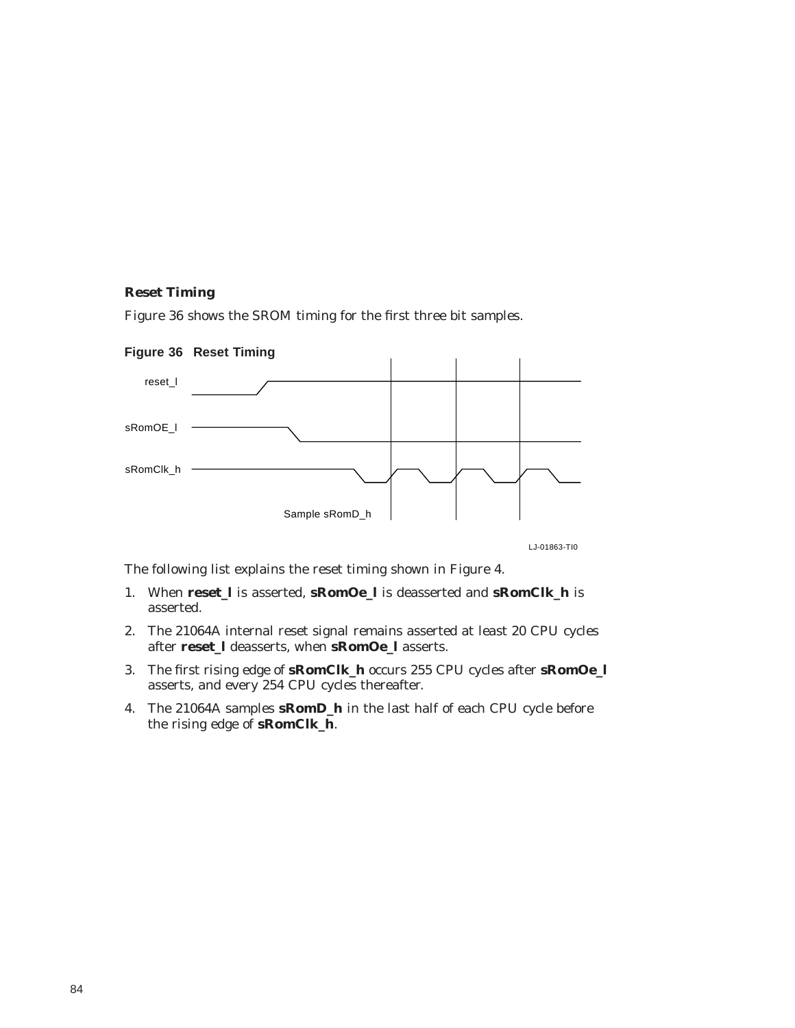#### **Reset Timing**

Figure 36 shows the SROM timing for the first three bit samples.



LJ-01863-TI0

The following list explains the reset timing shown in Figure 4.

- 1. When **reset\_l** is asserted, **sRomOe\_l** is deasserted and **sRomClk\_h** is asserted.
- 2. The 21064A internal reset signal remains asserted at least 20 CPU cycles after **reset\_l** deasserts, when **sRomOe\_l** asserts.
- 3. The first rising edge of **sRomClk\_h** occurs 255 CPU cycles after **sRomOe\_l** asserts, and every 254 CPU cycles thereafter.
- 4. The 21064A samples **sRomD\_h** in the last half of each CPU cycle before the rising edge of **sRomClk\_h**.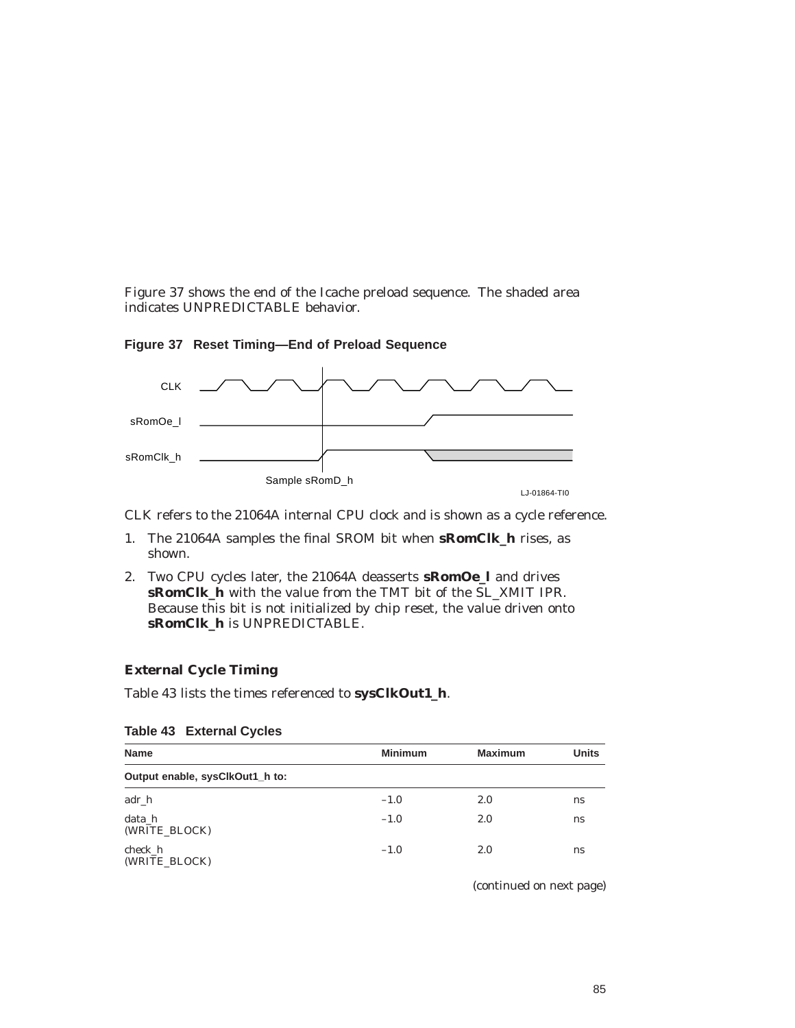Figure 37 shows the end of the Icache preload sequence. The shaded area indicates UNPREDICTABLE behavior.



**Figure 37 Reset Timing—End of Preload Sequence**

CLK refers to the 21064A internal CPU clock and is shown as a cycle reference.

- 1. The 21064A samples the final SROM bit when **sRomClk\_h** rises, as shown.
- 2. Two CPU cycles later, the 21064A deasserts **sRomOe\_l** and drives **sRomClk\_h** with the value from the TMT bit of the SL\_XMIT IPR. Because this bit is not initialized by chip reset, the value driven onto **sRomClk\_h** is UNPREDICTABLE.

#### **External Cycle Timing**

Table 43 lists the times referenced to **sysClkOut1\_h**.

| <b>Name</b>                     | <b>Minimum</b> | <b>Maximum</b> | <b>Units</b> |
|---------------------------------|----------------|----------------|--------------|
| Output enable, sysClkOut1_h to: |                |                |              |
| adr_h                           | $-1.0$         | 2.0            | ns           |
| data h<br>(WRITE BLOCK)         | $-1.0$         | 2.0            | ns           |
| check h<br>(WRITE BLOCK)        | $-1.0$         | 2.0            | ns           |

#### **Table 43 External Cycles**

(continued on next page)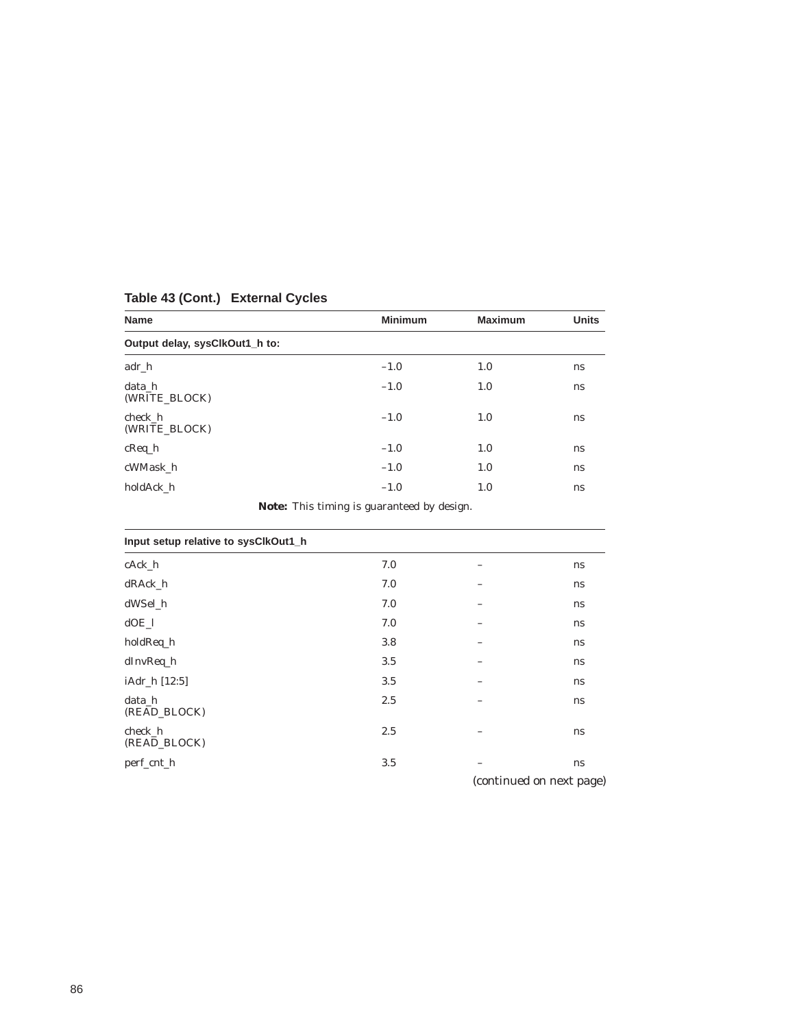| <b>Name</b>                    | <b>Minimum</b>                                                                                                                                                                                                                 | <b>Maximum</b> | <b>Units</b> |
|--------------------------------|--------------------------------------------------------------------------------------------------------------------------------------------------------------------------------------------------------------------------------|----------------|--------------|
| Output delay, sysClkOut1_h to: |                                                                                                                                                                                                                                |                |              |
| $adr_h$                        | $-1.0$                                                                                                                                                                                                                         | 1.0            | ns           |
| data h<br>(WRITE BLOCK)        | $-1.0$                                                                                                                                                                                                                         | 1.0            | ns           |
| check h<br>(WRITE BLOCK)       | $-1.0$                                                                                                                                                                                                                         | 1.0            | ns           |
| $c$ Req $_h$                   | $-1.0$                                                                                                                                                                                                                         | 1.0            | ns           |
| cWMask h                       | $-1.0$                                                                                                                                                                                                                         | 1.0            | ns           |
| holdAck h                      | $-1.0$                                                                                                                                                                                                                         | 1.0            | ns           |
|                                | When the Control of the control of the control of the control of the control of the control of the control of the control of the control of the control of the control of the control of the control of the control of the con |                |              |

## **Table 43 (Cont.) External Cycles**

**Note:** This timing is guaranteed by design.

| Input setup relative to sysClkOut1_h |     |   |    |  |  |
|--------------------------------------|-----|---|----|--|--|
| cAck_h                               | 7.0 | - | ns |  |  |
| dRAck_h                              | 7.0 | - | ns |  |  |
| dWSel h                              | 7.0 |   | ns |  |  |
| $dOE$ 1                              | 7.0 |   | ns |  |  |
| holdReq_h                            | 3.8 |   | ns |  |  |
| dInvReq_h                            | 3.5 |   | ns |  |  |
| iAdr_h [12:5]                        | 3.5 |   | ns |  |  |
| data h<br>(READ_BLOCK)               | 2.5 |   | ns |  |  |
| check h<br>(READ_BLOCK)              | 2.5 |   | ns |  |  |
| perf_cnt_h                           | 3.5 |   | ns |  |  |

(continued on next page)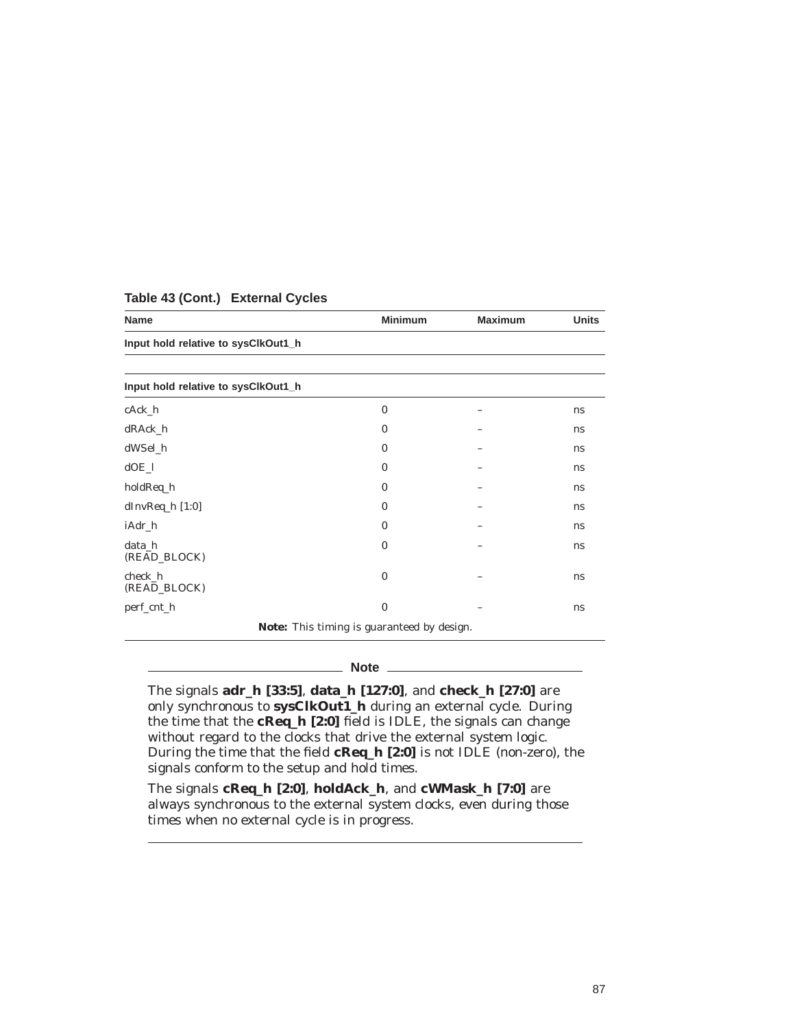| <b>Name</b>                         | <b>Minimum</b>                             | <b>Maximum</b> | <b>Units</b>  |
|-------------------------------------|--------------------------------------------|----------------|---------------|
| Input hold relative to sysClkOut1_h |                                            |                |               |
|                                     |                                            |                |               |
| Input hold relative to sysClkOut1_h |                                            |                |               |
| cAck_h                              | $\bf{0}$                                   |                | ns            |
| dRAck_h                             | $\bf{0}$                                   |                | ns            |
| dWSel_h                             | $\bf{0}$                                   |                | ns            |
| $dOE_l$                             | $\bf{0}$                                   |                | ns            |
| holdReq_h                           | $\bf{0}$                                   |                | ns            |
| dInvReq_h [1:0]                     | $\bf{0}$                                   |                | <sub>ns</sub> |
| iAdr_h                              | $\bf{0}$                                   |                | <sub>ns</sub> |
| data_h<br>(READ_BLOCK)              | $\bf{0}$                                   |                | ns            |
| check h<br>(READ_BLOCK)             | $\bf{0}$                                   |                | ns            |
| perf_cnt_h                          | $\bf{0}$                                   |                | ns            |
|                                     | Note: This timing is guaranteed by design. |                |               |

#### **Table 43 (Cont.) External Cycles**

**Note** \_\_\_\_

The signals **adr\_h [33:5]**, **data\_h [127:0]**, and **check\_h [27:0]** are only synchronous to **sysClkOut1\_h** during an external cycle. During the time that the **cReq\_h [2:0]** field is IDLE, the signals can change without regard to the clocks that drive the external system logic. During the time that the field **cReq\_h [2:0]** is not IDLE (non-zero), the signals conform to the setup and hold times.

The signals **cReq\_h [2:0]**, **holdAck\_h**, and **cWMask\_h [7:0]** are always synchronous to the external system clocks, even during those times when no external cycle is in progress.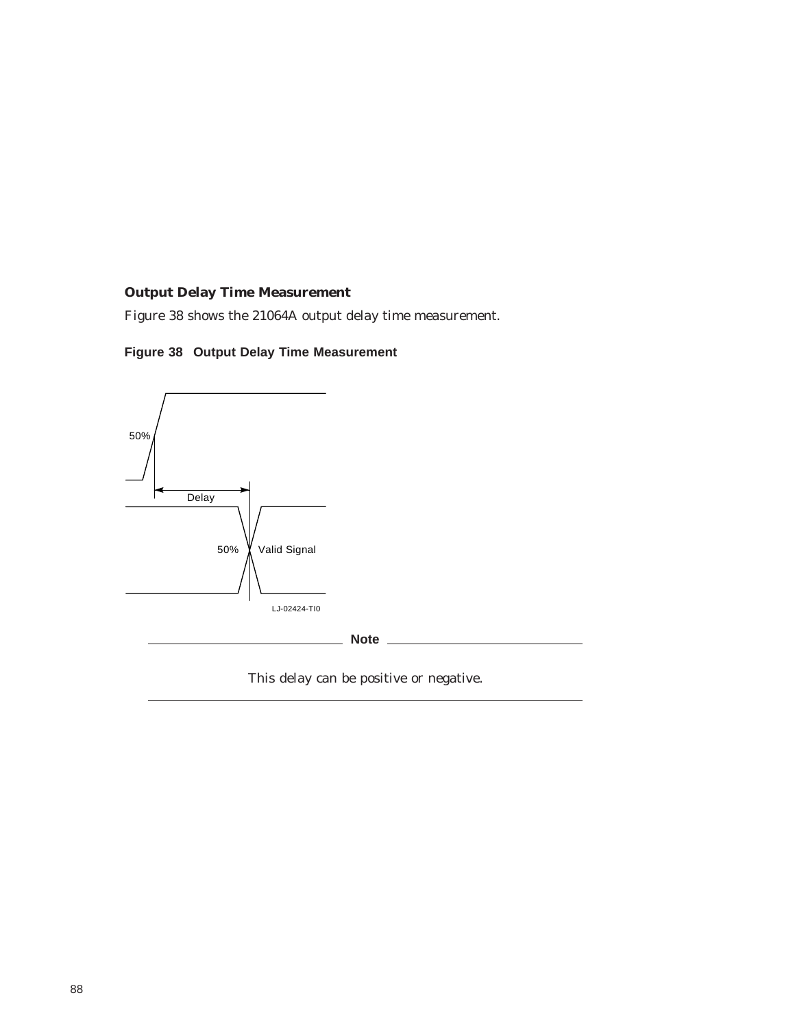## **Output Delay Time Measurement**

Figure 38 shows the 21064A output delay time measurement.





This delay can be positive or negative.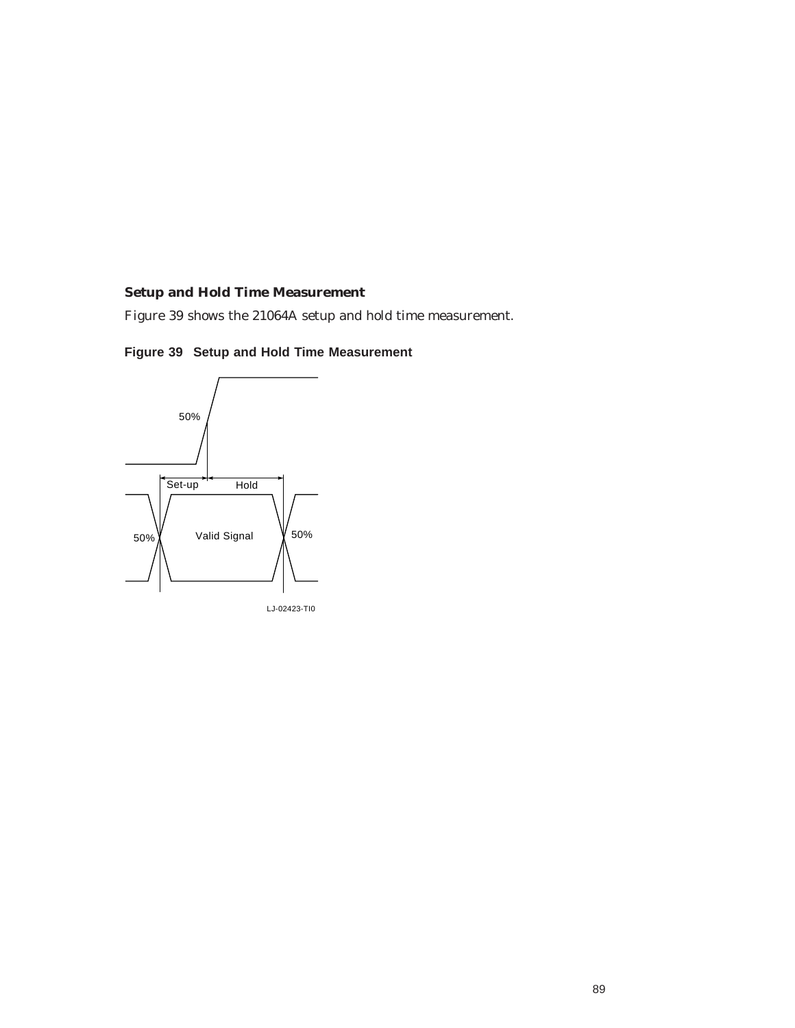## **Setup and Hold Time Measurement**

Figure 39 shows the 21064A setup and hold time measurement.



**Figure 39 Setup and Hold Time Measurement**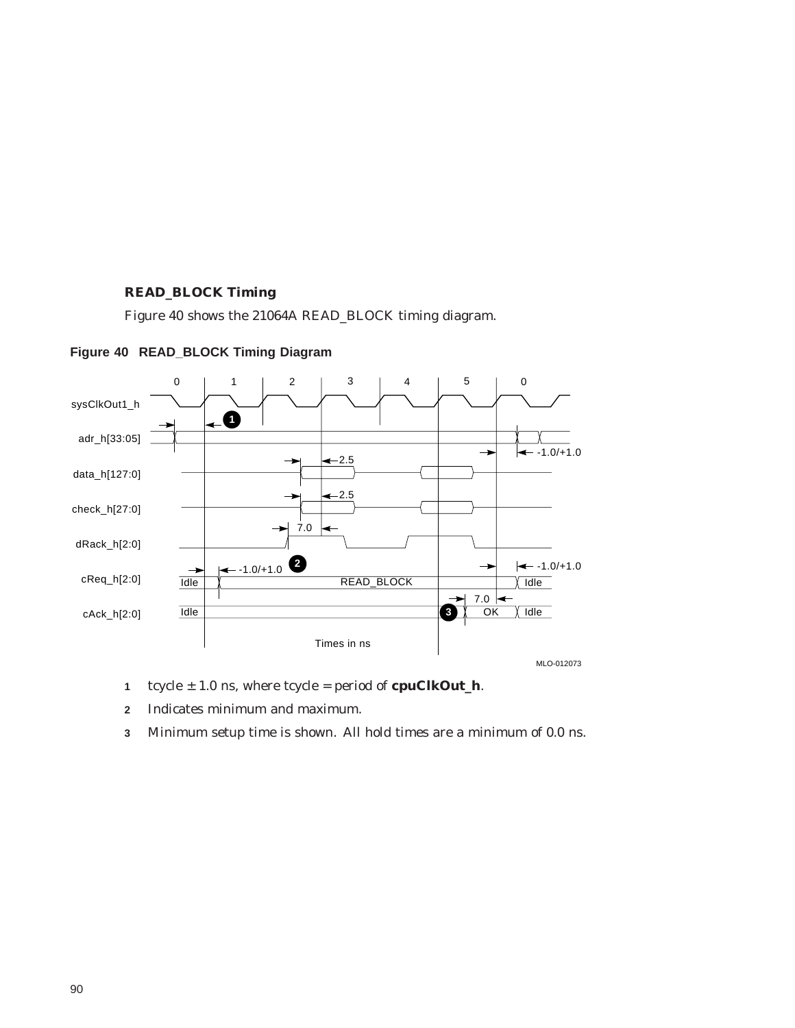## **READ\_BLOCK Timing**

Figure 40 shows the 21064A READ\_BLOCK timing diagram.



**Figure 40 READ\_BLOCK Timing Diagram**

- **1** tcycle ± 1.0 ns, where tcycle = period of **cpuClkOut\_h**.
- **2** Indicates minimum and maximum.
- **3** Minimum setup time is shown. All hold times are a minimum of 0.0 ns.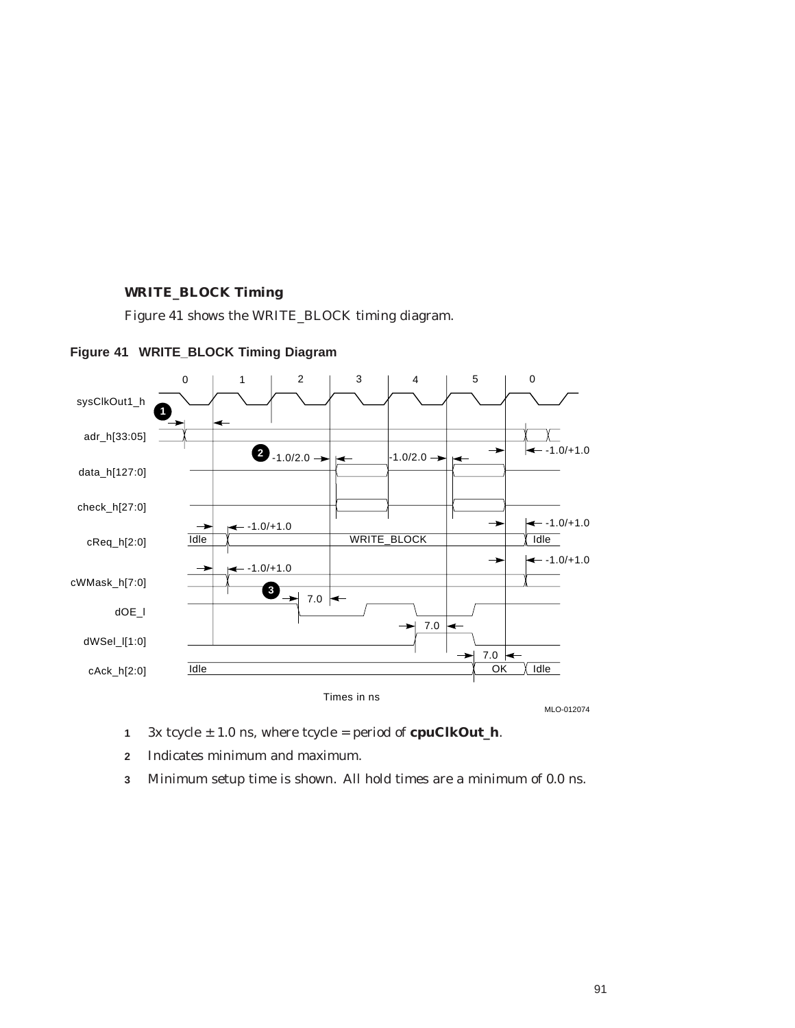## **WRITE\_BLOCK Timing**

Figure 41 shows the WRITE\_BLOCK timing diagram.



**Figure 41 WRITE\_BLOCK Timing Diagram**

- **1** 3x tcycle ± 1.0 ns, where tcycle = period of **cpuClkOut\_h**.
- **2** Indicates minimum and maximum.
- **3** Minimum setup time is shown. All hold times are a minimum of 0.0 ns.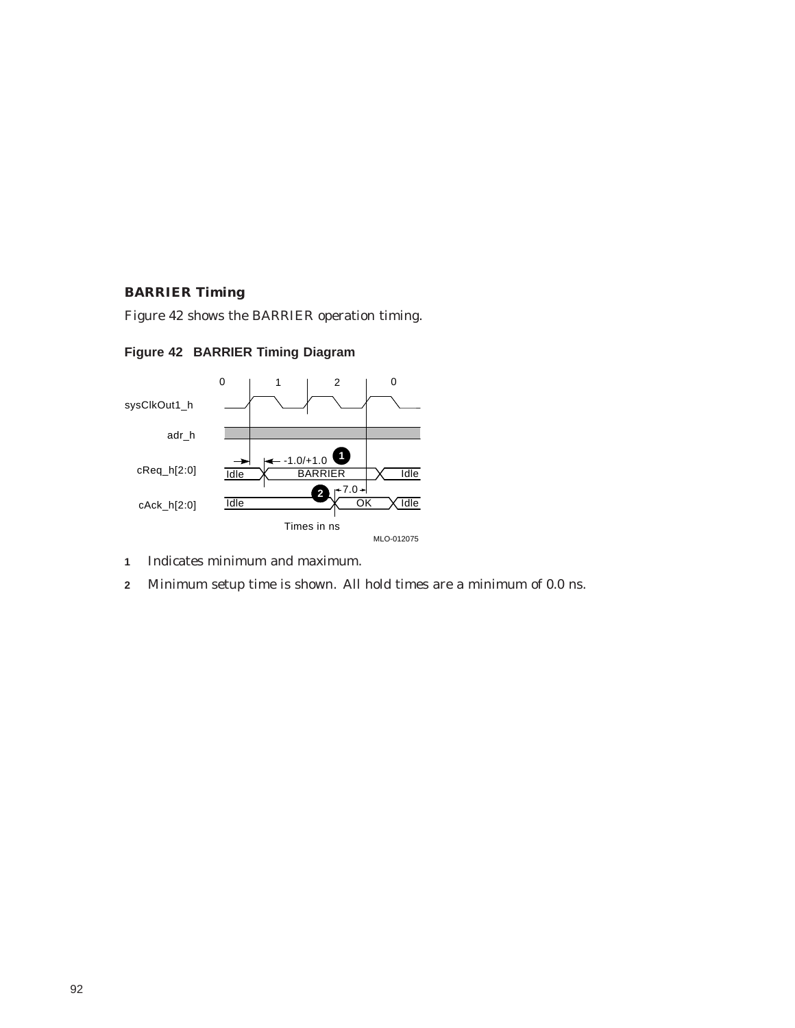### **BARRIER Timing**

Figure 42 shows the BARRIER operation timing.





- **1** Indicates minimum and maximum.
- **2** Minimum setup time is shown. All hold times are a minimum of 0.0 ns.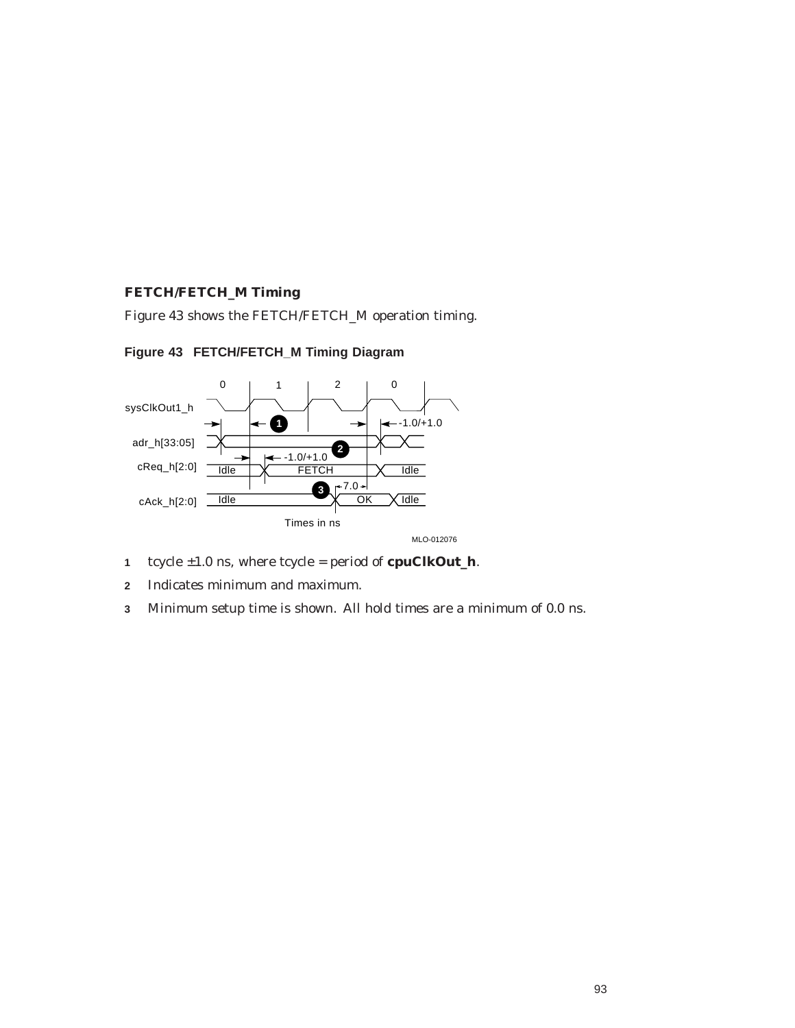## **FETCH/FETCH\_M Timing**

Figure 43 shows the FETCH/FETCH\_M operation timing.





- **1** tcycle ±1.0 ns, where tcycle = period of **cpuClkOut\_h**.
- **2** Indicates minimum and maximum.
- **3** Minimum setup time is shown. All hold times are a minimum of 0.0 ns.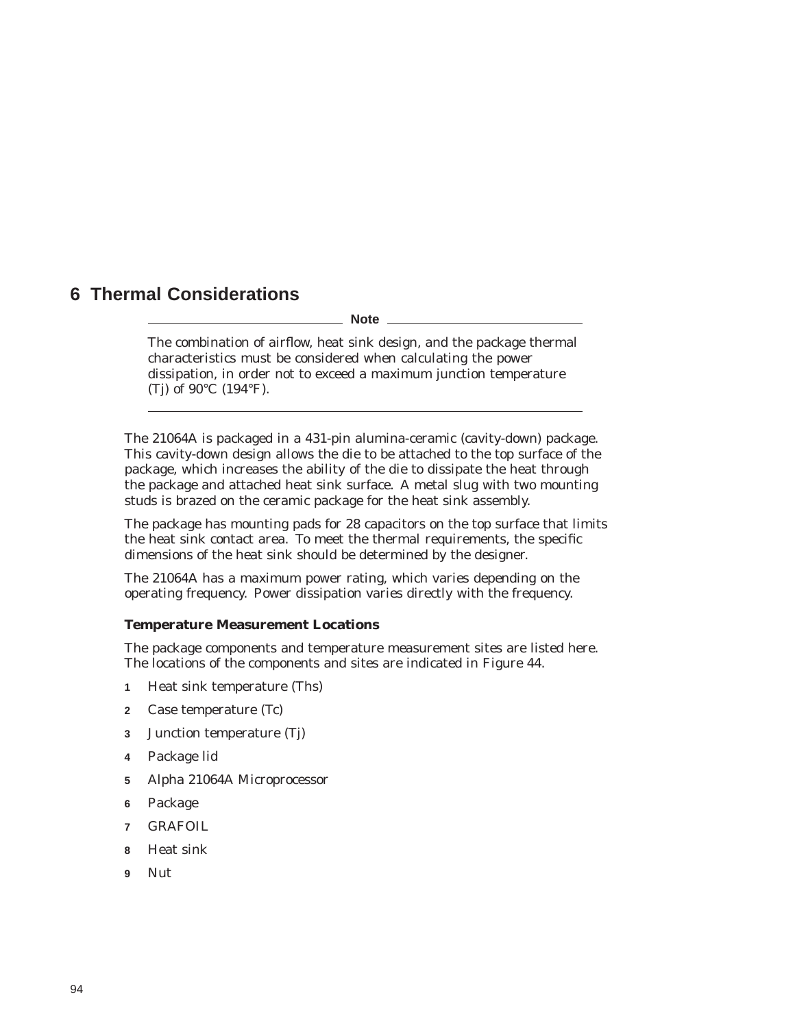# **6 Thermal Considerations**

**Note**

The combination of airflow, heat sink design, and the package thermal characteristics must be considered when calculating the power dissipation, in order not to exceed a maximum junction temperature (Tj) of 90°C (194°F).

The 21064A is packaged in a 431-pin alumina-ceramic (cavity-down) package. This cavity-down design allows the die to be attached to the top surface of the package, which increases the ability of the die to dissipate the heat through the package and attached heat sink surface. A metal slug with two mounting studs is brazed on the ceramic package for the heat sink assembly.

The package has mounting pads for 28 capacitors on the top surface that limits the heat sink contact area. To meet the thermal requirements, the specific dimensions of the heat sink should be determined by the designer.

The 21064A has a maximum power rating, which varies depending on the operating frequency. Power dissipation varies directly with the frequency.

#### **Temperature Measurement Locations**

The package components and temperature measurement sites are listed here. The locations of the components and sites are indicated in Figure 44.

- **1** Heat sink temperature (Ths)
- **2** Case temperature (Tc)
- **3** Junction temperature (Tj)
- **4** Package lid
- **5** Alpha 21064A Microprocessor
- **6** Package
- **7** GRAFOIL
- **8** Heat sink
- **9** Nut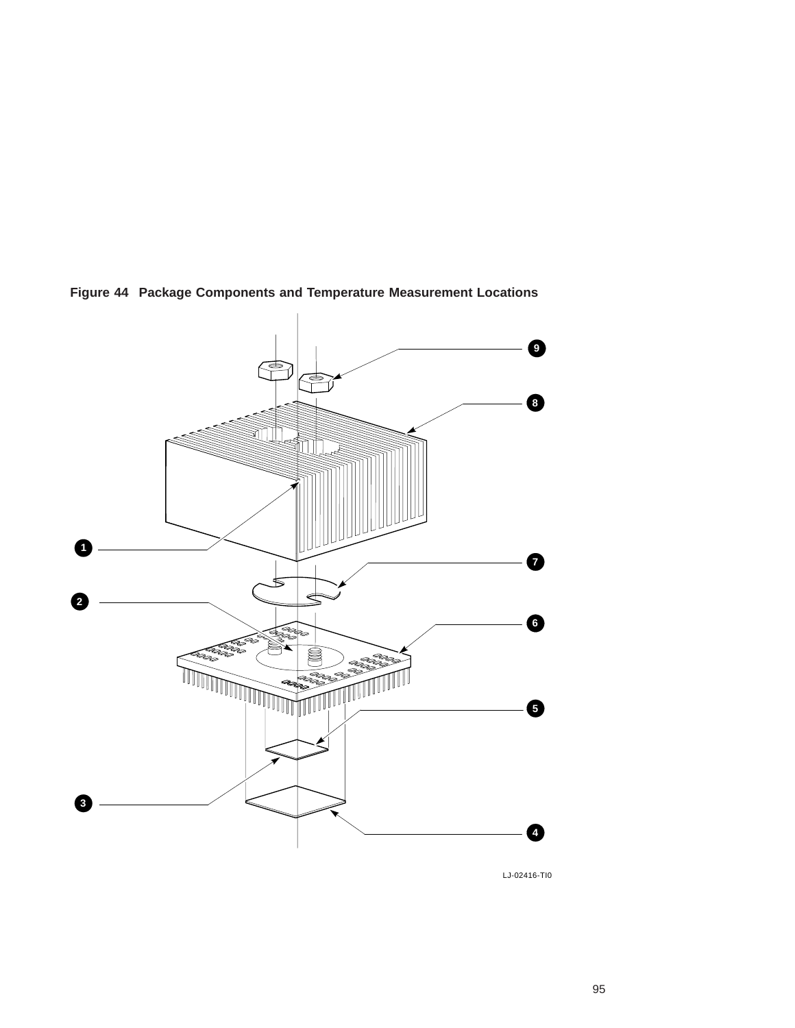

**Figure 44 Package Components and Temperature Measurement Locations**

LJ-02416-TI0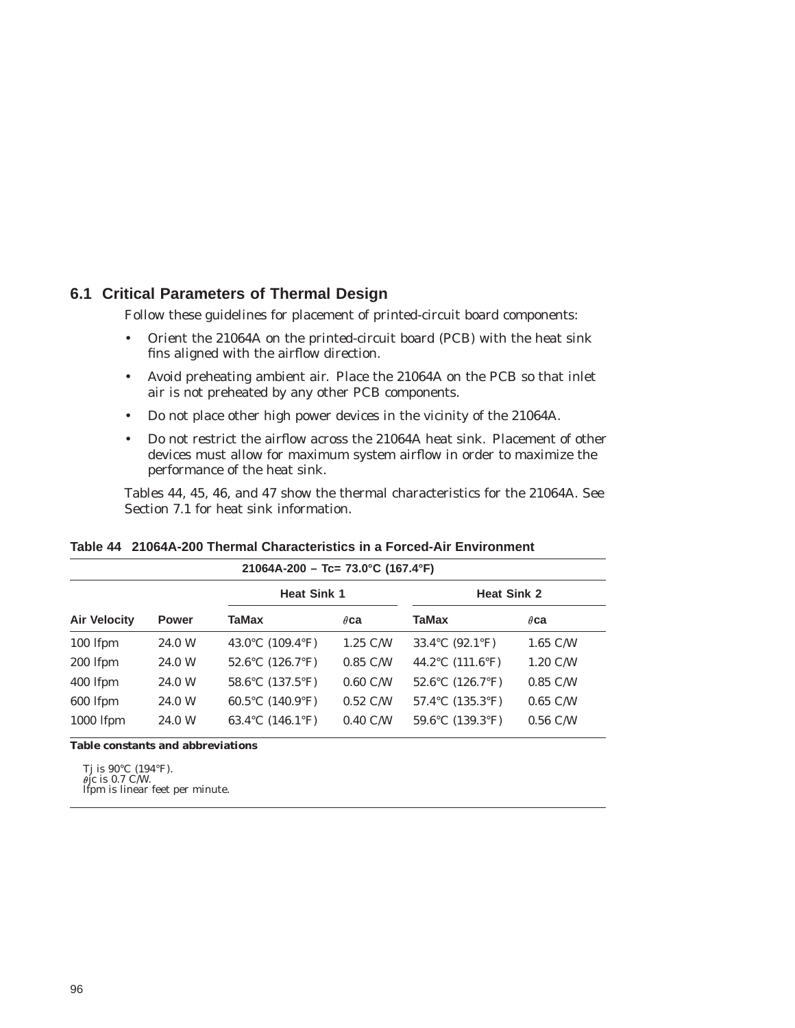## **6.1 Critical Parameters of Thermal Design**

Follow these guidelines for placement of printed-circuit board components:

- Orient the 21064A on the printed-circuit board (PCB) with the heat sink fins aligned with the airflow direction.
- Avoid preheating ambient air. Place the 21064A on the PCB so that inlet air is not preheated by any other PCB components.
- Do not place other high power devices in the vicinity of the 21064A.
- Do not restrict the airflow across the 21064A heat sink. Placement of other devices must allow for maximum system airflow in order to maximize the performance of the heat sink.

Tables 44, 45, 46, and 47 show the thermal characteristics for the 21064A. See Section 7.1 for heat sink information.

| $21064A-200 - Tc = 73.0^{\circ}C (167.4^{\circ}F)$ |              |                                               |                    |                                               |                    |  |
|----------------------------------------------------|--------------|-----------------------------------------------|--------------------|-----------------------------------------------|--------------------|--|
|                                                    |              | <b>Heat Sink 1</b>                            |                    | <b>Heat Sink 2</b>                            |                    |  |
| <b>Air Velocity</b>                                | <b>Power</b> | <b>TaMax</b>                                  | $\theta$ ca        | TaMax                                         | $\theta$ ca        |  |
| 100 lfpm                                           | 24.0 W       | 43.0°C $(109.4°F)$                            | $1.25$ C/W         | 33.4°C (92.1°F)                               | $1.65$ C/W         |  |
| 200 lfpm                                           | 24.0 W       | 52.6 $\rm ^{\circ}C$ (126.7 $\rm ^{\circ}F$ ) | $0.85$ C/W         | 44.2 $^{\circ}$ C (111.6 $^{\circ}$ F)        | $1.20 \text{ C/W}$ |  |
| 400 lfpm                                           | 24.0 W       | 58.6°C (137.5°F)                              | $0.60$ C/W         | 52.6 $\rm ^{\circ}C$ (126.7 $\rm ^{\circ}F$ ) | $0.85$ C/W         |  |
| 600 lfpm                                           | 24.0 W       | 60.5°C $(140.9°F)$                            | $0.52 \text{ C/W}$ | $57.4$ °C $(135.3$ °F)                        | $0.65$ C/W         |  |
| 1000 lfpm                                          | 24.0 W       | 63.4 °C $(146.1$ °F)                          | $0.40 \text{ C/W}$ | 59.6 $\rm ^{\circ}C$ (139.3 $\rm ^{\circ}F$ ) | $0.56$ C/W         |  |

**Table 44 21064A-200 Thermal Characteristics in a Forced-Air Environment**

**Table constants and abbreviations**

Tj is 90°C (194°F). jc is 0.7 C/W. lfpm is linear feet per minute.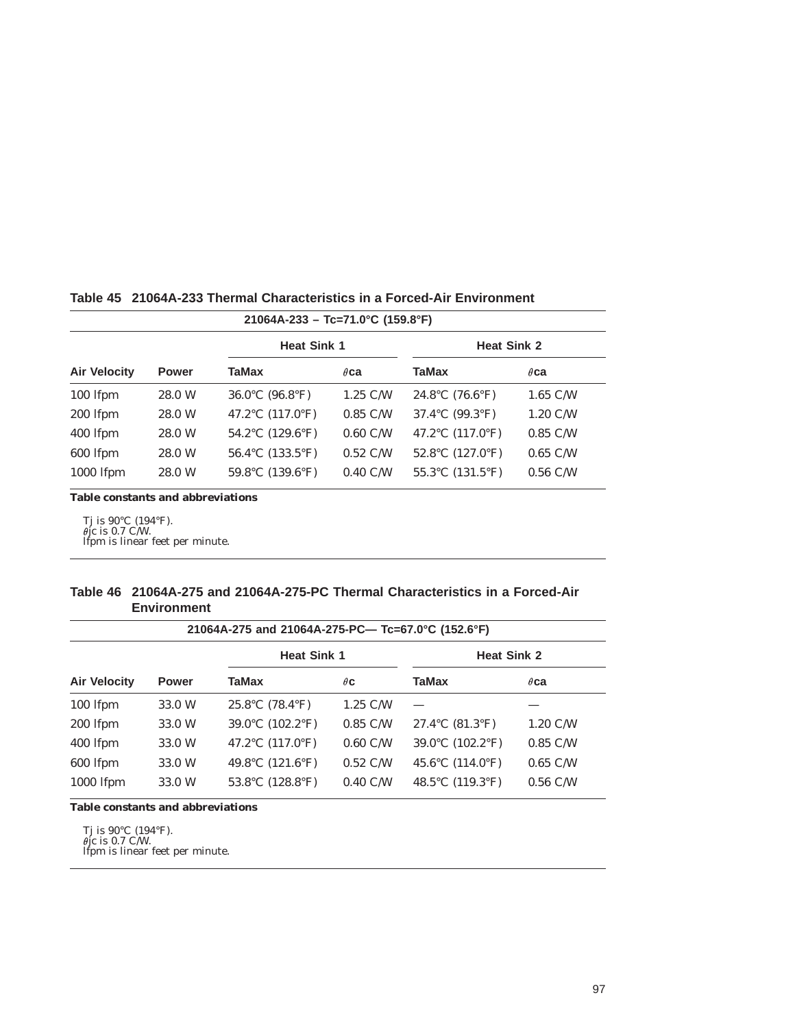| $21064A-233 - Tc=71.0^{\circ}C (159.8^{\circ}F)$ |                                        |                    |                                        |                    |  |  |
|--------------------------------------------------|----------------------------------------|--------------------|----------------------------------------|--------------------|--|--|
|                                                  | <b>Heat Sink 1</b>                     |                    | <b>Heat Sink 2</b>                     |                    |  |  |
| <b>Power</b>                                     | TaMax                                  | $\theta$ ca        | TaMax                                  | $\theta$ ca        |  |  |
| 28.0 W                                           | 36.0°C $(96.8°F)$                      | $1.25$ C/W         | 24.8°C (76.6°F)                        | $1.65$ C/W         |  |  |
| 28.0 W                                           | 47.2 $^{\circ}$ C (117.0 $^{\circ}$ F) | $0.85$ C/W         | 37.4 °C $(99.3$ °F)                    | $1.20 \text{ C/W}$ |  |  |
| 28.0 W                                           | 54.2 °C $(129.6$ °F)                   | $0.60$ C/W         | 47.2 $^{\circ}$ C (117.0 $^{\circ}$ F) | $0.85$ C/W         |  |  |
| 28.0 W                                           | 56.4 °C $(133.5$ °F)                   | $0.52 \text{ C/W}$ | 52.8 $^{\circ}$ C (127.0 $^{\circ}$ F) | $0.65$ C/W         |  |  |
| 28.0 W                                           | 59.8°C $(139.6°F)$                     | $0.40 \text{ C/W}$ | $55.3$ °C $(131.5$ °F)                 | $0.56$ C/W         |  |  |
|                                                  |                                        |                    |                                        |                    |  |  |

#### **Table 45 21064A-233 Thermal Characteristics in a Forced-Air Environment**

**Table constants and abbreviations**

Tj is 90°C (194°F). jc is 0.7 C/W. lfpm is linear feet per minute.

#### **Table 46 21064A-275 and 21064A-275-PC Thermal Characteristics in a Forced-Air Environment**

|                     | 21064A-275 and 21064A-275-PC— Tc=67.0°C (152.6°F) |                                        |                    |                                      |                    |  |  |
|---------------------|---------------------------------------------------|----------------------------------------|--------------------|--------------------------------------|--------------------|--|--|
|                     | <b>Heat Sink 1</b>                                |                                        | <b>Heat Sink 2</b> |                                      |                    |  |  |
| <b>Air Velocity</b> | <b>Power</b>                                      | TaMax                                  | $\theta$ C         | <b>TaMax</b>                         | $\theta$ ca        |  |  |
| 100 lfpm            | 33.0 W                                            | 25.8°C $(78.4°F)$                      | $1.25$ C/W         |                                      |                    |  |  |
| 200 lfpm            | 33.0 W                                            | 39.0°C $(102.2$ °F)                    | $0.85$ C/W         | 27.4 °C $(81.3$ °F)                  | $1.20 \text{ C/W}$ |  |  |
| 400 lfpm            | 33.0 W                                            | 47.2 $^{\circ}$ C (117.0 $^{\circ}$ F) | $0.60$ C/W         | 39.0°C $(102.2$ °F)                  | $0.85$ C/W         |  |  |
| 600 lfpm            | 33.0 W                                            | 49.8°C $(121.6°F)$                     | $0.52 \text{ C/W}$ | 45.6 $\degree$ C (114.0 $\degree$ F) | $0.65$ C/W         |  |  |
| 1000 lfpm           | 33.0 W                                            | 53.8 °C $(128.8$ °F)                   | $0.40 \text{ C/W}$ | 48.5 $\degree$ C (119.3 $\degree$ F) | $0.56$ C/W         |  |  |

**Table constants and abbreviations**

Tj is 90°C (194°F). jc is 0.7 C/W. lfpm is linear feet per minute.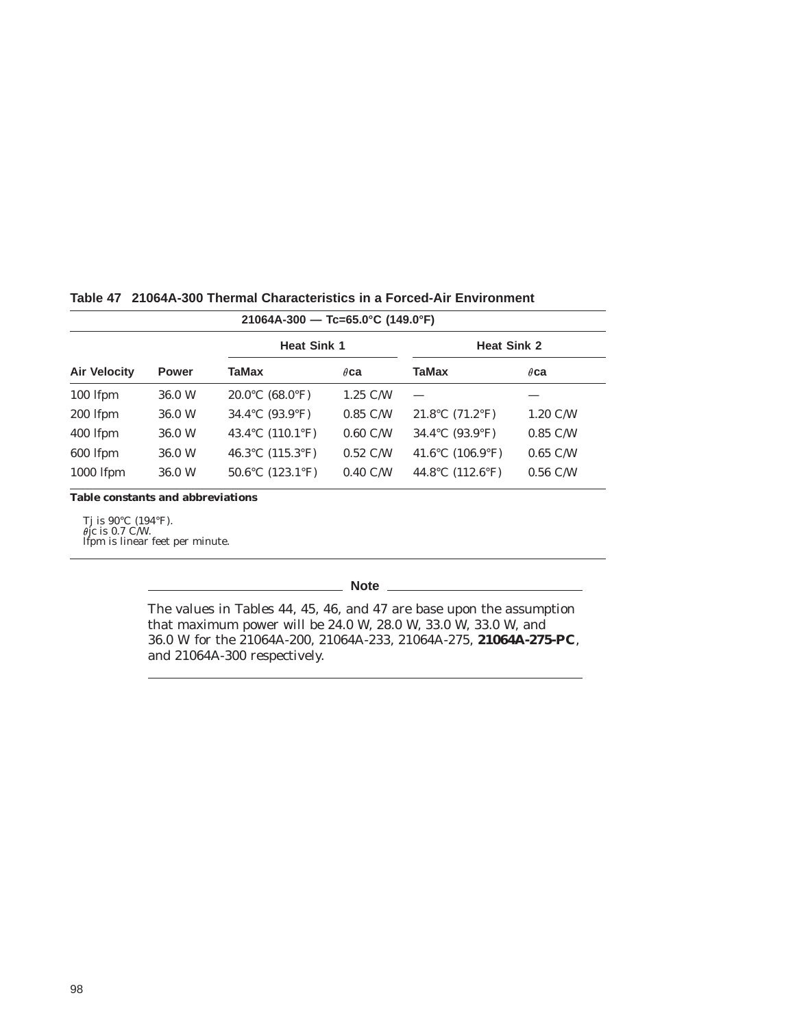| $21064A-300$ - Tc=65.0°C (149.0°F) |              |                                               |                    |                     |                    |  |
|------------------------------------|--------------|-----------------------------------------------|--------------------|---------------------|--------------------|--|
|                                    |              | <b>Heat Sink 1</b>                            |                    | <b>Heat Sink 2</b>  |                    |  |
| <b>Air Velocity</b>                | <b>Power</b> | TaMax                                         | $\theta$ ca        | <b>TaMax</b>        | $\theta$ ca        |  |
| 100 lfpm                           | 36.0 W       | $20.0^{\circ}$ C (68.0 $^{\circ}$ F)          | $1.25$ C/W         |                     |                    |  |
| 200 lfpm                           | 36.0 W       | 34.4 °C $(93.9$ °F)                           | $0.85$ C/W         | $21.8$ °C (71.2°F)  | $1.20 \text{ C/W}$ |  |
| 400 lfpm                           | 36.0 W       | 43.4 °C $(110.1$ °F)                          | $0.60$ C/W         | 34.4 °C $(93.9$ °F) | $0.85$ C/W         |  |
| 600 lfpm                           | 36.0 W       | 46.3 $^{\circ}$ C (115.3 $^{\circ}$ F)        | $0.52 \text{ C/W}$ | 41.6°C $(106.9°F)$  | $0.65$ C/W         |  |
| 1000 lfpm                          | 36.0 W       | 50.6 $\rm ^{\circ}C$ (123.1 $\rm ^{\circ}F$ ) | $0.40 \text{ C/W}$ | 44.8°C $(112.6°F)$  | $0.56$ C/W         |  |

#### **Table 47 21064A-300 Thermal Characteristics in a Forced-Air Environment**

**Table constants and abbreviations**

Tj is 90°C (194°F). jc is 0.7 C/W. lfpm is linear feet per minute.

**Note**

The values in Tables 44, 45, 46, and 47 are base upon the assumption that maximum power will be 24.0 W, 28.0 W, 33.0 W, 33.0 W, and 36.0 W for the 21064A-200, 21064A-233, 21064A-275, **21064A-275-PC**, and 21064A-300 respectively.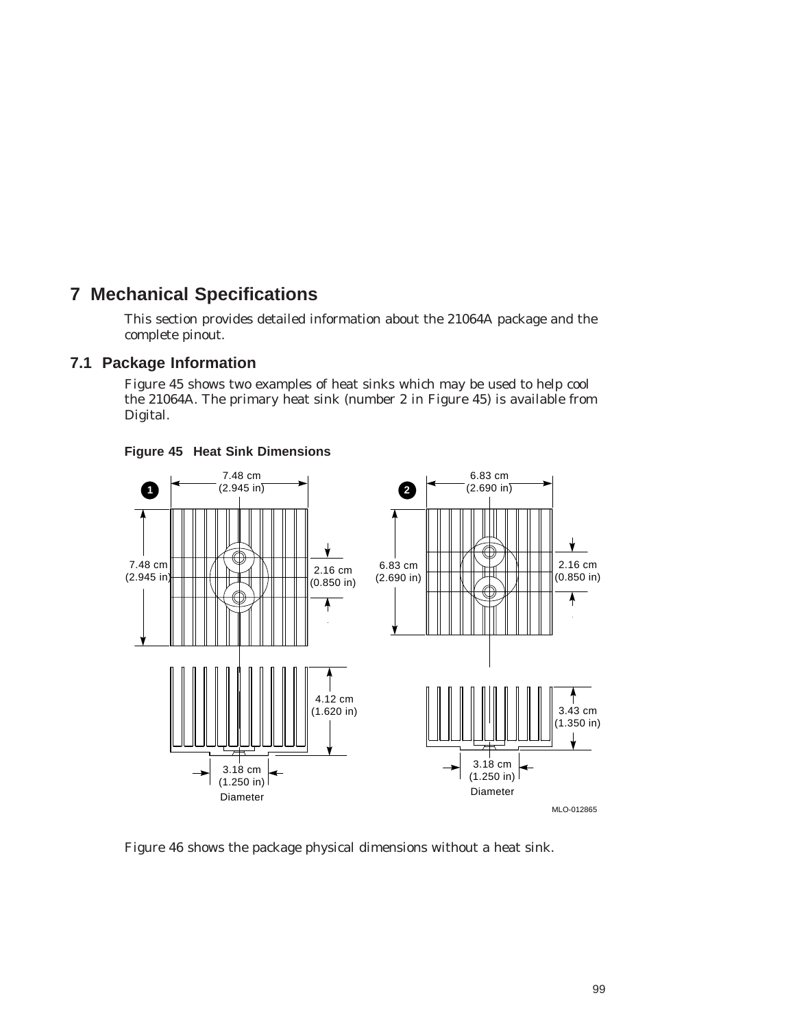# **7 Mechanical Specifications**

This section provides detailed information about the 21064A package and the complete pinout.

## **7.1 Package Information**

Figure 45 shows two examples of heat sinks which may be used to help cool the 21064A. The primary heat sink (number 2 in Figure 45) is available from Digital.



#### **Figure 45 Heat Sink Dimensions**

Figure 46 shows the package physical dimensions without a heat sink.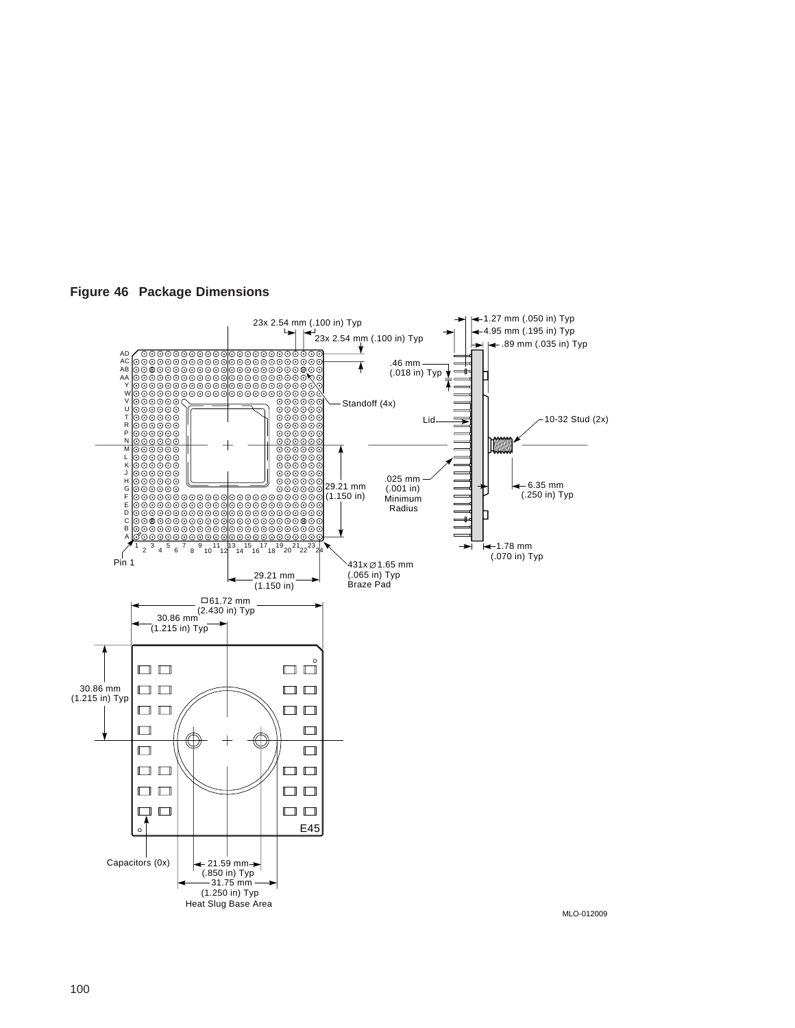

**Figure 46 Package Dimensions**

MLO-012009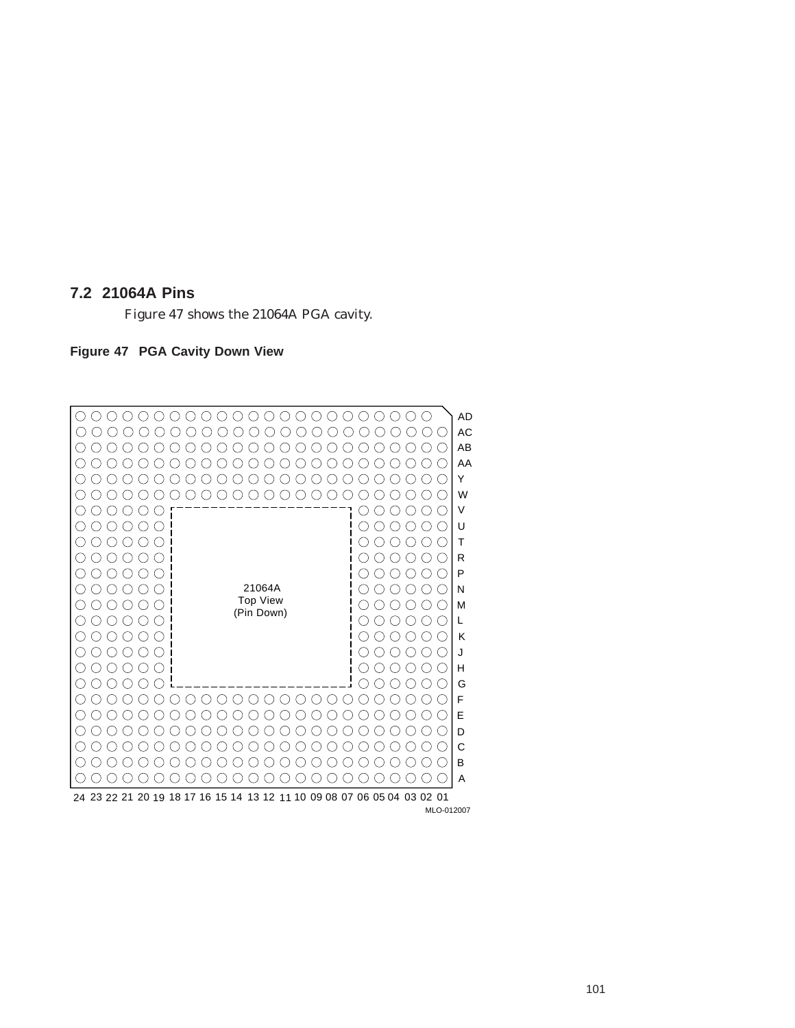#### **7.2 21064A Pins**

Figure 47 shows the 21064A PGA cavity.

#### **Figure 47 PGA Cavity Down View**



MLO-012007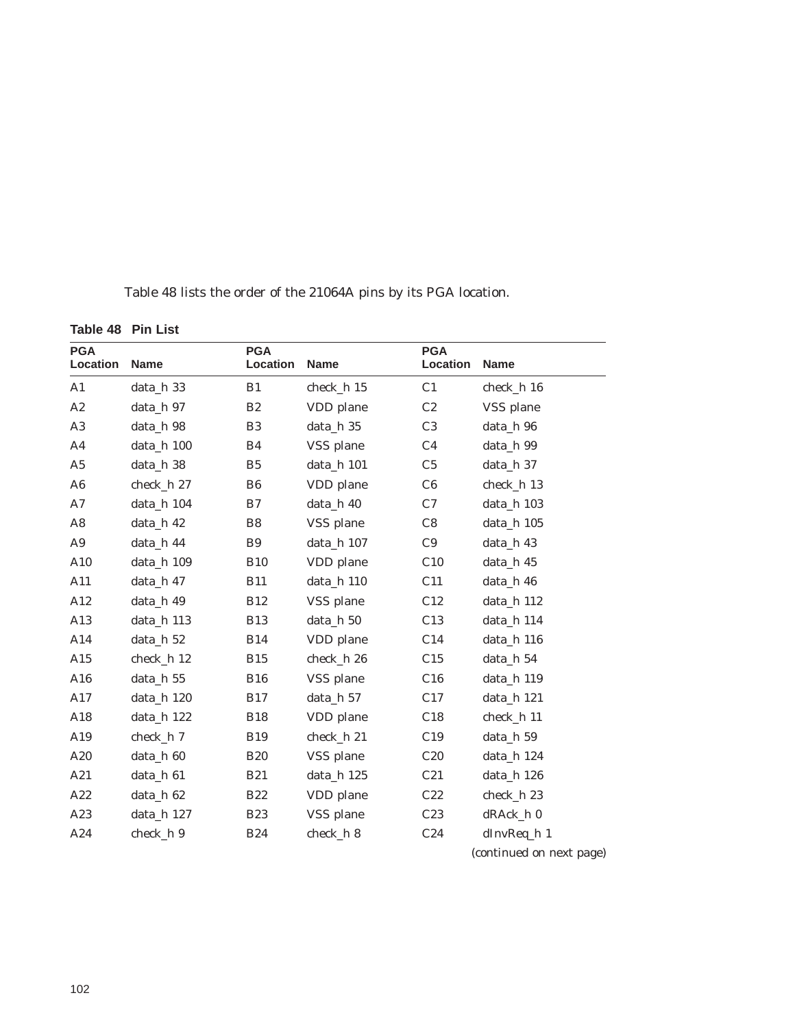Table 48 lists the order of the 21064A pins by its PGA location.

**Table 48 Pin List**

| <b>PGA</b><br>Location | Name         | <b>PGA</b><br>Location | <b>Name</b> | <b>PGA</b><br>Location | <b>Name</b>              |
|------------------------|--------------|------------------------|-------------|------------------------|--------------------------|
| A1                     | data_h 33    | B1                     | check_h 15  | C <sub>1</sub>         | check_h 16               |
| A2                     | data h 97    | B2                     | VDD plane   | C2                     | VSS plane                |
| $\rm A3$               | data_h 98    | B3                     | data_h 35   | C <sub>3</sub>         | data_h 96                |
| A <sub>4</sub>         | data_h 100   | B4                     | VSS plane   | C <sub>4</sub>         | data_h 99                |
| A <sub>5</sub>         | data_h 38    | B <sub>5</sub>         | data_h 101  | C <sub>5</sub>         | data_h 37                |
| A6                     | check_h 27   | B <sub>6</sub>         | VDD plane   | C6                     | check_h 13               |
| A7                     | data_h 104   | B7                     | data_h 40   | C7                     | data_h 103               |
| $\mathbf{A8}$          | data_h 42    | B <sub>8</sub>         | VSS plane   | C8                     | data_h 105               |
| A9                     | data_h 44    | B <sub>9</sub>         | data_h 107  | C9                     | data_h 43                |
| A10                    | data_h 109   | <b>B10</b>             | VDD plane   | C10                    | data_h 45                |
| A11                    | data_h 47    | <b>B11</b>             | data_h 110  | C11                    | data_h 46                |
| $\rm A12$              | data_h 49    | <b>B12</b>             | VSS plane   | C12                    | data_h 112               |
| A13                    | data_h 113   | <b>B13</b>             | data_h 50   | C13                    | data_h 114               |
| A14                    | data_h 52    | <b>B14</b>             | VDD plane   | C14                    | data_h 116               |
| A15                    | $check_h 12$ | <b>B15</b>             | check_h 26  | C15                    | data_h 54                |
| A16                    | data_h 55    | <b>B16</b>             | VSS plane   | C16                    | data_h 119               |
| A17                    | data_h 120   | <b>B17</b>             | data_h 57   | C17                    | data_h 121               |
| A18                    | data_h 122   | <b>B18</b>             | VDD plane   | C18                    | check_h 11               |
| A19                    | check_h 7    | <b>B19</b>             | check_h 21  | C19                    | data_h 59                |
| A20                    | data_h 60    | <b>B20</b>             | VSS plane   | C20                    | data_h 124               |
| A21                    | data_h 61    | <b>B21</b>             | data_h 125  | C21                    | data_h 126               |
| A22                    | data_h 62    | <b>B22</b>             | VDD plane   | C22                    | check_h 23               |
| A23                    | data_h 127   | <b>B23</b>             | VSS plane   | C23                    | dRAck_h 0                |
| A24                    | check_h 9    | <b>B24</b>             | check_h 8   | C24                    | dInvReq_h 1              |
|                        |              |                        |             |                        | (continued on next page) |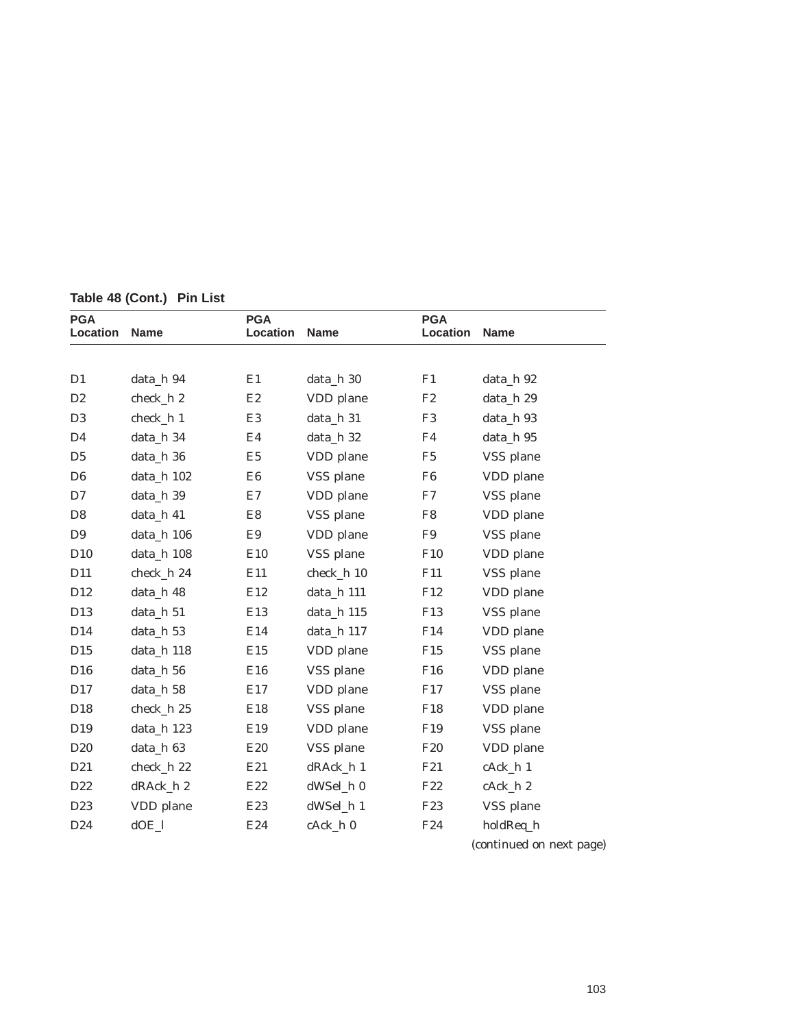| <b>PGA</b><br>Location | <b>Name</b>  | <b>PGA</b><br>Location | <b>Name</b> | <b>PGA</b><br>Location | <b>Name</b>              |
|------------------------|--------------|------------------------|-------------|------------------------|--------------------------|
|                        |              |                        |             |                        |                          |
| D1                     | data_h 94    | E1                     | data_h 30   | F1                     | data_h 92                |
| D <sub>2</sub>         | check_h 2    | E2                     | VDD plane   | F2                     | data_h 29                |
| D <sub>3</sub>         | check_h 1    | E <sub>3</sub>         | data_h 31   | F <sub>3</sub>         | data_h 93                |
| D <sub>4</sub>         | data_h 34    | E4                     | data_h 32   | F <sub>4</sub>         | data_h 95                |
| D <sub>5</sub>         | data_h 36    | E <sub>5</sub>         | VDD plane   | F <sub>5</sub>         | VSS plane                |
| D <sub>6</sub>         | data_h 102   | E6                     | VSS plane   | F6                     | VDD plane                |
| D7                     | data_h 39    | E7                     | VDD plane   | F7                     | VSS plane                |
| D <sub>8</sub>         | data_h 41    | E8                     | VSS plane   | F8                     | VDD plane                |
| D <sub>9</sub>         | data_h 106   | E9                     | VDD plane   | F9                     | VSS plane                |
| D <sub>10</sub>        | data_h 108   | E10                    | VSS plane   | F10                    | VDD plane                |
| D <sub>11</sub>        | check_h 24   | E11                    | check_h 10  | F11                    | VSS plane                |
| D <sub>12</sub>        | data_h 48    | E12                    | data_h 111  | F12                    | VDD plane                |
| D13                    | data_h 51    | E13                    | data_h 115  | F <sub>13</sub>        | VSS plane                |
| D <sub>14</sub>        | data_h 53    | E14                    | data_h 117  | F14                    | VDD plane                |
| D <sub>15</sub>        | data_h 118   | E15                    | VDD plane   | F15                    | VSS plane                |
| D <sub>16</sub>        | data_h 56    | E16                    | VSS plane   | F <sub>16</sub>        | VDD plane                |
| D17                    | data_h 58    | E17                    | VDD plane   | F17                    | VSS plane                |
| D <sub>18</sub>        | check_h 25   | E18                    | VSS plane   | F <sub>18</sub>        | VDD plane                |
| D <sub>19</sub>        | data_h 123   | E19                    | VDD plane   | F <sub>19</sub>        | VSS plane                |
| D <sub>20</sub>        | data_h 63    | E <sub>20</sub>        | VSS plane   | F <sub>20</sub>        | VDD plane                |
| D <sub>21</sub>        | $check_h 22$ | E21                    | dRAck_h 1   | F21                    | cAck_h 1                 |
| D <sub>22</sub>        | dRAck_h 2    | E22                    | dWSel_h 0   | F <sub>22</sub>        | cAck_h 2                 |
| D <sub>23</sub>        | VDD plane    | E <sub>23</sub>        | dWSel_h 1   | F <sub>23</sub>        | VSS plane                |
| D24                    | $dOE_l$      | E24                    | cAck_h 0    | F24                    | holdReq_h                |
|                        |              |                        |             |                        | (continued on next page) |

**Table 48 (Cont.) Pin List**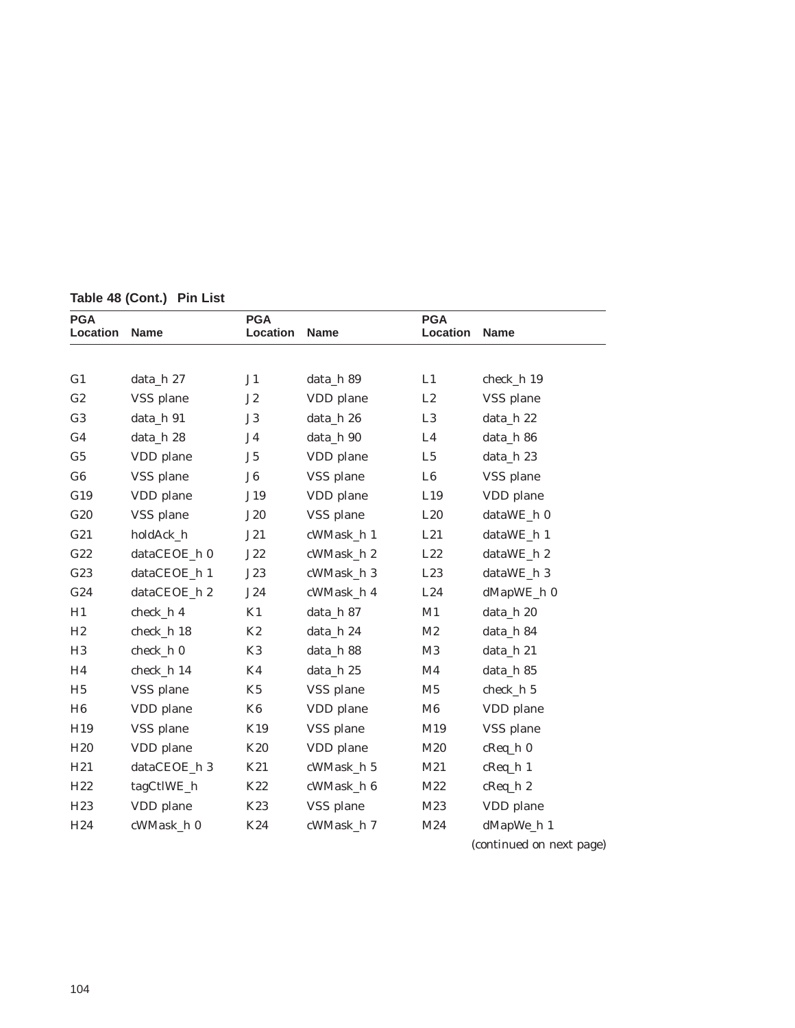| <b>PGA</b><br>Location | <b>Name</b>  | <b>PGA</b><br>Location | <b>Name</b> | <b>PGA</b><br>Location | <b>Name</b>              |
|------------------------|--------------|------------------------|-------------|------------------------|--------------------------|
|                        |              |                        |             |                        |                          |
| G <sub>1</sub>         | data_h 27    | J <sub>1</sub>         | data_h 89   | L1                     | check_h 19               |
| G2                     | VSS plane    | J2                     | VDD plane   | L2                     | VSS plane                |
| G <sub>3</sub>         | data_h 91    | J3                     | data_h 26   | L3                     | data_h 22                |
| G <sub>4</sub>         | data h 28    | J4                     | data_h 90   | L4                     | data_h 86                |
| G <sub>5</sub>         | VDD plane    | J5                     | VDD plane   | L5                     | data_h 23                |
| G6                     | VSS plane    | J6                     | VSS plane   | L6                     | VSS plane                |
| G19                    | VDD plane    | J19                    | VDD plane   | L19                    | VDD plane                |
| G20                    | VSS plane    | J20                    | VSS plane   | L20                    | dataWE_h 0               |
| G21                    | holdAck_h    | J21                    | cWMask_h 1  | L21                    | dataWE_h 1               |
| G22                    | dataCEOE_h 0 | J22                    | cWMask_h 2  | L22                    | dataWE_h 2               |
| G23                    | dataCEOE_h 1 | J23                    | cWMask_h 3  | L23                    | dataWE_h 3               |
| G24                    | dataCEOE_h 2 | J24                    | cWMask_h 4  | L24                    | dMapWE_h 0               |
| H1                     | check h 4    | K1                     | data_h 87   | M1                     | data_h 20                |
| H <sub>2</sub>         | check_h 18   | K2                     | data_h 24   | M <sub>2</sub>         | data_h 84                |
| H <sub>3</sub>         | check_h 0    | K3                     | data_h 88   | M3                     | data_h 21                |
| H <sub>4</sub>         | check_h 14   | K <sub>4</sub>         | data_h 25   | M4                     | data_h 85                |
| H <sub>5</sub>         | VSS plane    | K <sub>5</sub>         | VSS plane   | M <sub>5</sub>         | check_h 5                |
| H <sub>6</sub>         | VDD plane    | K <sub>6</sub>         | VDD plane   | M6                     | VDD plane                |
| H19                    | VSS plane    | K19                    | VSS plane   | M19                    | VSS plane                |
| H20                    | VDD plane    | K20                    | VDD plane   | M20                    | $c$ Req_h $0$            |
| H21                    | dataCEOE_h 3 | K21                    | cWMask_h 5  | M21                    | $c$ Req_h $1$            |
| H22                    | tagCtlWE_h   | K22                    | cWMask_h 6  | M22                    | $c$ Req_h $2$            |
| H <sub>23</sub>        | VDD plane    | K23                    | VSS plane   | M23                    | VDD plane                |
| H24                    | cWMask_h 0   | K24                    | cWMask_h 7  | M24                    | dMapWe_h 1               |
|                        |              |                        |             |                        | (continued on next page) |

**Table 48 (Cont.) Pin List**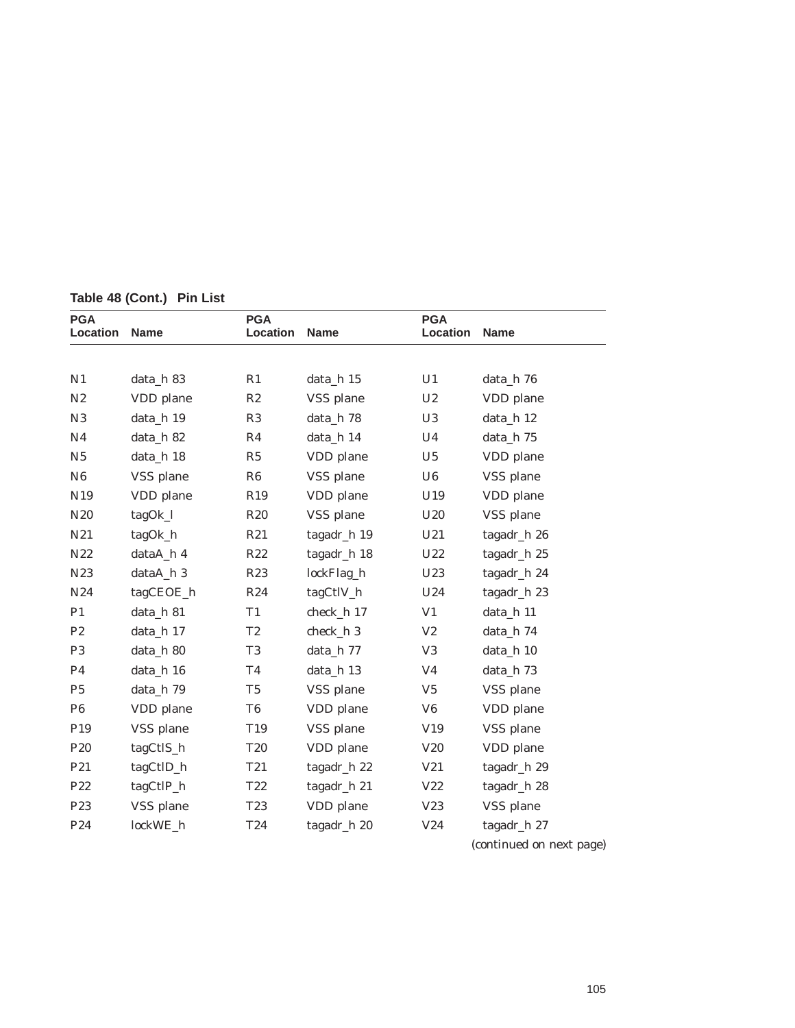| <b>PGA</b><br>Location | <b>Name</b> | <b>PGA</b><br>Location | <b>Name</b> | <b>PGA</b><br>Location | Name                     |
|------------------------|-------------|------------------------|-------------|------------------------|--------------------------|
|                        |             |                        |             |                        |                          |
| N1                     | data_h 83   | R1                     | data_h 15   | U1                     | data_h 76                |
| N2                     | VDD plane   | $\mathbb{R}2$          | VSS plane   | $\mathop{\mathrm{U2}}$ | VDD plane                |
| N3                     | data_h 19   | R3                     | data_h 78   | U3                     | data_h 12                |
| N <sub>4</sub>         | data_h 82   | R <sub>4</sub>         | data_h 14   | U <sub>4</sub>         | data_h 75                |
| N <sub>5</sub>         | data_h 18   | R5                     | VDD plane   | U5                     | VDD plane                |
| N <sub>6</sub>         | VSS plane   | R6                     | VSS plane   | U6                     | VSS plane                |
| N19                    | VDD plane   | R <sub>19</sub>        | VDD plane   | U19                    | VDD plane                |
| N20                    | tagOk_l     | R <sub>20</sub>        | VSS plane   | U20                    | VSS plane                |
| N21                    | tagOk_h     | R21                    | tagadr_h 19 | U21                    | tagadr_h 26              |
| N22                    | dataA_h 4   | R22                    | tagadr_h 18 | U22                    | tagadr_h 25              |
| N23                    | dataA_h 3   | R23                    | lockFlag_h  | U23                    | tagadr_h 24              |
| N24                    | tagCEOE_h   | R24                    | tagCtlV_h   | U24                    | tagadr_h 23              |
| P <sub>1</sub>         | data_h 81   | T <sub>1</sub>         | check_h 17  | V <sub>1</sub>         | data_h 11                |
| P <sub>2</sub>         | data_h 17   | T <sub>2</sub>         | check_h 3   | V <sub>2</sub>         | data_h 74                |
| P <sub>3</sub>         | data_h 80   | T <sub>3</sub>         | data_h 77   | V3                     | data_h 10                |
| P <sub>4</sub>         | data_h 16   | <b>T4</b>              | data_h 13   | V <sub>4</sub>         | data_h 73                |
| P <sub>5</sub>         | data_h 79   | $\rm{T}5$              | VSS plane   | V <sub>5</sub>         | VSS plane                |
| P6                     | VDD plane   | T <sub>6</sub>         | VDD plane   | V <sub>6</sub>         | VDD plane                |
| P19                    | VSS plane   | T19                    | VSS plane   | V19                    | VSS plane                |
| P20                    | tagCtlS_h   | <b>T20</b>             | VDD plane   | V20                    | VDD plane                |
| P21                    | tagCtlD_h   | T <sub>21</sub>        | tagadr_h 22 | V21                    | tagadr_h 29              |
| P22                    | tagCtlP_h   | T22                    | tagadr_h 21 | V22                    | tagadr_h 28              |
| P <sub>23</sub>        | VSS plane   | T23                    | VDD plane   | V23                    | VSS plane                |
| P24                    | lockWE_h    | T24                    | tagadr_h 20 | V24                    | tagadr_h 27              |
|                        |             |                        |             |                        | (continued on next page) |

**Table 48 (Cont.) Pin List**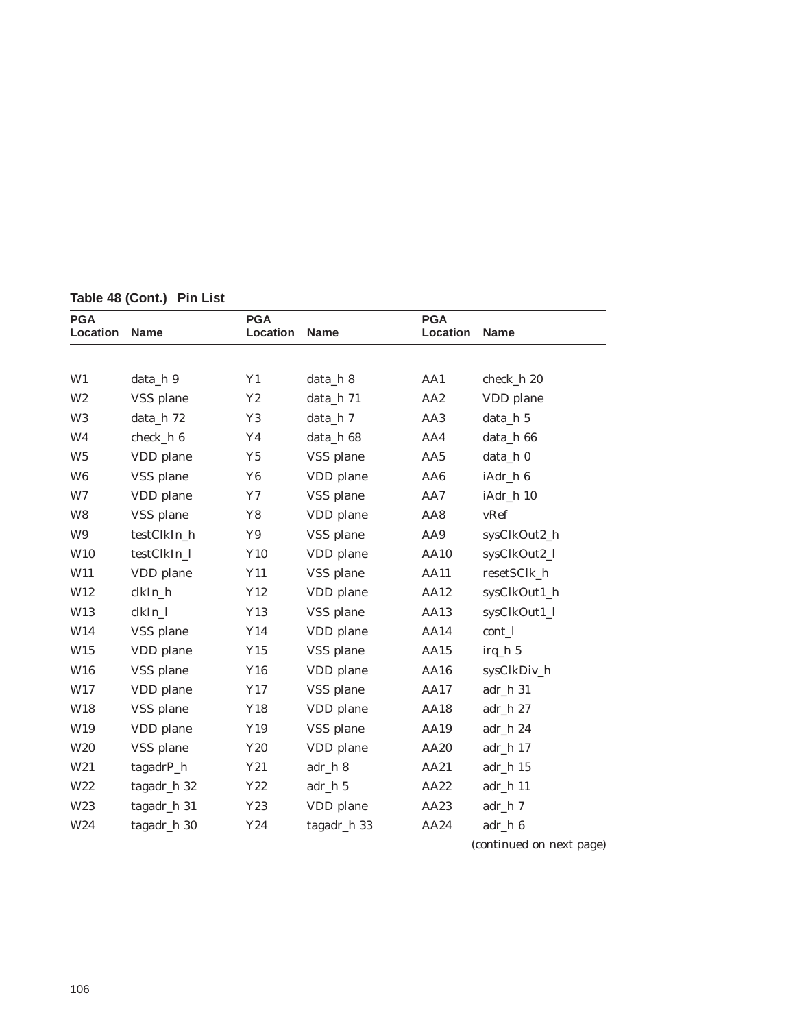| <b>PGA</b><br>Location | <b>Name</b> | <b>PGA</b><br>Location | <b>Name</b> | <b>PGA</b><br>Location | <b>Name</b>              |
|------------------------|-------------|------------------------|-------------|------------------------|--------------------------|
|                        |             |                        |             |                        |                          |
| W1                     | data_h 9    | Y1                     | data_h 8    | AA1                    | check_h 20               |
| W <sub>2</sub>         | VSS plane   | Y2                     | data_h 71   | AA <sub>2</sub>        | VDD plane                |
| W <sub>3</sub>         | data_h 72   | Y3                     | data_h 7    | AA3                    | data_h 5                 |
| W <sub>4</sub>         | check h 6   | Y <sub>4</sub>         | data_h 68   | AA4                    | data_h 66                |
| W <sub>5</sub>         | VDD plane   | Y5                     | VSS plane   | AA5                    | data_h 0                 |
| W <sub>6</sub>         | VSS plane   | Y <sub>6</sub>         | VDD plane   | AA6                    | iAdr_h 6                 |
| W7                     | VDD plane   | Y7                     | VSS plane   | AA7                    | iAdr_h 10                |
| W <sub>8</sub>         | VSS plane   | Y8                     | VDD plane   | AA8                    | vRef                     |
| W9                     | testClkIn_h | Y9                     | VSS plane   | AA9                    | sysClkOut2_h             |
| W <sub>10</sub>        | testClkIn_l | Y10                    | VDD plane   | <b>AA10</b>            | sysClkOut2_l             |
| W11                    | VDD plane   | Y11                    | VSS plane   | <b>AA11</b>            | resetSClk_h              |
| W12                    | clkIn_h     | Y12                    | VDD plane   | AA12                   | sysClkOut1_h             |
| W13                    | clkIn_l     | Y13                    | VSS plane   | AA13                   | sysClkOut1_l             |
| W14                    | VSS plane   | Y14                    | VDD plane   | AA14                   | cont_1                   |
| W15                    | VDD plane   | Y15                    | VSS plane   | AA15                   | $irq_h 5$                |
| W16                    | VSS plane   | Y16                    | VDD plane   | AA16                   | sysClkDiv_h              |
| W17                    | VDD plane   | Y17                    | VSS plane   | <b>AA17</b>            | adr_h 31                 |
| W18                    | VSS plane   | Y18                    | VDD plane   | <b>AA18</b>            | adr_h 27                 |
| W19                    | VDD plane   | Y19                    | VSS plane   | AA19                   | adr_h 24                 |
| W <sub>20</sub>        | VSS plane   | Y20                    | VDD plane   | AA20                   | adr_h 17                 |
| W <sub>21</sub>        | tagadrP_h   | Y21                    | adr_h 8     | AA21                   | adr_h 15                 |
| W22                    | tagadr_h 32 | $\mathbf{Y22}$         | adr_h 5     | AA22                   | adr_h 11                 |
| W <sub>23</sub>        | tagadr_h 31 | Y23                    | VDD plane   | AA23                   | adr_h 7                  |
| W24                    | tagadr_h 30 | Y24                    | tagadr_h 33 | AA24                   | adr_h 6                  |
|                        |             |                        |             |                        | (continued on next page) |

**Table 48 (Cont.) Pin List**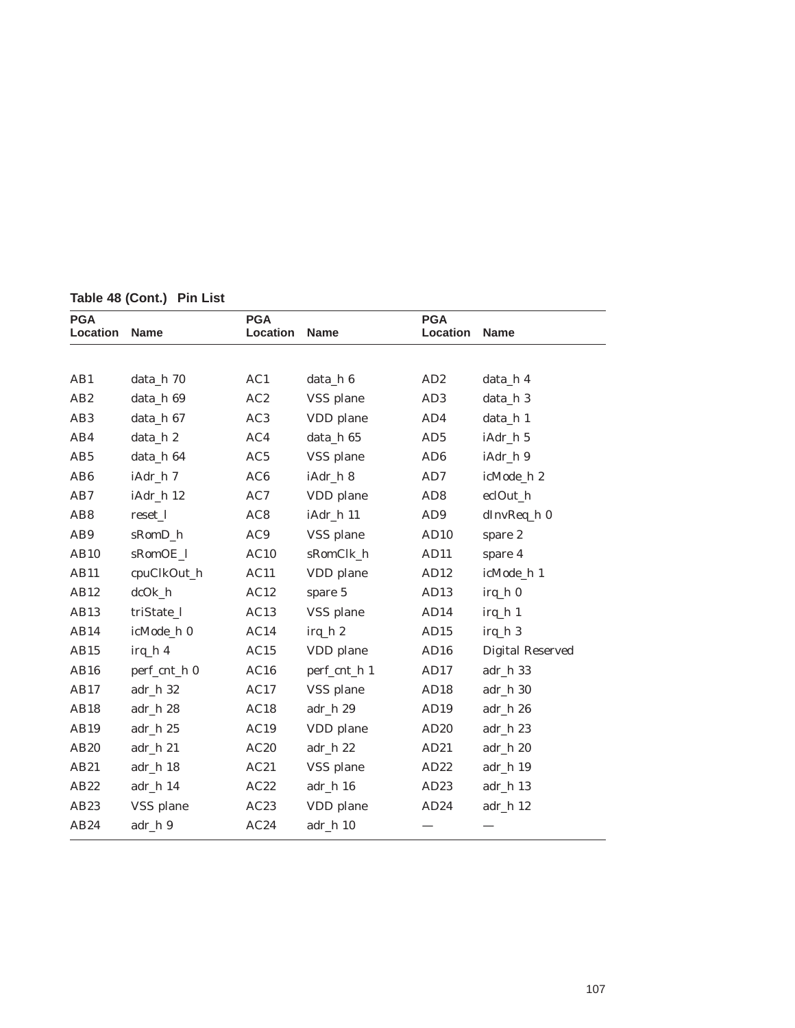| <b>PGA</b><br>Location | <b>Name</b>  | <b>PGA</b><br>Location | <b>Name</b>  | <b>PGA</b><br>Location | <b>Name</b>             |
|------------------------|--------------|------------------------|--------------|------------------------|-------------------------|
|                        |              |                        |              |                        |                         |
| AB1                    | data_h 70    | AC1                    | data_h 6     | AD2                    | data_h 4                |
| AB2                    | data_h 69    | AC2                    | VSS plane    | AD <sub>3</sub>        | data_h 3                |
| AB <sub>3</sub>        | data_h 67    | AC3                    | VDD plane    | AD4                    | data_h 1                |
| AB4                    | data_h 2     | AC4                    | data_h 65    | AD5                    | iAdr_h 5                |
| AB <sub>5</sub>        | data_h 64    | AC5                    | VSS plane    | AD <sub>6</sub>        | iAdr_h 9                |
| AB <sub>6</sub>        | iAdr_h 7     | AC6                    | iAdr_h 8     | AD7                    | icMode_h 2              |
| AB7                    | iAdr_h 12    | AC7                    | VDD plane    | AD <sub>8</sub>        | eclOut_h                |
| AB <sub>8</sub>        | reset_l      | AC8                    | iAdr_h 11    | AD <sub>9</sub>        | dInvReq_h 0             |
| AB9                    | sRomD_h      | AC9                    | VSS plane    | AD10                   | spare 2                 |
| AB10                   | sRomOE_l     | AC10                   | sRomClk_h    | AD11                   | spare 4                 |
| <b>AB11</b>            | cpuClkOut_h  | AC11                   | VDD plane    | AD12                   | icMode_h 1              |
| AB12                   | $dcOk_h$     | AC12                   | spare 5      | AD13                   | irq_h 0                 |
| AB13                   | triState_l   | AC13                   | VSS plane    | AD14                   | $irq_h 1$               |
| AB14                   | icMode_h 0   | AC14                   | $irq_h 2$    | AD15                   | irq_h 3                 |
| AB15                   | $irq_h 4$    | AC15                   | VDD plane    | AD16                   | <b>Digital Reserved</b> |
| AB16                   | perf_cnt_h 0 | AC16                   | perf_cnt_h 1 | AD17                   | adr_h 33                |
| AB17                   | adr_h 32     | AC17                   | VSS plane    | AD18                   | adr_h 30                |
| AB18                   | $adr_h 28$   | AC18                   | adr_h 29     | AD19                   | $adr_h 26$              |
| AB19                   | $adr_h 25$   | AC19                   | VDD plane    | AD20                   | adr_h 23                |
| AB20                   | adr_h 21     | AC20                   | adr_h 22     | AD21                   | adr_h 20                |
| AB21                   | adr_h 18     | AC21                   | VSS plane    | AD22                   | adr_h 19                |
| AB22                   | adr_h 14     | AC22                   | adr_h 16     | AD23                   | adr_h 13                |
| AB23                   | VSS plane    | AC23                   | VDD plane    | AD24                   | adr_h 12                |
| AB24                   | adr_h 9      | AC24                   | adr_h 10     |                        |                         |

**Table 48 (Cont.) Pin List**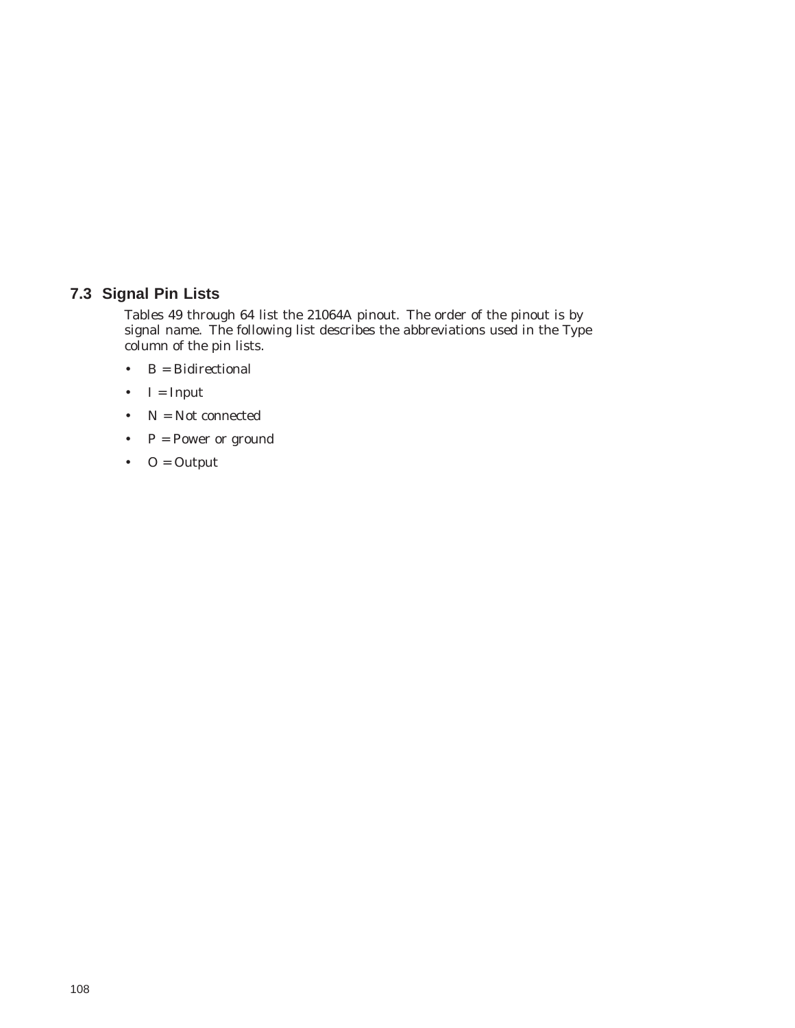## **7.3 Signal Pin Lists**

Tables 49 through 64 list the 21064A pinout. The order of the pinout is by signal name. The following list describes the abbreviations used in the Type column of the pin lists.

- $\bullet$   $\quad$  B  $=$  Bidirectional
- $I = Input$
- N = Not connected
- $P = Power$  or ground
- $O = Output$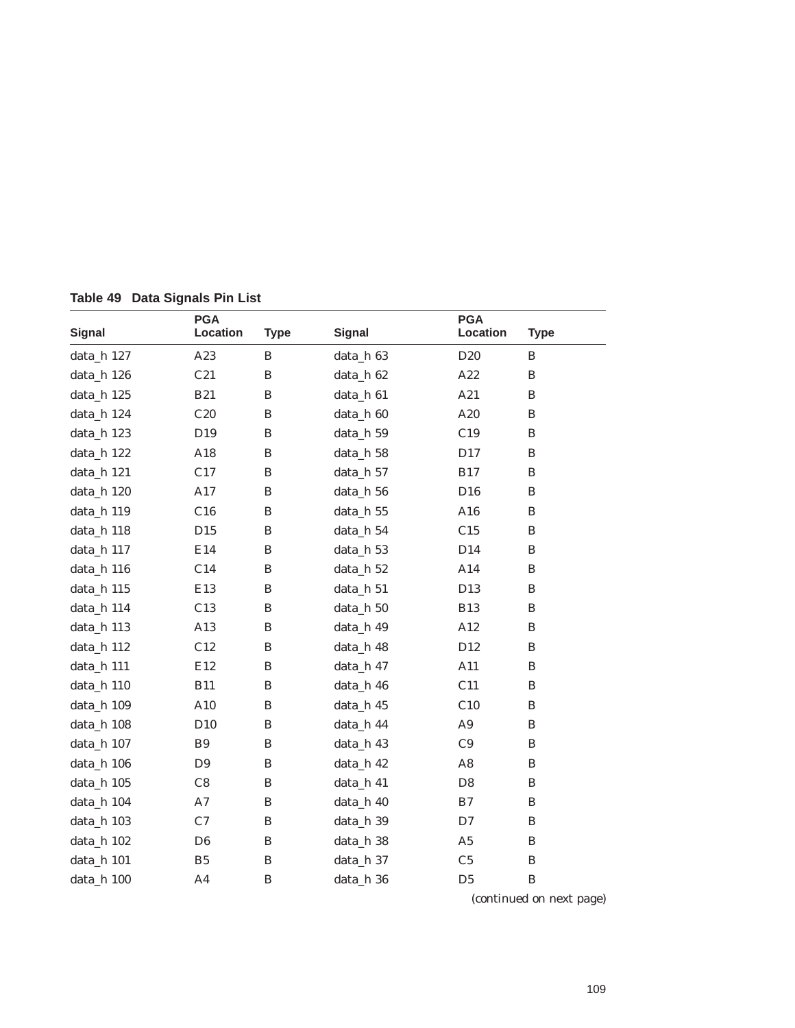| <b>Signal</b> | <b>PGA</b><br>Location | <b>Type</b>  | <b>Signal</b> | <b>PGA</b><br>Location | <b>Type</b>  |
|---------------|------------------------|--------------|---------------|------------------------|--------------|
| data_h 127    | A23                    | B            | data_h 63     | D20                    | B            |
| data_h 126    | C21                    | $\, {\bf B}$ | data_h 62     | A22                    | $\, {\bf B}$ |
| data_h 125    | <b>B21</b>             | B            | data_h 61     | A21                    | $\bf{B}$     |
| data_h 124    | C20                    | $\, {\bf B}$ | data_h 60     | A20                    | $\bf{B}$     |
| data_h 123    | D19                    | B            | data_h 59     | C19                    | B            |
| data_h 122    | A18                    | B            | data_h 58     | D17                    | $\, {\bf B}$ |
| data_h 121    | C17                    | B            | data_h 57     | <b>B17</b>             | B            |
| data_h 120    | A17                    | $\, {\bf B}$ | data_h 56     | D16                    | B            |
| data_h 119    | C16                    | B            | data_h 55     | A16                    | B            |
| data_h 118    | D15                    | $\, {\bf B}$ | data_h 54     | C15                    | B            |
| data_h 117    | E14                    | B            | data_h 53     | D14                    | B            |
| data_h 116    | C14                    | $\, {\bf B}$ | data_h 52     | A14                    | B            |
| data_h 115    | E13                    | $\, {\bf B}$ | data_h 51     | D13                    | B            |
| data_h 114    | C13                    | $\, {\bf B}$ | data_h 50     | <b>B13</b>             | $\bf{B}$     |
| data_h 113    | A13                    | B            | data h 49     | A12                    | $\bf{B}$     |
| data_h 112    | C12                    | B            | data_h 48     | D12                    | $\bf{B}$     |
| data_h 111    | E12                    | $\, {\bf B}$ | data_h 47     | A11                    | $\bf{B}$     |
| data_h 110    | <b>B11</b>             | $\, {\bf B}$ | data_h 46     | C11                    | $\, {\bf B}$ |
| data_h 109    | A10                    | B            | data_h 45     | C10                    | $\, {\bf B}$ |
| data_h 108    | D10                    | $\, {\bf B}$ | data_h 44     | A <sub>9</sub>         | B            |
| data_h 107    | B <sub>9</sub>         | $\, {\bf B}$ | data_h 43     | C9                     | $\, {\bf B}$ |
| data_h 106    | D <sub>9</sub>         | $\, {\bf B}$ | data_h 42     | A8                     | B            |
| data_h 105    | C8                     | $\, {\bf B}$ | data_h 41     | D <sub>8</sub>         | B            |
| data_h 104    | A7                     | $\, {\bf B}$ | data_h 40     | B7                     | B            |
| data_h 103    | C7                     | $\, {\bf B}$ | data_h 39     | D7                     | B            |
| data_h 102    | D <sub>6</sub>         | $\, {\bf B}$ | data_h 38     | ${\bf A5}$             | $\, {\bf B}$ |
| data_h 101    | B <sub>5</sub>         | $\, {\bf B}$ | data_h 37     | C <sub>5</sub>         | B            |
| data_h 100    | A <sub>4</sub>         | $\, {\bf B}$ | data_h 36     | D <sub>5</sub>         | $\, {\bf B}$ |

**Table 49 Data Signals Pin List**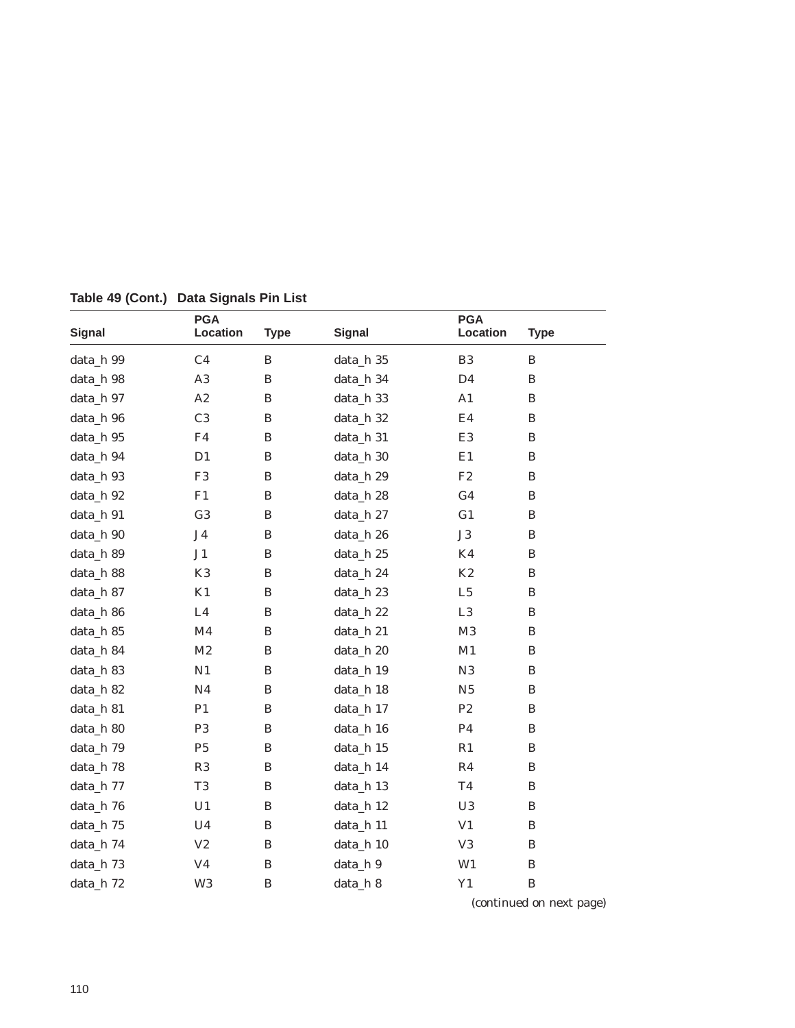| <b>Signal</b> | <b>PGA</b><br>Location | <b>Type</b>  | <b>Signal</b> | <b>PGA</b><br>Location | <b>Type</b>  |
|---------------|------------------------|--------------|---------------|------------------------|--------------|
| data_h 99     | C <sub>4</sub>         | B            | data_h 35     | B <sub>3</sub>         | B            |
| data_h 98     | A3                     | $\, {\bf B}$ | data_h 34     | D <sub>4</sub>         | B            |
| data_h 97     | A2                     | $\, {\bf B}$ | data_h 33     | A1                     | $\bf{B}$     |
| data_h 96     | C <sub>3</sub>         | $\, {\bf B}$ | data_h 32     | E4                     | B            |
| data_h 95     | F <sub>4</sub>         | B            | data_h 31     | E3                     | B            |
| data_h 94     | D <sub>1</sub>         | $\, {\bf B}$ | data_h 30     | E1                     | B            |
| data_h 93     | F <sub>3</sub>         | B            | data_h 29     | $\rm F2$               | B            |
| data_h 92     | F1                     | B            | data_h 28     | G <sub>4</sub>         | B            |
| data_h 91     | G <sub>3</sub>         | $\, {\bf B}$ | data_h 27     | G1                     | B            |
| data_h 90     | J <sub>4</sub>         | B            | data_h 26     | $\rm J3$               | B            |
| data_h 89     | J <sub>1</sub>         | B            | data_h 25     | K4                     | B            |
| data_h 88     | K <sub>3</sub>         | $\, {\bf B}$ | data_h 24     | K2                     | B            |
| data_h 87     | K1                     | $\, {\bf B}$ | data_h 23     | L5                     | B            |
| data_h 86     | L4                     | $\, {\bf B}$ | data_h 22     | $\rm L3$               | B            |
| data_h 85     | M <sub>4</sub>         | $\, {\bf B}$ | data_h 21     | $\mathbf{M}3$          | B            |
| data_h 84     | M2                     | $\, {\bf B}$ | data_h 20     | M1                     | B            |
| data_h 83     | N1                     | $\, {\bf B}$ | data_h 19     | N3                     | $\, {\bf B}$ |
| data_h 82     | N <sub>4</sub>         | $\, {\bf B}$ | data_h 18     | N <sub>5</sub>         | B            |
| data_h 81     | P <sub>1</sub>         | B            | data_h 17     | P <sub>2</sub>         | B            |
| data_h 80     | P <sub>3</sub>         | $\, {\bf B}$ | data_h 16     | P <sub>4</sub>         | B            |
| data_h 79     | P <sub>5</sub>         | B            | data_h 15     | R1                     | B            |
| data_h 78     | R3                     | $\, {\bf B}$ | data_h 14     | R <sub>4</sub>         | B            |
| data_h 77     | T <sub>3</sub>         | B            | data_h 13     | T <sub>4</sub>         | B            |
| data_h 76     | U1                     | B            | data_h 12     | U3                     | B            |
| data_h 75     | U <sub>4</sub>         | $\, {\bf B}$ | data_h 11     | V <sub>1</sub>         | B            |
| data_h 74     | $\rm V2$               | $\, {\bf B}$ | data_h 10     | V <sub>3</sub>         | B            |
| data_h 73     | V <sub>4</sub>         | B            | data_h 9      | W1                     | B            |
| data_h 72     | W <sub>3</sub>         | $\, {\bf B}$ | data_h 8      | Y1                     | $\, {\bf B}$ |

**Table 49 (Cont.) Data Signals Pin List**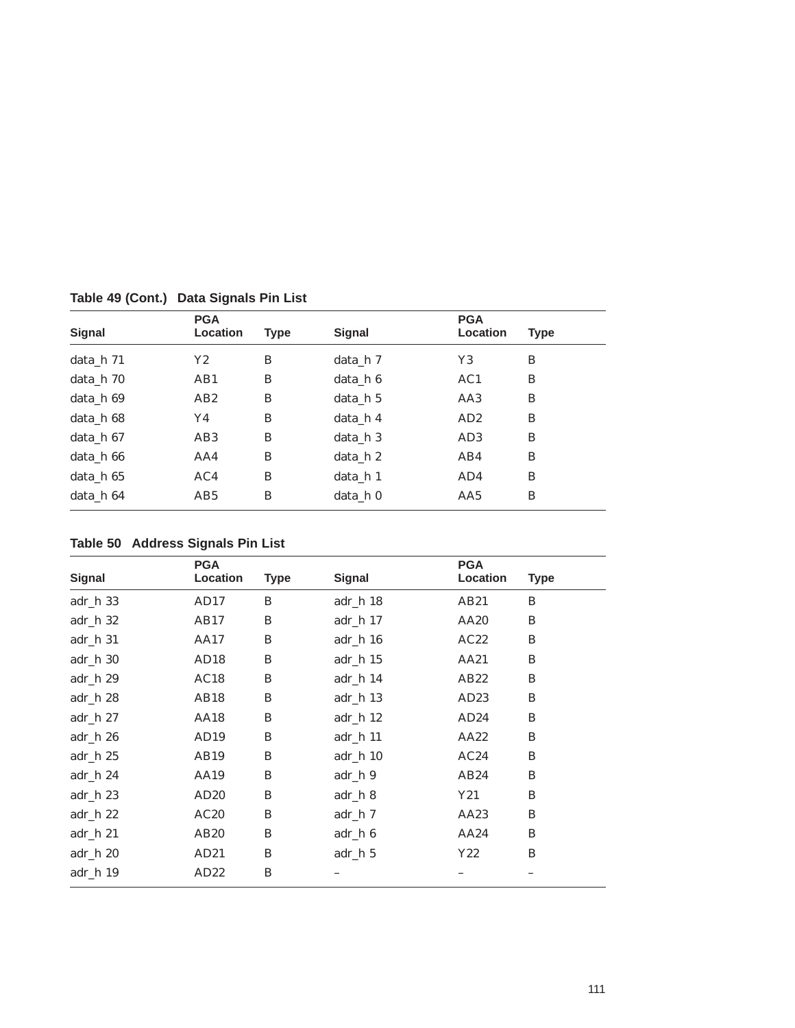| Signal    | <b>PGA</b><br>Location | <b>Type</b> | Signal   | <b>PGA</b><br>Location | <b>Type</b> |
|-----------|------------------------|-------------|----------|------------------------|-------------|
|           |                        |             |          |                        |             |
| data h 71 | Y2                     | B           | data h 7 | Y3                     | B           |
| data h 70 | AB1                    | B           | data h 6 | AC1                    | B           |
| data h 69 | AB2                    | B           | data h 5 | AA3                    | B           |
| data_h 68 | Y4                     | B           | data h 4 | AD2                    | B           |
| data h 67 | AB <sub>3</sub>        | B           | data h 3 | AD <sub>3</sub>        | B           |
| data h 66 | AA4                    | B           | data h 2 | AB4                    | B           |
| data h 65 | AC4                    | B           | data h 1 | AD4                    | B           |
| data_h 64 | AB5                    | B           | data_h 0 | AA5                    | B           |

**Table 49 (Cont.) Data Signals Pin List**

**Table 50 Address Signals Pin List**

|               | <b>PGA</b>       |             |               | <b>PGA</b> |             |
|---------------|------------------|-------------|---------------|------------|-------------|
| <b>Signal</b> | Location         | <b>Type</b> | <b>Signal</b> | Location   | <b>Type</b> |
| $adr_h 33$    | AD17             | B           | adr_h 18      | AB21       | B           |
| $adr_h 32$    | AB17             | B           | $adr_h 17$    | AA20       | B           |
| adr h 31      | AA17             | B           | $adr_h 16$    | AC22       | B           |
| $adr_h 30$    | AD18             | B           | $adr_h 15$    | AA21       | B           |
| $adr_h 29$    | AC18             | B           | $adr_h 14$    | AB22       | B           |
| $adr_h 28$    | AB18             | B           | $adr_h 13$    | AD23       | B           |
| adr h 27      | <b>AA18</b>      | B           | $adr_h 12$    | AD24       | B           |
| adr h 26      | AD <sub>19</sub> | B           | adr_h 11      | AA22       | B           |
| $adr_h 25$    | AB19             | B           | $adr_h 10$    | AC24       | B           |
| $adr_h 24$    | AA19             | B           | adr_h 9       | AB24       | B           |
| $adr_h 23$    | AD20             | B           | adr_h 8       | Y21        | B           |
| $adr_h 22$    | AC20             | B           | adr_h 7       | AA23       | B           |
| adr h 21      | AB <sub>20</sub> | B           | adr_h 6       | AA24       | B           |
| $adr_h 20$    | AD21             | B           | adr_h 5       | Y22        | B           |
| $adr_h 19$    | AD22             | B           |               |            |             |
|               |                  |             |               |            |             |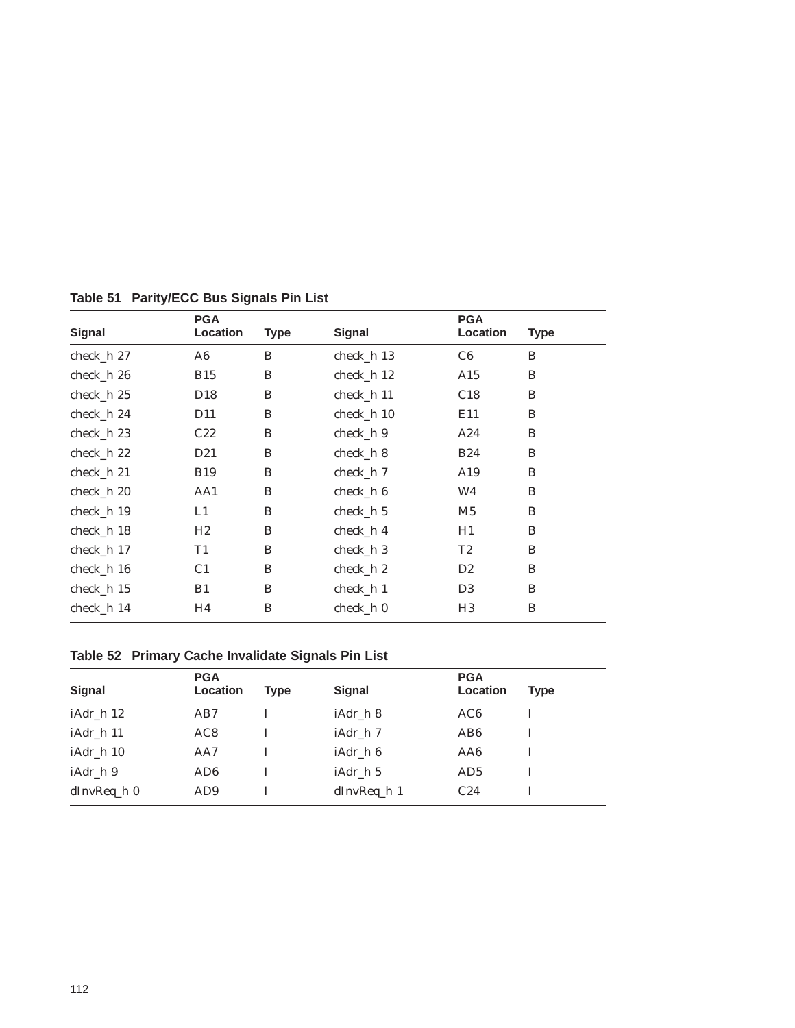| <b>Signal</b> | <b>PGA</b><br>Location | <b>Type</b> | <b>Signal</b> | <b>PGA</b><br>Location | <b>Type</b> |
|---------------|------------------------|-------------|---------------|------------------------|-------------|
| check_h 27    | A6                     | B           | check_h 13    | C6                     | B           |
| check_h 26    | <b>B15</b>             | B           | check_h 12    | A15                    | B           |
| $check_h 25$  | D <sub>18</sub>        | B           | check_h 11    | C18                    | B           |
| check_h 24    | D <sub>11</sub>        | B           | check_h 10    | E11                    | B           |
| check_h 23    | C22                    | B           | check_h 9     | A24                    | B           |
| $check_h 22$  | D <sub>21</sub>        | B           | check_h 8     | <b>B24</b>             | B           |
| check h 21    | <b>B19</b>             | B           | check h 7     | A19                    | B           |
| check_h 20    | AA1                    | B           | check_h 6     | W4                     | B           |
| check h 19    | L1                     | B           | check h 5     | M <sub>5</sub>         | B           |
| check_h 18    | H2                     | B           | check_h 4     | H1                     | B           |
| check h 17    | T1                     | B           | check h 3     | T2                     | B           |
| check_h 16    | C <sub>1</sub>         | B           | $check_h 2$   | D2                     | B           |
| check_h 15    | B1                     | B           | check_h 1     | D <sub>3</sub>         | B           |
| check_h 14    | H4                     | B           | check_h 0     | H <sub>3</sub>         | B           |

**Table 51 Parity/ECC Bus Signals Pin List**

# **Table 52 Primary Cache Invalidate Signals Pin List**

|             | <b>PGA</b>      |             |               | <b>PGA</b>      |      |
|-------------|-----------------|-------------|---------------|-----------------|------|
| Signal      | Location        | <b>Type</b> | <b>Signal</b> | Location        | Type |
| iAdr_h 12   | AB7             |             | iAdr h 8      | AC <sub>6</sub> |      |
| iAdr_h 11   | AC <sub>8</sub> |             | iAdr_h 7      | AB <sub>6</sub> |      |
| iAdr_h 10   | AA7             |             | iAdr_h 6      | AA6             |      |
| iAdr h 9    | AD <sub>6</sub> |             | iAdr h 5      | AD <sub>5</sub> |      |
| dInvReq_h 0 | AD <sub>9</sub> |             | $dInvReq_h1$  | C <sub>24</sub> |      |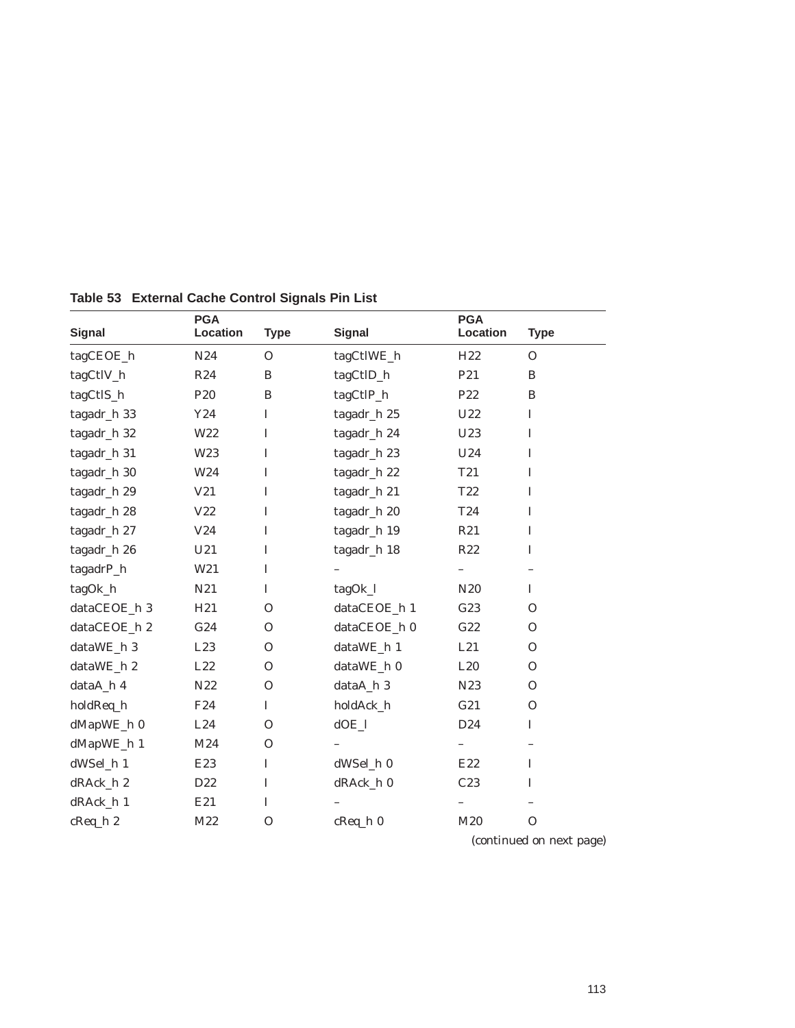| <b>Signal</b> | <b>PGA</b><br>Location | <b>Type</b>  | <b>Signal</b> | <b>PGA</b><br>Location | <b>Type</b>  |
|---------------|------------------------|--------------|---------------|------------------------|--------------|
| tagCEOE_h     | N24                    | $\mathbf{O}$ | tagCtlWE_h    | H <sub>22</sub>        | $\Omega$     |
| tagCtlV_h     | R24                    | B            | tagCtlD_h     | P <sub>21</sub>        | B            |
| tagCtlS_h     | P <sub>20</sub>        | $\, {\bf B}$ | tagCtlP_h     | P22                    | B            |
| tagadr_h 33   | Y24                    | $\bf I$      | tagadr_h 25   | U22                    | $\mathbf I$  |
| tagadr_h 32   | W22                    | $\bf I$      | tagadr_h 24   | U23                    | $\mathbf I$  |
| tagadr_h 31   | W <sub>23</sub>        | I            | tagadr_h 23   | U24                    | $\mathbf I$  |
| tagadr_h 30   | W <sub>24</sub>        | I            | tagadr_h 22   | T <sub>21</sub>        | $\mathbf I$  |
| tagadr_h 29   | V21                    | I            | tagadr_h 21   | T22                    | I            |
| tagadr_h 28   | V22                    | $\bf I$      | tagadr_h 20   | T24                    | $\mathbf I$  |
| tagadr_h 27   | V24                    | $\bf I$      | tagadr_h 19   | R21                    | $\mathbf I$  |
| tagadr_h 26   | U21                    | $\bf I$      | tagadr_h 18   | R22                    | $\mathbf I$  |
| tagadrP_h     | W21                    | $\bf I$      |               |                        |              |
| tagOk_h       | N21                    | I            | tagOk_l       | N <sub>20</sub>        | I            |
| dataCEOE_h 3  | H21                    | $\mathbf{O}$ | dataCEOE_h 1  | G23                    | $\Omega$     |
| dataCEOE_h 2  | G24                    | $\mathbf{O}$ | dataCEOE_h 0  | G22                    | $\Omega$     |
| dataWE_h 3    | L23                    | $\mathbf{O}$ | dataWE_h 1    | L21                    | $\Omega$     |
| dataWE_h 2    | L22                    | $\mathbf{O}$ | dataWE_h 0    | L20                    | $\Omega$     |
| dataA_h 4     | N22                    | $\mathbf{O}$ | dataA_h 3     | N <sub>2</sub> 3       | $\mathbf{O}$ |
| holdReq_h     | F24                    | $\mathbf I$  | holdAck_h     | G21                    | $\Omega$     |
| dMapWE_h 0    | L24                    | $\mathbf{O}$ | $dOE_l$       | D24                    | $\mathbf I$  |
| dMapWE_h 1    | M24                    | $\mathbf{O}$ |               | $\qquad \qquad -$      |              |
| dWSel_h 1     | E23                    | $\mathbf I$  | dWSel_h 0     | E22                    | I            |
| dRAck_h 2     | D22                    | $\mathbf I$  | dRAck_h 0     | C23                    | I            |
| dRAck_h 1     | E21                    | $\mathbf I$  |               |                        |              |
| cReq_h 2      | M22                    | $\mathbf{O}$ | $c$ Req_h $0$ | M20                    | $\mathbf{O}$ |
|               |                        |              |               | $\sqrt{2}$             | $\mathbf{L}$ |

**Table 53 External Cache Control Signals Pin List**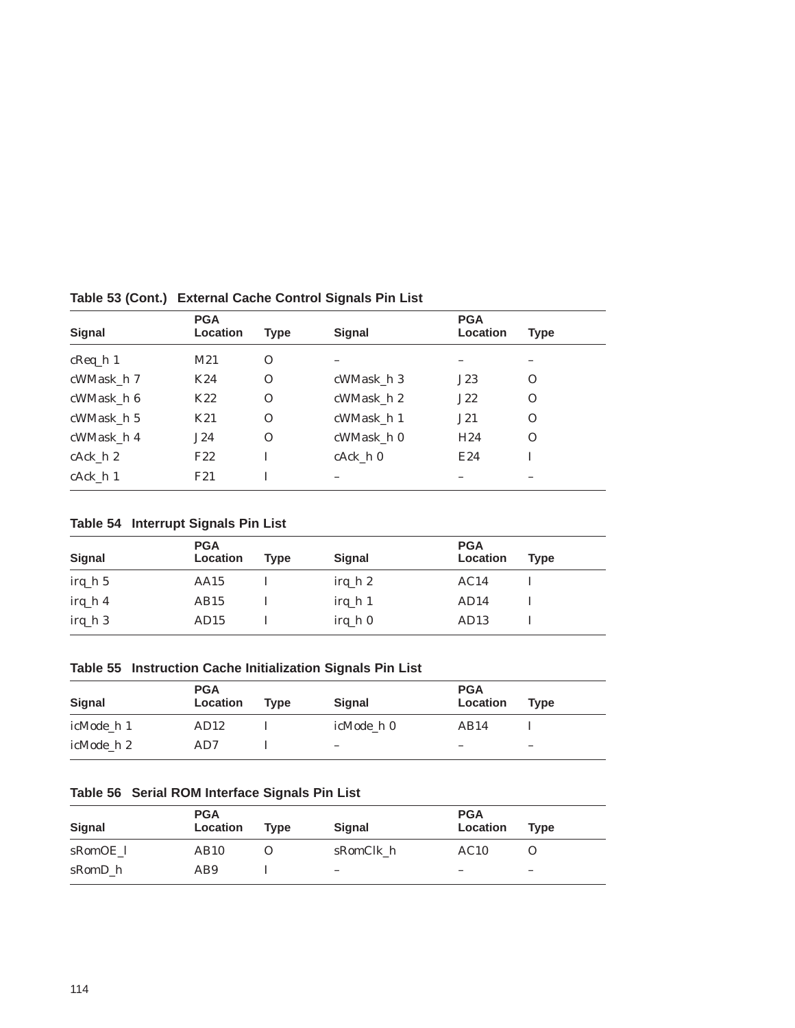| Signal            | <b>PGA</b><br>Location | <b>Type</b>  | <b>Signal</b> | <b>PGA</b><br>Location | <b>Type</b> |
|-------------------|------------------------|--------------|---------------|------------------------|-------------|
| $c$ Req $\hbar$ 1 | M21                    | $\Omega$     |               |                        |             |
| cWMask_h 7        | K24                    | $\Omega$     | cWMask h 3    | J23                    | $\Omega$    |
| cWMask h 6        | K22                    | $\mathbf{O}$ | cWMask h 2    | J22                    | $\Omega$    |
| cWMask h 5        | K21                    | 0            | cWMask_h 1    | J21                    | $\Omega$    |
| cWMask h 4        | J24                    | $\Omega$     | cWMask_h 0    | H <sub>24</sub>        | $\Omega$    |
| cAck h 2          | F <sub>22</sub>        |              | cAck h 0      | E24                    |             |
| cAck h 1          | F21                    |              |               |                        |             |

**Table 53 (Cont.) External Cache Control Signals Pin List**

**Table 54 Interrupt Signals Pin List**

| <b>Signal</b> | <b>PGA</b><br>Location | Type | <b>Signal</b> | <b>PGA</b><br>Location | <b>Type</b> |
|---------------|------------------------|------|---------------|------------------------|-------------|
| $irq_h 5$     | AA15                   |      | $irq_h 2$     | AC14                   |             |
| $irq_h 4$     | AB15                   |      | $irq_h 1$     | AD14                   |             |
| $irq_h 3$     | AD15                   |      | $irq_h 0$     | AD <sub>13</sub>       |             |

**Table 55 Instruction Cache Initialization Signals Pin List**

| Signal     | <b>PGA</b><br>Location | <b>Type</b> | <b>Signal</b>            | <b>PGA</b><br>Location | <b>Type</b> |
|------------|------------------------|-------------|--------------------------|------------------------|-------------|
| icMode h 1 | AD12                   |             | icMode h 0               | AB14                   |             |
| icMode h 2 | AD7                    |             | $\overline{\phantom{a}}$ | -                      | -           |

### **Table 56 Serial ROM Interface Signals Pin List**

| <b>Signal</b> | <b>PGA</b><br>Location | <b>Type</b> | <b>Signal</b>            | <b>PGA</b><br>Location | <b>Type</b>              |
|---------------|------------------------|-------------|--------------------------|------------------------|--------------------------|
| sRomOE 1      | AB10                   |             | sRomClk h                | AC10                   |                          |
| sRomD h       | AB9                    |             | $\overline{\phantom{a}}$ | -                      | $\overline{\phantom{0}}$ |
|               |                        |             |                          |                        |                          |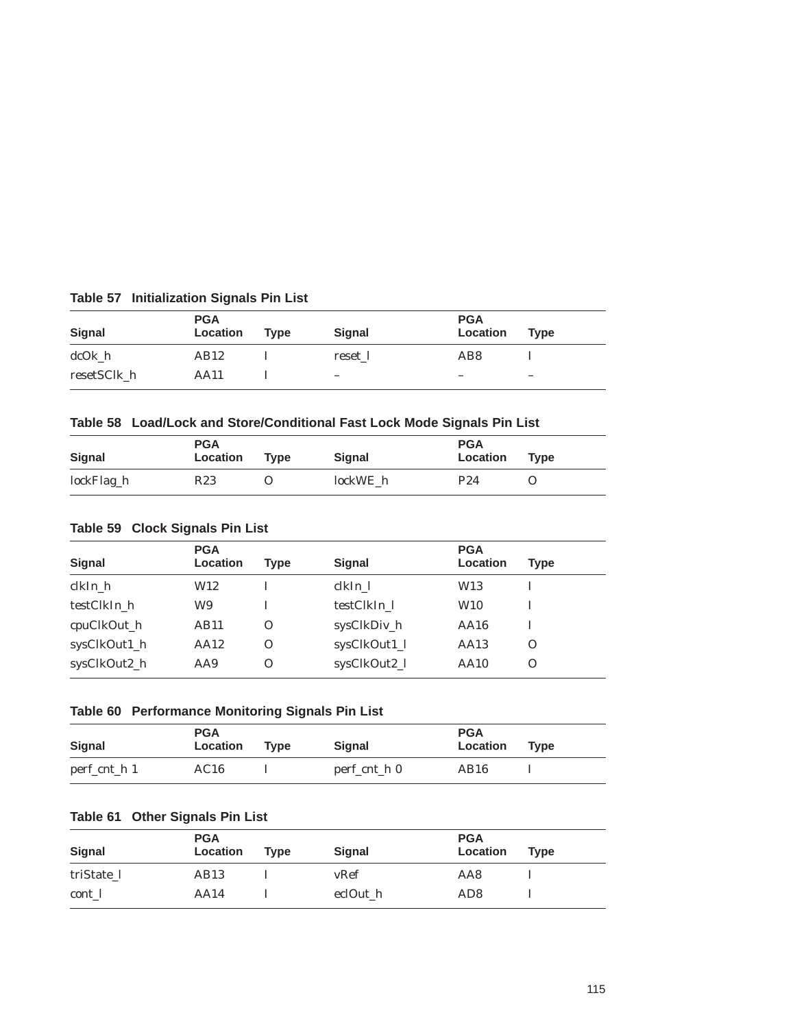| Signal      | <b>PGA</b><br>Location | Type | <b>Signal</b>            | <b>PGA</b><br>Location   | <b>Type</b> |
|-------------|------------------------|------|--------------------------|--------------------------|-------------|
| dcOk h      | AB12                   |      | reset 1                  | AB8                      |             |
| resetSClk h | AA11                   |      | $\overline{\phantom{a}}$ | $\overline{\phantom{a}}$ | -           |

## **Table 57 Initialization Signals Pin List**

## **Table 58 Load/Lock and Store/Conditional Fast Lock Mode Signals Pin List**

| Signal     | <b>PGA</b><br>Location | <b>Type</b> | <b>Signal</b> | <b>PGA</b><br>Location | <b>Type</b> |
|------------|------------------------|-------------|---------------|------------------------|-------------|
| lockFlag_h | R <sub>23</sub>        |             | lockWE h      | P <sub>24</sub>        |             |

### **Table 59 Clock Signals Pin List**

| Signal       | <b>PGA</b><br>Location | Type     | <b>Signal</b> | <b>PGA</b><br>Location | <b>Type</b> |
|--------------|------------------------|----------|---------------|------------------------|-------------|
| clkIn_h      | W12                    |          | clkIn 1       | W13                    |             |
| testClkIn h  | W9                     |          | testClkIn 1   | W10                    |             |
| cpuClkOut_h  | AB11                   | $\Omega$ | sysClkDiv_h   | AA16                   |             |
| sysClkOut1_h | AA12                   | Ω        | sysClkOut1_l  | AA13                   | O           |
| sysClkOut2_h | AA9                    | O        | sysClkOut2_l  | <b>AA10</b>            | $\Omega$    |

## **Table 60 Performance Monitoring Signals Pin List**

| <b>Signal</b> | <b>PGA</b><br>Location | Tvpe | <b>Signal</b> | <b>PGA</b><br>Location | <b>Type</b> |
|---------------|------------------------|------|---------------|------------------------|-------------|
| perf_cnt_h 1  | AC16                   |      | perf_cnt_h 0  | AB16                   |             |

# **Table 61 Other Signals Pin List**

| Signal     | <b>PGA</b><br>Location | <b>Type</b> | <b>Signal</b> | <b>PGA</b><br>Location | <b>Type</b> |
|------------|------------------------|-------------|---------------|------------------------|-------------|
| triState 1 | AB <sub>13</sub>       |             | vRef          | AA8                    |             |
| cont 1     | AA14                   |             | eclOut h      | AD <sub>8</sub>        |             |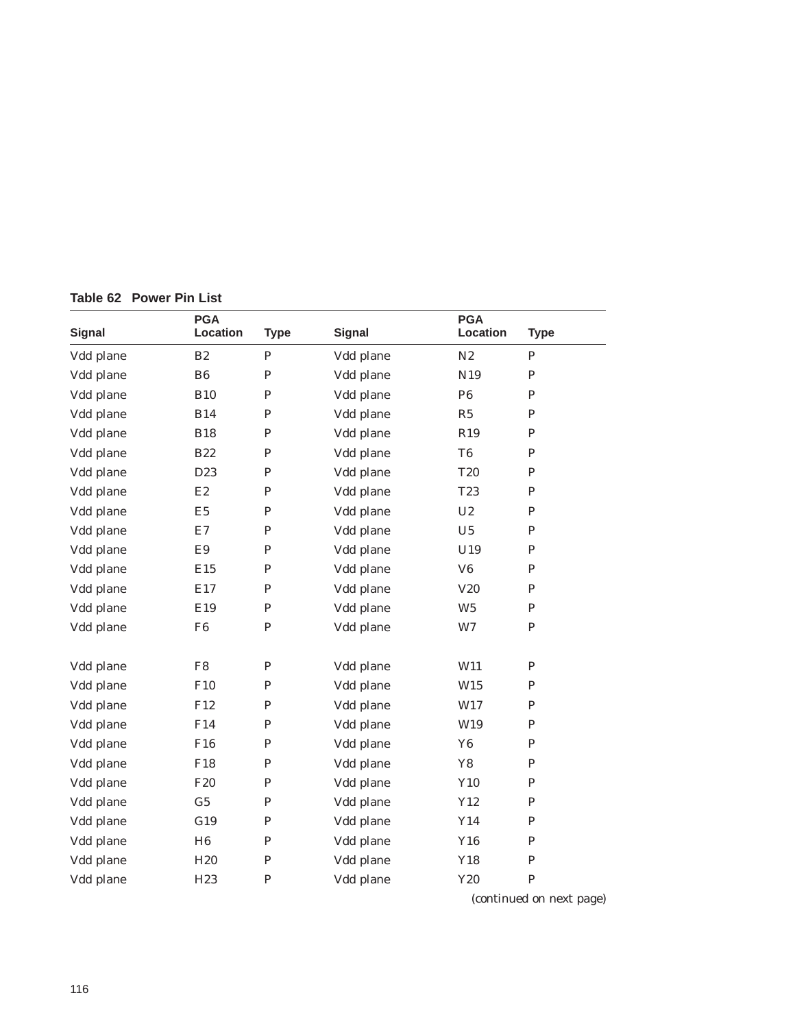|  | Table 62 Power Pin List |  |  |
|--|-------------------------|--|--|
|  |                         |  |  |

| <b>Signal</b> | <b>PGA</b><br>Location | <b>Type</b>  | <b>Signal</b> | <b>PGA</b><br>Location | <b>Type</b> |
|---------------|------------------------|--------------|---------------|------------------------|-------------|
| Vdd plane     | B <sub>2</sub>         | $\mathbf P$  | Vdd plane     | N2                     | ${\bf P}$   |
| Vdd plane     | B <sub>6</sub>         | ${\bf P}$    | Vdd plane     | N <sub>19</sub>        | ${\bf P}$   |
| Vdd plane     | <b>B10</b>             | $\mathbf P$  | Vdd plane     | P <sub>6</sub>         | P           |
| Vdd plane     | <b>B14</b>             | ${\bf P}$    | Vdd plane     | R5                     | P           |
| Vdd plane     | <b>B18</b>             | $\mathbf P$  | Vdd plane     | R <sub>19</sub>        | P           |
| Vdd plane     | <b>B22</b>             | ${\bf P}$    | Vdd plane     | T <sub>6</sub>         | $\mathbf P$ |
| Vdd plane     | D23                    | $\mathbf P$  | Vdd plane     | <b>T20</b>             | P           |
| Vdd plane     | E2                     | ${\bf P}$    | Vdd plane     | T <sub>23</sub>        | $\mathbf P$ |
| Vdd plane     | E <sub>5</sub>         | $\mathbf P$  | Vdd plane     | U <sub>2</sub>         | $\mathbf P$ |
| Vdd plane     | E7                     | ${\bf P}$    | Vdd plane     | U5                     | $\mathbf P$ |
| Vdd plane     | E9                     | ${\bf P}$    | Vdd plane     | U19                    | ${\bf P}$   |
| Vdd plane     | E15                    | $\mathbf P$  | Vdd plane     | V6                     | ${\bf P}$   |
| Vdd plane     | E17                    | ${\bf P}$    | Vdd plane     | V20                    | ${\bf P}$   |
| Vdd plane     | E19                    | ${\bf P}$    | Vdd plane     | W <sub>5</sub>         | ${\bf P}$   |
| Vdd plane     | F <sub>6</sub>         | ${\bf P}$    | Vdd plane     | W <sub>7</sub>         | ${\bf P}$   |
|               |                        |              |               |                        |             |
| Vdd plane     | ${\rm F}8$             | ${\bf P}$    | Vdd plane     | W11                    | ${\bf P}$   |
| Vdd plane     | F10                    | ${\bf P}$    | Vdd plane     | W15                    | ${\bf P}$   |
| Vdd plane     | F12                    | $\mathbf P$  | Vdd plane     | W17                    | ${\bf P}$   |
| Vdd plane     | F14                    | ${\bf P}$    | Vdd plane     | W19                    | ${\bf P}$   |
| Vdd plane     | F16                    | $\mathbf P$  | Vdd plane     | Y <sub>6</sub>         | ${\bf P}$   |
| Vdd plane     | F18                    | ${\bf P}$    | Vdd plane     | ${\bf Y8}$             | ${\bf P}$   |
| Vdd plane     | F <sub>20</sub>        | ${\bf P}$    | Vdd plane     | Y10                    | ${\bf P}$   |
| Vdd plane     | G <sub>5</sub>         | ${\bf P}$    | Vdd plane     | Y12                    | ${\bf P}$   |
| Vdd plane     | G19                    | $\mathbf{P}$ | Vdd plane     | Y14                    | ${\bf P}$   |
| Vdd plane     | H6                     | ${\bf P}$    | Vdd plane     | Y16                    | ${\bf P}$   |
| Vdd plane     | H <sub>20</sub>        | P            | Vdd plane     | Y18                    | ${\bf P}$   |
| Vdd plane     | H <sub>23</sub>        | ${\bf P}$    | Vdd plane     | Y20                    | ${\bf P}$   |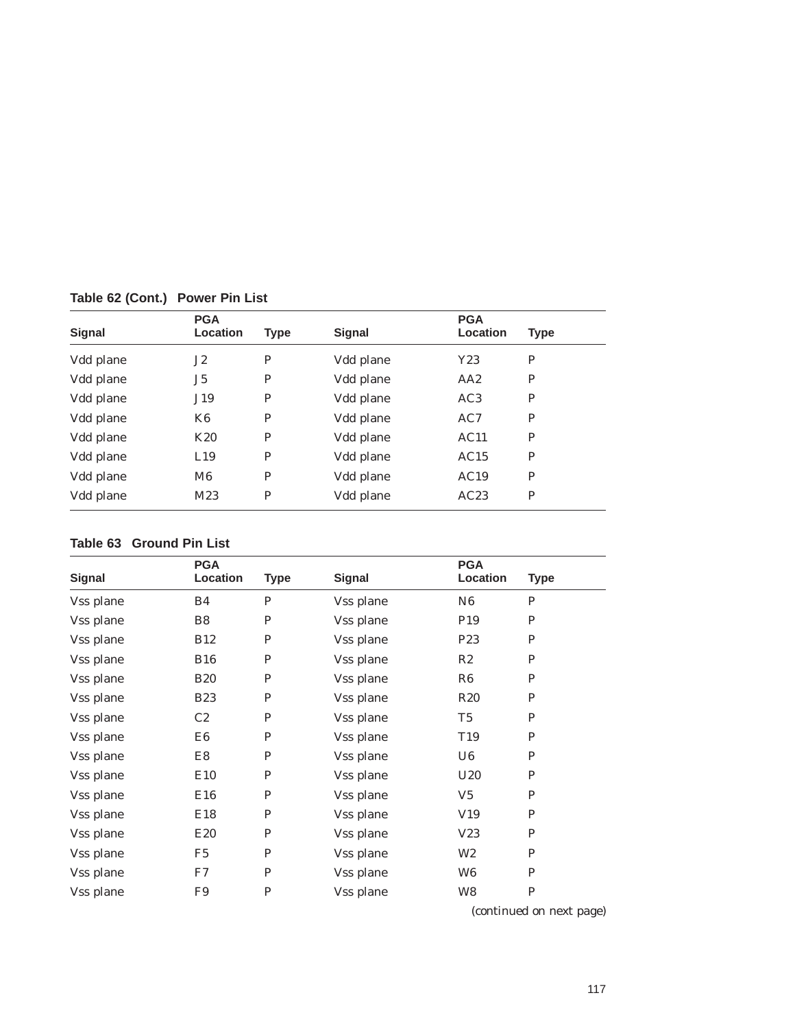| <b>Signal</b> | <b>PGA</b><br><b>Location</b> | <b>Type</b> | <b>Signal</b> | <b>PGA</b><br>Location | <b>Type</b> |
|---------------|-------------------------------|-------------|---------------|------------------------|-------------|
| Vdd plane     | J2                            | P           | Vdd plane     | Y23                    | P           |
| Vdd plane     | J5                            | P           | Vdd plane     | AA2                    | P           |
| Vdd plane     | J19                           | P           | Vdd plane     | AC3                    | P           |
| Vdd plane     | K <sub>6</sub>                | P           | Vdd plane     | AC7                    | P           |
| Vdd plane     | K <sub>20</sub>               | P           | Vdd plane     | AC11                   | P           |
| Vdd plane     | L19                           | P           | Vdd plane     | AC15                   | P           |
| Vdd plane     | M <sub>6</sub>                | P           | Vdd plane     | AC19                   | P           |
| Vdd plane     | M23                           | P           | Vdd plane     | AC23                   | P           |

**Table 62 (Cont.) Power Pin List**

#### **Table 63 Ground Pin List**

| <b>Signal</b> | <b>PGA</b><br>Location | <b>Type</b>  | <b>Signal</b> | <b>PGA</b><br>Location | <b>Type</b> |
|---------------|------------------------|--------------|---------------|------------------------|-------------|
| Vss plane     | B4                     | P            | Vss plane     | N <sub>6</sub>         | P           |
| Vss plane     | B8                     | $\mathbf P$  | Vss plane     | P <sub>19</sub>        | P           |
| Vss plane     | <b>B12</b>             | $\mathbf P$  | Vss plane     | P <sub>23</sub>        | P           |
| Vss plane     | <b>B16</b>             | $\mathbf P$  | Vss plane     | R2                     | P           |
| Vss plane     | <b>B20</b>             | $\mathbf{P}$ | Vss plane     | R6                     | P           |
| Vss plane     | <b>B23</b>             | $\mathbf{P}$ | Vss plane     | R20                    | P           |
| Vss plane     | C2                     | $\mathbf{P}$ | Vss plane     | T5                     | P           |
| Vss plane     | E6                     | $\mathbf{P}$ | Vss plane     | T19                    | P           |
| Vss plane     | E8                     | $\mathbf P$  | Vss plane     | U6                     | P           |
| Vss plane     | E10                    | P            | Vss plane     | U20                    | P           |
| Vss plane     | E16                    | P            | Vss plane     | $V_5$                  | P           |
| Vss plane     | E18                    | P            | Vss plane     | V19                    | P           |
| Vss plane     | E <sub>20</sub>        | P            | Vss plane     | V23                    | P           |
| Vss plane     | F <sub>5</sub>         | $\mathbf{P}$ | Vss plane     | W <sub>2</sub>         | P           |
| Vss plane     | F7                     | $\mathbf P$  | Vss plane     | W <sub>6</sub>         | $\mathbf P$ |
| Vss plane     | F9                     | $\mathbf P$  | Vss plane     | W8                     | $\mathbf P$ |
|               |                        |              |               | $\lambda$ $\lambda$    | п.          |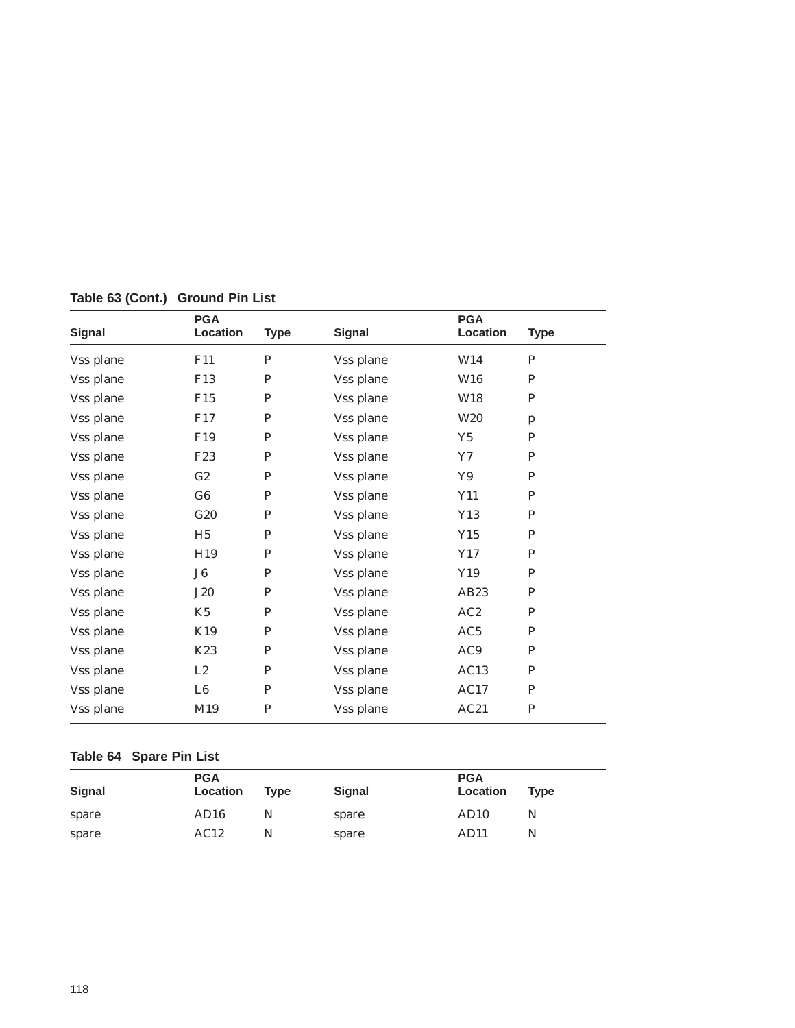| <b>Signal</b> | <b>PGA</b><br>Location | <b>Type</b> | <b>Signal</b> | <b>PGA</b><br>Location | <b>Type</b>  |
|---------------|------------------------|-------------|---------------|------------------------|--------------|
| Vss plane     | F11                    | ${\bf P}$   | Vss plane     | W14                    | P            |
| Vss plane     | F13                    | P           | Vss plane     | W16                    | P            |
| Vss plane     | F15                    | P           | Vss plane     | W18                    | P            |
| Vss plane     | F17                    | P           | Vss plane     | W <sub>20</sub>        | $\mathbf{p}$ |
| Vss plane     | F <sub>19</sub>        | P           | Vss plane     | Y5                     | P            |
| Vss plane     | F <sub>23</sub>        | P           | Vss plane     | Y7                     | P            |
| Vss plane     | G2                     | P           | Vss plane     | Y9                     | $\mathbf P$  |
| Vss plane     | G6                     | P           | Vss plane     | Y11                    | P            |
| Vss plane     | G20                    | P           | Vss plane     | Y13                    | P            |
| Vss plane     | H <sub>5</sub>         | P           | Vss plane     | Y15                    | P            |
| Vss plane     | H19                    | P           | Vss plane     | Y17                    | P            |
| Vss plane     | J6                     | $\mathbf P$ | Vss plane     | Y19                    | P            |
| Vss plane     | <b>J20</b>             | P           | Vss plane     | AB <sub>23</sub>       | P            |
| Vss plane     | K <sub>5</sub>         | P           | Vss plane     | AC2                    | P            |
| Vss plane     | K19                    | ${\bf P}$   | Vss plane     | AC5                    | P            |
| Vss plane     | K23                    | P           | Vss plane     | AC9                    | P            |
| Vss plane     | L2                     | P           | Vss plane     | AC13                   | P            |
| Vss plane     | L6                     | P           | Vss plane     | AC17                   | P            |
| Vss plane     | M19                    | P           | Vss plane     | AC21                   | P            |

**Table 63 (Cont.) Ground Pin List**

# **Table 64 Spare Pin List**

| Signal | <b>PGA</b><br>Location | <b>Type</b> | <b>Signal</b> | <b>PGA</b><br>Location | <b>Type</b> |
|--------|------------------------|-------------|---------------|------------------------|-------------|
| spare  | AD16                   | N           | spare         | AD <sub>10</sub>       | N           |
| spare  | AC12                   | N           | spare         | AD <sub>11</sub>       | N           |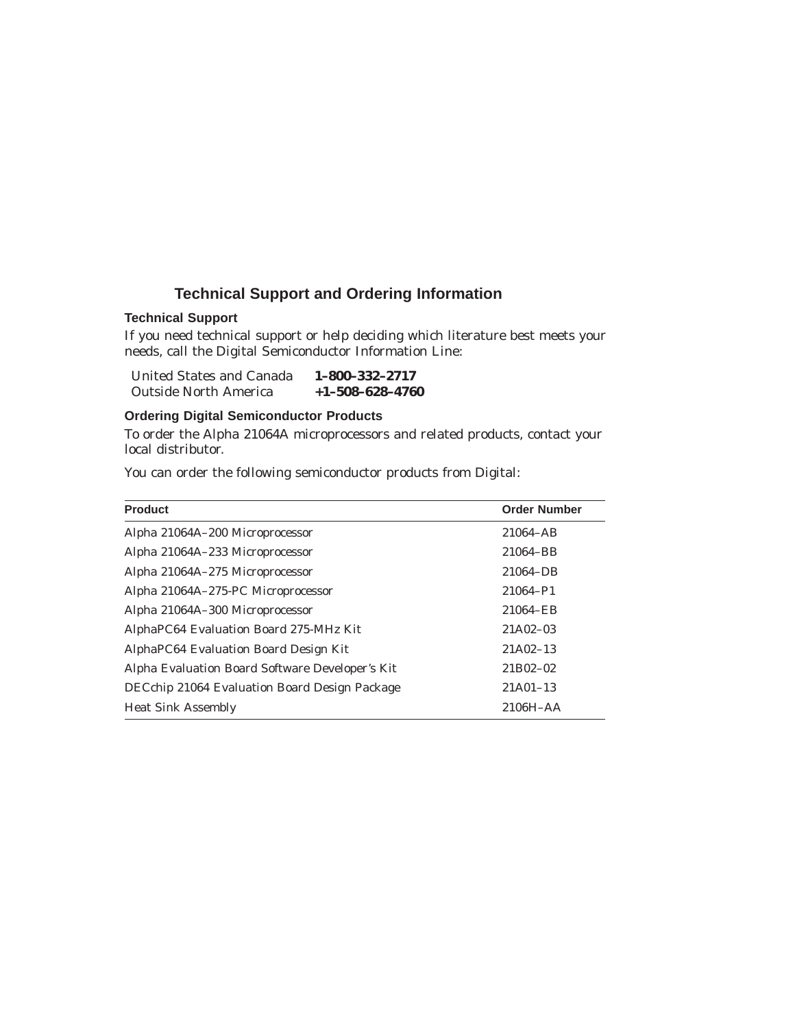## **Technical Support and Ordering Information**

#### **Technical Support**

If you need technical support or help deciding which literature best meets your needs, call the Digital Semiconductor Information Line:

| United States and Canada     | 1-800-332-2717          |
|------------------------------|-------------------------|
| <b>Outside North America</b> | $+1 - 508 - 628 - 4760$ |

#### **Ordering Digital Semiconductor Products**

To order the Alpha 21064A microprocessors and related products, contact your local distributor.

You can order the following semiconductor products from Digital:

| <b>Product</b>                                  | <b>Order Number</b> |
|-------------------------------------------------|---------------------|
| Alpha 21064A-200 Microprocessor                 | 21064-AB            |
| Alpha 21064A-233 Microprocessor                 | 21064-BB            |
| Alpha 21064A-275 Microprocessor                 | 21064-DB            |
| Alpha 21064A-275-PC Microprocessor              | 21064-P1            |
| Alpha 21064A-300 Microprocessor                 | 21064-EB            |
| AlphaPC64 Evaluation Board 275-MHz Kit          | 21A02-03            |
| AlphaPC64 Evaluation Board Design Kit           | $21A02-13$          |
| Alpha Evaluation Board Software Developer's Kit | 21B02-02            |
| DECchip 21064 Evaluation Board Design Package   | $21A01-13$          |
| <b>Heat Sink Assembly</b>                       | 2106H-AA            |